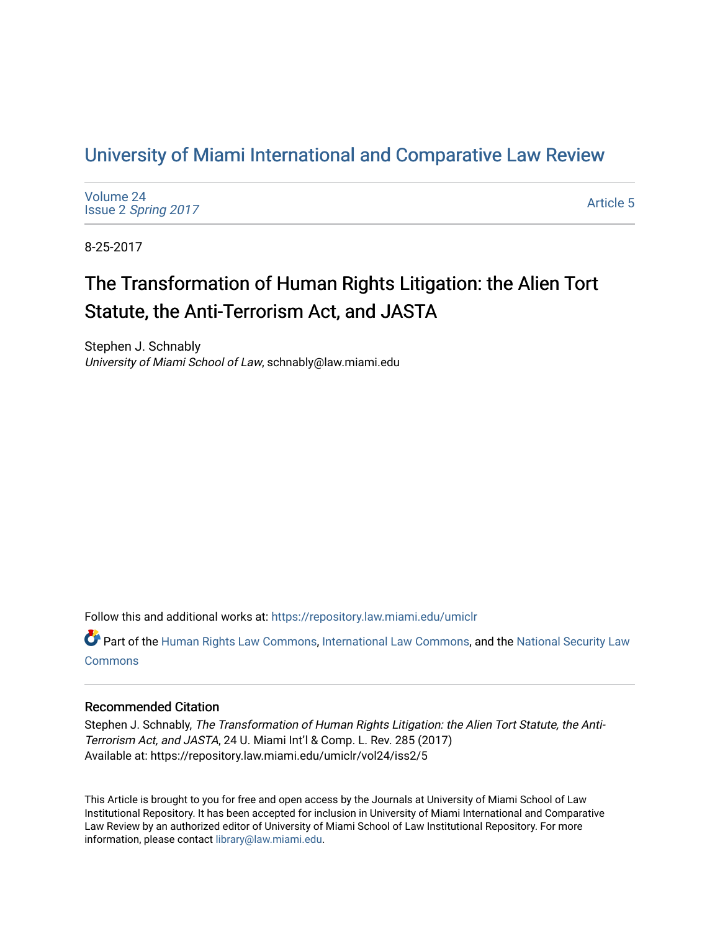## [University of Miami International and Comparative Law Review](https://repository.law.miami.edu/umiclr)

[Volume 24](https://repository.law.miami.edu/umiclr/vol24) Issue 2 [Spring 2017](https://repository.law.miami.edu/umiclr/vol24/iss2) 

[Article 5](https://repository.law.miami.edu/umiclr/vol24/iss2/5) 

8-25-2017

# The Transformation of Human Rights Litigation: the Alien Tort Statute, the Anti-Terrorism Act, and JASTA

Stephen J. Schnably University of Miami School of Law, schnably@law.miami.edu

Follow this and additional works at: [https://repository.law.miami.edu/umiclr](https://repository.law.miami.edu/umiclr?utm_source=repository.law.miami.edu%2Fumiclr%2Fvol24%2Fiss2%2F5&utm_medium=PDF&utm_campaign=PDFCoverPages)

Part of the [Human Rights Law Commons,](http://network.bepress.com/hgg/discipline/847?utm_source=repository.law.miami.edu%2Fumiclr%2Fvol24%2Fiss2%2F5&utm_medium=PDF&utm_campaign=PDFCoverPages) [International Law Commons](http://network.bepress.com/hgg/discipline/609?utm_source=repository.law.miami.edu%2Fumiclr%2Fvol24%2Fiss2%2F5&utm_medium=PDF&utm_campaign=PDFCoverPages), and the [National Security Law](http://network.bepress.com/hgg/discipline/1114?utm_source=repository.law.miami.edu%2Fumiclr%2Fvol24%2Fiss2%2F5&utm_medium=PDF&utm_campaign=PDFCoverPages)  **[Commons](http://network.bepress.com/hgg/discipline/1114?utm_source=repository.law.miami.edu%2Fumiclr%2Fvol24%2Fiss2%2F5&utm_medium=PDF&utm_campaign=PDFCoverPages)** 

#### Recommended Citation

Stephen J. Schnably, The Transformation of Human Rights Litigation: the Alien Tort Statute, the Anti-Terrorism Act, and JASTA, 24 U. Miami Int'l & Comp. L. Rev. 285 (2017) Available at: https://repository.law.miami.edu/umiclr/vol24/iss2/5

This Article is brought to you for free and open access by the Journals at University of Miami School of Law Institutional Repository. It has been accepted for inclusion in University of Miami International and Comparative Law Review by an authorized editor of University of Miami School of Law Institutional Repository. For more information, please contact [library@law.miami.edu](mailto:library@law.miami.edu).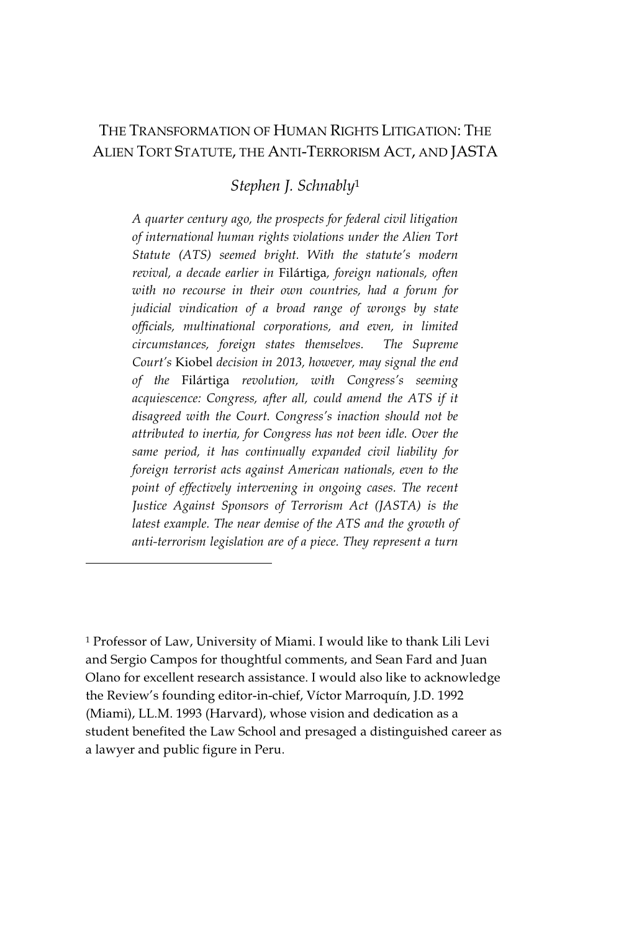## THE TRANSFORMATION OF HUMAN RIGHTS LITIGATION: THE ALIEN TORT STATUTE, THE ANTI-TERRORISM ACT, AND JASTA

#### *Stephen J. Schnably*<sup>1</sup>

*A quarter century ago, the prospects for federal civil litigation of international human rights violations under the Alien Tort Statute (ATS) seemed bright. With the statute's modern revival, a decade earlier in* Filártiga*, foreign nationals, often with no recourse in their own countries, had a forum for judicial vindication of a broad range of wrongs by state officials, multinational corporations, and even, in limited circumstances, foreign states themselves. The Supreme Court's* Kiobel *decision in 2013, however, may signal the end of the* Filártiga *revolution, with Congress's seeming acquiescence: Congress, after all, could amend the ATS if it disagreed with the Court. Congress's inaction should not be attributed to inertia, for Congress has not been idle. Over the same period, it has continually expanded civil liability for foreign terrorist acts against American nationals, even to the point of effectively intervening in ongoing cases. The recent Justice Against Sponsors of Terrorism Act (JASTA) is the latest example. The near demise of the ATS and the growth of anti-terrorism legislation are of a piece. They represent a turn*

<sup>1</sup> Professor of Law, University of Miami. I would like to thank Lili Levi and Sergio Campos for thoughtful comments, and Sean Fard and Juan Olano for excellent research assistance. I would also like to acknowledge the Review's founding editor-in-chief, Víctor Marroquín, J.D. 1992 (Miami), LL.M. 1993 (Harvard), whose vision and dedication as a student benefited the Law School and presaged a distinguished career as a lawyer and public figure in Peru.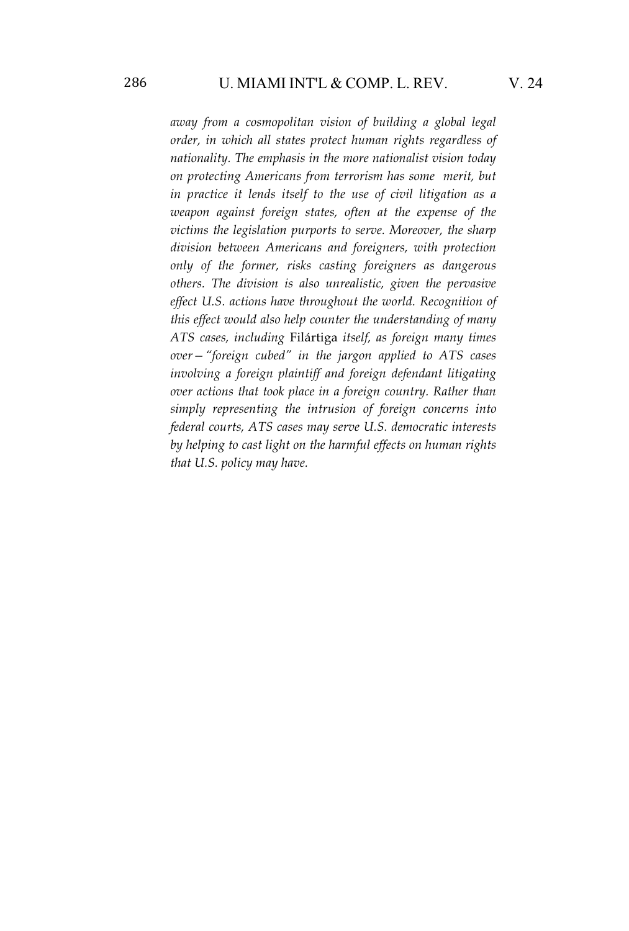*away from a cosmopolitan vision of building a global legal order, in which all states protect human rights regardless of nationality. The emphasis in the more nationalist vision today on protecting Americans from terrorism has some merit, but in practice it lends itself to the use of civil litigation as a weapon against foreign states, often at the expense of the victims the legislation purports to serve. Moreover, the sharp division between Americans and foreigners, with protection only of the former, risks casting foreigners as dangerous others. The division is also unrealistic, given the pervasive effect U.S. actions have throughout the world. Recognition of this effect would also help counter the understanding of many ATS cases, including* Filártiga *itself, as foreign many times over—"foreign cubed" in the jargon applied to ATS cases involving a foreign plaintiff and foreign defendant litigating over actions that took place in a foreign country. Rather than simply representing the intrusion of foreign concerns into federal courts, ATS cases may serve U.S. democratic interests by helping to cast light on the harmful effects on human rights that U.S. policy may have.*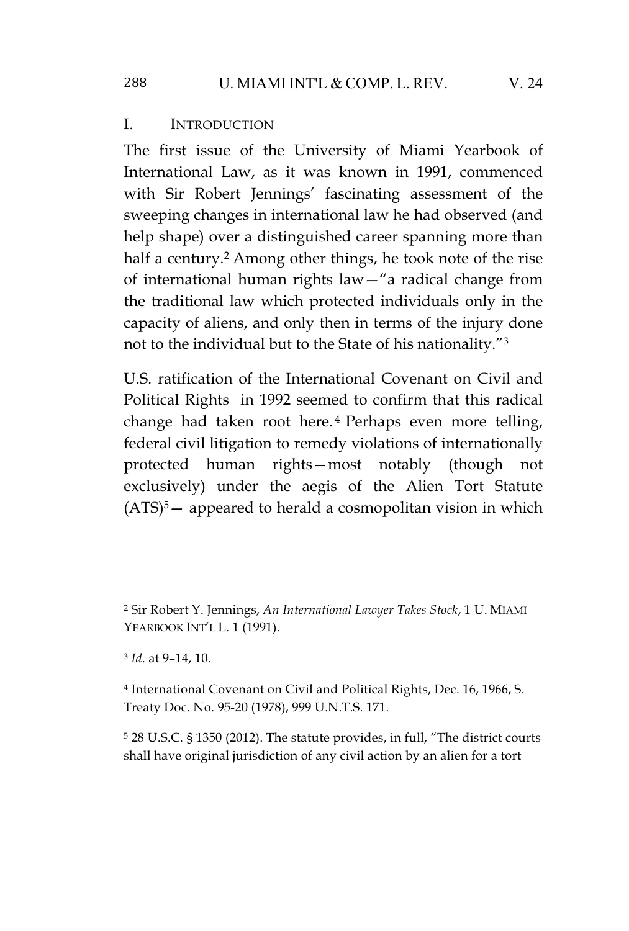## I. INTRODUCTION

The first issue of the University of Miami Yearbook of International Law, as it was known in 1991, commenced with Sir Robert Jennings' fascinating assessment of the sweeping changes in international law he had observed (and help shape) over a distinguished career spanning more than half a century.<sup>2</sup> Among other things, he took note of the rise of international human rights law—"a radical change from the traditional law which protected individuals only in the capacity of aliens, and only then in terms of the injury done not to the individual but to the State of his nationality."<sup>3</sup>

U.S. ratification of the International Covenant on Civil and Political Rights in 1992 seemed to confirm that this radical change had taken root here.<sup>4</sup> Perhaps even more telling, federal civil litigation to remedy violations of internationally protected human rights—most notably (though not exclusively) under the aegis of the Alien Tort Statute  $(ATS)^5$  – appeared to herald a cosmopolitan vision in which

<sup>3</sup> *Id*. at 9–14, 10.

<sup>5</sup> 28 U.S.C. § 1350 (2012). The statute provides, in full, "The district courts shall have original jurisdiction of any civil action by an alien for a tort

<sup>2</sup> Sir Robert Y. Jennings, *An International Lawyer Takes Stock*, 1 U. MIAMI YEARBOOK INT'L L. 1 (1991).

<sup>4</sup> International Covenant on Civil and Political Rights, Dec. 16, 1966, S. Treaty Doc. No. 95-20 (1978), 999 U.N.T.S. 171.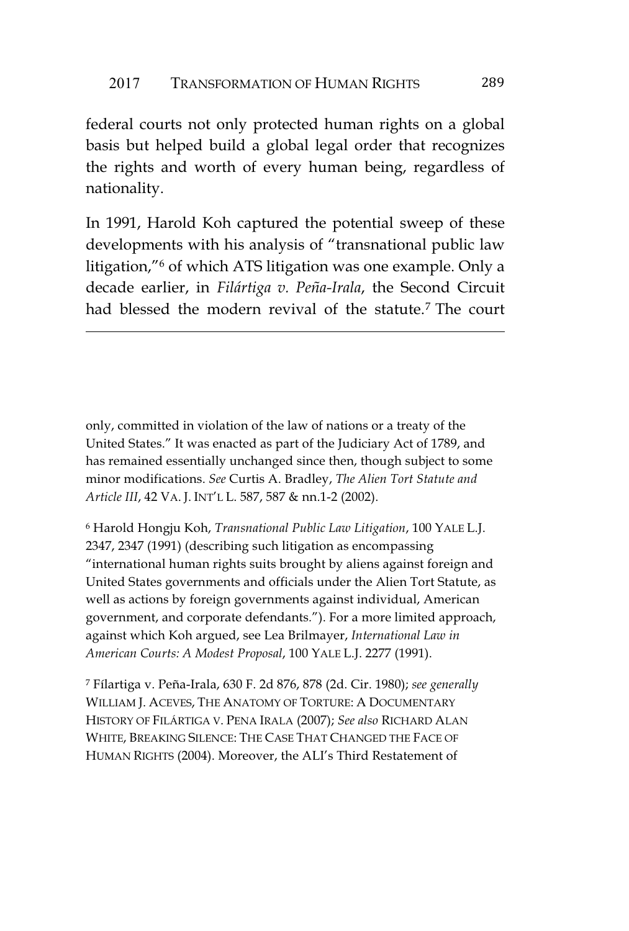federal courts not only protected human rights on a global basis but helped build a global legal order that recognizes the rights and worth of every human being, regardless of nationality.

In 1991, Harold Koh captured the potential sweep of these developments with his analysis of "transnational public law litigation,"<sup>6</sup> of which ATS litigation was one example. Only a decade earlier, in *Filártiga v. Peña-Irala*, the Second Circuit had blessed the modern revival of the statute.<sup>7</sup> The court

only, committed in violation of the law of nations or a treaty of the United States." It was enacted as part of the Judiciary Act of 1789, and has remained essentially unchanged since then, though subject to some minor modifications. *See* Curtis A. Bradley, *The Alien Tort Statute and Article III*, 42 VA. J. INT'L L. 587, 587 & nn.1-2 (2002).

<sup>6</sup> Harold Hongju Koh, *Transnational Public Law Litigation*, 100 YALE L.J. 2347, 2347 (1991) (describing such litigation as encompassing "international human rights suits brought by aliens against foreign and United States governments and officials under the Alien Tort Statute, as well as actions by foreign governments against individual, American government, and corporate defendants*.*"). For a more limited approach, against which Koh argued, see Lea Brilmayer, *International Law in American Courts: A Modest Proposal*, 100 YALE L.J. 2277 (1991).

<sup>7</sup> Fílartiga v. Peña-Irala, 630 F. 2d 876, 878 (2d. Cir. 1980); *see generally* WILLIAM J. ACEVES, THE ANATOMY OF TORTURE: A DOCUMENTARY HISTORY OF FILÁRTIGA V. PENA IRALA (2007); *See also* RICHARD ALAN WHITE, BREAKING SILENCE: THE CASE THAT CHANGED THE FACE OF HUMAN RIGHTS (2004). Moreover, the ALI's Third Restatement of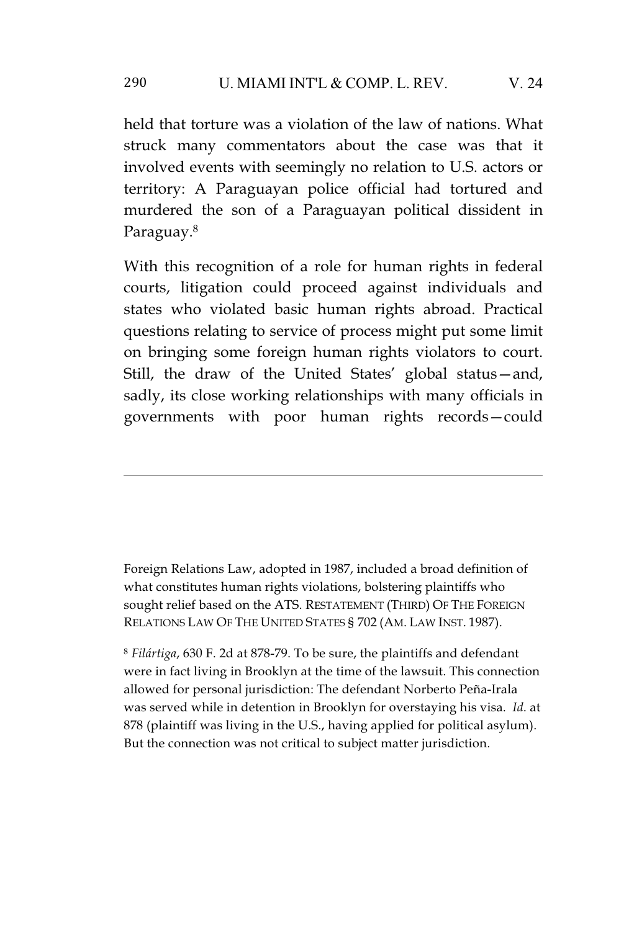#### 290 U. MIAMI INT'L & COMP. L. REV. V. 24

held that torture was a violation of the law of nations. What struck many commentators about the case was that it involved events with seemingly no relation to U.S. actors or territory: A Paraguayan police official had tortured and murdered the son of a Paraguayan political dissident in Paraguay.<sup>8</sup>

With this recognition of a role for human rights in federal courts, litigation could proceed against individuals and states who violated basic human rights abroad. Practical questions relating to service of process might put some limit on bringing some foreign human rights violators to court. Still, the draw of the United States' global status—and, sadly, its close working relationships with many officials in governments with poor human rights records—could

Foreign Relations Law, adopted in 1987, included a broad definition of what constitutes human rights violations, bolstering plaintiffs who sought relief based on the ATS. RESTATEMENT (THIRD) OF THE FOREIGN RELATIONS LAW OF THE UNITED STATES § 702 (AM. LAW INST. 1987).

<sup>8</sup> *Filártiga*, 630 F. 2d at 878-79. To be sure, the plaintiffs and defendant were in fact living in Brooklyn at the time of the lawsuit. This connection allowed for personal jurisdiction: The defendant Norberto Peña-Irala was served while in detention in Brooklyn for overstaying his visa. *Id*. at 878 (plaintiff was living in the U.S., having applied for political asylum). But the connection was not critical to subject matter jurisdiction.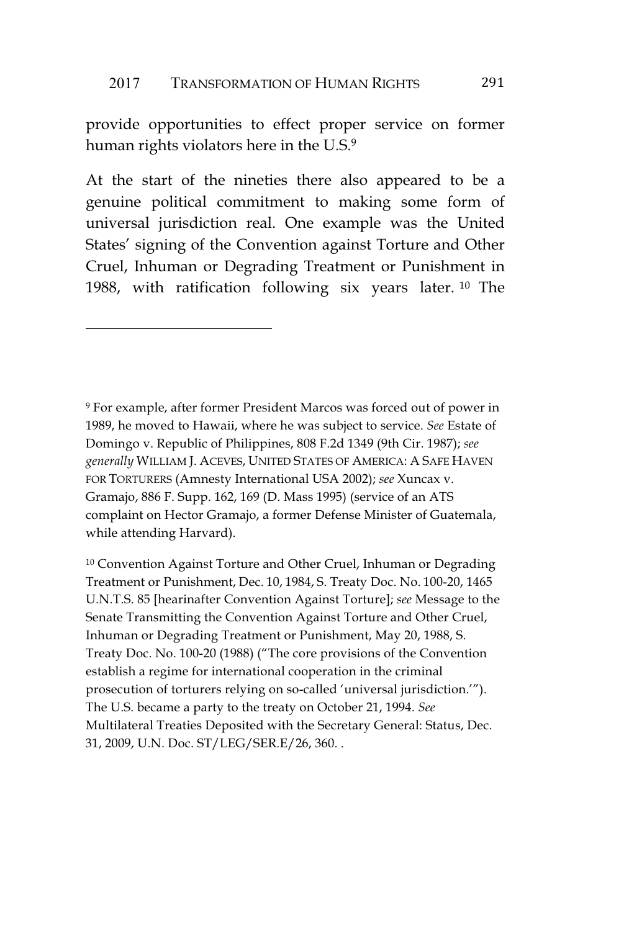provide opportunities to effect proper service on former human rights violators here in the U.S.<sup>9</sup>

At the start of the nineties there also appeared to be a genuine political commitment to making some form of universal jurisdiction real. One example was the United States' signing of the Convention against Torture and Other Cruel, Inhuman or Degrading Treatment or Punishment in 1988, with ratification following six years later. <sup>10</sup> The

<sup>9</sup> For example, after former President Marcos was forced out of power in 1989, he moved to Hawaii, where he was subject to service. *See* Estate of Domingo v. Republic of Philippines, 808 F.2d 1349 (9th Cir. 1987); *see generally* WILLIAM J. ACEVES, UNITED STATES OF AMERICA:ASAFE HAVEN FOR TORTURERS (Amnesty International USA 2002); *see* Xuncax v. Gramajo, 886 F. Supp. 162, 169 (D. Mass 1995) (service of an ATS complaint on Hector Gramajo, a former Defense Minister of Guatemala, while attending Harvard).

<sup>10</sup> Convention Against Torture and Other Cruel, Inhuman or Degrading Treatment or Punishment, Dec. 10, 1984, S. Treaty Doc. No. 100-20, 1465 U.N.T.S. 85 [hearinafter Convention Against Torture]; *see* Message to the Senate Transmitting the Convention Against Torture and Other Cruel, Inhuman or Degrading Treatment or Punishment, May 20, 1988, S. Treaty Doc. No. 100-20 (1988) ("The core provisions of the Convention establish a regime for international cooperation in the criminal prosecution of torturers relying on so-called 'universal jurisdiction.'"). The U.S. became a party to the treaty on October 21, 1994. See Multilateral Treaties Deposited with the Secretary General: Status, Dec. 31, 2009, U.N. Doc. ST/LEG/SER.E/26, 360. .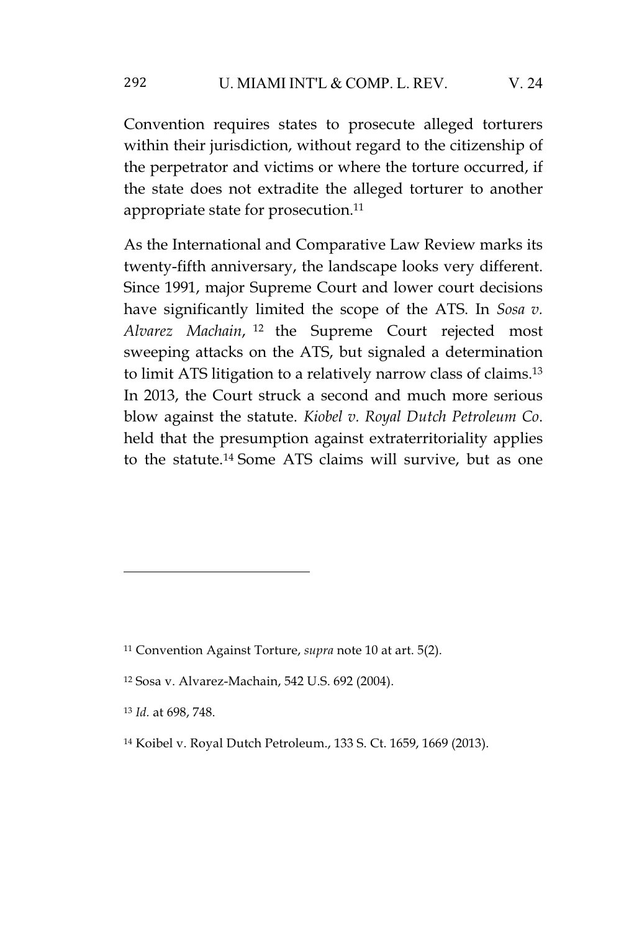Convention requires states to prosecute alleged torturers within their jurisdiction, without regard to the citizenship of the perpetrator and victims or where the torture occurred, if the state does not extradite the alleged torturer to another appropriate state for prosecution.<sup>11</sup>

As the International and Comparative Law Review marks its twenty-fifth anniversary, the landscape looks very different. Since 1991, major Supreme Court and lower court decisions have significantly limited the scope of the ATS. In *Sosa v. Alvarez Machain*, <sup>12</sup> the Supreme Court rejected most sweeping attacks on the ATS, but signaled a determination to limit ATS litigation to a relatively narrow class of claims.<sup>13</sup> In 2013, the Court struck a second and much more serious blow against the statute. *Kiobel v. Royal Dutch Petroleum Co*. held that the presumption against extraterritoriality applies to the statute.<sup>14</sup> Some ATS claims will survive, but as one

<sup>11</sup> Convention Against Torture, *supra* note 10 at art. 5(2).

<sup>12</sup> Sosa v. Alvarez-Machain, 542 U.S. 692 (2004).

<sup>13</sup> *Id.* at 698, 748.

<sup>14</sup> Koibel v. Royal Dutch Petroleum., 133 S. Ct. 1659, 1669 (2013).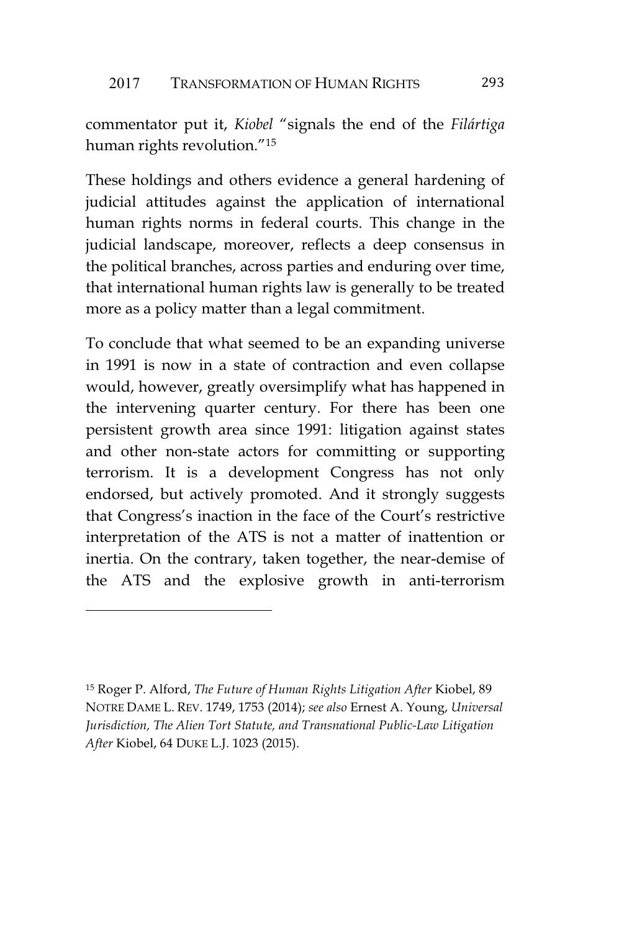commentator put it, *Kiobel* "signals the end of the *Filártiga* human rights revolution."<sup>15</sup>

These holdings and others evidence a general hardening of judicial attitudes against the application of international human rights norms in federal courts. This change in the judicial landscape, moreover, reflects a deep consensus in the political branches, across parties and enduring over time, that international human rights law is generally to be treated more as a policy matter than a legal commitment.

To conclude that what seemed to be an expanding universe in 1991 is now in a state of contraction and even collapse would, however, greatly oversimplify what has happened in the intervening quarter century. For there has been one persistent growth area since 1991: litigation against states and other non-state actors for committing or supporting terrorism. It is a development Congress has not only endorsed, but actively promoted. And it strongly suggests that Congress's inaction in the face of the Court's restrictive interpretation of the ATS is not a matter of inattention or inertia. On the contrary, taken together, the near-demise of the ATS and the explosive growth in anti-terrorism

<sup>15</sup> Roger P. Alford, *The Future of Human Rights Litigation After* Kiobel, 89 NOTRE DAME L. REV. 1749, 1753 (2014); *see also* Ernest A. Young, *Universal Jurisdiction, The Alien Tort Statute, and Transnational Public-Law Litigation After* Kiobel, 64 DUKE L.J. 1023 (2015).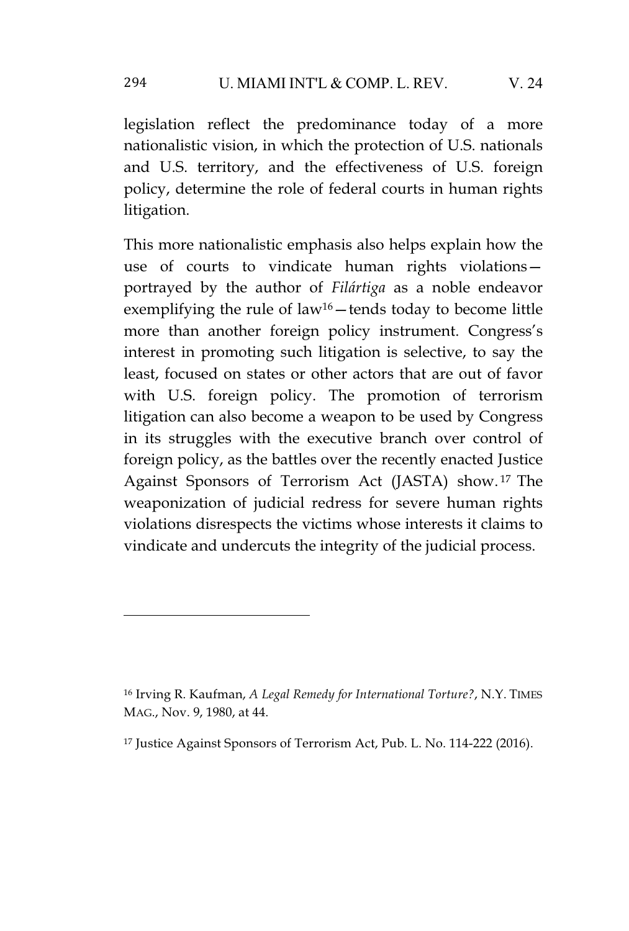legislation reflect the predominance today of a more nationalistic vision, in which the protection of U.S. nationals and U.S. territory, and the effectiveness of U.S. foreign policy, determine the role of federal courts in human rights litigation.

This more nationalistic emphasis also helps explain how the use of courts to vindicate human rights violations portrayed by the author of *Filártiga* as a noble endeavor exemplifying the rule of law<sup>16</sup> $-$ tends today to become little more than another foreign policy instrument. Congress's interest in promoting such litigation is selective, to say the least, focused on states or other actors that are out of favor with U.S. foreign policy. The promotion of terrorism litigation can also become a weapon to be used by Congress in its struggles with the executive branch over control of foreign policy, as the battles over the recently enacted Justice Against Sponsors of Terrorism Act (JASTA) show. <sup>17</sup> The weaponization of judicial redress for severe human rights violations disrespects the victims whose interests it claims to vindicate and undercuts the integrity of the judicial process.

<sup>16</sup> Irving R. Kaufman, *A Legal Remedy for International Torture?*, N.Y. TIMES MAG., Nov. 9, 1980, at 44.

<sup>17</sup> Justice Against Sponsors of Terrorism Act, Pub. L. No. 114-222 (2016).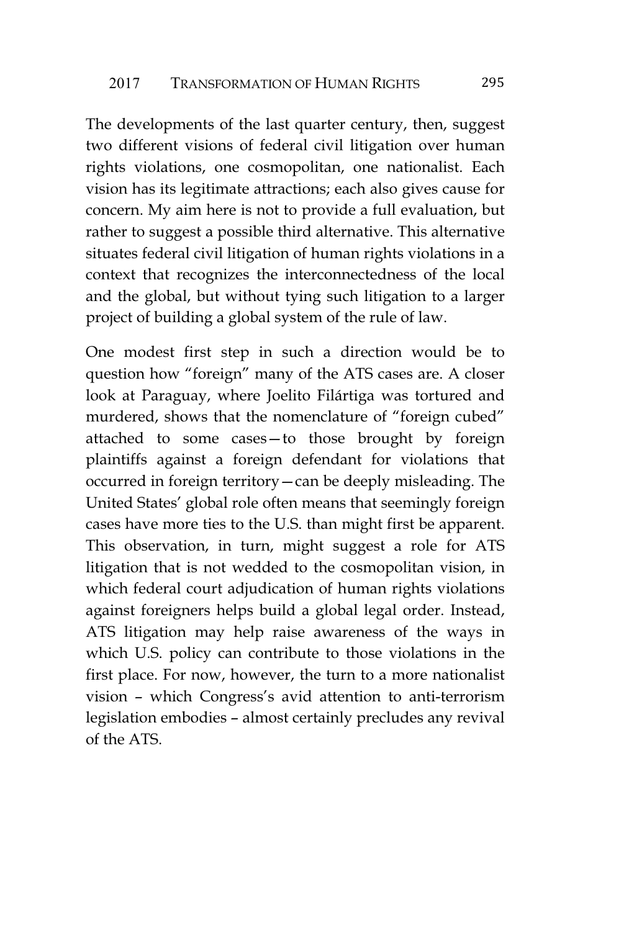The developments of the last quarter century, then, suggest two different visions of federal civil litigation over human rights violations, one cosmopolitan, one nationalist. Each vision has its legitimate attractions; each also gives cause for concern. My aim here is not to provide a full evaluation, but rather to suggest a possible third alternative. This alternative situates federal civil litigation of human rights violations in a context that recognizes the interconnectedness of the local and the global, but without tying such litigation to a larger project of building a global system of the rule of law.

One modest first step in such a direction would be to question how "foreign" many of the ATS cases are. A closer look at Paraguay, where Joelito Filártiga was tortured and murdered, shows that the nomenclature of "foreign cubed" attached to some cases—to those brought by foreign plaintiffs against a foreign defendant for violations that occurred in foreign territory—can be deeply misleading. The United States' global role often means that seemingly foreign cases have more ties to the U.S. than might first be apparent. This observation, in turn, might suggest a role for ATS litigation that is not wedded to the cosmopolitan vision, in which federal court adjudication of human rights violations against foreigners helps build a global legal order. Instead, ATS litigation may help raise awareness of the ways in which U.S. policy can contribute to those violations in the first place. For now, however, the turn to a more nationalist vision – which Congress's avid attention to anti-terrorism legislation embodies – almost certainly precludes any revival of the ATS.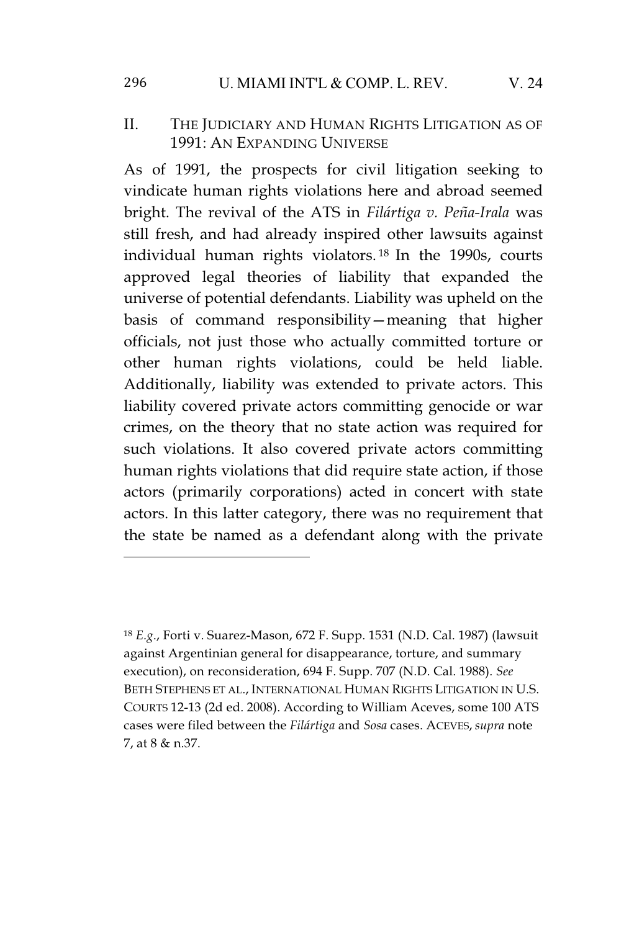#### 296 U. MIAMI INT'L & COMP. L. REV. V. 24

## II. THE JUDICIARY AND HUMAN RIGHTS LITIGATION AS OF 1991: AN EXPANDING UNIVERSE

As of 1991, the prospects for civil litigation seeking to vindicate human rights violations here and abroad seemed bright. The revival of the ATS in *Filártiga v. Peña-Irala* was still fresh, and had already inspired other lawsuits against individual human rights violators. <sup>18</sup> In the 1990s, courts approved legal theories of liability that expanded the universe of potential defendants. Liability was upheld on the basis of command responsibility—meaning that higher officials, not just those who actually committed torture or other human rights violations, could be held liable. Additionally, liability was extended to private actors. This liability covered private actors committing genocide or war crimes, on the theory that no state action was required for such violations. It also covered private actors committing human rights violations that did require state action, if those actors (primarily corporations) acted in concert with state actors. In this latter category, there was no requirement that the state be named as a defendant along with the private

<sup>18</sup> *E.g*., Forti v. Suarez-Mason, 672 F. Supp. 1531 (N.D. Cal. 1987) (lawsuit against Argentinian general for disappearance, torture, and summary execution), on reconsideration, 694 F. Supp. 707 (N.D. Cal. 1988). *See* BETH STEPHENS ET AL., INTERNATIONAL HUMAN RIGHTS LITIGATION IN U.S. COURTS 12-13 (2d ed. 2008). According to William Aceves, some 100 ATS cases were filed between the *Filártiga* and *Sosa* cases. ACEVES, *supra* note 7, at 8 & n.37.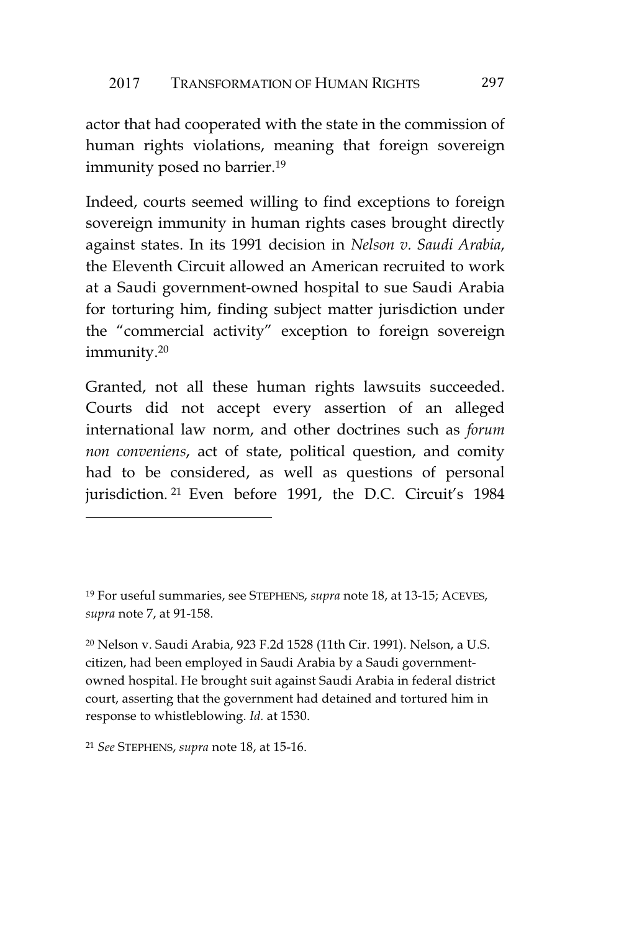actor that had cooperated with the state in the commission of human rights violations, meaning that foreign sovereign immunity posed no barrier.<sup>19</sup>

Indeed, courts seemed willing to find exceptions to foreign sovereign immunity in human rights cases brought directly against states. In its 1991 decision in *Nelson v. Saudi Arabia*, the Eleventh Circuit allowed an American recruited to work at a Saudi government-owned hospital to sue Saudi Arabia for torturing him, finding subject matter jurisdiction under the "commercial activity" exception to foreign sovereign immunity.<sup>20</sup>

Granted, not all these human rights lawsuits succeeded. Courts did not accept every assertion of an alleged international law norm, and other doctrines such as *forum non conveniens*, act of state, political question, and comity had to be considered, as well as questions of personal jurisdiction. <sup>21</sup> Even before 1991, the D.C. Circuit's 1984

<sup>19</sup> For useful summaries, see STEPHENS, *supra* note 18, at 13-15; ACEVES, *supra* note 7, at 91-158.

<sup>20</sup> Nelson v. Saudi Arabia, 923 F.2d 1528 (11th Cir. 1991). Nelson, a U.S. citizen, had been employed in Saudi Arabia by a Saudi governmentowned hospital. He brought suit against Saudi Arabia in federal district court, asserting that the government had detained and tortured him in response to whistleblowing. *Id.* at 1530.

<sup>21</sup> *See* STEPHENS, *supra* note 18, at 15-16.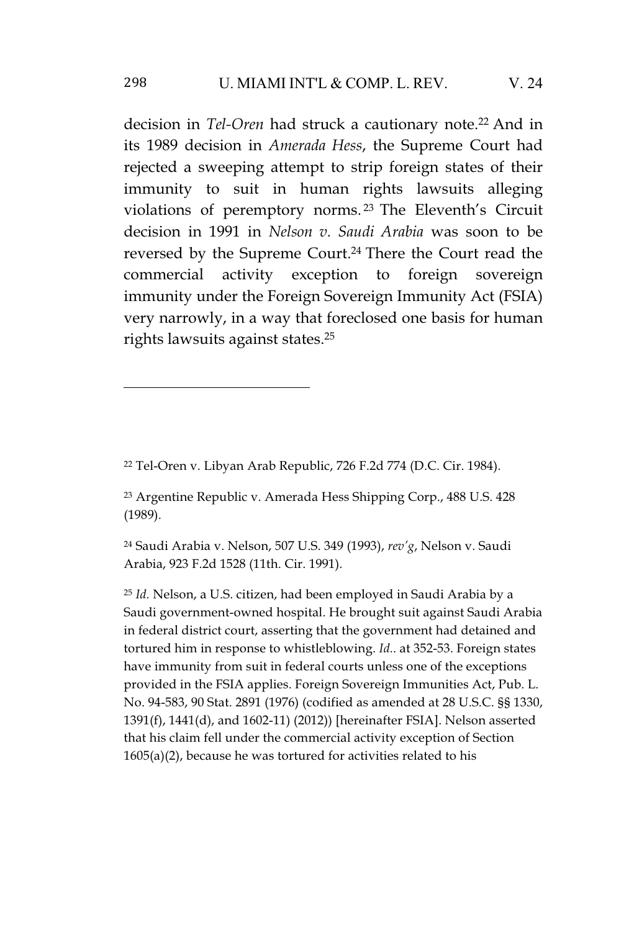decision in *Tel-Oren* had struck a cautionary note.<sup>22</sup> And in its 1989 decision in *Amerada Hess*, the Supreme Court had rejected a sweeping attempt to strip foreign states of their immunity to suit in human rights lawsuits alleging violations of peremptory norms. <sup>23</sup> The Eleventh's Circuit decision in 1991 in *Nelson v. Saudi Arabia* was soon to be reversed by the Supreme Court.<sup>24</sup> There the Court read the commercial activity exception to foreign sovereign immunity under the Foreign Sovereign Immunity Act (FSIA) very narrowly, in a way that foreclosed one basis for human rights lawsuits against states.<sup>25</sup>

<sup>22</sup> Tel-Oren v. Libyan Arab Republic, 726 F.2d 774 (D.C. Cir. 1984).

<sup>23</sup> Argentine Republic v. Amerada Hess Shipping Corp., 488 U.S. 428 (1989).

<sup>24</sup> Saudi Arabia v. Nelson, 507 U.S. 349 (1993), *rev'g*, Nelson v. Saudi Arabia, 923 F.2d 1528 (11th. Cir. 1991).

<sup>25</sup> *Id.* Nelson, a U.S. citizen, had been employed in Saudi Arabia by a Saudi government-owned hospital. He brought suit against Saudi Arabia in federal district court, asserting that the government had detained and tortured him in response to whistleblowing. *Id.*. at 352-53. Foreign states have immunity from suit in federal courts unless one of the exceptions provided in the FSIA applies. Foreign Sovereign Immunities Act, Pub. L. No. 94-583, 90 Stat. 2891 (1976) (codified as amended at 28 U.S.C. §§ 1330, 1391(f), 1441(d), and 1602-11) (2012)) [hereinafter FSIA]. Nelson asserted that his claim fell under the commercial activity exception of Section 1605(a)(2), because he was tortured for activities related to his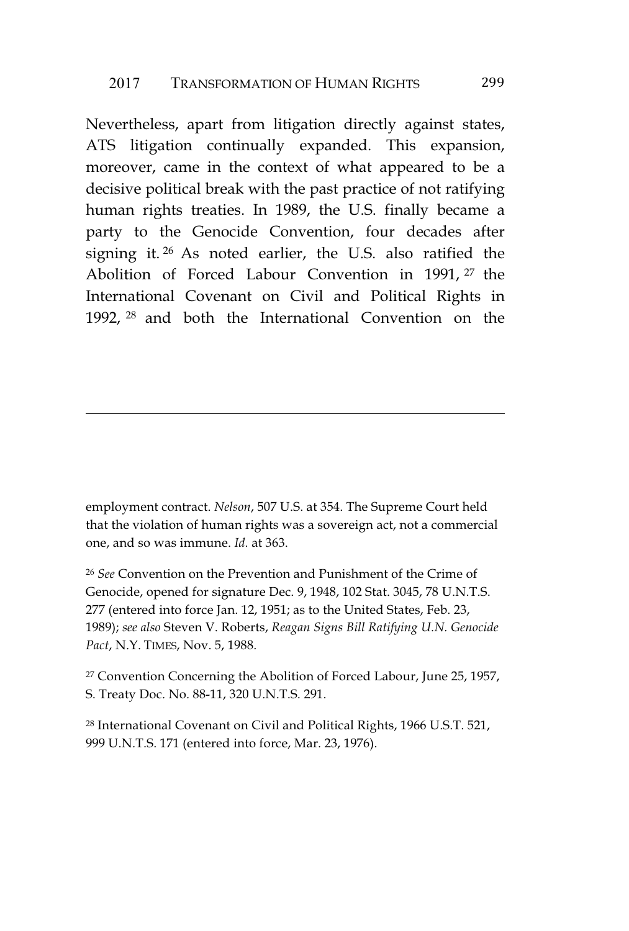Nevertheless, apart from litigation directly against states, ATS litigation continually expanded. This expansion, moreover, came in the context of what appeared to be a decisive political break with the past practice of not ratifying human rights treaties. In 1989, the U.S. finally became a party to the Genocide Convention, four decades after signing it. <sup>26</sup> As noted earlier, the U.S. also ratified the Abolition of Forced Labour Convention in 1991, <sup>27</sup> the International Covenant on Civil and Political Rights in 1992, <sup>28</sup> and both the International Convention on the

employment contract. *Nelson*, 507 U.S. at 354. The Supreme Court held that the violation of human rights was a sovereign act, not a commercial one, and so was immune. *Id.* at 363.

<sup>26</sup> *See* Convention on the Prevention and Punishment of the Crime of Genocide, opened for signature Dec. 9, 1948, 102 Stat. 3045, 78 U.N.T.S. 277 (entered into force Jan. 12, 1951; as to the United States, Feb. 23, 1989); *see also* Steven V. Roberts, *Reagan Signs Bill Ratifying U.N. Genocide Pact*, N.Y. TIMES, Nov. 5, 1988.

<sup>27</sup> Convention Concerning the Abolition of Forced Labour, June 25, 1957, S. Treaty Doc. No. 88-11, 320 U.N.T.S. 291.

<sup>28</sup> International Covenant on Civil and Political Rights, 1966 U.S.T. 521, 999 U.N.T.S. 171 (entered into force, Mar. 23, 1976).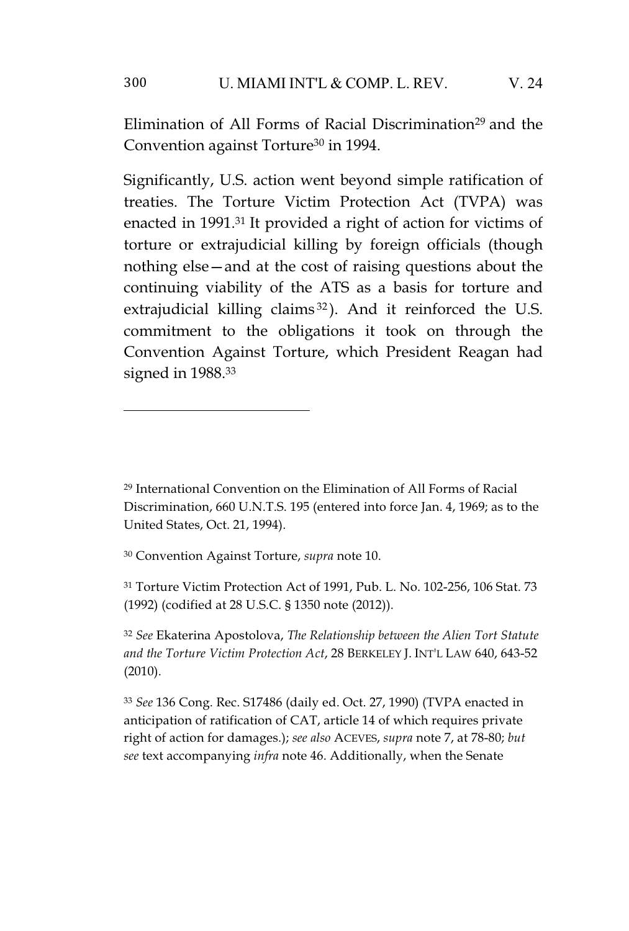Elimination of All Forms of Racial Discrimination<sup>29</sup> and the Convention against Torture<sup>30</sup> in 1994.

Significantly, U.S. action went beyond simple ratification of treaties. The Torture Victim Protection Act (TVPA) was enacted in 1991.<sup>31</sup> It provided a right of action for victims of torture or extrajudicial killing by foreign officials (though nothing else—and at the cost of raising questions about the continuing viability of the ATS as a basis for torture and extrajudicial killing claims<sup>32</sup>). And it reinforced the U.S. commitment to the obligations it took on through the Convention Against Torture, which President Reagan had signed in 1988.<sup>33</sup>

<sup>29</sup> International Convention on the Elimination of All Forms of Racial Discrimination, 660 U.N.T.S. 195 (entered into force Jan. 4, 1969; as to the United States, Oct. 21, 1994).

<sup>30</sup> Convention Against Torture, *supra* note 10.

<sup>31</sup> Torture Victim Protection Act of 1991, Pub. L. No. 102-256, 106 Stat. 73 (1992) (codified at 28 U.S.C. § 1350 note (2012)).

<sup>32</sup> *See* Ekaterina Apostolova, *The Relationship between the Alien Tort Statute and the Torture Victim Protection Act*, 28 BERKELEY J. INT'L LAW 640, 643-52 (2010).

<sup>33</sup> *See* 136 Cong. Rec. S17486 (daily ed. Oct. 27, 1990) (TVPA enacted in anticipation of ratification of CAT, article 14 of which requires private right of action for damages.); *see also* ACEVES, *supra* note 7, at 78-80; *but see* text accompanying *infra* note 46. Additionally, when the Senate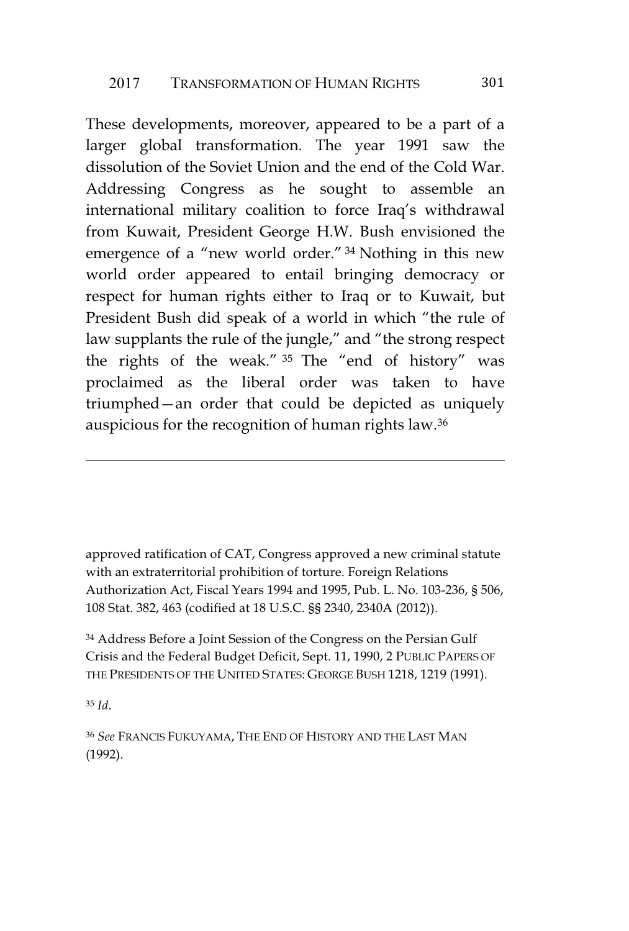These developments, moreover, appeared to be a part of a larger global transformation. The year 1991 saw the dissolution of the Soviet Union and the end of the Cold War. Addressing Congress as he sought to assemble an international military coalition to force Iraq's withdrawal from Kuwait, President George H.W. Bush envisioned the emergence of a "new world order." <sup>34</sup> Nothing in this new world order appeared to entail bringing democracy or respect for human rights either to Iraq or to Kuwait, but President Bush did speak of a world in which "the rule of law supplants the rule of the jungle," and "the strong respect the rights of the weak." <sup>35</sup> The "end of history" was proclaimed as the liberal order was taken to have triumphed—an order that could be depicted as uniquely auspicious for the recognition of human rights law.<sup>36</sup>

approved ratification of CAT, Congress approved a new criminal statute with an extraterritorial prohibition of torture. Foreign Relations Authorization Act, Fiscal Years 1994 and 1995, Pub. L. No. 103-236, § 506, 108 Stat. 382, 463 (codified at 18 U.S.C. §§ 2340, 2340A (2012)).

<sup>34</sup> Address Before a Joint Session of the Congress on the Persian Gulf Crisis and the Federal Budget Deficit, Sept. 11, 1990, 2 PUBLIC PAPERS OF THE PRESIDENTS OF THE UNITED STATES: GEORGE BUSH 1218, 1219 (1991).

<sup>35</sup> *Id*.

<sup>36</sup> *See* FRANCIS FUKUYAMA, THE END OF HISTORY AND THE LAST MAN (1992).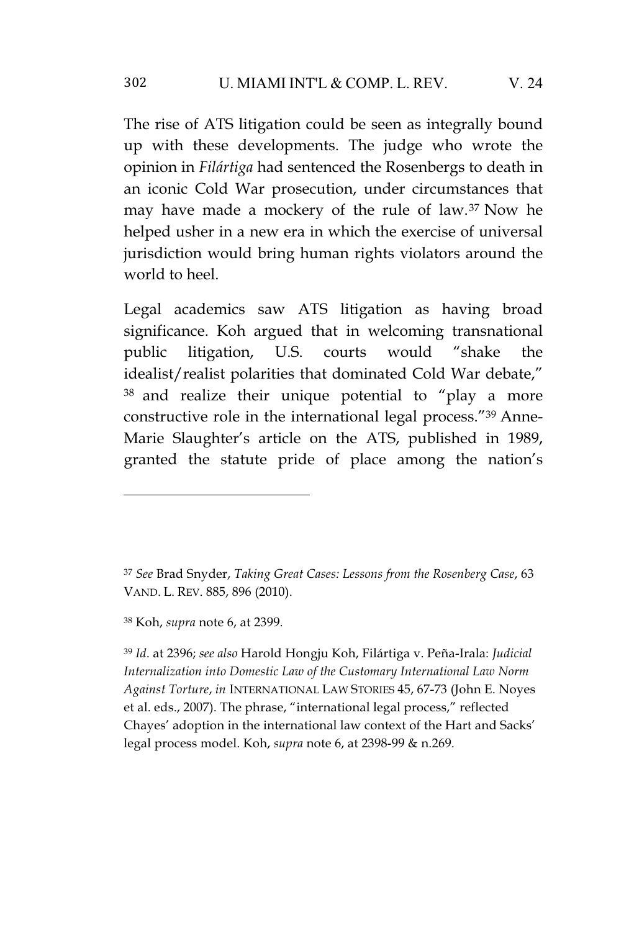The rise of ATS litigation could be seen as integrally bound up with these developments. The judge who wrote the opinion in *Filártiga* had sentenced the Rosenbergs to death in an iconic Cold War prosecution, under circumstances that may have made a mockery of the rule of law.<sup>37</sup> Now he helped usher in a new era in which the exercise of universal jurisdiction would bring human rights violators around the world to heel.

Legal academics saw ATS litigation as having broad significance. Koh argued that in welcoming transnational public litigation, U.S. courts would "shake the idealist/realist polarities that dominated Cold War debate," <sup>38</sup> and realize their unique potential to "play a more constructive role in the international legal process."<sup>39</sup> Anne-Marie Slaughter's article on the ATS, published in 1989, granted the statute pride of place among the nation's

<sup>37</sup> *See* Brad Snyder, *Taking Great Cases: Lessons from the Rosenberg Case*, 63 VAND. L. REV. 885, 896 (2010).

<sup>38</sup> Koh, *supra* note 6, at 2399.

<sup>39</sup> *Id*. at 2396; *see also* Harold Hongju Koh, Filártiga v. Peña-Irala: *Judicial Internalization into Domestic Law of the Customary International Law Norm Against Torture*, *in* INTERNATIONAL LAW STORIES 45, 67-73 (John E. Noyes et al. eds., 2007). The phrase, "international legal process," reflected Chayes' adoption in the international law context of the Hart and Sacks' legal process model. Koh, *supra* note 6, at 2398-99 & n.269.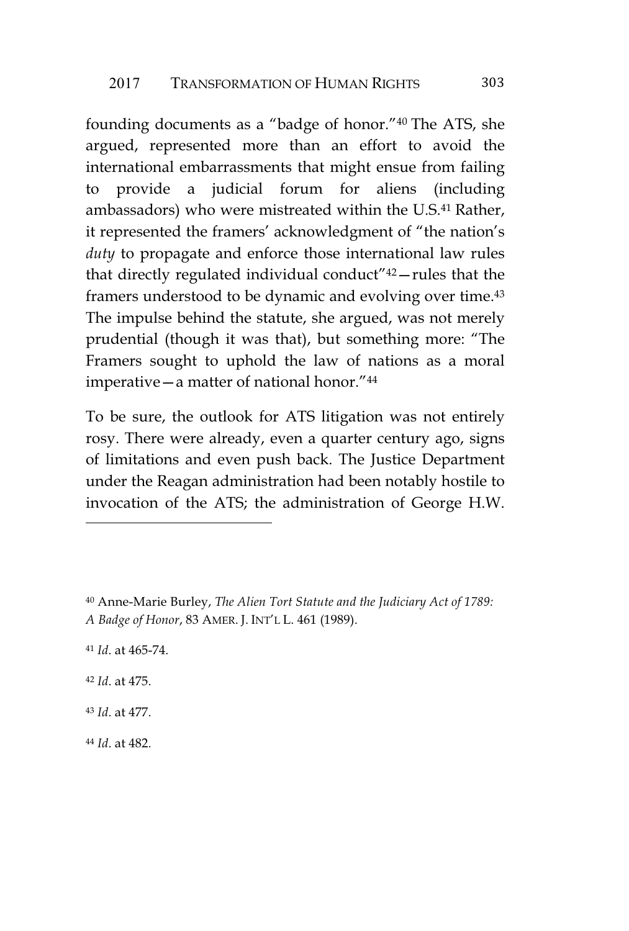founding documents as a "badge of honor."<sup>40</sup> The ATS, she argued, represented more than an effort to avoid the international embarrassments that might ensue from failing to provide a judicial forum for aliens (including ambassadors) who were mistreated within the U.S.<sup>41</sup> Rather, it represented the framers' acknowledgment of "the nation's *duty* to propagate and enforce those international law rules that directly regulated individual conduct"<sup>42</sup>—rules that the framers understood to be dynamic and evolving over time.<sup>43</sup> The impulse behind the statute, she argued, was not merely prudential (though it was that), but something more: "The Framers sought to uphold the law of nations as a moral imperative—a matter of national honor."<sup>44</sup>

To be sure, the outlook for ATS litigation was not entirely rosy. There were already, even a quarter century ago, signs of limitations and even push back. The Justice Department under the Reagan administration had been notably hostile to invocation of the ATS; the administration of George H.W.

<sup>42</sup> *Id*. at 475.

<sup>43</sup> *Id*. at 477.

<sup>44</sup> *Id*. at 482.

<sup>40</sup> Anne-Marie Burley, *The Alien Tort Statute and the Judiciary Act of 1789: A Badge of Honor*, 83 AMER. J. INT'L L. 461 (1989).

<sup>41</sup> *Id*. at 465-74.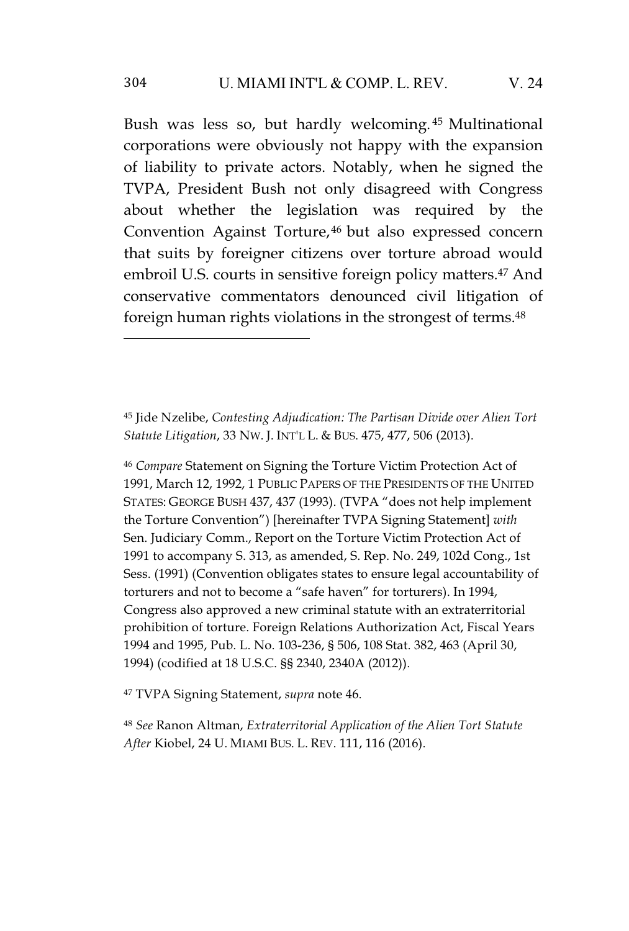Bush was less so, but hardly welcoming. <sup>45</sup> Multinational corporations were obviously not happy with the expansion of liability to private actors. Notably, when he signed the TVPA, President Bush not only disagreed with Congress about whether the legislation was required by the Convention Against Torture,<sup>46</sup> but also expressed concern that suits by foreigner citizens over torture abroad would embroil U.S. courts in sensitive foreign policy matters.<sup>47</sup> And conservative commentators denounced civil litigation of foreign human rights violations in the strongest of terms.<sup>48</sup>

<sup>46</sup> *Compare* Statement on Signing the Torture Victim Protection Act of 1991, March 12, 1992, 1 PUBLIC PAPERS OF THE PRESIDENTS OF THE UNITED STATES: GEORGE BUSH 437, 437 (1993). (TVPA "does not help implement the Torture Convention") [hereinafter TVPA Signing Statement] *with* Sen. Judiciary Comm., Report on the Torture Victim Protection Act of 1991 to accompany S. 313, as amended, S. Rep. No. 249, 102d Cong., 1st Sess. (1991) (Convention obligates states to ensure legal accountability of torturers and not to become a "safe haven" for torturers). In 1994, Congress also approved a new criminal statute with an extraterritorial prohibition of torture. Foreign Relations Authorization Act, Fiscal Years 1994 and 1995, Pub. L. No. 103-236, § 506, 108 Stat. 382, 463 (April 30, 1994) (codified at 18 U.S.C. §§ 2340, 2340A (2012)).

<sup>47</sup> TVPA Signing Statement, *supra* note 46.

<sup>48</sup> *See* Ranon Altman, *Extraterritorial Application of the Alien Tort Statute After* Kiobel, 24 U. MIAMI BUS. L. REV. 111, 116 (2016).

<sup>45</sup> Jide Nzelibe, *Contesting Adjudication: The Partisan Divide over Alien Tort Statute Litigation*, 33 NW. J. INT'L L. & BUS. 475, 477, 506 (2013).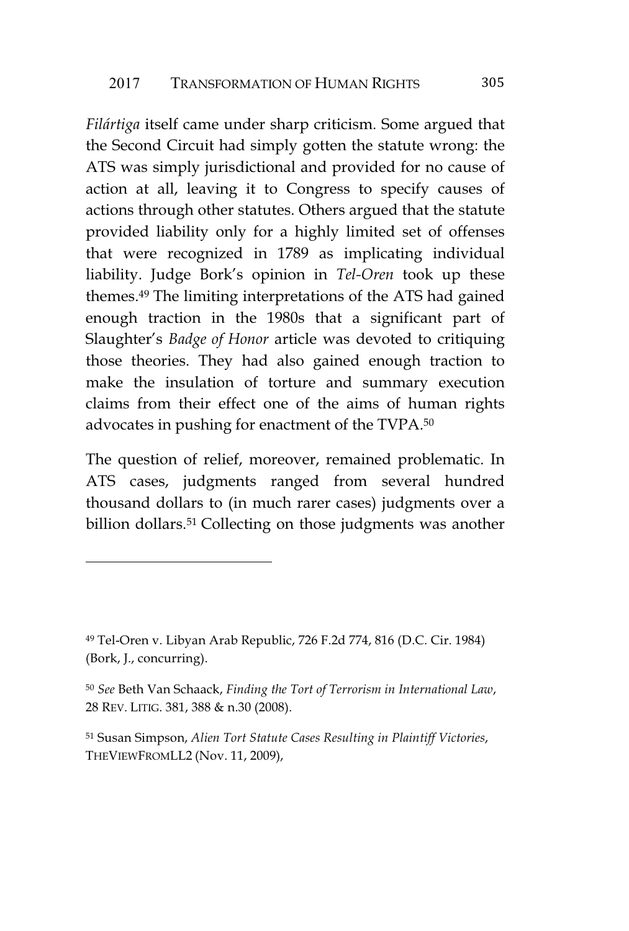*Filártiga* itself came under sharp criticism. Some argued that the Second Circuit had simply gotten the statute wrong: the ATS was simply jurisdictional and provided for no cause of action at all, leaving it to Congress to specify causes of actions through other statutes. Others argued that the statute provided liability only for a highly limited set of offenses that were recognized in 1789 as implicating individual liability. Judge Bork's opinion in *Tel-Oren* took up these themes.<sup>49</sup> The limiting interpretations of the ATS had gained enough traction in the 1980s that a significant part of Slaughter's *Badge of Honor* article was devoted to critiquing those theories. They had also gained enough traction to make the insulation of torture and summary execution claims from their effect one of the aims of human rights advocates in pushing for enactment of the TVPA.<sup>50</sup>

The question of relief, moreover, remained problematic. In ATS cases, judgments ranged from several hundred thousand dollars to (in much rarer cases) judgments over a billion dollars.<sup>51</sup> Collecting on those judgments was another

<sup>49</sup> Tel-Oren v. Libyan Arab Republic, 726 F.2d 774, 816 (D.C. Cir. 1984) (Bork, J., concurring).

<sup>50</sup> *See* Beth Van Schaack, *Finding the Tort of Terrorism in International Law*, 28 REV. LITIG. 381, 388 & n.30 (2008).

<sup>51</sup> Susan Simpson, *Alien Tort Statute Cases Resulting in Plaintiff Victories*, THEVIEWFROMLL2 (Nov. 11, 2009),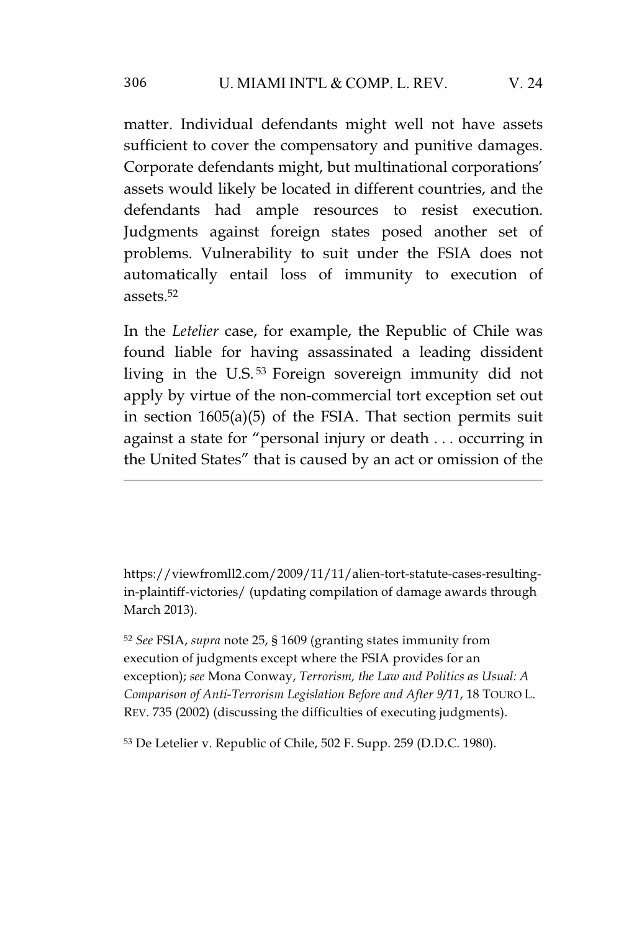matter. Individual defendants might well not have assets sufficient to cover the compensatory and punitive damages. Corporate defendants might, but multinational corporations' assets would likely be located in different countries, and the defendants had ample resources to resist execution. Judgments against foreign states posed another set of problems. Vulnerability to suit under the FSIA does not automatically entail loss of immunity to execution of assets.<sup>52</sup>

In the *Letelier* case, for example, the Republic of Chile was found liable for having assassinated a leading dissident living in the U.S. <sup>53</sup> Foreign sovereign immunity did not apply by virtue of the non-commercial tort exception set out in section 1605(a)(5) of the FSIA. That section permits suit against a state for "personal injury or death ... occurring in the United States" that is caused by an act or omission of the

https://viewfromll2.com/2009/11/11/alien-tort-statute-cases-resultingin-plaintiff-victories/ (updating compilation of damage awards through March 2013).

<sup>52</sup> *See* FSIA, *supra* note 25, § 1609 (granting states immunity from execution of judgments except where the FSIA provides for an exception); *see* Mona Conway, *Terrorism, the Law and Politics as Usual: A Comparison of Anti-Terrorism Legislation Before and After 9/11*, 18 TOURO L. REV. 735 (2002) (discussing the difficulties of executing judgments).

<sup>53</sup> De Letelier v. Republic of Chile, 502 F. Supp. 259 (D.D.C. 1980).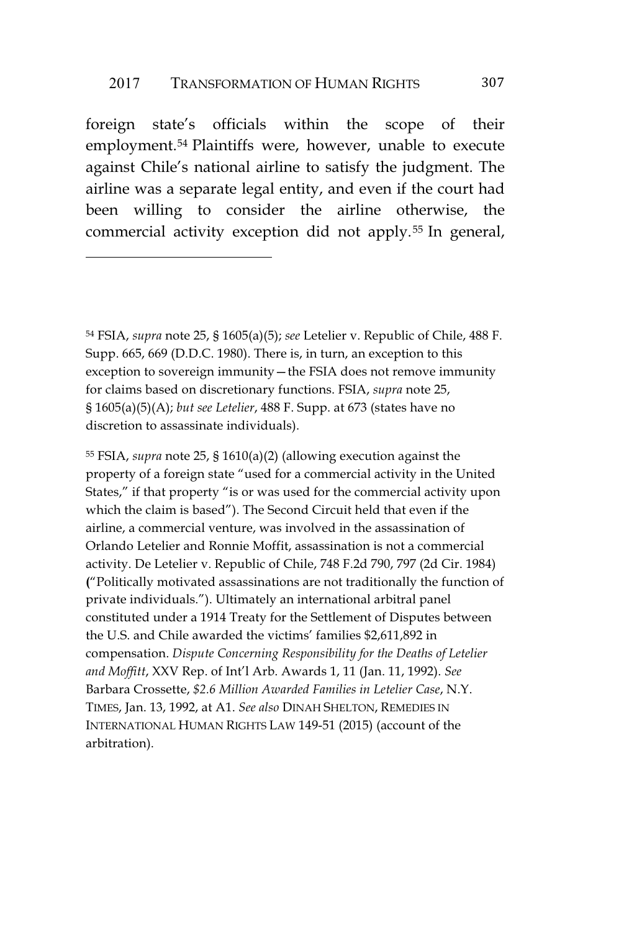#### 2017 TRANSFORMATION OF HUMAN RIGHTS 307

foreign state's officials within the scope of their employment.<sup>54</sup> Plaintiffs were, however, unable to execute against Chile's national airline to satisfy the judgment. The airline was a separate legal entity, and even if the court had been willing to consider the airline otherwise, the commercial activity exception did not apply.<sup>55</sup> In general,

<sup>55</sup> FSIA, *supra* note 25, § 1610(a)(2) (allowing execution against the property of a foreign state "used for a commercial activity in the United States," if that property "is or was used for the commercial activity upon which the claim is based"). The Second Circuit held that even if the airline, a commercial venture, was involved in the assassination of Orlando Letelier and Ronnie Moffit, assassination is not a commercial activity. De Letelier v. Republic of Chile, 748 F.2d 790, 797 (2d Cir. 1984) **(**"Politically motivated assassinations are not traditionally the function of private individuals."). Ultimately an international arbitral panel constituted under a 1914 Treaty for the Settlement of Disputes between the U.S. and Chile awarded the victims' families \$2,611,892 in compensation. *Dispute Concerning Responsibility for the Deaths of Letelier and Moffitt*, XXV Rep. of Int'l Arb. Awards 1, 11 (Jan. 11, 1992). *See* Barbara Crossette, *\$2.6 Million Awarded Families in Letelier Case*, N.Y. TIMES, Jan. 13, 1992, at A1. *See also* DINAH SHELTON, REMEDIES IN INTERNATIONAL HUMAN RIGHTS LAW 149-51 (2015) (account of the arbitration).

<sup>54</sup> FSIA, *supra* note 25, § 1605(a)(5); *see* Letelier v. Republic of Chile, 488 F. Supp. 665, 669 (D.D.C. 1980). There is, in turn, an exception to this exception to sovereign immunity—the FSIA does not remove immunity for claims based on discretionary functions. FSIA, *supra* note 25, § 1605(a)(5)(A); *but see Letelier*, 488 F. Supp. at 673 (states have no discretion to assassinate individuals).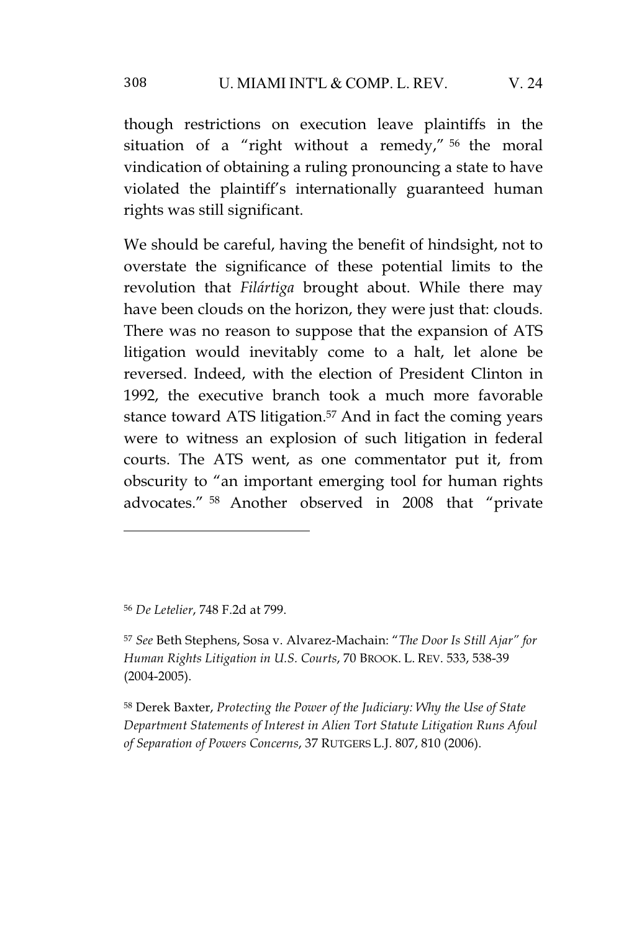though restrictions on execution leave plaintiffs in the situation of a "right without a remedy," <sup>56</sup> the moral vindication of obtaining a ruling pronouncing a state to have violated the plaintiff's internationally guaranteed human rights was still significant.

We should be careful, having the benefit of hindsight, not to overstate the significance of these potential limits to the revolution that *Filártiga* brought about. While there may have been clouds on the horizon, they were just that: clouds. There was no reason to suppose that the expansion of ATS litigation would inevitably come to a halt, let alone be reversed. Indeed, with the election of President Clinton in 1992, the executive branch took a much more favorable stance toward ATS litigation.<sup>57</sup> And in fact the coming years were to witness an explosion of such litigation in federal courts. The ATS went, as one commentator put it, from obscurity to "an important emerging tool for human rights advocates." <sup>58</sup> Another observed in 2008 that "private

<sup>56</sup> *De Letelier*, 748 F.2d at 799.

<sup>57</sup> *See* Beth Stephens, Sosa v. Alvarez-Machain: "*The Door Is Still Ajar" for Human Rights Litigation in U.S. Courts*, 70 BROOK. L. REV. 533, 538-39 (2004-2005).

<sup>58</sup> Derek Baxter, *Protecting the Power of the Judiciary: Why the Use of State Department Statements of Interest in Alien Tort Statute Litigation Runs Afoul of Separation of Powers Concerns*, 37 RUTGERS L.J. 807, 810 (2006).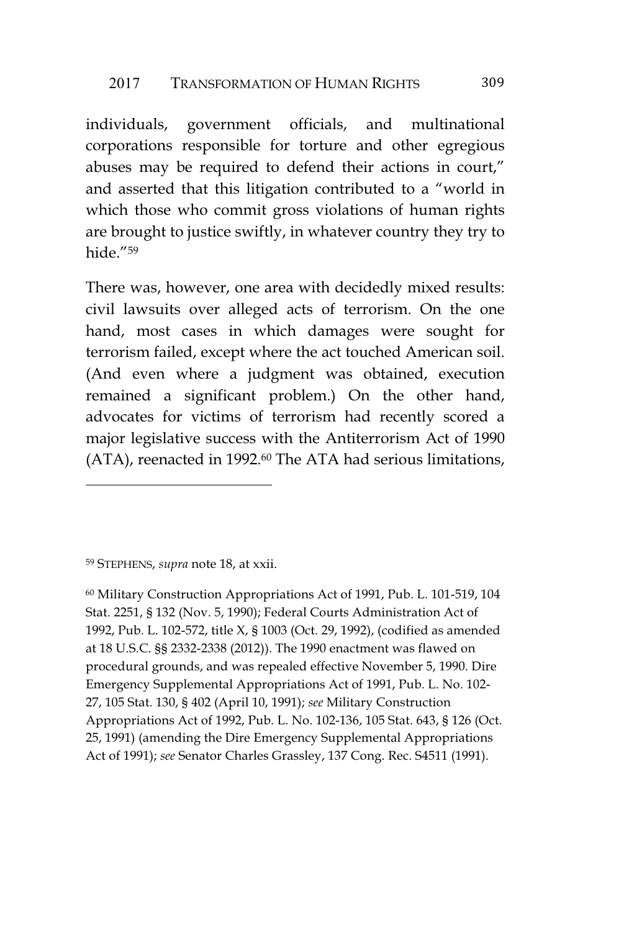individuals, government officials, and multinational corporations responsible for torture and other egregious abuses may be required to defend their actions in court," and asserted that this litigation contributed to a "world in which those who commit gross violations of human rights are brought to justice swiftly, in whatever country they try to hide."<sup>59</sup>

There was, however, one area with decidedly mixed results: civil lawsuits over alleged acts of terrorism. On the one hand, most cases in which damages were sought for terrorism failed, except where the act touched American soil. (And even where a judgment was obtained, execution remained a significant problem.) On the other hand, advocates for victims of terrorism had recently scored a major legislative success with the Antiterrorism Act of 1990  $(ATA)$ , reenacted in 1992.<sup>60</sup> The ATA had serious limitations,

<sup>59</sup> STEPHENS, *supra* note 18, at xxii.

<sup>60</sup> Military Construction Appropriations Act of 1991, Pub. L. 101-519, 104 Stat. 2251, § 132 (Nov. 5, 1990); Federal Courts Administration Act of 1992, Pub. L. 102-572, title X, § 1003 (Oct. 29, 1992), (codified as amended at 18 U.S.C. §§ 2332-2338 (2012)). The 1990 enactment was flawed on procedural grounds, and was repealed effective November 5, 1990. Dire Emergency Supplemental Appropriations Act of 1991, Pub. L. No. 102- 27, 105 Stat. 130, § 402 (April 10, 1991); *see* Military Construction Appropriations Act of 1992, Pub. L. No. 102-136, 105 Stat. 643, § 126 (Oct. 25, 1991) (amending the Dire Emergency Supplemental Appropriations Act of 1991); *see* Senator Charles Grassley, 137 Cong. Rec. S4511 (1991).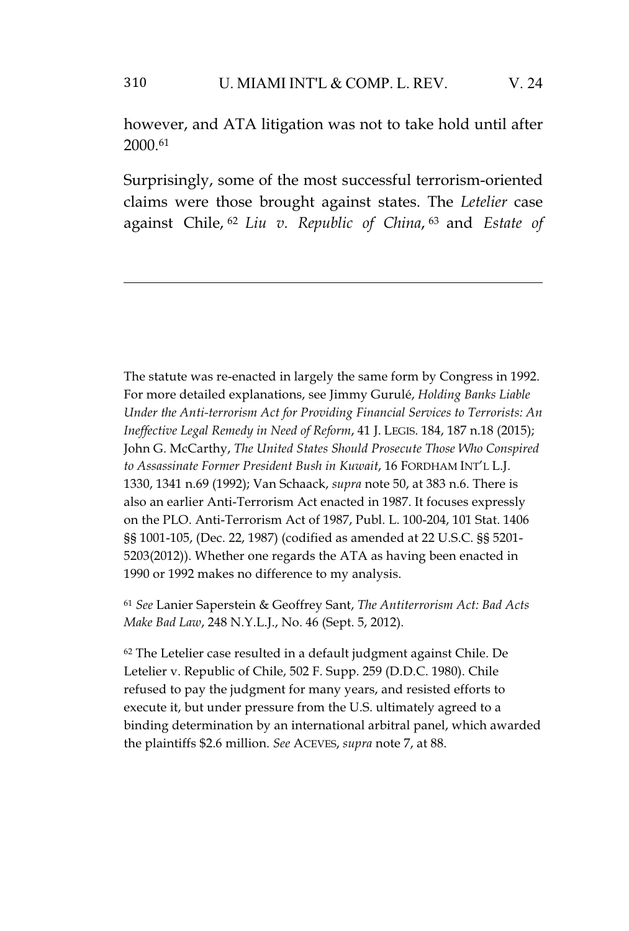#### 310 U. MIAMI INT'L & COMP. L. REV. V. 24

however, and ATA litigation was not to take hold until after 2000.<sup>61</sup>

Surprisingly, some of the most successful terrorism-oriented claims were those brought against states. The *Letelier* case against Chile, <sup>62</sup> *Liu v. Republic of China*, <sup>63</sup> and *Estate of*

The statute was re-enacted in largely the same form by Congress in 1992. For more detailed explanations, see Jimmy Gurulé, *Holding Banks Liable Under the Anti-terrorism Act for Providing Financial Services to Terrorists: An Ineffective Legal Remedy in Need of Reform*, 41 J. LEGIS. 184, 187 n.18 (2015); John G. McCarthy, *The United States Should Prosecute Those Who Conspired to Assassinate Former President Bush in Kuwait*, 16 FORDHAM INT'L L.J. 1330, 1341 n.69 (1992); Van Schaack, *supra* note 50, at 383 n.6. There is also an earlier Anti-Terrorism Act enacted in 1987. It focuses expressly on the PLO. Anti-Terrorism Act of 1987, Publ. L. 100-204, 101 Stat. 1406 §§ 1001-105, (Dec. 22, 1987) (codified as amended at 22 U.S.C. §§ 5201- 5203(2012)). Whether one regards the ATA as having been enacted in 1990 or 1992 makes no difference to my analysis.

<sup>61</sup> *See* Lanier Saperstein & Geoffrey Sant, *The Antiterrorism Act: Bad Acts Make Bad Law*, 248 N.Y.L.J., No. 46 (Sept. 5, 2012).

<sup>62</sup> The Letelier case resulted in a default judgment against Chile. De Letelier v. Republic of Chile, 502 F. Supp. 259 (D.D.C. 1980). Chile refused to pay the judgment for many years, and resisted efforts to execute it, but under pressure from the U.S. ultimately agreed to a binding determination by an international arbitral panel, which awarded the plaintiffs \$2.6 million. *See* ACEVES, *supra* note 7, at 88.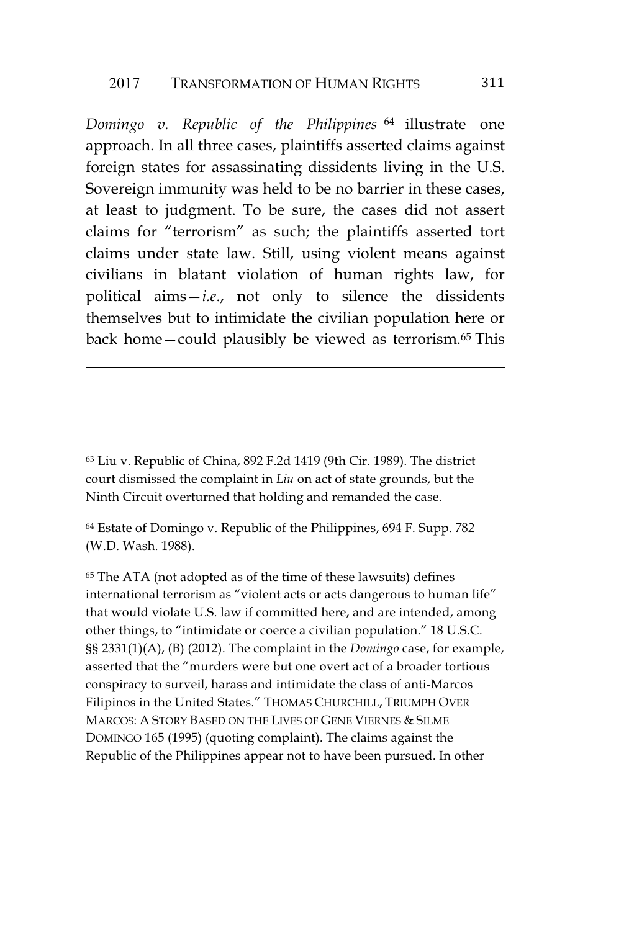*Domingo v. Republic of the Philippines* <sup>64</sup> illustrate one approach. In all three cases, plaintiffs asserted claims against foreign states for assassinating dissidents living in the U.S. Sovereign immunity was held to be no barrier in these cases, at least to judgment. To be sure, the cases did not assert claims for "terrorism" as such; the plaintiffs asserted tort claims under state law. Still, using violent means against civilians in blatant violation of human rights law, for political aims—*i.e*., not only to silence the dissidents themselves but to intimidate the civilian population here or back home—could plausibly be viewed as terrorism.<sup>65</sup> This

<sup>63</sup> Liu v. Republic of China, 892 F.2d 1419 (9th Cir. 1989). The district court dismissed the complaint in *Liu* on act of state grounds, but the Ninth Circuit overturned that holding and remanded the case.

<sup>64</sup> Estate of Domingo v. Republic of the Philippines, 694 F. Supp. 782 (W.D. Wash. 1988).

<sup>65</sup> The ATA (not adopted as of the time of these lawsuits) defines international terrorism as "violent acts or acts dangerous to human life" that would violate U.S. law if committed here, and are intended, among other things, to "intimidate or coerce a civilian population." 18 U.S.C. §§ 2331(1)(A), (B) (2012). The complaint in the *Domingo* case, for example, asserted that the "murders were but one overt act of a broader tortious conspiracy to surveil, harass and intimidate the class of anti-Marcos Filipinos in the United States." THOMAS CHURCHILL, TRIUMPH OVER MARCOS:ASTORY BASED ON THE LIVES OF GENE VIERNES & SILME DOMINGO 165 (1995) (quoting complaint). The claims against the Republic of the Philippines appear not to have been pursued. In other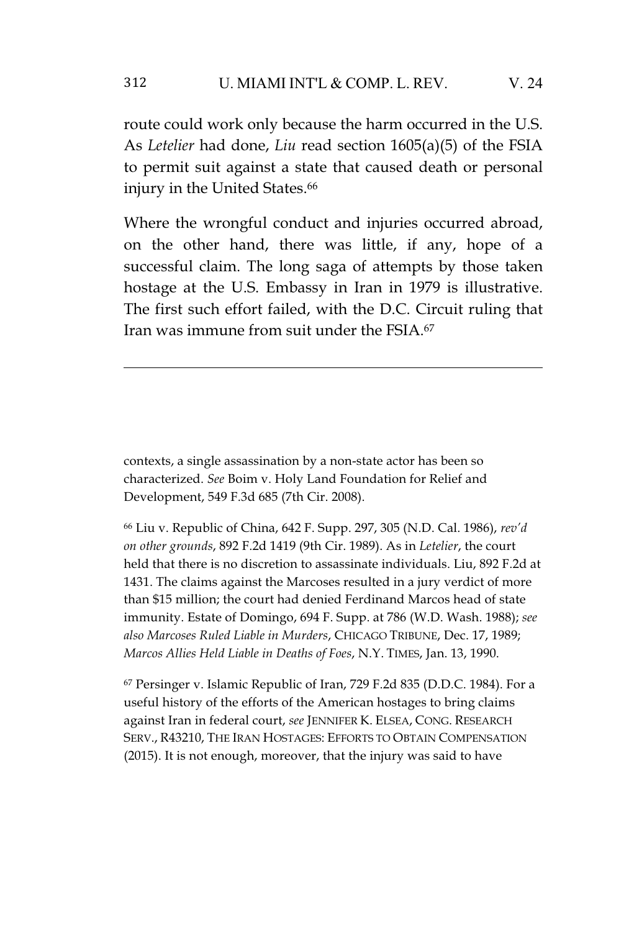route could work only because the harm occurred in the U.S. As *Letelier* had done, *Liu* read section 1605(a)(5) of the FSIA to permit suit against a state that caused death or personal injury in the United States.<sup>66</sup>

Where the wrongful conduct and injuries occurred abroad, on the other hand, there was little, if any, hope of a successful claim. The long saga of attempts by those taken hostage at the U.S. Embassy in Iran in 1979 is illustrative. The first such effort failed, with the D.C. Circuit ruling that Iran was immune from suit under the FSIA.<sup>67</sup>

contexts, a single assassination by a non-state actor has been so characterized. *See* Boim v. Holy Land Foundation for Relief and Development, 549 F.3d 685 (7th Cir. 2008).

<sup>66</sup> Liu v. Republic of China, 642 F. Supp. 297, 305 (N.D. Cal. 1986), *rev'd on other grounds*, 892 F.2d 1419 (9th Cir. 1989). As in *Letelier*, the court held that there is no discretion to assassinate individuals. Liu, 892 F.2d at 1431. The claims against the Marcoses resulted in a jury verdict of more than \$15 million; the court had denied Ferdinand Marcos head of state immunity. Estate of Domingo, 694 F. Supp. at 786 (W.D. Wash. 1988); *see also Marcoses Ruled Liable in Murders*, CHICAGO TRIBUNE, Dec. 17, 1989; *Marcos Allies Held Liable in Deaths of Foes*, N.Y. TIMES, Jan. 13, 1990.

<sup>67</sup> Persinger v. Islamic Republic of Iran, 729 F.2d 835 (D.D.C. 1984). For a useful history of the efforts of the American hostages to bring claims against Iran in federal court, *see* JENNIFER K. ELSEA, CONG. RESEARCH SERV., R43210, THE IRAN HOSTAGES: EFFORTS TO OBTAIN COMPENSATION (2015). It is not enough, moreover, that the injury was said to have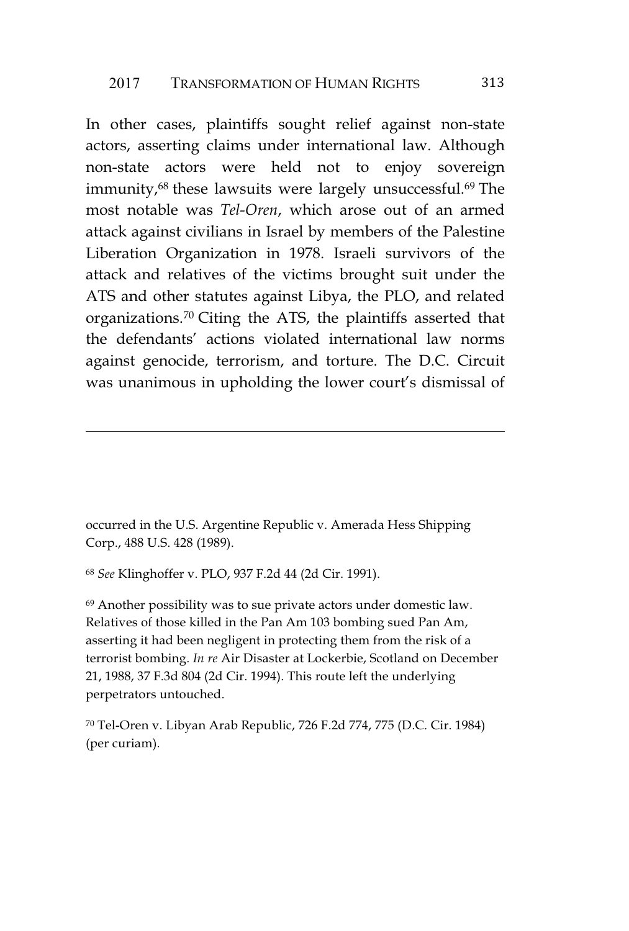In other cases, plaintiffs sought relief against non-state actors, asserting claims under international law. Although non-state actors were held not to enjoy sovereign immunity,<sup>68</sup> these lawsuits were largely unsuccessful.<sup>69</sup> The most notable was *Tel-Oren*, which arose out of an armed attack against civilians in Israel by members of the Palestine Liberation Organization in 1978. Israeli survivors of the attack and relatives of the victims brought suit under the ATS and other statutes against Libya, the PLO, and related organizations.<sup>70</sup> Citing the ATS, the plaintiffs asserted that the defendants' actions violated international law norms against genocide, terrorism, and torture. The D.C. Circuit was unanimous in upholding the lower court's dismissal of

occurred in the U.S. Argentine Republic v. Amerada Hess Shipping Corp., 488 U.S. 428 (1989).

<sup>68</sup> *See* Klinghoffer v. PLO, 937 F.2d 44 (2d Cir. 1991).

<sup>69</sup> Another possibility was to sue private actors under domestic law. Relatives of those killed in the Pan Am 103 bombing sued Pan Am, asserting it had been negligent in protecting them from the risk of a terrorist bombing. *In re* Air Disaster at Lockerbie, Scotland on December 21, 1988, 37 F.3d 804 (2d Cir. 1994). This route left the underlying perpetrators untouched.

<sup>70</sup> Tel-Oren v. Libyan Arab Republic, 726 F.2d 774, 775 (D.C. Cir. 1984) (per curiam).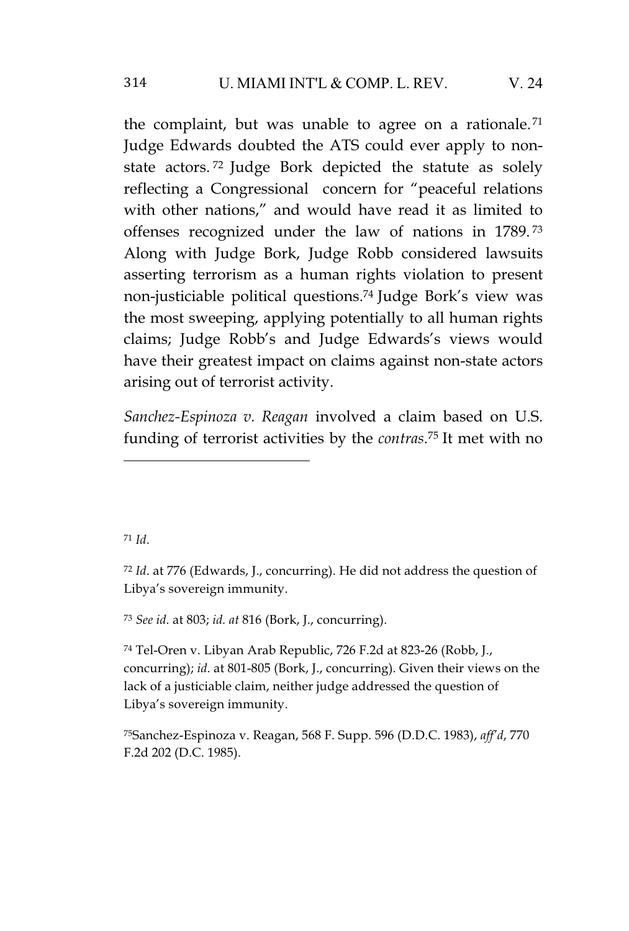## 314 U. MIAMI INT'L & COMP. L. REV. V. 24

the complaint, but was unable to agree on a rationale. $71$ Judge Edwards doubted the ATS could ever apply to nonstate actors. <sup>72</sup> Judge Bork depicted the statute as solely reflecting a Congressional concern for "peaceful relations with other nations," and would have read it as limited to offenses recognized under the law of nations in 1789. <sup>73</sup> Along with Judge Bork, Judge Robb considered lawsuits asserting terrorism as a human rights violation to present non-justiciable political questions.<sup>74</sup> Judge Bork's view was the most sweeping, applying potentially to all human rights claims; Judge Robb's and Judge Edwards's views would have their greatest impact on claims against non-state actors arising out of terrorist activity.

*Sanchez-Espinoza v. Reagan* involved a claim based on U.S. funding of terrorist activities by the *contras*. <sup>75</sup> It met with no

#### <sup>71</sup> *Id*.

<sup>73</sup> *See id.* at 803; *id. at* 816 (Bork, J., concurring).

<sup>74</sup> Tel-Oren v. Libyan Arab Republic, 726 F.2d at 823-26 (Robb, J., concurring); *id*. at 801-805 (Bork, J., concurring). Given their views on the lack of a justiciable claim, neither judge addressed the question of Libya's sovereign immunity.

<sup>75</sup>Sanchez-Espinoza v. Reagan, 568 F. Supp. 596 (D.D.C. 1983), *aff'd*, 770 F.2d 202 (D.C. 1985).

<sup>72</sup> *Id*. at 776 (Edwards, J., concurring). He did not address the question of Libya's sovereign immunity.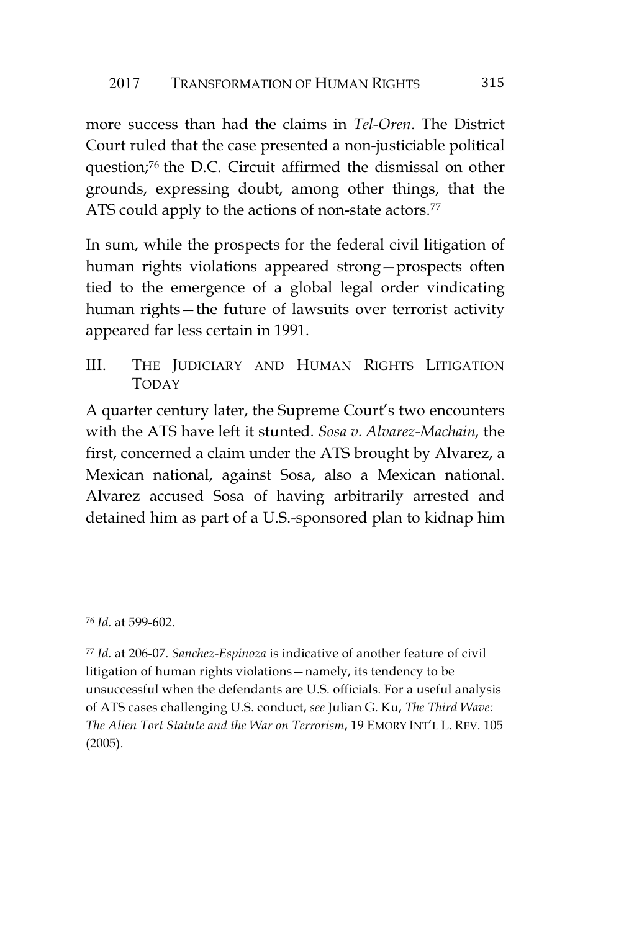more success than had the claims in *Tel-Oren*. The District Court ruled that the case presented a non-justiciable political question;<sup>76</sup> the D.C. Circuit affirmed the dismissal on other grounds, expressing doubt, among other things, that the ATS could apply to the actions of non-state actors.<sup>77</sup>

In sum, while the prospects for the federal civil litigation of human rights violations appeared strong—prospects often tied to the emergence of a global legal order vindicating human rights—the future of lawsuits over terrorist activity appeared far less certain in 1991.

III. THE JUDICIARY AND HUMAN RIGHTS LITIGATION TODAY

A quarter century later, the Supreme Court's two encounters with the ATS have left it stunted. *Sosa v. Alvarez-Machain,* the first, concerned a claim under the ATS brought by Alvarez, a Mexican national, against Sosa, also a Mexican national. Alvarez accused Sosa of having arbitrarily arrested and detained him as part of a U.S.-sponsored plan to kidnap him

<sup>76</sup> *Id.* at 599-602.

<sup>77</sup> *Id.* at 206-07. *Sanchez-Espinoza* is indicative of another feature of civil litigation of human rights violations—namely, its tendency to be unsuccessful when the defendants are U.S. officials. For a useful analysis of ATS cases challenging U.S. conduct, *see* Julian G. Ku, *The Third Wave: The Alien Tort Statute and the War on Terrorism*, 19 EMORY INT'L L. REV. 105 (2005).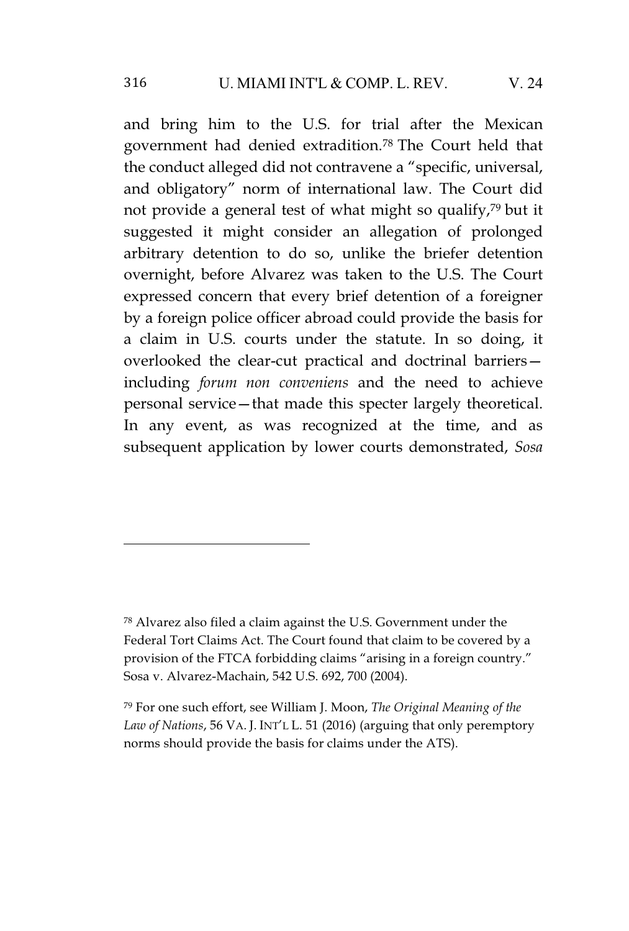#### 316 U. MIAMI INT'L & COMP. L. REV. V. 24

and bring him to the U.S. for trial after the Mexican government had denied extradition.<sup>78</sup> The Court held that the conduct alleged did not contravene a "specific, universal, and obligatory" norm of international law. The Court did not provide a general test of what might so qualify,<sup>79</sup> but it suggested it might consider an allegation of prolonged arbitrary detention to do so, unlike the briefer detention overnight, before Alvarez was taken to the U.S. The Court expressed concern that every brief detention of a foreigner by a foreign police officer abroad could provide the basis for a claim in U.S. courts under the statute. In so doing, it overlooked the clear-cut practical and doctrinal barriers including *forum non conveniens* and the need to achieve personal service—that made this specter largely theoretical. In any event, as was recognized at the time, and as subsequent application by lower courts demonstrated, *Sosa*

<sup>78</sup> Alvarez also filed a claim against the U.S. Government under the Federal Tort Claims Act. The Court found that claim to be covered by a provision of the FTCA forbidding claims "arising in a foreign country." Sosa v. Alvarez-Machain, 542 U.S. 692, 700 (2004).

<sup>79</sup> For one such effort, see William J. Moon, *The Original Meaning of the Law of Nations*, 56 VA. J. INT'L L. 51 (2016) (arguing that only peremptory norms should provide the basis for claims under the ATS).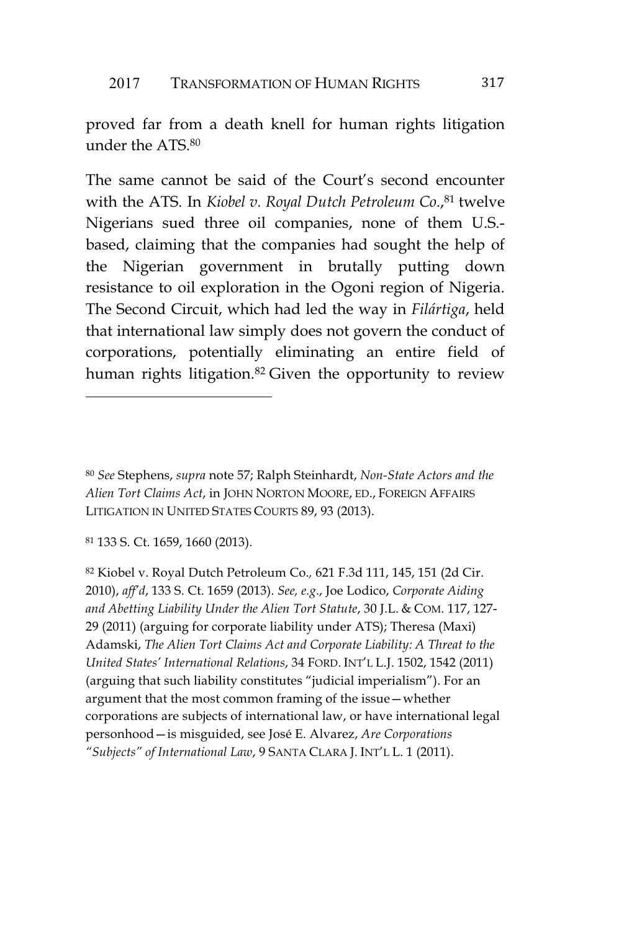proved far from a death knell for human rights litigation under the ATS.<sup>80</sup>

The same cannot be said of the Court's second encounter with the ATS. In *Kiobel v. Royal Dutch Petroleum Co*., <sup>81</sup> twelve Nigerians sued three oil companies, none of them U.S. based, claiming that the companies had sought the help of the Nigerian government in brutally putting down resistance to oil exploration in the Ogoni region of Nigeria. The Second Circuit, which had led the way in *Filártiga*, held that international law simply does not govern the conduct of corporations, potentially eliminating an entire field of human rights litigation.<sup>82</sup> Given the opportunity to review

<sup>81</sup> 133 S. Ct. 1659, 1660 (2013).

<sup>82</sup> Kiobel v. Royal Dutch Petroleum Co.*,* 621 F.3d 111, 145, 151 (2d Cir. 2010), *aff'd*, 133 S. Ct. 1659 (2013). *See, e.g*., Joe Lodico, *Corporate Aiding and Abetting Liability Under the Alien Tort Statute*, 30 J.L.&COM. 117, 127- 29 (2011) (arguing for corporate liability under ATS); Theresa (Maxi) Adamski, *The Alien Tort Claims Act and Corporate Liability: A Threat to the United States' International Relations*, 34 FORD. INT'L L.J. 1502, 1542 (2011) (arguing that such liability constitutes "judicial imperialism"). For an argument that the most common framing of the issue—whether corporations are subjects of international law, or have international legal personhood—is misguided, see José E. Alvarez, *Are Corporations "Subjects" of International Law*, 9 SANTA CLARA J. INT'L L. 1 (2011).

<sup>80</sup> *See* Stephens, *supra* note 57; Ralph Steinhardt, *Non-State Actors and the Alien Tort Claims Act*, in JOHN NORTON MOORE, ED., FOREIGN AFFAIRS LITIGATION IN UNITED STATES COURTS 89, 93 (2013).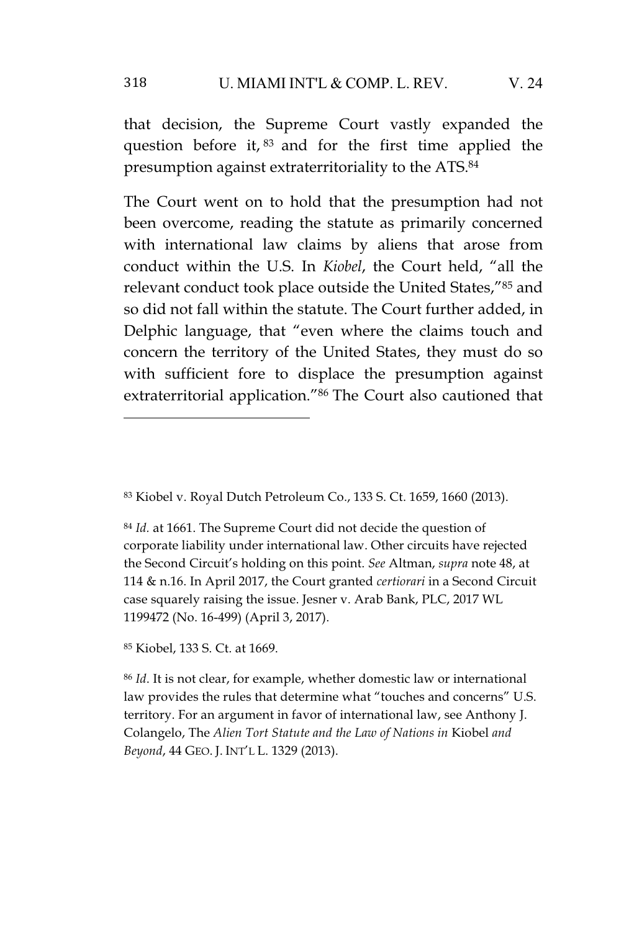#### 318 U. MIAMI INT'L & COMP. L. REV. V. 24

that decision, the Supreme Court vastly expanded the question before it, <sup>83</sup> and for the first time applied the presumption against extraterritoriality to the ATS.<sup>84</sup>

The Court went on to hold that the presumption had not been overcome, reading the statute as primarily concerned with international law claims by aliens that arose from conduct within the U.S. In *Kiobel*, the Court held, "all the relevant conduct took place outside the United States,"<sup>85</sup> and so did not fall within the statute. The Court further added, in Delphic language, that "even where the claims touch and concern the territory of the United States, they must do so with sufficient fore to displace the presumption against extraterritorial application."<sup>86</sup> The Court also cautioned that

<sup>84</sup> *Id.* at 1661. The Supreme Court did not decide the question of corporate liability under international law. Other circuits have rejected the Second Circuit's holding on this point. *See* Altman, *supra* note 48, at 114 & n.16. In April 2017, the Court granted *certiorari* in a Second Circuit case squarely raising the issue. Jesner v. Arab Bank, PLC, 2017 WL 1199472 (No. 16-499) (April 3, 2017).

<sup>85</sup> Kiobel, 133 S. Ct. at 1669.

<sup>86</sup> *Id*. It is not clear, for example, whether domestic law or international law provides the rules that determine what "touches and concerns" U.S. territory. For an argument in favor of international law, see Anthony J. Colangelo, The *Alien Tort Statute and the Law of Nations in* Kiobel *and Beyond*, 44 GEO. J. INT'L L. 1329 (2013).

<sup>83</sup> Kiobel v. Royal Dutch Petroleum Co., 133 S. Ct. 1659, 1660 (2013).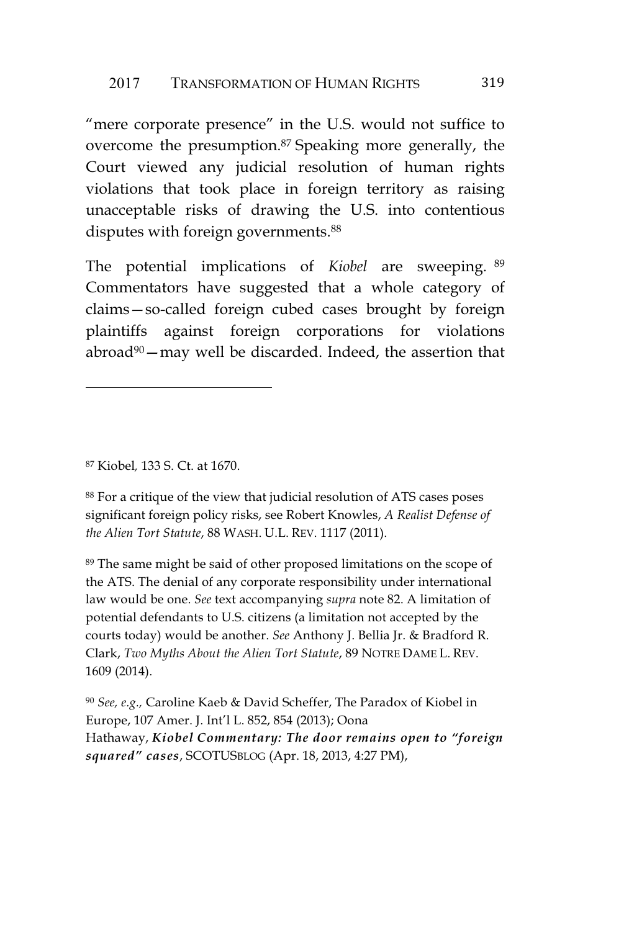"mere corporate presence" in the U.S. would not suffice to overcome the presumption.<sup>87</sup> Speaking more generally, the Court viewed any judicial resolution of human rights violations that took place in foreign territory as raising unacceptable risks of drawing the U.S. into contentious disputes with foreign governments.<sup>88</sup>

The potential implications of *Kiobel* are sweeping. <sup>89</sup> Commentators have suggested that a whole category of claims—so-called foreign cubed cases brought by foreign plaintiffs against foreign corporations for violations abroad<sup>90</sup> – may well be discarded. Indeed, the assertion that

<sup>87</sup> Kiobel*,* 133 S. Ct. at 1670.

<sup>88</sup> For a critique of the view that judicial resolution of ATS cases poses significant foreign policy risks, see Robert Knowles, *A Realist Defense of the Alien Tort Statute*, 88 WASH. U.L. REV. 1117 (2011).

<sup>89</sup> The same might be said of other proposed limitations on the scope of the ATS. The denial of any corporate responsibility under international law would be one. *See* text accompanying *supra* note 82. A limitation of potential defendants to U.S. citizens (a limitation not accepted by the courts today) would be another. *See* Anthony J. Bellia Jr. & Bradford R. Clark, *Two Myths About the Alien Tort Statute*, 89 NOTRE DAME L. REV. 1609 (2014).

<sup>90</sup> *See, e.g.,* Caroline Kaeb & David Scheffer, The Paradox of Kiobel in Europe, 107 Amer. J. Int'l L. 852, 854 (2013); Oona Hathaway, *Kiobel Commentary: The door remains open to "foreign squared" cases*, SCOTUSBLOG (Apr. 18, 2013, 4:27 PM),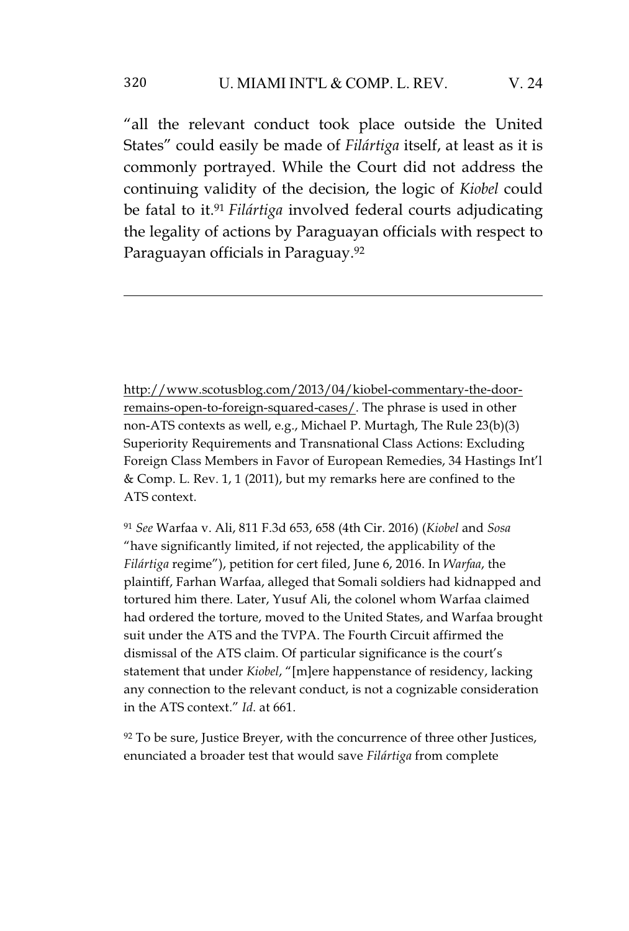"all the relevant conduct took place outside the United States" could easily be made of *Filártiga* itself, at least as it is commonly portrayed. While the Court did not address the continuing validity of the decision, the logic of *Kiobel* could be fatal to it.<sup>91</sup> *Filártiga* involved federal courts adjudicating the legality of actions by Paraguayan officials with respect to Paraguayan officials in Paraguay.<sup>92</sup>

http://www.scotusblog.com/2013/04/kiobel-commentary-the-doorremains-open-to-foreign-squared-cases/. The phrase is used in other non-ATS contexts as well, e.g., Michael P. Murtagh, The Rule 23(b)(3) Superiority Requirements and Transnational Class Actions: Excluding Foreign Class Members in Favor of European Remedies, 34 Hastings Int'l & Comp. L. Rev. 1, 1 (2011), but my remarks here are confined to the ATS context.

<sup>91</sup> *See* Warfaa v. Ali, 811 F.3d 653, 658 (4th Cir. 2016) (*Kiobel* and *Sosa* "have significantly limited, if not rejected, the applicability of the *Filártiga* regime"), petition for cert filed, June 6, 2016. In *Warfaa*, the plaintiff, Farhan Warfaa, alleged that Somali soldiers had kidnapped and tortured him there. Later, Yusuf Ali, the colonel whom Warfaa claimed had ordered the torture, moved to the United States, and Warfaa brought suit under the ATS and the TVPA. The Fourth Circuit affirmed the dismissal of the ATS claim. Of particular significance is the court's statement that under *Kiobel*, "[m]ere happenstance of residency, lacking any connection to the relevant conduct, is not a cognizable consideration in the ATS context." *Id*. at 661.

 $92$  To be sure, Justice Breyer, with the concurrence of three other Justices, enunciated a broader test that would save *Filártiga* from complete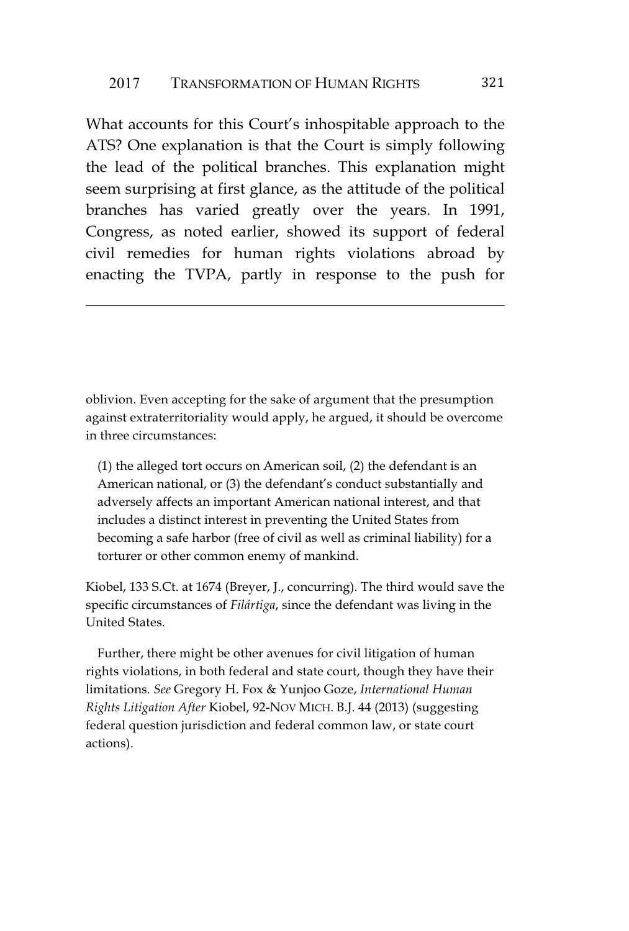What accounts for this Court's inhospitable approach to the ATS? One explanation is that the Court is simply following the lead of the political branches. This explanation might seem surprising at first glance, as the attitude of the political branches has varied greatly over the years. In 1991, Congress, as noted earlier, showed its support of federal civil remedies for human rights violations abroad by enacting the TVPA, partly in response to the push for

oblivion. Even accepting for the sake of argument that the presumption against extraterritoriality would apply, he argued, it should be overcome in three circumstances:

(1) the alleged tort occurs on American soil, (2) the defendant is an American national, or (3) the defendant's conduct substantially and adversely affects an important American national interest, and that includes a distinct interest in preventing the United States from becoming a safe harbor (free of civil as well as criminal liability) for a torturer or other common enemy of mankind.

Kiobel, 133 S.Ct. at 1674 (Breyer, J., concurring). The third would save the specific circumstances of *Filártiga*, since the defendant was living in the United States.

Further, there might be other avenues for civil litigation of human rights violations, in both federal and state court, though they have their limitations. *See* Gregory H. Fox & Yunjoo Goze, *International Human Rights Litigation After* Kiobel, 92-NOV MICH. B.J. 44 (2013) (suggesting federal question jurisdiction and federal common law, or state court actions).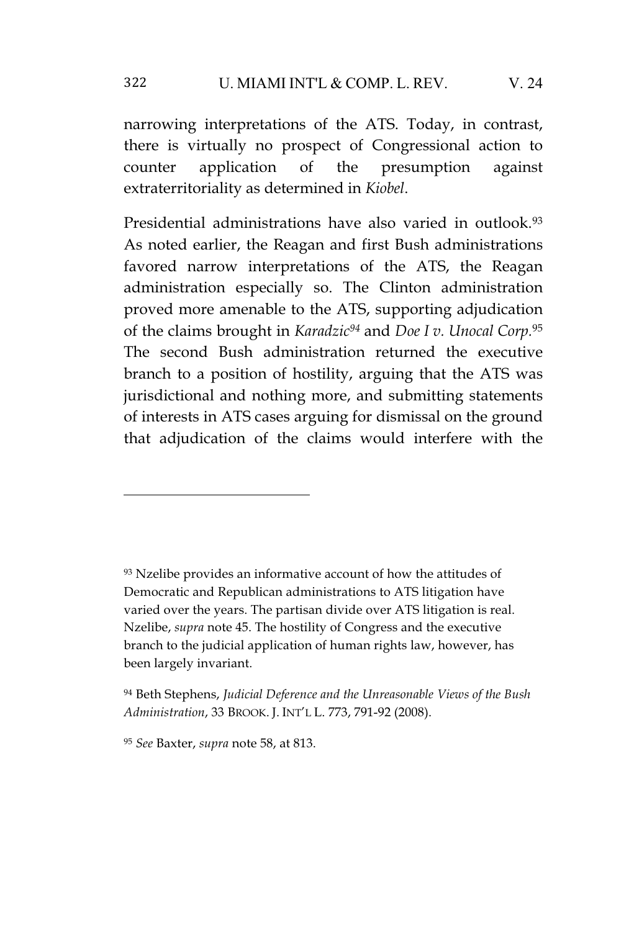## 322 U. MIAMI INT'L & COMP. L. REV. V. 24

narrowing interpretations of the ATS. Today, in contrast, there is virtually no prospect of Congressional action to counter application of the presumption against extraterritoriality as determined in *Kiobel*.

Presidential administrations have also varied in outlook.<sup>93</sup> As noted earlier, the Reagan and first Bush administrations favored narrow interpretations of the ATS, the Reagan administration especially so. The Clinton administration proved more amenable to the ATS, supporting adjudication of the claims brought in *Karadzic<sup>94</sup>* and *Doe I v. Unocal Corp.*<sup>95</sup> The second Bush administration returned the executive branch to a position of hostility, arguing that the ATS was jurisdictional and nothing more, and submitting statements of interests in ATS cases arguing for dismissal on the ground that adjudication of the claims would interfere with the

<sup>93</sup> Nzelibe provides an informative account of how the attitudes of Democratic and Republican administrations to ATS litigation have varied over the years. The partisan divide over ATS litigation is real. Nzelibe, *supra* note 45. The hostility of Congress and the executive branch to the judicial application of human rights law, however, has been largely invariant.

<sup>94</sup> Beth Stephens, *Judicial Deference and the Unreasonable Views of the Bush Administration*, 33 BROOK. J. INT'L L. 773, 791-92 (2008).

<sup>95</sup> *See* Baxter, *supra* note 58, at 813.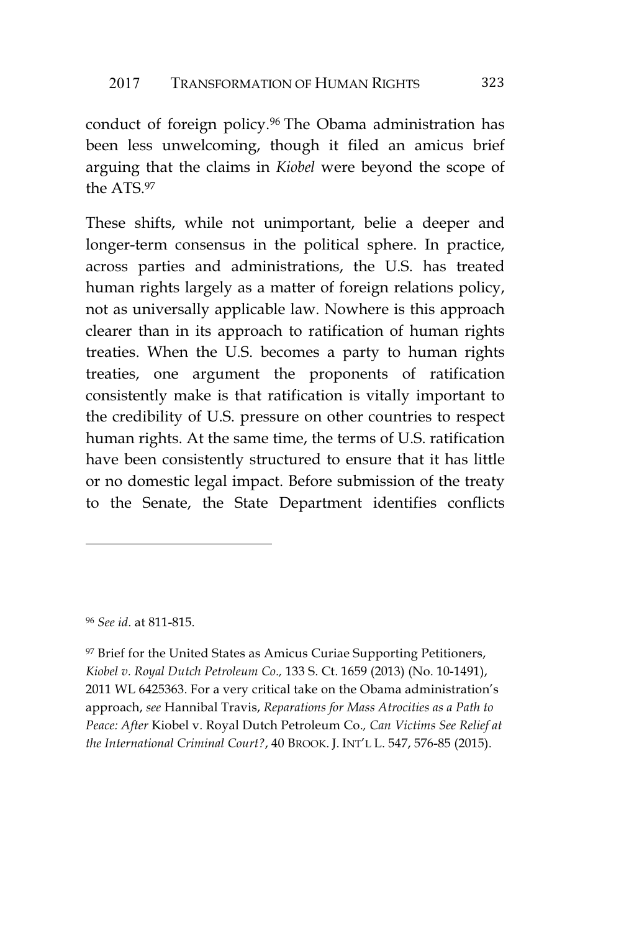conduct of foreign policy.<sup>96</sup> The Obama administration has been less unwelcoming, though it filed an amicus brief arguing that the claims in *Kiobel* were beyond the scope of the ATS.<sup>97</sup>

These shifts, while not unimportant, belie a deeper and longer-term consensus in the political sphere. In practice, across parties and administrations, the U.S. has treated human rights largely as a matter of foreign relations policy, not as universally applicable law. Nowhere is this approach clearer than in its approach to ratification of human rights treaties. When the U.S. becomes a party to human rights treaties, one argument the proponents of ratification consistently make is that ratification is vitally important to the credibility of U.S. pressure on other countries to respect human rights. At the same time, the terms of U.S. ratification have been consistently structured to ensure that it has little or no domestic legal impact. Before submission of the treaty to the Senate, the State Department identifies conflicts

<sup>96</sup> *See id*. at 811-815.

<sup>&</sup>lt;sup>97</sup> Brief for the United States as Amicus Curiae Supporting Petitioners, *Kiobel v. Royal Dutch Petroleum Co.,* 133 S. Ct. 1659 (2013) (No. 10-1491), 2011 WL 6425363. For a very critical take on the Obama administration's approach, *see* Hannibal Travis, *Reparations for Mass Atrocities as a Path to Peace: After* Kiobel v. Royal Dutch Petroleum Co.*, Can Victims See Relief at the International Criminal Court?*, 40 BROOK. J. INT'L L. 547, 576-85 (2015).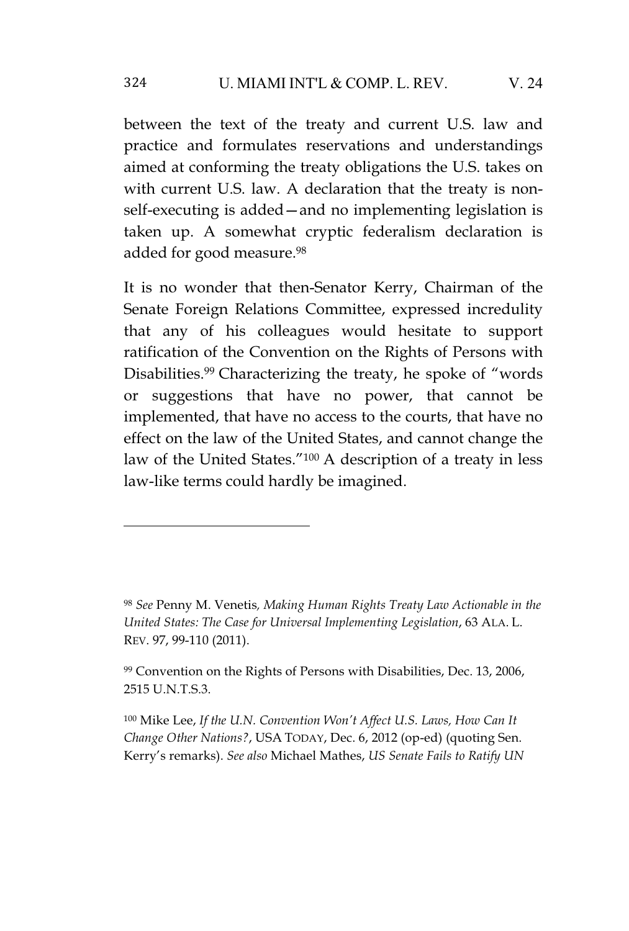# 324 U. MIAMI INT'L & COMP. L. REV. V. 24

between the text of the treaty and current U.S. law and practice and formulates reservations and understandings aimed at conforming the treaty obligations the U.S. takes on with current U.S. law. A declaration that the treaty is nonself-executing is added—and no implementing legislation is taken up. A somewhat cryptic federalism declaration is added for good measure.<sup>98</sup>

It is no wonder that then-Senator Kerry, Chairman of the Senate Foreign Relations Committee, expressed incredulity that any of his colleagues would hesitate to support ratification of the Convention on the Rights of Persons with Disabilities.<sup>99</sup> Characterizing the treaty, he spoke of "words or suggestions that have no power, that cannot be implemented, that have no access to the courts, that have no effect on the law of the United States, and cannot change the law of the United States."<sup>100</sup> A description of a treaty in less law-like terms could hardly be imagined.

<sup>98</sup> *See* Penny M. Venetis*, Making Human Rights Treaty Law Actionable in the United States: The Case for Universal Implementing Legislation*, 63 ALA. L. REV. 97, 99-110 (2011).

<sup>99</sup> Convention on the Rights of Persons with Disabilities, Dec. 13, 2006, 2515 U.N.T.S.3.

<sup>100</sup> Mike Lee, *If the U.N. Convention Won't Affect U.S. Laws, How Can It Change Other Nations?*, USA TODAY, Dec. 6, 2012 (op-ed) (quoting Sen. Kerry's remarks). *See also* Michael Mathes, *US Senate Fails to Ratify UN*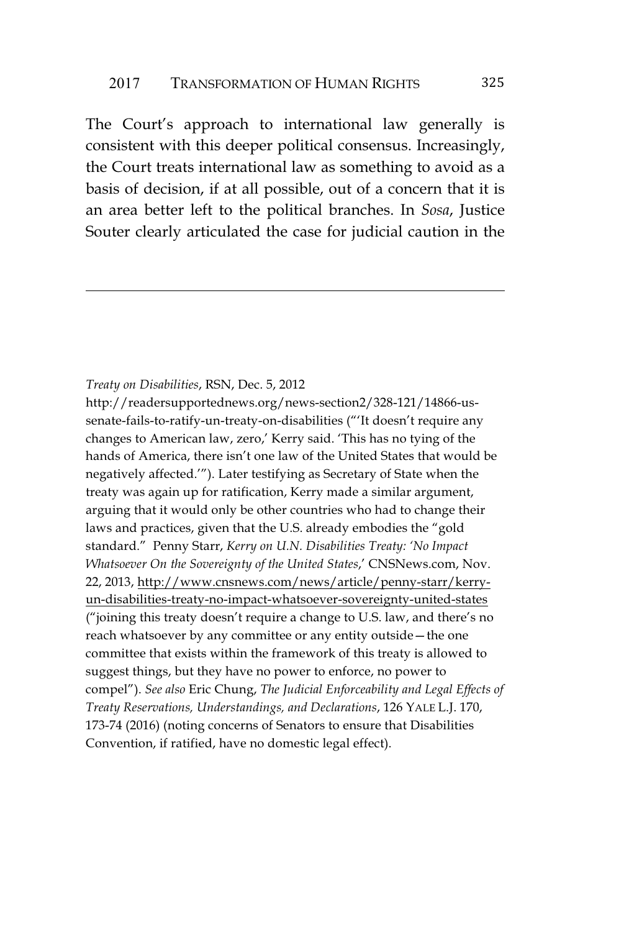The Court's approach to international law generally is consistent with this deeper political consensus. Increasingly, the Court treats international law as something to avoid as a basis of decision, if at all possible, out of a concern that it is an area better left to the political branches. In *Sosa*, Justice Souter clearly articulated the case for judicial caution in the

http://readersupportednews.org/news-section2/328-121/14866-ussenate-fails-to-ratify-un-treaty-on-disabilities ("'It doesn't require any changes to American law, zero,' Kerry said. 'This has no tying of the hands of America, there isn't one law of the United States that would be negatively affected.'"). Later testifying as Secretary of State when the treaty was again up for ratification, Kerry made a similar argument, arguing that it would only be other countries who had to change their laws and practices, given that the U.S. already embodies the "gold standard." Penny Starr, *Kerry on U.N. Disabilities Treaty: 'No Impact Whatsoever On the Sovereignty of the United States*,' CNSNews.com, Nov. 22, 2013, http://www.cnsnews.com/news/article/penny-starr/kerryun-disabilities-treaty-no-impact-whatsoever-sovereignty-united-states ("joining this treaty doesn't require a change to U.S. law, and there's no reach whatsoever by any committee or any entity outside—the one committee that exists within the framework of this treaty is allowed to suggest things, but they have no power to enforce, no power to compel"). *See also* Eric Chung, *The Judicial Enforceability and Legal Effects of Treaty Reservations, Understandings, and Declarations*, 126 YALE L.J. 170, 173-74 (2016) (noting concerns of Senators to ensure that Disabilities Convention, if ratified, have no domestic legal effect).

*Treaty on Disabilities*, RSN, Dec. 5, 2012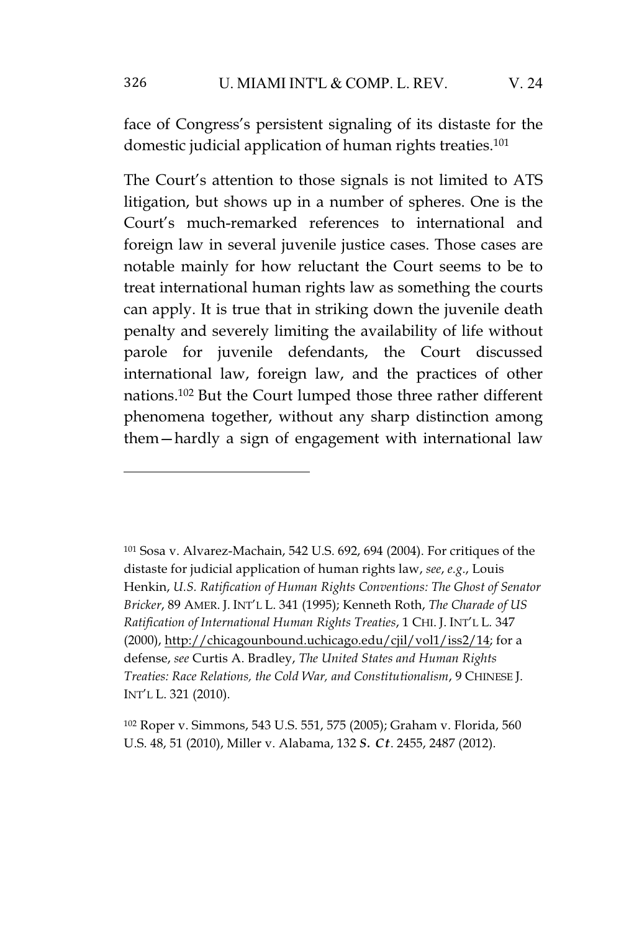face of Congress's persistent signaling of its distaste for the domestic judicial application of human rights treaties.<sup>101</sup>

The Court's attention to those signals is not limited to ATS litigation, but shows up in a number of spheres. One is the Court's much-remarked references to international and foreign law in several juvenile justice cases. Those cases are notable mainly for how reluctant the Court seems to be to treat international human rights law as something the courts can apply. It is true that in striking down the juvenile death penalty and severely limiting the availability of life without parole for juvenile defendants, the Court discussed international law, foreign law, and the practices of other nations.<sup>102</sup> But the Court lumped those three rather different phenomena together, without any sharp distinction among them—hardly a sign of engagement with international law

<sup>101</sup> Sosa v. Alvarez-Machain, 542 U.S. 692, 694 (2004). For critiques of the distaste for judicial application of human rights law, *see*, *e.g*., Louis Henkin, *U.S. Ratification of Human Rights Conventions: The Ghost of Senator Bricker*, 89 AMER. J. INT'L L. 341 (1995); Kenneth Roth, *The Charade of US Ratification of International Human Rights Treaties*, 1 CHI. J. INT'L L*.* 347 (2000), http://chicagounbound.uchicago.edu/cjil/vol1/iss2/14; for a defense, *see* Curtis A. Bradley, *The United States and Human Rights Treaties: Race Relations, the Cold War, and Constitutionalism*, 9 CHINESE J. INT'L L. 321 (2010).

<sup>102</sup> Roper v. Simmons, 543 U.S. 551, 575 (2005); Graham v. Florida, 560 U.S. 48, 51 (2010), Miller v. Alabama, 132 *S. Ct*. 2455, 2487 (2012).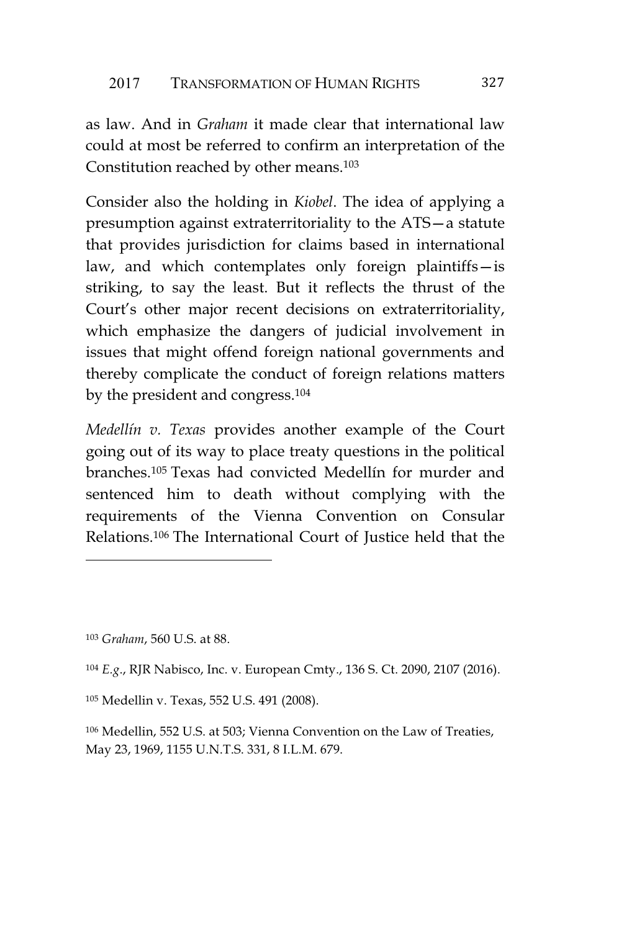as law. And in *Graham* it made clear that international law could at most be referred to confirm an interpretation of the Constitution reached by other means.<sup>103</sup>

Consider also the holding in *Kiobel*. The idea of applying a presumption against extraterritoriality to the ATS—a statute that provides jurisdiction for claims based in international law, and which contemplates only foreign plaintiffs—is striking, to say the least. But it reflects the thrust of the Court's other major recent decisions on extraterritoriality, which emphasize the dangers of judicial involvement in issues that might offend foreign national governments and thereby complicate the conduct of foreign relations matters by the president and congress.<sup>104</sup>

*Medellín v. Texas* provides another example of the Court going out of its way to place treaty questions in the political branches.<sup>105</sup> Texas had convicted Medellín for murder and sentenced him to death without complying with the requirements of the Vienna Convention on Consular Relations.<sup>106</sup> The International Court of Justice held that the

<sup>103</sup> *Graham*, 560 U.S. at 88.

<sup>104</sup> *E.g*., RJR Nabisco, Inc. v. European Cmty., 136 S. Ct. 2090, 2107 (2016).

<sup>105</sup> Medellin v. Texas, 552 U.S. 491 (2008).

<sup>106</sup> Medellin, 552 U.S. at 503; Vienna Convention on the Law of Treaties, May 23, 1969, 1155 U.N.T.S. 331, 8 I.L.M. 679.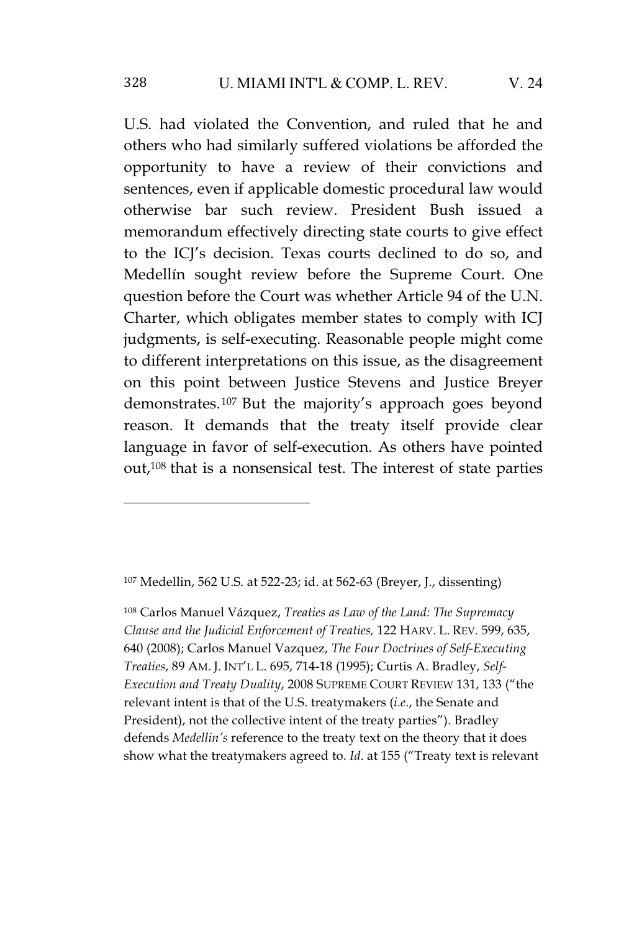U.S. had violated the Convention, and ruled that he and others who had similarly suffered violations be afforded the opportunity to have a review of their convictions and sentences, even if applicable domestic procedural law would otherwise bar such review. President Bush issued a memorandum effectively directing state courts to give effect to the ICJ's decision. Texas courts declined to do so, and Medellín sought review before the Supreme Court. One question before the Court was whether Article 94 of the U.N. Charter, which obligates member states to comply with ICJ judgments, is self-executing. Reasonable people might come to different interpretations on this issue, as the disagreement on this point between Justice Stevens and Justice Breyer demonstrates.<sup>107</sup> But the majority's approach goes beyond reason. It demands that the treaty itself provide clear language in favor of self-execution. As others have pointed out,<sup>108</sup> that is a nonsensical test. The interest of state parties

<sup>108</sup> Carlos Manuel Vázquez, *Treaties as Law of the Land: The Supremacy Clause and the Judicial Enforcement of Treaties,* 122 HARV. L. REV. 599, 635, 640 (2008); Carlos Manuel Vazquez, *The Four Doctrines of Self-Executing Treaties*, 89 AM. J. INT'L L. 695, 714-18 (1995); Curtis A. Bradley, *Self-Execution and Treaty Duality*, 2008 SUPREME COURT REVIEW 131, 133 ("the relevant intent is that of the U.S. treatymakers (*i.e*., the Senate and President), not the collective intent of the treaty parties"). Bradley defends *Medellin's* reference to the treaty text on the theory that it does show what the treatymakers agreed to. *Id*. at 155 ("Treaty text is relevant

<sup>107</sup> Medellin, 562 U.S. at 522-23; id. at 562-63 (Breyer, J., dissenting)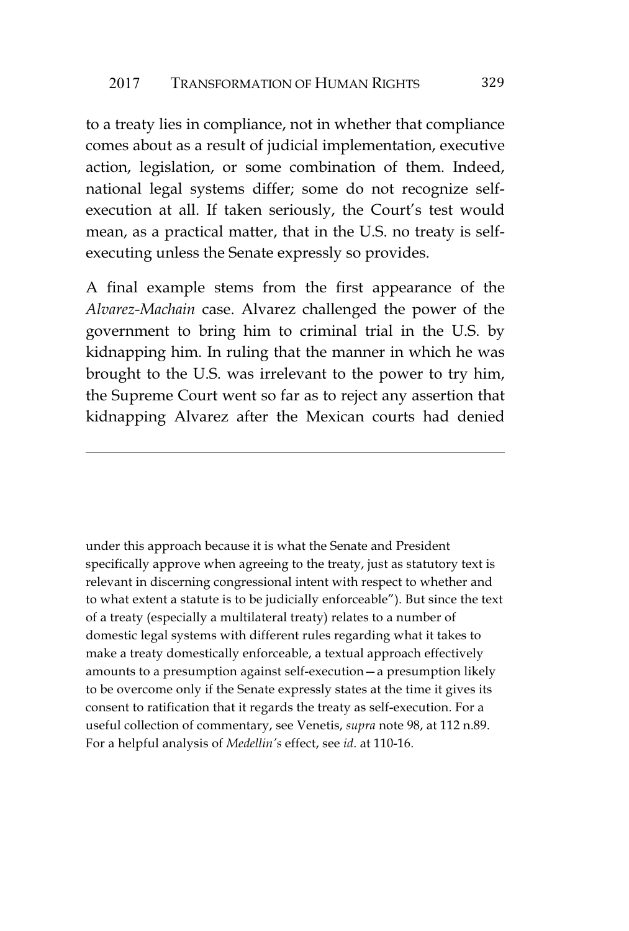to a treaty lies in compliance, not in whether that compliance comes about as a result of judicial implementation, executive action, legislation, or some combination of them. Indeed, national legal systems differ; some do not recognize selfexecution at all. If taken seriously, the Court's test would mean, as a practical matter, that in the U.S. no treaty is selfexecuting unless the Senate expressly so provides.

A final example stems from the first appearance of the *Alvarez-Machain* case. Alvarez challenged the power of the government to bring him to criminal trial in the U.S. by kidnapping him. In ruling that the manner in which he was brought to the U.S. was irrelevant to the power to try him, the Supreme Court went so far as to reject any assertion that kidnapping Alvarez after the Mexican courts had denied

under this approach because it is what the Senate and President specifically approve when agreeing to the treaty, just as statutory text is relevant in discerning congressional intent with respect to whether and to what extent a statute is to be judicially enforceable"). But since the text of a treaty (especially a multilateral treaty) relates to a number of domestic legal systems with different rules regarding what it takes to make a treaty domestically enforceable, a textual approach effectively amounts to a presumption against self-execution—a presumption likely to be overcome only if the Senate expressly states at the time it gives its consent to ratification that it regards the treaty as self-execution. For a useful collection of commentary, see Venetis, *supra* note 98, at 112 n.89. For a helpful analysis of *Medellin's* effect, see *id*. at 110-16.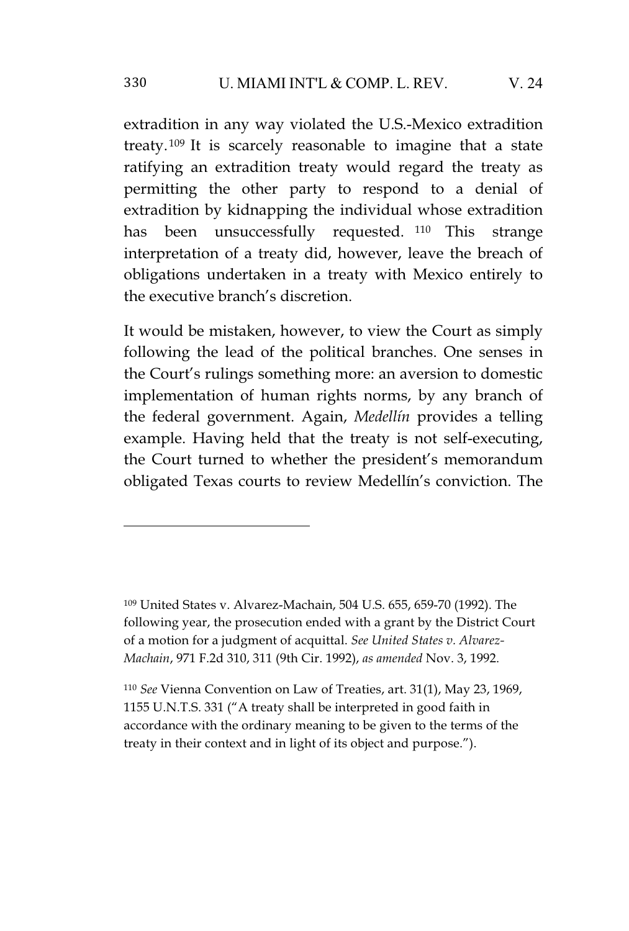extradition in any way violated the U.S.-Mexico extradition treaty. <sup>109</sup> It is scarcely reasonable to imagine that a state ratifying an extradition treaty would regard the treaty as permitting the other party to respond to a denial of extradition by kidnapping the individual whose extradition has been unsuccessfully requested.<sup>110</sup> This strange interpretation of a treaty did, however, leave the breach of obligations undertaken in a treaty with Mexico entirely to the executive branch's discretion.

It would be mistaken, however, to view the Court as simply following the lead of the political branches. One senses in the Court's rulings something more: an aversion to domestic implementation of human rights norms, by any branch of the federal government. Again, *Medellín* provides a telling example. Having held that the treaty is not self-executing, the Court turned to whether the president's memorandum obligated Texas courts to review Medellín's conviction. The

<sup>109</sup> United States v. Alvarez-Machain, 504 U.S. 655, 659-70 (1992). The following year, the prosecution ended with a grant by the District Court of a motion for a judgment of acquittal. *See United States v. Alvarez-Machain*, 971 F.2d 310, 311 (9th Cir. 1992), *as amended* Nov. 3, 1992.

<sup>110</sup> *See* Vienna Convention on Law of Treaties, art. 31(1), May 23, 1969, 1155 U.N.T.S. 331 ("A treaty shall be interpreted in good faith in accordance with the ordinary meaning to be given to the terms of the treaty in their context and in light of its object and purpose.").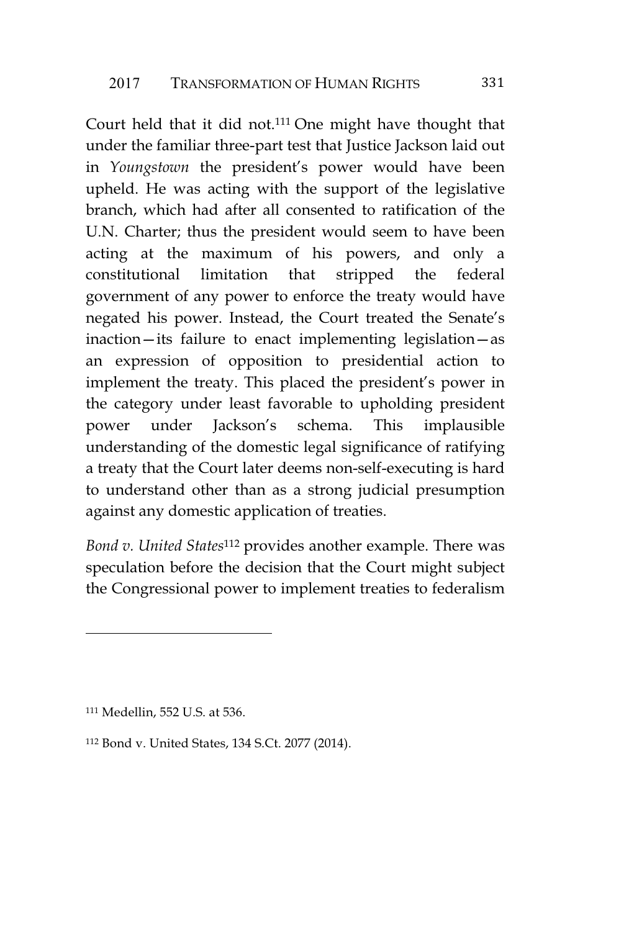Court held that it did not.<sup>111</sup> One might have thought that under the familiar three-part test that Justice Jackson laid out in *Youngstown* the president's power would have been upheld. He was acting with the support of the legislative branch, which had after all consented to ratification of the U.N. Charter; thus the president would seem to have been acting at the maximum of his powers, and only a constitutional limitation that stripped the federal government of any power to enforce the treaty would have negated his power. Instead, the Court treated the Senate's inaction—its failure to enact implementing legislation—as an expression of opposition to presidential action to implement the treaty. This placed the president's power in the category under least favorable to upholding president power under Jackson's schema. This implausible understanding of the domestic legal significance of ratifying a treaty that the Court later deems non-self-executing is hard to understand other than as a strong judicial presumption against any domestic application of treaties.

*Bond v. United States*<sup>112</sup> provides another example. There was speculation before the decision that the Court might subject the Congressional power to implement treaties to federalism

<sup>111</sup> Medellin, 552 U.S. at 536.

<sup>112</sup> Bond v. United States, 134 S.Ct. 2077 (2014).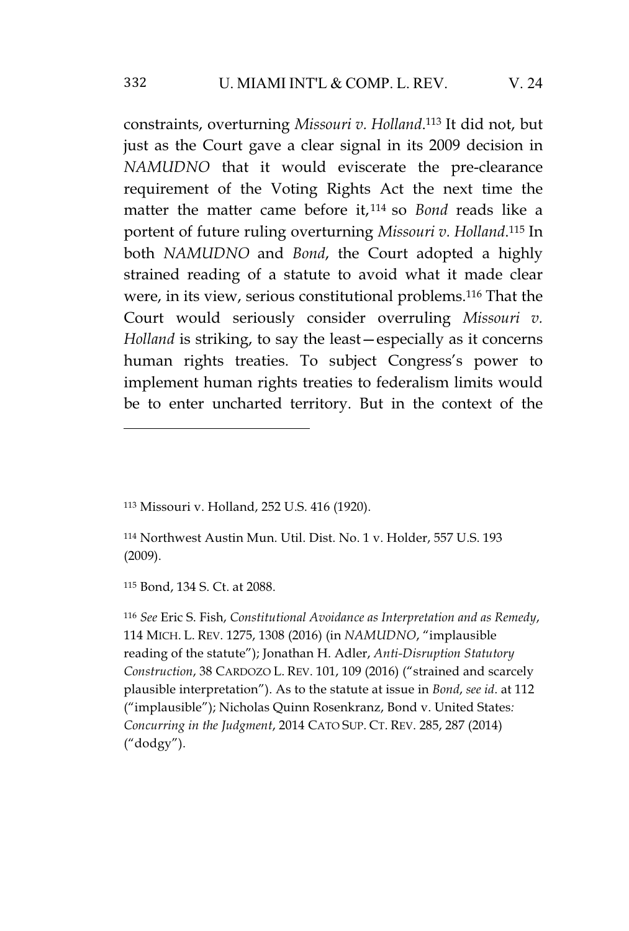# 332 U. MIAMI INT'L & COMP. L. REV. V. 24

constraints, overturning *Missouri v. Holland*. <sup>113</sup> It did not, but just as the Court gave a clear signal in its 2009 decision in *NAMUDNO* that it would eviscerate the pre-clearance requirement of the Voting Rights Act the next time the matter the matter came before it, <sup>114</sup> so *Bond* reads like a portent of future ruling overturning *Missouri v. Holland*. <sup>115</sup> In both *NAMUDNO* and *Bond*, the Court adopted a highly strained reading of a statute to avoid what it made clear were, in its view, serious constitutional problems.<sup>116</sup> That the Court would seriously consider overruling *Missouri v. Holland* is striking, to say the least—especially as it concerns human rights treaties. To subject Congress's power to implement human rights treaties to federalism limits would be to enter uncharted territory. But in the context of the

<sup>113</sup> Missouri v. Holland, 252 U.S. 416 (1920).

<sup>114</sup> Northwest Austin Mun. Util. Dist. No. 1 v. Holder, 557 U.S. 193 (2009).

<sup>115</sup> Bond, 134 S. Ct. at 2088.

<sup>116</sup> *See* Eric S. Fish, *Constitutional Avoidance as Interpretation and as Remedy*, 114 MICH. L. REV. 1275, 1308 (2016) (in *NAMUDNO*, "implausible reading of the statute"); Jonathan H. Adler, *Anti-Disruption Statutory Construction*, 38 CARDOZO L. REV. 101, 109 (2016) ("strained and scarcely plausible interpretation"). As to the statute at issue in *Bond*, *see id*. at 112 ("implausible"); Nicholas Quinn Rosenkranz, Bond v. United States*: Concurring in the Judgment*, 2014 CATO SUP. CT. REV. 285, 287 (2014) ("dodgy").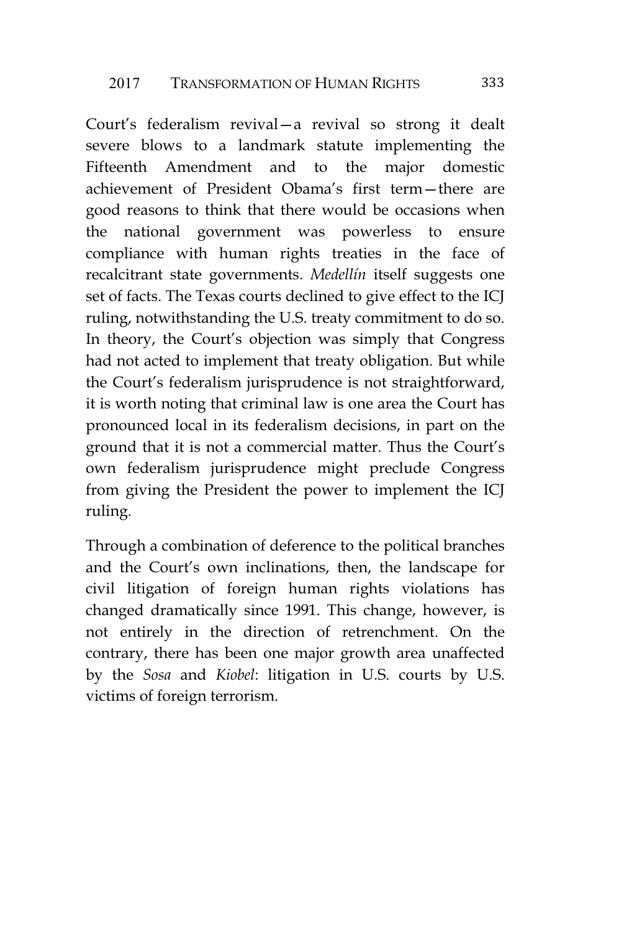Court's federalism revival—a revival so strong it dealt severe blows to a landmark statute implementing the Fifteenth Amendment and to the major domestic achievement of President Obama's first term—there are good reasons to think that there would be occasions when the national government was powerless to ensure compliance with human rights treaties in the face of recalcitrant state governments. *Medellín* itself suggests one set of facts. The Texas courts declined to give effect to the ICJ ruling, notwithstanding the U.S. treaty commitment to do so. In theory, the Court's objection was simply that Congress had not acted to implement that treaty obligation. But while the Court's federalism jurisprudence is not straightforward, it is worth noting that criminal law is one area the Court has pronounced local in its federalism decisions, in part on the ground that it is not a commercial matter. Thus the Court's own federalism jurisprudence might preclude Congress from giving the President the power to implement the ICJ ruling.

Through a combination of deference to the political branches and the Court's own inclinations, then, the landscape for civil litigation of foreign human rights violations has changed dramatically since 1991. This change, however, is not entirely in the direction of retrenchment. On the contrary, there has been one major growth area unaffected by the *Sosa* and *Kiobel*: litigation in U.S. courts by U.S. victims of foreign terrorism.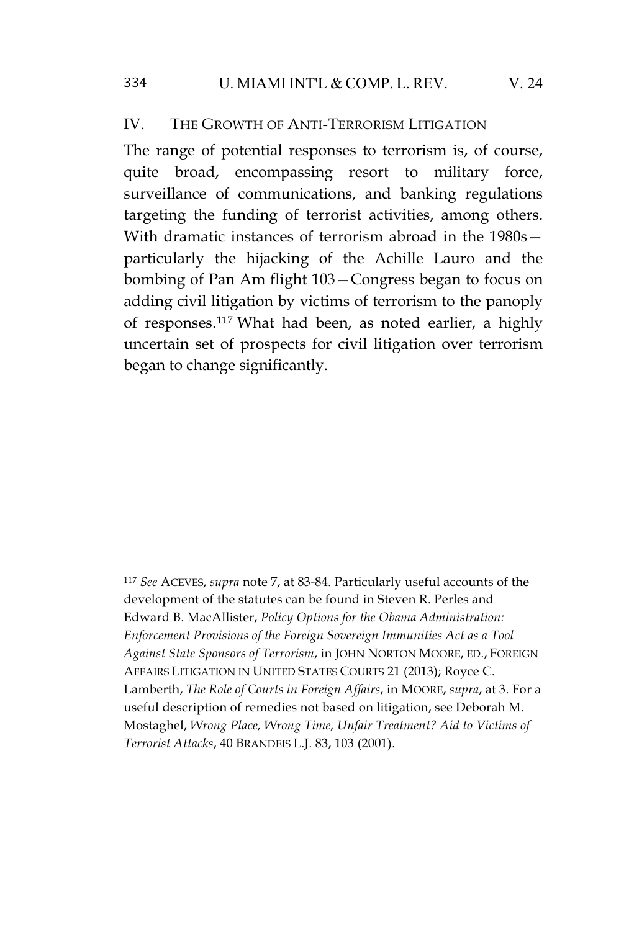#### IV. THE GROWTH OF ANTI-TERRORISM LITIGATION

The range of potential responses to terrorism is, of course, quite broad, encompassing resort to military force, surveillance of communications, and banking regulations targeting the funding of terrorist activities, among others. With dramatic instances of terrorism abroad in the 1980s particularly the hijacking of the Achille Lauro and the bombing of Pan Am flight 103—Congress began to focus on adding civil litigation by victims of terrorism to the panoply of responses.<sup>117</sup> What had been, as noted earlier, a highly uncertain set of prospects for civil litigation over terrorism began to change significantly.

<sup>117</sup> *See* ACEVES, *supra* note 7, at 83-84. Particularly useful accounts of the development of the statutes can be found in Steven R. Perles and Edward B. MacAllister, *Policy Options for the Obama Administration: Enforcement Provisions of the Foreign Sovereign Immunities Act as a Tool Against State Sponsors of Terrorism*, in JOHN NORTON MOORE, ED., FOREIGN AFFAIRS LITIGATION IN UNITED STATES COURTS 21 (2013); Royce C. Lamberth, *The Role of Courts in Foreign Affairs*, in MOORE, *supra*, at 3. For a useful description of remedies not based on litigation, see Deborah M. Mostaghel, *Wrong Place, Wrong Time, Unfair Treatment? Aid to Victims of Terrorist Attacks*, 40 BRANDEIS L.J. 83, 103 (2001).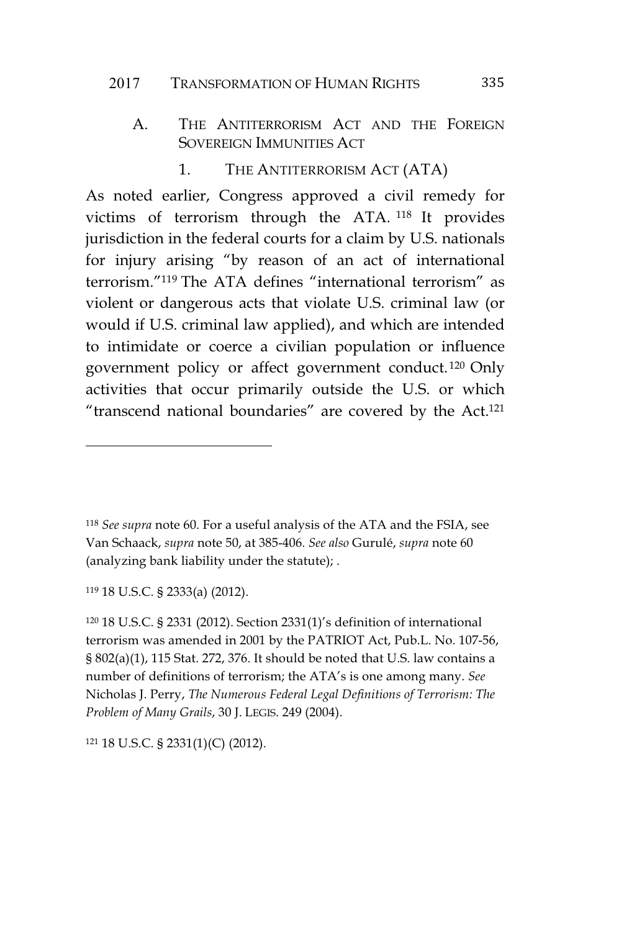### 2017 TRANSFORMATION OF HUMAN RIGHTS 335

- A. THE ANTITERRORISM ACT AND THE FOREIGN SOVEREIGN IMMUNITIES ACT
	- 1. THE ANTITERRORISM ACT (ATA)

As noted earlier, Congress approved a civil remedy for victims of terrorism through the ATA. <sup>118</sup> It provides jurisdiction in the federal courts for a claim by U.S. nationals for injury arising "by reason of an act of international terrorism."<sup>119</sup> The ATA defines "international terrorism" as violent or dangerous acts that violate U.S. criminal law (or would if U.S. criminal law applied), and which are intended to intimidate or coerce a civilian population or influence government policy or affect government conduct. <sup>120</sup> Only activities that occur primarily outside the U.S. or which "transcend national boundaries" are covered by the Act.<sup>121</sup>

<sup>118</sup> *See supra* note 60. For a useful analysis of the ATA and the FSIA, see Van Schaack, *supra* note 50, at 385-406. *See also* Gurulé, *supra* note 60 (analyzing bank liability under the statute); .

<sup>119</sup> 18 U.S.C. § 2333(a) (2012).

<sup>120</sup> 18 U.S.C. § 2331 (2012). Section 2331(1)'s definition of international terrorism was amended in 2001 by the PATRIOT Act, Pub.L. No. 107-56, § 802(a)(1), 115 Stat. 272, 376. It should be noted that U.S. law contains a number of definitions of terrorism; the ATA's is one among many. *See* Nicholas J. Perry, *The Numerous Federal Legal Definitions of Terrorism: The Problem of Many Grails*, 30 J. LEGIS. 249 (2004).

<sup>121</sup> 18 U.S.C. § 2331(1)(C) (2012).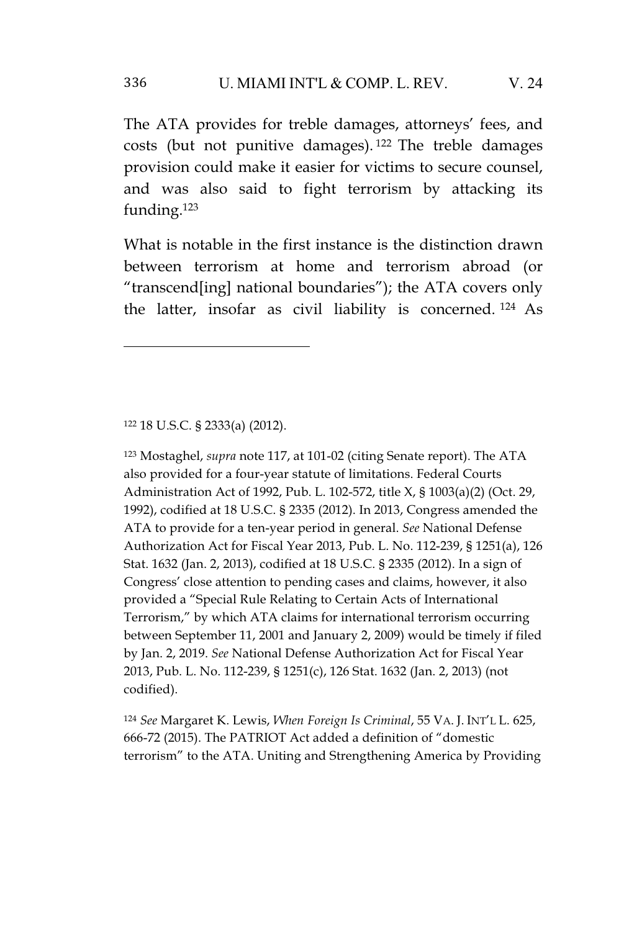The ATA provides for treble damages, attorneys' fees, and costs (but not punitive damages). <sup>122</sup> The treble damages provision could make it easier for victims to secure counsel, and was also said to fight terrorism by attacking its funding.<sup>123</sup>

What is notable in the first instance is the distinction drawn between terrorism at home and terrorism abroad (or "transcend[ing] national boundaries"); the ATA covers only the latter, insofar as civil liability is concerned. <sup>124</sup> As

<sup>122</sup> 18 U.S.C. § 2333(a) (2012).

<sup>123</sup> Mostaghel, *supra* note 117, at 101-02 (citing Senate report). The ATA also provided for a four-year statute of limitations. Federal Courts Administration Act of 1992, Pub. L. 102-572, title X, § 1003(a)(2) (Oct. 29, 1992), codified at 18 U.S.C. § 2335 (2012). In 2013, Congress amended the ATA to provide for a ten-year period in general. *See* National Defense Authorization Act for Fiscal Year 2013, Pub. L. No. 112-239, § 1251(a), 126 Stat. 1632 (Jan. 2, 2013), codified at 18 U.S.C. § 2335 (2012). In a sign of Congress' close attention to pending cases and claims, however, it also provided a "Special Rule Relating to Certain Acts of International Terrorism," by which ATA claims for international terrorism occurring between September 11, 2001 and January 2, 2009) would be timely if filed by Jan. 2, 2019. *See* National Defense Authorization Act for Fiscal Year 2013, Pub. L. No. 112-239, § 1251(c), 126 Stat. 1632 (Jan. 2, 2013) (not codified).

<sup>124</sup> *See* Margaret K. Lewis, *When Foreign Is Criminal*, 55 VA. J. INT'L L. 625, 666-72 (2015). The PATRIOT Act added a definition of "domestic terrorism" to the ATA. Uniting and Strengthening America by Providing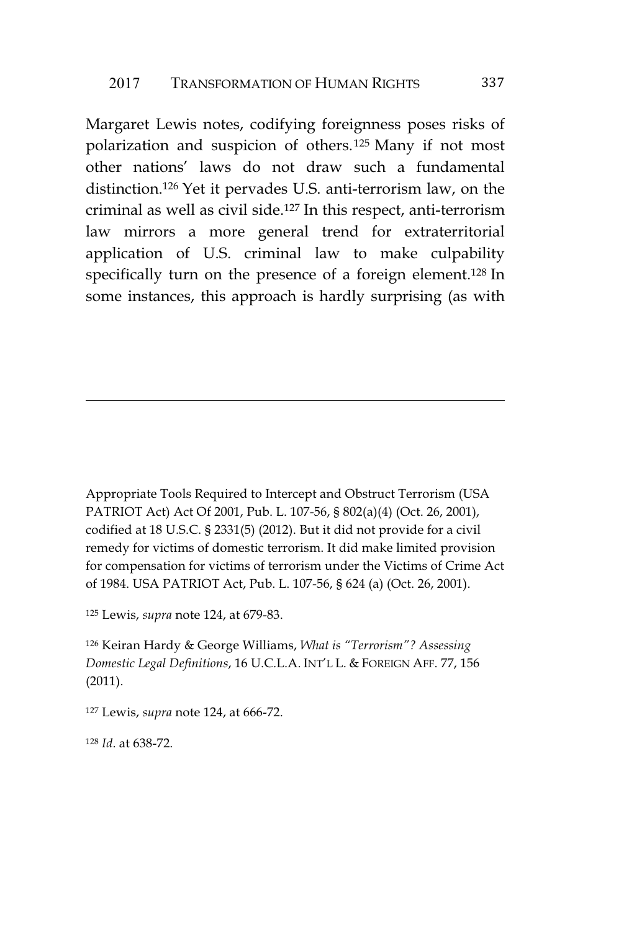Margaret Lewis notes, codifying foreignness poses risks of polarization and suspicion of others. <sup>125</sup> Many if not most other nations' laws do not draw such a fundamental distinction.<sup>126</sup> Yet it pervades U.S. anti-terrorism law, on the criminal as well as civil side.<sup>127</sup> In this respect, anti-terrorism law mirrors a more general trend for extraterritorial application of U.S. criminal law to make culpability specifically turn on the presence of a foreign element.<sup>128</sup> In some instances, this approach is hardly surprising (as with

Appropriate Tools Required to Intercept and Obstruct Terrorism (USA PATRIOT Act) Act Of 2001, Pub. L. 107-56, § 802(a)(4) (Oct. 26, 2001), codified at 18 U.S.C. § 2331(5) (2012). But it did not provide for a civil remedy for victims of domestic terrorism. It did make limited provision for compensation for victims of terrorism under the Victims of Crime Act of 1984. USA PATRIOT Act, Pub. L. 107-56, § 624 (a) (Oct. 26, 2001).

<sup>125</sup> Lewis, *supra* note 124, at 679-83.

<sup>126</sup> Keiran Hardy & George Williams, *What is "Terrorism"? Assessing Domestic Legal Definitions*, 16 U.C.L.A. INT'L L. & FOREIGN AFF. 77, 156 (2011).

<sup>127</sup> Lewis, *supra* note 124, at 666-72.

<sup>128</sup> *Id*. at 638-72.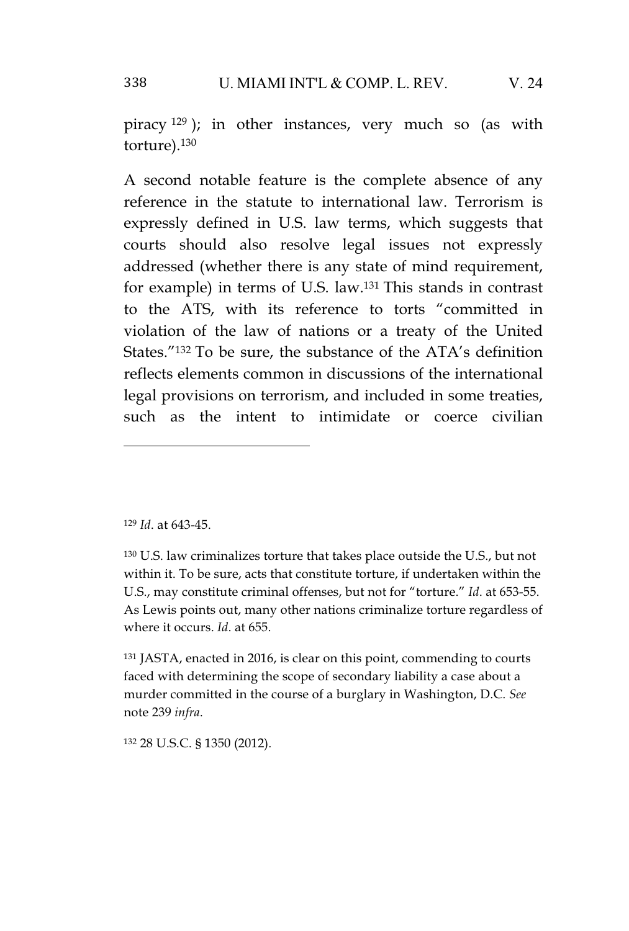piracy <sup>129</sup> ); in other instances, very much so (as with torture).<sup>130</sup>

A second notable feature is the complete absence of any reference in the statute to international law. Terrorism is expressly defined in U.S. law terms, which suggests that courts should also resolve legal issues not expressly addressed (whether there is any state of mind requirement, for example) in terms of U.S. law.<sup>131</sup> This stands in contrast to the ATS, with its reference to torts "committed in violation of the law of nations or a treaty of the United States."<sup>132</sup> To be sure, the substance of the ATA's definition reflects elements common in discussions of the international legal provisions on terrorism, and included in some treaties, such as the intent to intimidate or coerce civilian

<sup>129</sup> *Id*. at 643-45.

<sup>130</sup> U.S. law criminalizes torture that takes place outside the U.S., but not within it. To be sure, acts that constitute torture, if undertaken within the U.S., may constitute criminal offenses, but not for "torture." *Id*. at 653-55. As Lewis points out, many other nations criminalize torture regardless of where it occurs. *Id*. at 655.

<sup>131</sup> JASTA, enacted in 2016, is clear on this point, commending to courts faced with determining the scope of secondary liability a case about a murder committed in the course of a burglary in Washington, D.C. *See* note 239 *infra*.

<sup>132</sup> 28 U.S.C. § 1350 (2012).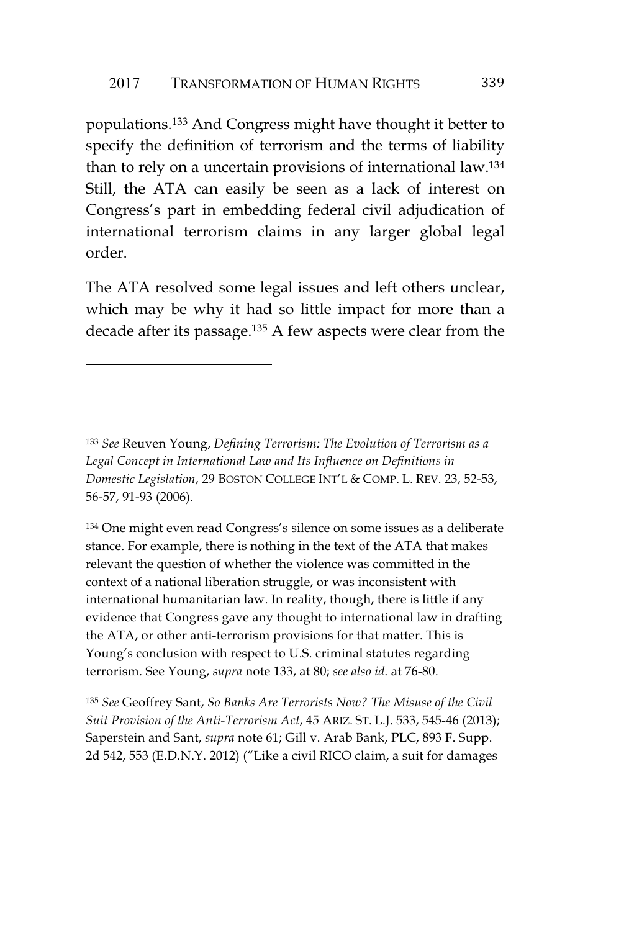populations.<sup>133</sup> And Congress might have thought it better to specify the definition of terrorism and the terms of liability than to rely on a uncertain provisions of international law.<sup>134</sup> Still, the ATA can easily be seen as a lack of interest on Congress's part in embedding federal civil adjudication of international terrorism claims in any larger global legal order.

The ATA resolved some legal issues and left others unclear, which may be why it had so little impact for more than a decade after its passage.<sup>135</sup> A few aspects were clear from the

<sup>133</sup> *See* Reuven Young, *Defining Terrorism: The Evolution of Terrorism as a Legal Concept in International Law and Its Influence on Definitions in Domestic Legislation*, 29 BOSTON COLLEGE INT'L & COMP. L. REV. 23, 52-53, 56-57, 91-93 (2006).

<sup>134</sup> One might even read Congress's silence on some issues as a deliberate stance. For example, there is nothing in the text of the ATA that makes relevant the question of whether the violence was committed in the context of a national liberation struggle, or was inconsistent with international humanitarian law. In reality, though, there is little if any evidence that Congress gave any thought to international law in drafting the ATA, or other anti-terrorism provisions for that matter. This is Young's conclusion with respect to U.S. criminal statutes regarding terrorism. See Young, *supra* note 133, at 80; *see also id*. at 76-80.

<sup>135</sup> *See* Geoffrey Sant, *So Banks Are Terrorists Now? The Misuse of the Civil Suit Provision of the Anti-Terrorism Act*, 45 ARIZ. ST. L.J. 533, 545-46 (2013); Saperstein and Sant, *supra* note 61; Gill v. Arab Bank, PLC, 893 F. Supp. 2d 542, 553 (E.D.N.Y. 2012) ("Like a civil RICO claim, a suit for damages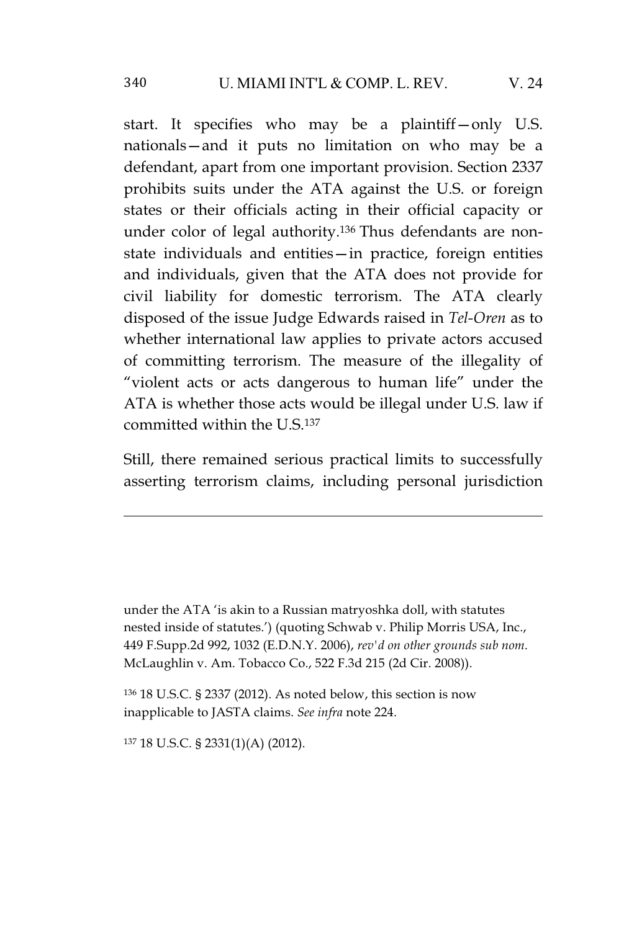start. It specifies who may be a plaintiff—only U.S. nationals—and it puts no limitation on who may be a defendant, apart from one important provision. Section 2337 prohibits suits under the ATA against the U.S. or foreign states or their officials acting in their official capacity or under color of legal authority.<sup>136</sup> Thus defendants are nonstate individuals and entities—in practice, foreign entities and individuals, given that the ATA does not provide for civil liability for domestic terrorism. The ATA clearly disposed of the issue Judge Edwards raised in *Tel-Oren* as to whether international law applies to private actors accused of committing terrorism. The measure of the illegality of "violent acts or acts dangerous to human life" under the ATA is whether those acts would be illegal under U.S. law if committed within the U.S.<sup>137</sup>

Still, there remained serious practical limits to successfully asserting terrorism claims, including personal jurisdiction

under the ATA 'is akin to a Russian matryoshka doll, with statutes nested inside of statutes.') (quoting Schwab v. Philip Morris USA, Inc., 449 F.Supp.2d 992, 1032 (E.D.N.Y. 2006), *rev'd on other grounds sub nom*. McLaughlin v. Am. Tobacco Co., 522 F.3d 215 (2d Cir. 2008)).

<sup>136</sup> 18 U.S.C. § 2337 (2012). As noted below, this section is now inapplicable to JASTA claims. *See infra* note 224.

<sup>137</sup> 18 U.S.C. § 2331(1)(A) (2012).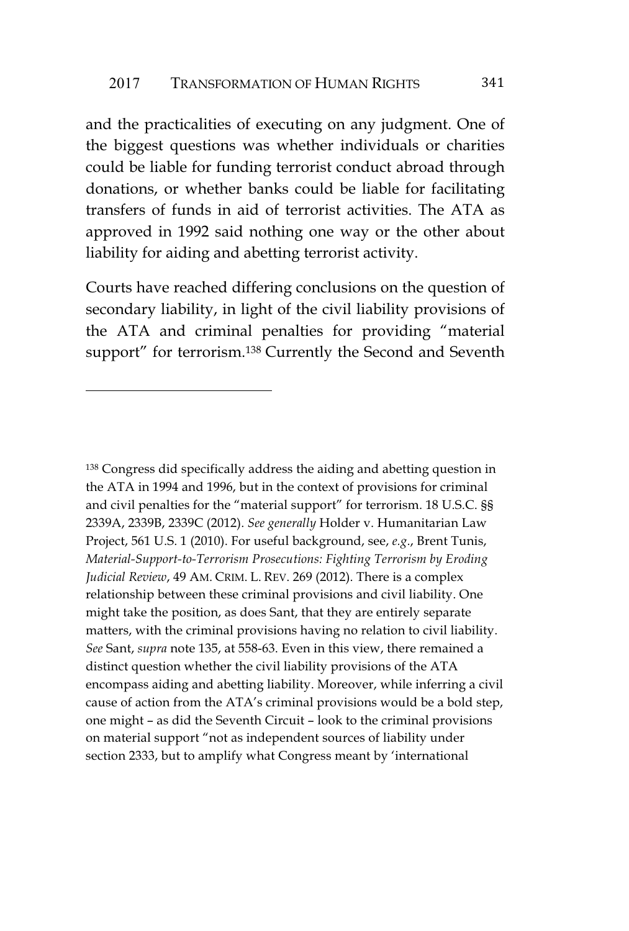and the practicalities of executing on any judgment. One of the biggest questions was whether individuals or charities could be liable for funding terrorist conduct abroad through donations, or whether banks could be liable for facilitating transfers of funds in aid of terrorist activities. The ATA as approved in 1992 said nothing one way or the other about liability for aiding and abetting terrorist activity.

Courts have reached differing conclusions on the question of secondary liability, in light of the civil liability provisions of the ATA and criminal penalties for providing "material support" for terrorism.<sup>138</sup> Currently the Second and Seventh

<sup>138</sup> Congress did specifically address the aiding and abetting question in the ATA in 1994 and 1996, but in the context of provisions for criminal and civil penalties for the "material support" for terrorism. 18 U.S.C. §§ 2339A, 2339B, 2339C (2012). *See generally* Holder v. Humanitarian Law Project, 561 U.S. 1 (2010). For useful background, see, *e.g*., Brent Tunis, *Material-Support-to-Terrorism Prosecutions: Fighting Terrorism by Eroding Judicial Review*, 49 AM. CRIM. L. REV. 269 (2012). There is a complex relationship between these criminal provisions and civil liability. One might take the position, as does Sant, that they are entirely separate matters, with the criminal provisions having no relation to civil liability. *See* Sant, *supra* note 135, at 558-63. Even in this view, there remained a distinct question whether the civil liability provisions of the ATA encompass aiding and abetting liability. Moreover, while inferring a civil cause of action from the ATA's criminal provisions would be a bold step, one might – as did the Seventh Circuit – look to the criminal provisions on material support "not as independent sources of liability under section 2333, but to amplify what Congress meant by 'international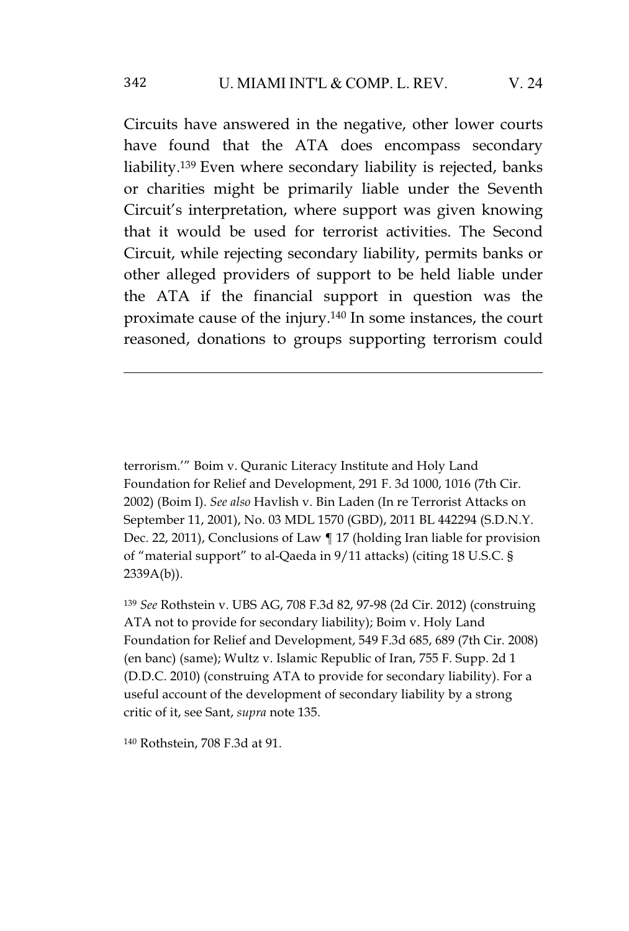## 342 U. MIAMI INT'L & COMP. L. REV. V. 24

Circuits have answered in the negative, other lower courts have found that the ATA does encompass secondary liability.<sup>139</sup> Even where secondary liability is rejected, banks or charities might be primarily liable under the Seventh Circuit's interpretation, where support was given knowing that it would be used for terrorist activities. The Second Circuit, while rejecting secondary liability, permits banks or other alleged providers of support to be held liable under the ATA if the financial support in question was the proximate cause of the injury.<sup>140</sup> In some instances, the court reasoned, donations to groups supporting terrorism could

terrorism.'" Boim v. Quranic Literacy Institute and Holy Land Foundation for Relief and Development, 291 F. 3d 1000, 1016 (7th Cir. 2002) (Boim I). *See also* Havlish v. Bin Laden (In re Terrorist Attacks on September 11, 2001), No. 03 MDL 1570 (GBD), 2011 BL 442294 (S.D.N.Y. Dec. 22, 2011), Conclusions of Law ¶ 17 (holding Iran liable for provision of "material support" to al-Qaeda in 9/11 attacks) (citing 18 U.S.C. §  $2339A(b)$ ).

<sup>139</sup> *See* Rothstein v. UBS AG, 708 F.3d 82, 97-98 (2d Cir. 2012) (construing ATA not to provide for secondary liability); Boim v. Holy Land Foundation for Relief and Development, 549 F.3d 685, 689 (7th Cir. 2008) (en banc) (same); Wultz v. Islamic Republic of Iran, 755 F. Supp. 2d 1 (D.D.C. 2010) (construing ATA to provide for secondary liability). For a useful account of the development of secondary liability by a strong critic of it, see Sant, *supra* note 135.

<sup>140</sup> Rothstein, 708 F.3d at 91.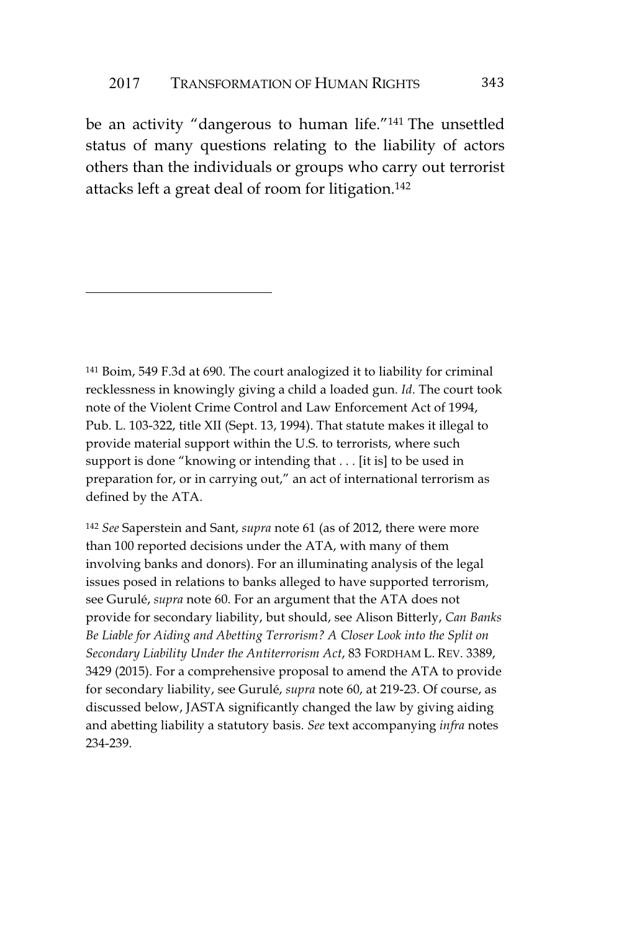be an activity "dangerous to human life."<sup>141</sup> The unsettled status of many questions relating to the liability of actors others than the individuals or groups who carry out terrorist attacks left a great deal of room for litigation.<sup>142</sup>

<sup>141</sup> Boim, 549 F.3d at 690. The court analogized it to liability for criminal recklessness in knowingly giving a child a loaded gun. *Id*. The court took note of the Violent Crime Control and Law Enforcement Act of 1994, Pub. L. 103-322, title XII (Sept. 13, 1994). That statute makes it illegal to provide material support within the U.S. to terrorists, where such support is done "knowing or intending that . . . [it is] to be used in preparation for, or in carrying out," an act of international terrorism as defined by the ATA.

<sup>142</sup> *See* Saperstein and Sant, *supra* note 61 (as of 2012, there were more than 100 reported decisions under the ATA, with many of them involving banks and donors). For an illuminating analysis of the legal issues posed in relations to banks alleged to have supported terrorism, see Gurulé, *supra* note 60. For an argument that the ATA does not provide for secondary liability, but should, see Alison Bitterly, *Can Banks Be Liable for Aiding and Abetting Terrorism? A Closer Look into the Split on Secondary Liability Under the Antiterrorism Act*, 83 FORDHAM L. REV. 3389, 3429 (2015). For a comprehensive proposal to amend the ATA to provide for secondary liability, see Gurulé, *supra* note 60, at 219-23. Of course, as discussed below, JASTA significantly changed the law by giving aiding and abetting liability a statutory basis. *See* text accompanying *infra* notes 234-239.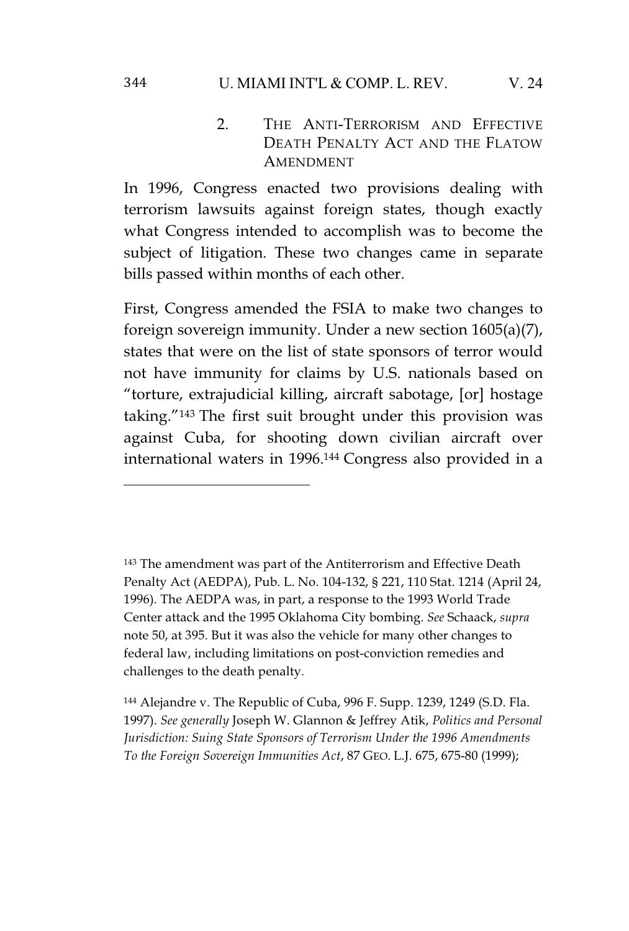## 344 U. MIAMI INT'L & COMP. L. REV. V. 24

2. THE ANTI-TERRORISM AND EFFECTIVE DEATH PENALTY ACT AND THE FLATOW AMENDMENT

In 1996, Congress enacted two provisions dealing with terrorism lawsuits against foreign states, though exactly what Congress intended to accomplish was to become the subject of litigation. These two changes came in separate bills passed within months of each other.

First, Congress amended the FSIA to make two changes to foreign sovereign immunity. Under a new section 1605(a)(7), states that were on the list of state sponsors of terror would not have immunity for claims by U.S. nationals based on "torture, extrajudicial killing, aircraft sabotage, [or] hostage taking."<sup>143</sup> The first suit brought under this provision was against Cuba, for shooting down civilian aircraft over international waters in 1996.<sup>144</sup> Congress also provided in a

<sup>&</sup>lt;sup>143</sup> The amendment was part of the Antiterrorism and Effective Death Penalty Act (AEDPA), Pub. L. No. 104-132, § 221, 110 Stat. 1214 (April 24, 1996). The AEDPA was, in part, a response to the 1993 World Trade Center attack and the 1995 Oklahoma City bombing. *See* Schaack, *supra* note 50, at 395. But it was also the vehicle for many other changes to federal law, including limitations on post-conviction remedies and challenges to the death penalty.

<sup>144</sup> Alejandre v. The Republic of Cuba, 996 F. Supp. 1239, 1249 (S.D. Fla. 1997). *See generally* Joseph W. Glannon & Jeffrey Atik, *Politics and Personal Jurisdiction: Suing State Sponsors of Terrorism Under the 1996 Amendments To the Foreign Sovereign Immunities Act*, 87 GEO. L.J. 675, 675-80 (1999);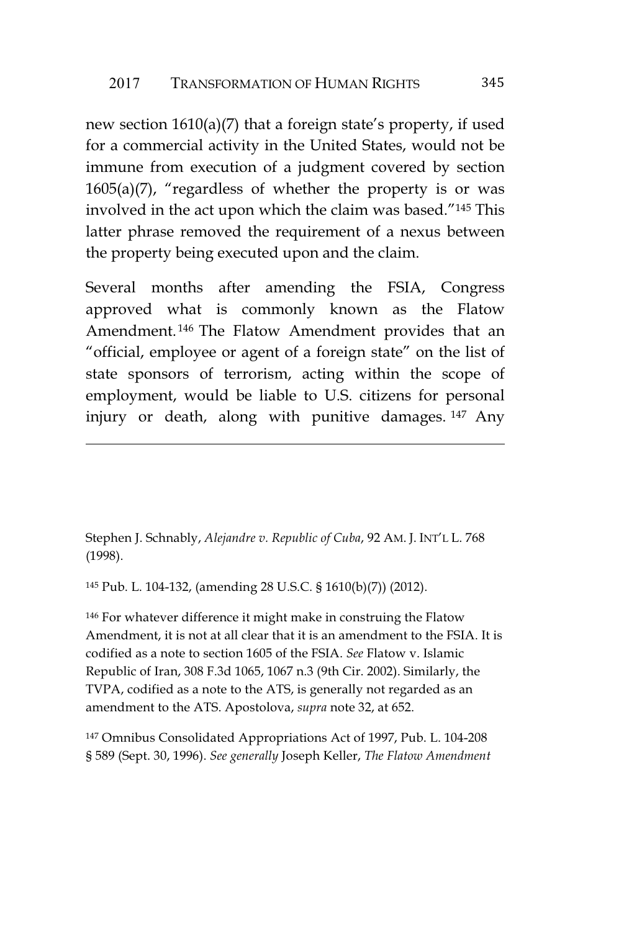new section 1610(a)(7) that a foreign state's property, if used for a commercial activity in the United States, would not be immune from execution of a judgment covered by section  $1605(a)(7)$ , "regardless of whether the property is or was involved in the act upon which the claim was based."<sup>145</sup> This latter phrase removed the requirement of a nexus between the property being executed upon and the claim.

Several months after amending the FSIA, Congress approved what is commonly known as the Flatow Amendment. <sup>146</sup> The Flatow Amendment provides that an "official, employee or agent of a foreign state" on the list of state sponsors of terrorism, acting within the scope of employment, would be liable to U.S. citizens for personal injury or death, along with punitive damages. <sup>147</sup> Any

Stephen J. Schnably, *Alejandre v. Republic of Cuba*, 92 AM. J. INT'L L. 768 (1998).

<sup>145</sup> Pub. L. 104-132, (amending 28 U.S.C. § 1610(b)(7)) (2012).

<sup>146</sup> For whatever difference it might make in construing the Flatow Amendment, it is not at all clear that it is an amendment to the FSIA. It is codified as a note to section 1605 of the FSIA. *See* Flatow v. Islamic Republic of Iran, 308 F.3d 1065, 1067 n.3 (9th Cir. 2002). Similarly, the TVPA, codified as a note to the ATS, is generally not regarded as an amendment to the ATS. Apostolova, *supra* note 32, at 652.

<sup>147</sup> Omnibus Consolidated Appropriations Act of 1997, Pub. L. 104-208 § 589 (Sept. 30, 1996). *See generally* Joseph Keller, *The Flatow Amendment*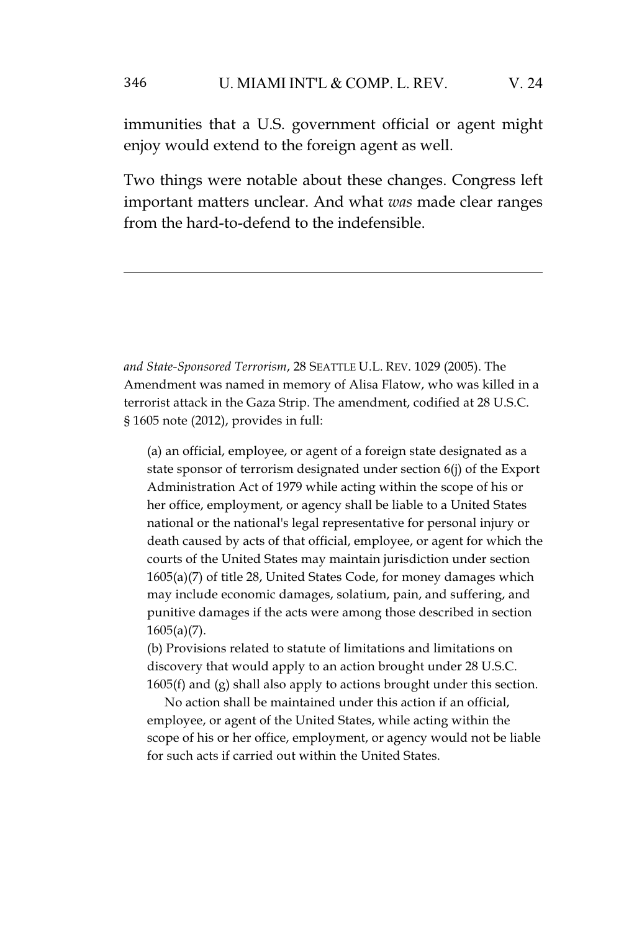## 346 U. MIAMI INT'L & COMP. L. REV. V. 24

immunities that a U.S. government official or agent might enjoy would extend to the foreign agent as well.

Two things were notable about these changes. Congress left important matters unclear. And what *was* made clear ranges from the hard-to-defend to the indefensible.

*and State-Sponsored Terrorism*, 28 SEATTLE U.L. REV. 1029 (2005). The Amendment was named in memory of Alisa Flatow, who was killed in a terrorist attack in the Gaza Strip. The amendment, codified at 28 U.S.C. § 1605 note (2012), provides in full:

(a) an official, employee, or agent of a foreign state designated as a state sponsor of terrorism designated under section 6(j) of the Export Administration Act of 1979 while acting within the scope of his or her office, employment, or agency shall be liable to a United States national or the national's legal representative for personal injury or death caused by acts of that official, employee, or agent for which the courts of the United States may maintain jurisdiction under section 1605(a)(7) of title 28, United States Code, for money damages which may include economic damages, solatium, pain, and suffering, and punitive damages if the acts were among those described in section 1605(a)(7).

(b) Provisions related to statute of limitations and limitations on discovery that would apply to an action brought under 28 U.S.C. 1605(f) and (g) shall also apply to actions brought under this section.

No action shall be maintained under this action if an official, employee, or agent of the United States, while acting within the scope of his or her office, employment, or agency would not be liable for such acts if carried out within the United States.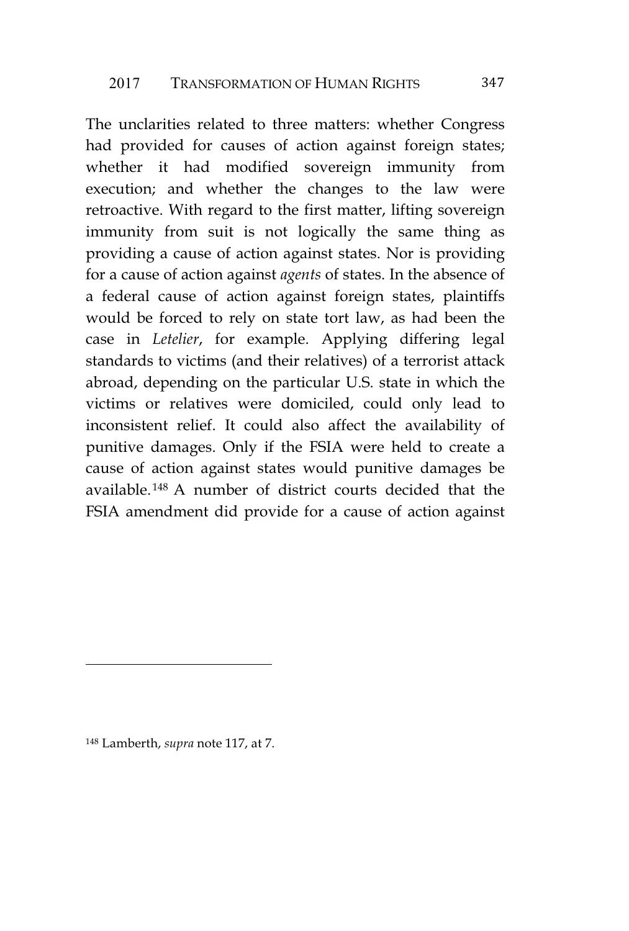The unclarities related to three matters: whether Congress had provided for causes of action against foreign states; whether it had modified sovereign immunity from execution; and whether the changes to the law were retroactive. With regard to the first matter, lifting sovereign immunity from suit is not logically the same thing as providing a cause of action against states. Nor is providing for a cause of action against *agents* of states. In the absence of a federal cause of action against foreign states, plaintiffs would be forced to rely on state tort law, as had been the case in *Letelier*, for example. Applying differing legal standards to victims (and their relatives) of a terrorist attack abroad, depending on the particular U.S. state in which the victims or relatives were domiciled, could only lead to inconsistent relief. It could also affect the availability of punitive damages. Only if the FSIA were held to create a cause of action against states would punitive damages be available. <sup>148</sup> A number of district courts decided that the FSIA amendment did provide for a cause of action against

<sup>148</sup> Lamberth, *supra* note 117, at 7.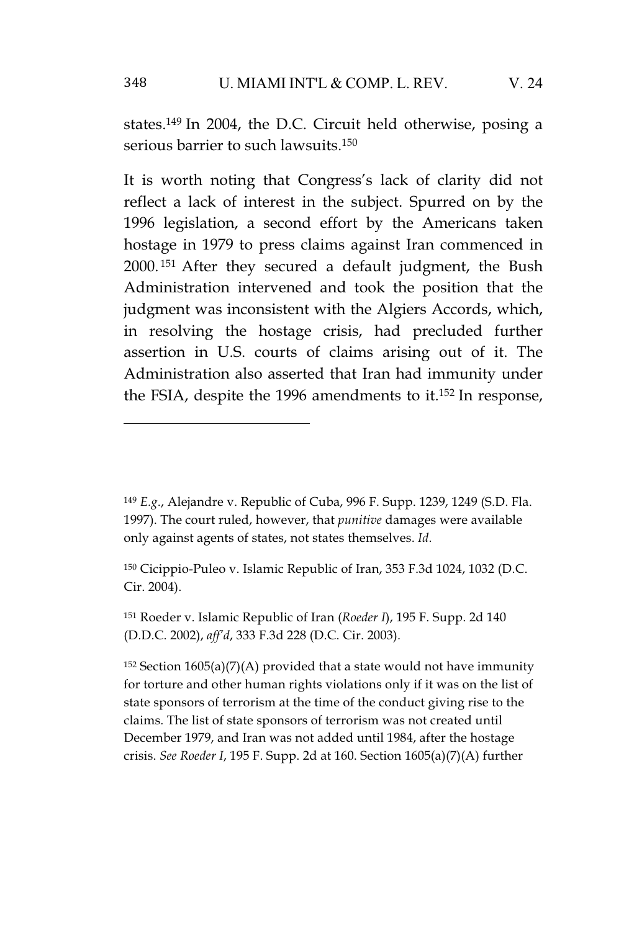states.<sup>149</sup> In 2004, the D.C. Circuit held otherwise, posing a serious barrier to such lawsuits.<sup>150</sup>

It is worth noting that Congress's lack of clarity did not reflect a lack of interest in the subject. Spurred on by the 1996 legislation, a second effort by the Americans taken hostage in 1979 to press claims against Iran commenced in 2000. <sup>151</sup> After they secured a default judgment, the Bush Administration intervened and took the position that the judgment was inconsistent with the Algiers Accords, which, in resolving the hostage crisis, had precluded further assertion in U.S. courts of claims arising out of it. The Administration also asserted that Iran had immunity under the FSIA, despite the 1996 amendments to it.<sup>152</sup> In response,

<sup>151</sup> Roeder v. Islamic Republic of Iran (*Roeder I*), 195 F. Supp. 2d 140 (D.D.C. 2002), *aff'd*, 333 F.3d 228 (D.C. Cir. 2003).

 $152$  Section  $1605(a)(7)(A)$  provided that a state would not have immunity for torture and other human rights violations only if it was on the list of state sponsors of terrorism at the time of the conduct giving rise to the claims. The list of state sponsors of terrorism was not created until December 1979, and Iran was not added until 1984, after the hostage crisis. *See Roeder I*, 195 F. Supp. 2d at 160. Section 1605(a)(7)(A) further

<sup>149</sup> *E.g*., Alejandre v. Republic of Cuba, 996 F. Supp. 1239, 1249 (S.D. Fla. 1997). The court ruled, however, that *punitive* damages were available only against agents of states, not states themselves. *Id*.

<sup>150</sup> Cicippio-Puleo v. Islamic Republic of Iran, 353 F.3d 1024, 1032 (D.C. Cir. 2004).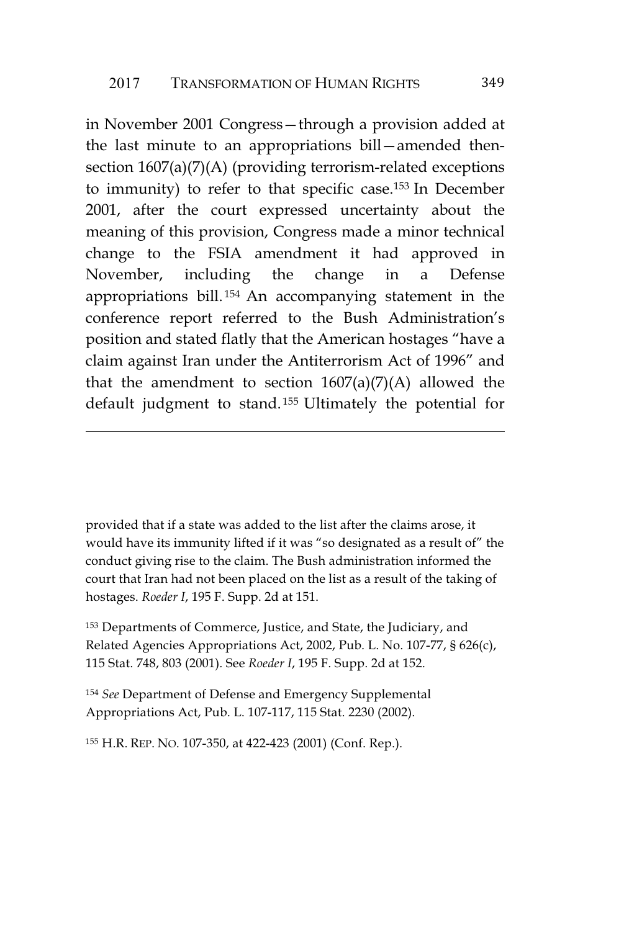in November 2001 Congress—through a provision added at the last minute to an appropriations bill—amended thensection  $1607(a)(7)(A)$  (providing terrorism-related exceptions to immunity) to refer to that specific case.<sup>153</sup> In December 2001, after the court expressed uncertainty about the meaning of this provision, Congress made a minor technical change to the FSIA amendment it had approved in November, including the change in a Defense appropriations bill. <sup>154</sup> An accompanying statement in the conference report referred to the Bush Administration's position and stated flatly that the American hostages "have a claim against Iran under the Antiterrorism Act of 1996" and that the amendment to section  $1607(a)(7)(A)$  allowed the default judgment to stand. <sup>155</sup> Ultimately the potential for

provided that if a state was added to the list after the claims arose, it would have its immunity lifted if it was "so designated as a result of" the conduct giving rise to the claim. The Bush administration informed the court that Iran had not been placed on the list as a result of the taking of hostages. *Roeder I*, 195 F. Supp. 2d at 151.

<sup>153</sup> Departments of Commerce, Justice, and State, the Judiciary, and Related Agencies Appropriations Act, 2002, Pub. L. No. 107-77, § 626(c), 115 Stat. 748, 803 (2001). See *Roeder I*, 195 F. Supp. 2d at 152.

<sup>154</sup> *See* Department of Defense and Emergency Supplemental Appropriations Act, Pub. L. 107-117, 115 Stat. 2230 (2002).

<sup>155</sup> H.R. REP. NO. 107-350, at 422-423 (2001) (Conf. Rep.).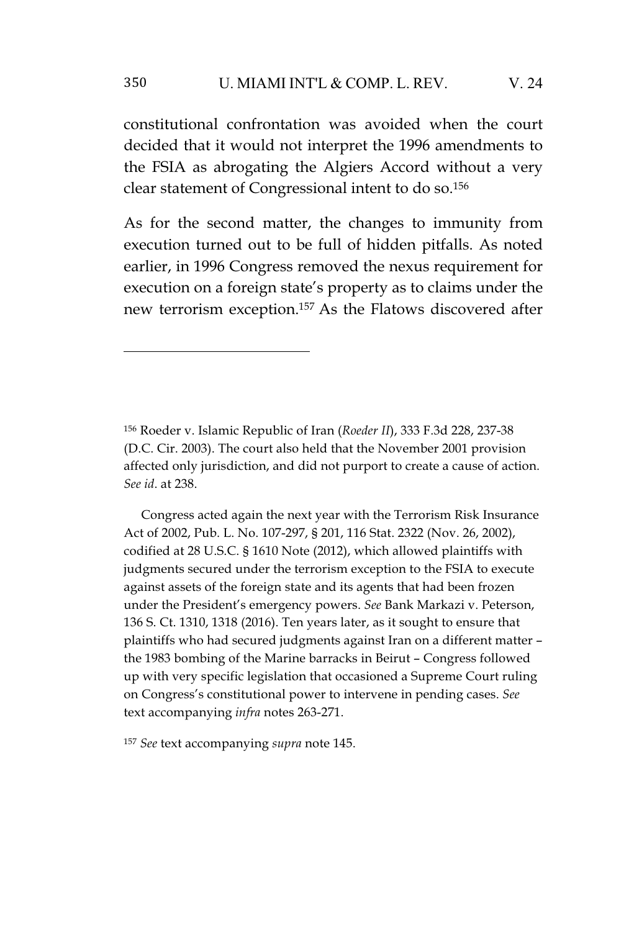constitutional confrontation was avoided when the court decided that it would not interpret the 1996 amendments to the FSIA as abrogating the Algiers Accord without a very clear statement of Congressional intent to do so.<sup>156</sup>

As for the second matter, the changes to immunity from execution turned out to be full of hidden pitfalls. As noted earlier, in 1996 Congress removed the nexus requirement for execution on a foreign state's property as to claims under the new terrorism exception.<sup>157</sup> As the Flatows discovered after

<sup>156</sup> Roeder v. Islamic Republic of Iran (*Roeder II*), 333 F.3d 228, 237-38 (D.C. Cir. 2003). The court also held that the November 2001 provision affected only jurisdiction, and did not purport to create a cause of action. *See id*. at 238.

Congress acted again the next year with the Terrorism Risk Insurance Act of 2002, Pub. L. No. 107-297, § 201, 116 Stat. 2322 (Nov. 26, 2002), codified at 28 U.S.C. § 1610 Note (2012), which allowed plaintiffs with judgments secured under the terrorism exception to the FSIA to execute against assets of the foreign state and its agents that had been frozen under the President's emergency powers. *See* Bank Markazi v. Peterson, 136 S. Ct. 1310, 1318 (2016). Ten years later, as it sought to ensure that plaintiffs who had secured judgments against Iran on a different matter – the 1983 bombing of the Marine barracks in Beirut – Congress followed up with very specific legislation that occasioned a Supreme Court ruling on Congress's constitutional power to intervene in pending cases. *See* text accompanying *infra* notes 263-271.

<sup>157</sup> *See* text accompanying *supra* note 145.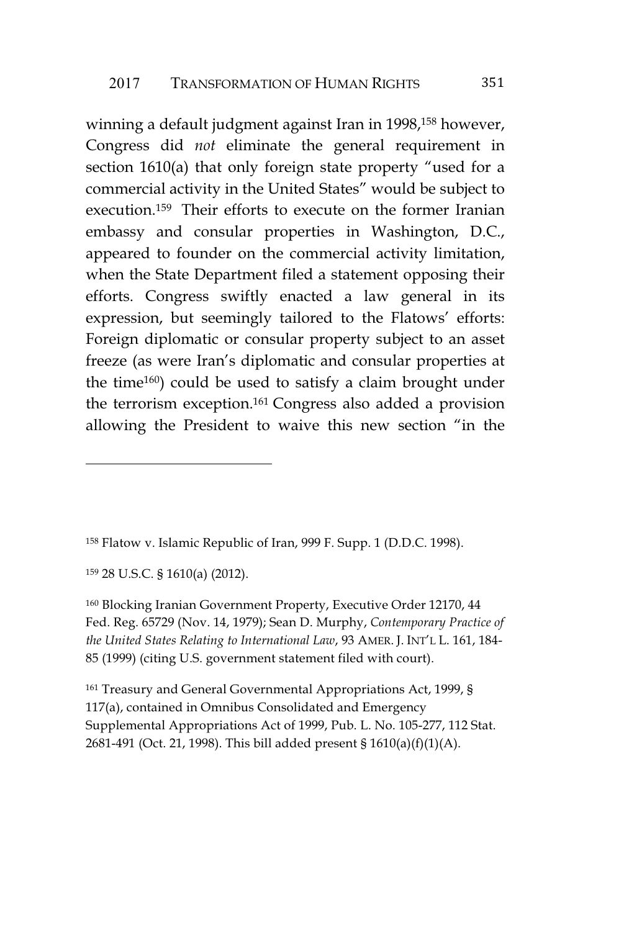winning a default judgment against Iran in 1998,<sup>158</sup> however, Congress did *not* eliminate the general requirement in section 1610(a) that only foreign state property "used for a commercial activity in the United States" would be subject to execution.<sup>159</sup> Their efforts to execute on the former Iranian embassy and consular properties in Washington, D.C., appeared to founder on the commercial activity limitation, when the State Department filed a statement opposing their efforts. Congress swiftly enacted a law general in its expression, but seemingly tailored to the Flatows' efforts: Foreign diplomatic or consular property subject to an asset freeze (as were Iran's diplomatic and consular properties at the time<sup>160</sup>) could be used to satisfy a claim brought under the terrorism exception.<sup>161</sup> Congress also added a provision allowing the President to waive this new section "in the

<sup>158</sup> Flatow v. Islamic Republic of Iran, 999 F. Supp. 1 (D.D.C. 1998).

<sup>159</sup> 28 U.S.C. § 1610(a) (2012).

<sup>160</sup> Blocking Iranian Government Property, Executive Order 12170, 44 Fed. Reg. 65729 (Nov. 14, 1979); Sean D. Murphy, *Contemporary Practice of the United States Relating to International Law*, 93 AMER. J. INT'L L. 161, 184- 85 (1999) (citing U.S. government statement filed with court).

<sup>161</sup> Treasury and General Governmental Appropriations Act, 1999, § 117(a), contained in Omnibus Consolidated and Emergency Supplemental Appropriations Act of 1999, Pub. L. No. 105-277, 112 Stat. 2681-491 (Oct. 21, 1998). This bill added present § 1610(a)(f)(1)(A).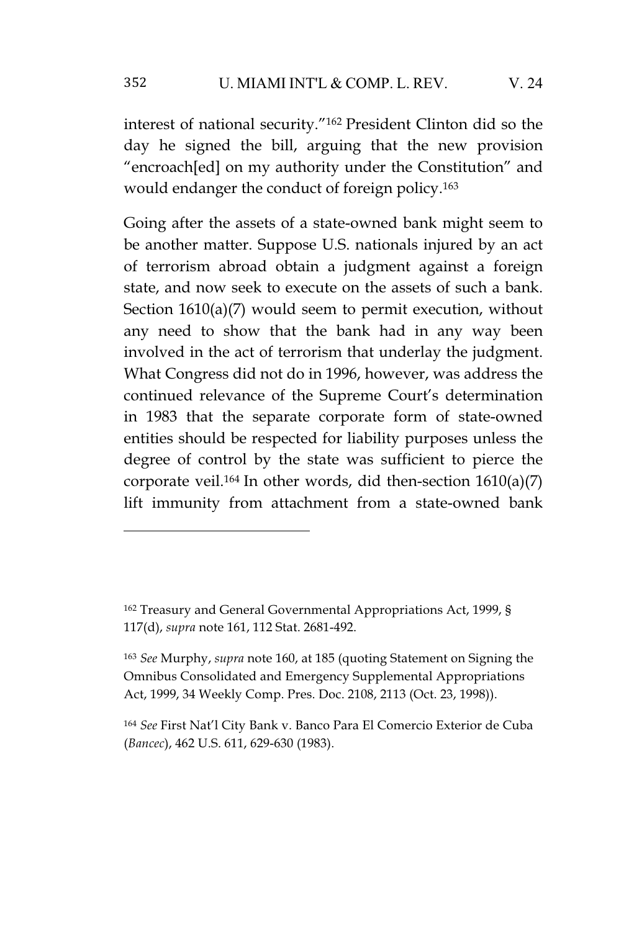interest of national security."<sup>162</sup> President Clinton did so the day he signed the bill, arguing that the new provision "encroach[ed] on my authority under the Constitution" and would endanger the conduct of foreign policy.<sup>163</sup>

Going after the assets of a state-owned bank might seem to be another matter. Suppose U.S. nationals injured by an act of terrorism abroad obtain a judgment against a foreign state, and now seek to execute on the assets of such a bank. Section 1610(a)(7) would seem to permit execution, without any need to show that the bank had in any way been involved in the act of terrorism that underlay the judgment. What Congress did not do in 1996, however, was address the continued relevance of the Supreme Court's determination in 1983 that the separate corporate form of state-owned entities should be respected for liability purposes unless the degree of control by the state was sufficient to pierce the corporate veil.<sup>164</sup> In other words, did then-section  $1610(a)(7)$ lift immunity from attachment from a state-owned bank

<sup>162</sup> Treasury and General Governmental Appropriations Act, 1999, § 117(d), *supra* note 161, 112 Stat. 2681-492.

<sup>163</sup> *See* Murphy, *supra* note 160, at 185 (quoting Statement on Signing the Omnibus Consolidated and Emergency Supplemental Appropriations Act, 1999, 34 Weekly Comp. Pres. Doc. 2108, 2113 (Oct. 23, 1998)).

<sup>164</sup> *See* First Nat'l City Bank v. Banco Para El Comercio Exterior de Cuba (*Bancec*), 462 U.S. 611, 629-630 (1983).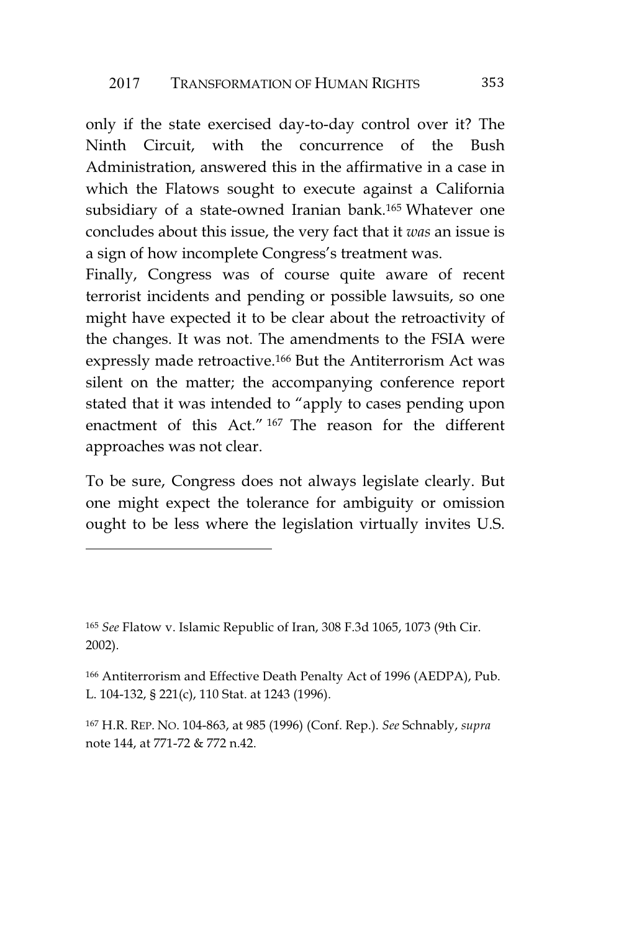only if the state exercised day-to-day control over it? The Ninth Circuit, with the concurrence of the Bush Administration, answered this in the affirmative in a case in which the Flatows sought to execute against a California subsidiary of a state-owned Iranian bank.<sup>165</sup> Whatever one concludes about this issue, the very fact that it *was* an issue is a sign of how incomplete Congress's treatment was.

Finally, Congress was of course quite aware of recent terrorist incidents and pending or possible lawsuits, so one might have expected it to be clear about the retroactivity of the changes. It was not. The amendments to the FSIA were expressly made retroactive.<sup>166</sup> But the Antiterrorism Act was silent on the matter; the accompanying conference report stated that it was intended to "apply to cases pending upon enactment of this Act." <sup>167</sup> The reason for the different approaches was not clear.

To be sure, Congress does not always legislate clearly. But one might expect the tolerance for ambiguity or omission ought to be less where the legislation virtually invites U.S.

<sup>165</sup> *See* Flatow v. Islamic Republic of Iran, 308 F.3d 1065, 1073 (9th Cir. 2002).

<sup>166</sup> Antiterrorism and Effective Death Penalty Act of 1996 (AEDPA), Pub. L. 104-132, § 221(c), 110 Stat. at 1243 (1996).

<sup>167</sup> H.R. REP. NO. 104-863, at 985 (1996) (Conf. Rep.). *See* Schnably, *supra* note 144, at 771-72 & 772 n.42.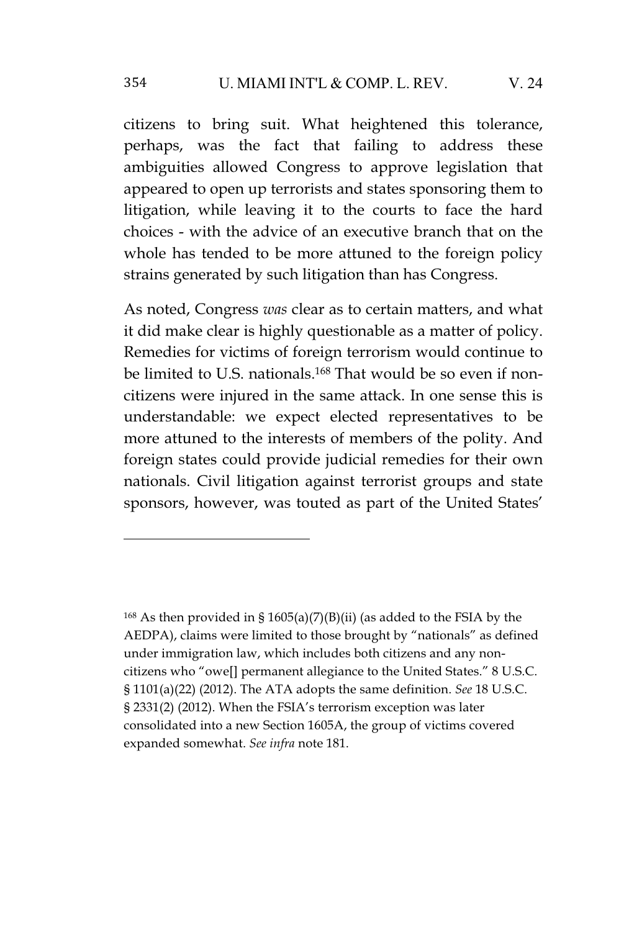# 354 U. MIAMI INT'L & COMP. L. REV. V. 24

citizens to bring suit. What heightened this tolerance, perhaps, was the fact that failing to address these ambiguities allowed Congress to approve legislation that appeared to open up terrorists and states sponsoring them to litigation, while leaving it to the courts to face the hard choices - with the advice of an executive branch that on the whole has tended to be more attuned to the foreign policy strains generated by such litigation than has Congress.

As noted, Congress *was* clear as to certain matters, and what it did make clear is highly questionable as a matter of policy. Remedies for victims of foreign terrorism would continue to be limited to U.S. nationals.<sup>168</sup> That would be so even if noncitizens were injured in the same attack. In one sense this is understandable: we expect elected representatives to be more attuned to the interests of members of the polity. And foreign states could provide judicial remedies for their own nationals. Civil litigation against terrorist groups and state sponsors, however, was touted as part of the United States'

<sup>&</sup>lt;sup>168</sup> As then provided in § 1605(a)(7)(B)(ii) (as added to the FSIA by the AEDPA), claims were limited to those brought by "nationals" as defined under immigration law, which includes both citizens and any noncitizens who "owe[] permanent allegiance to the United States."8U.S.C. § 1101(a)(22) (2012). The ATA adopts the same definition. *See* 18 U.S.C. § 2331(2) (2012). When the FSIA's terrorism exception was later consolidated into a new Section 1605A, the group of victims covered expanded somewhat. *See infra* note 181.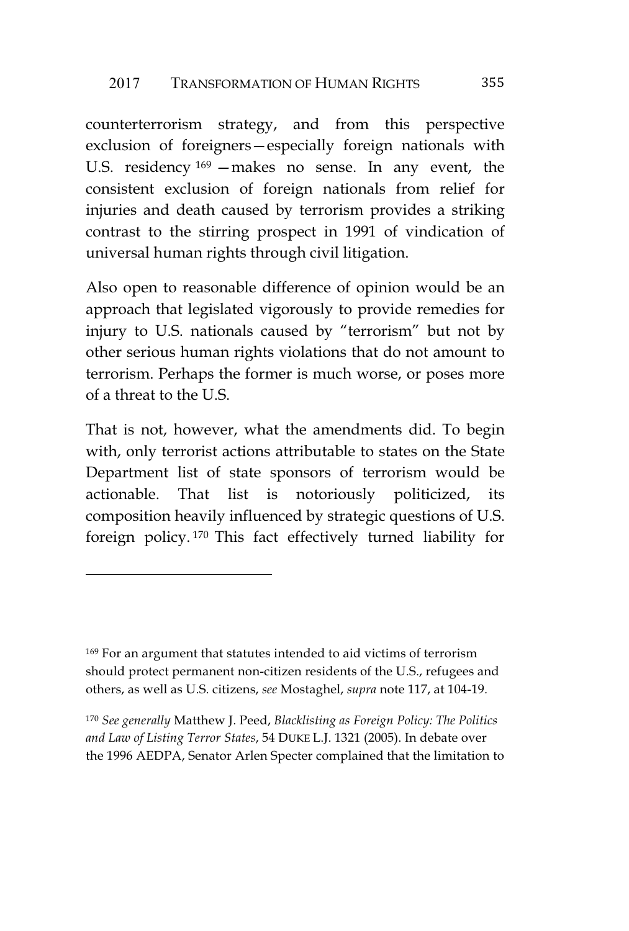counterterrorism strategy, and from this perspective exclusion of foreigners—especially foreign nationals with U.S. residency <sup>169</sup> —makes no sense. In any event, the consistent exclusion of foreign nationals from relief for injuries and death caused by terrorism provides a striking contrast to the stirring prospect in 1991 of vindication of universal human rights through civil litigation.

Also open to reasonable difference of opinion would be an approach that legislated vigorously to provide remedies for injury to U.S. nationals caused by "terrorism" but not by other serious human rights violations that do not amount to terrorism. Perhaps the former is much worse, or poses more of a threat to the U.S.

That is not, however, what the amendments did. To begin with, only terrorist actions attributable to states on the State Department list of state sponsors of terrorism would be actionable. That list is notoriously politicized, its composition heavily influenced by strategic questions of U.S. foreign policy. <sup>170</sup> This fact effectively turned liability for

<sup>&</sup>lt;sup>169</sup> For an argument that statutes intended to aid victims of terrorism should protect permanent non-citizen residents of the U.S., refugees and others, as well as U.S. citizens, *see* Mostaghel, *supra* note 117, at 104-19.

<sup>170</sup> *See generally* Matthew J. Peed, *Blacklisting as Foreign Policy: The Politics and Law of Listing Terror States*, 54 DUKE L.J. 1321 (2005). In debate over the 1996 AEDPA, Senator Arlen Specter complained that the limitation to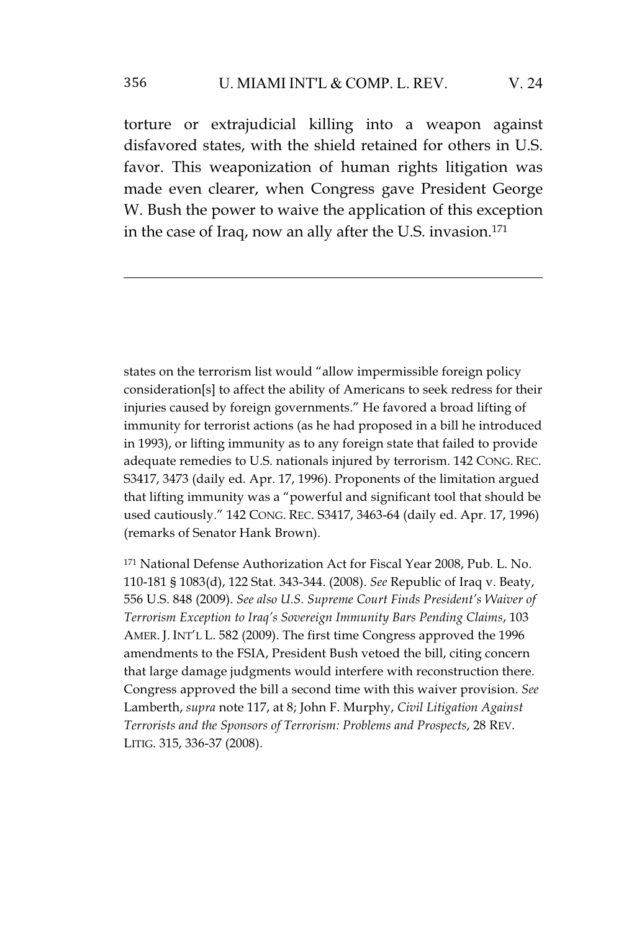torture or extrajudicial killing into a weapon against disfavored states, with the shield retained for others in U.S. favor. This weaponization of human rights litigation was made even clearer, when Congress gave President George W. Bush the power to waive the application of this exception in the case of Iraq, now an ally after the U.S. invasion.<sup>171</sup>

states on the terrorism list would "allow impermissible foreign policy consideration[s] to affect the ability of Americans to seek redress for their injuries caused by foreign governments." He favored a broad lifting of immunity for terrorist actions (as he had proposed in a bill he introduced in 1993), or lifting immunity as to any foreign state that failed to provide adequate remedies to U.S. nationals injured by terrorism. 142 CONG. REC. S3417, 3473 (daily ed. Apr. 17, 1996). Proponents of the limitation argued that lifting immunity was a "powerful and significant tool that should be used cautiously." 142 CONG. REC. S3417, 3463-64 (daily ed. Apr. 17, 1996) (remarks of Senator Hank Brown).

<sup>171</sup> National Defense Authorization Act for Fiscal Year 2008, Pub. L. No. 110-181 § 1083(d), 122 Stat. 343-344. (2008). *See* Republic of Iraq v. Beaty, 556 U.S. 848 (2009). *See also U.S. Supreme Court Finds President's Waiver of Terrorism Exception to Iraq's Sovereign Immunity Bars Pending Claims*, 103 AMER. J. INT'L L. 582 (2009). The first time Congress approved the 1996 amendments to the FSIA, President Bush vetoed the bill, citing concern that large damage judgments would interfere with reconstruction there. Congress approved the bill a second time with this waiver provision. *See* Lamberth, *supra* note 117, at 8; John F. Murphy, *Civil Litigation Against Terrorists and the Sponsors of Terrorism: Problems and Prospects*, 28 REV. LITIG. 315, 336-37 (2008).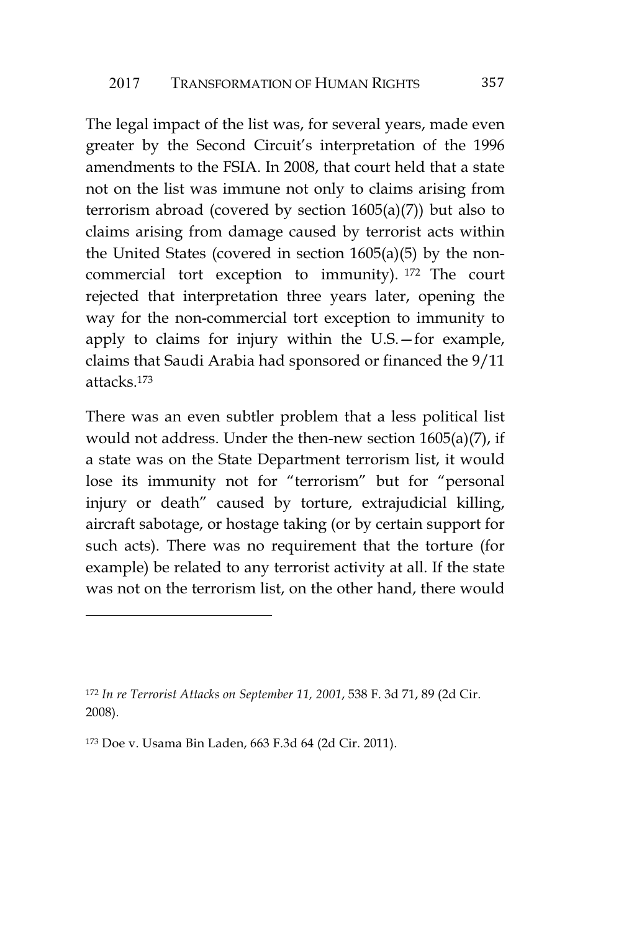The legal impact of the list was, for several years, made even greater by the Second Circuit's interpretation of the 1996 amendments to the FSIA. In 2008, that court held that a state not on the list was immune not only to claims arising from terrorism abroad (covered by section  $1605(a)(7)$ ) but also to claims arising from damage caused by terrorist acts within the United States (covered in section 1605(a)(5) by the noncommercial tort exception to immunity). <sup>172</sup> The court rejected that interpretation three years later, opening the way for the non-commercial tort exception to immunity to apply to claims for injury within the U.S.—for example, claims that Saudi Arabia had sponsored or financed the 9/11 attacks.<sup>173</sup>

There was an even subtler problem that a less political list would not address. Under the then-new section 1605(a)(7), if a state was on the State Department terrorism list, it would lose its immunity not for "terrorism" but for "personal injury or death" caused by torture, extrajudicial killing, aircraft sabotage, or hostage taking (or by certain support for such acts). There was no requirement that the torture (for example) be related to any terrorist activity at all. If the state was not on the terrorism list, on the other hand, there would

<sup>172</sup> *In re Terrorist Attacks on September 11, 2001*, 538 F. 3d 71, 89 (2d Cir. 2008).

<sup>173</sup> Doe v. Usama Bin Laden, 663 F.3d 64 (2d Cir. 2011).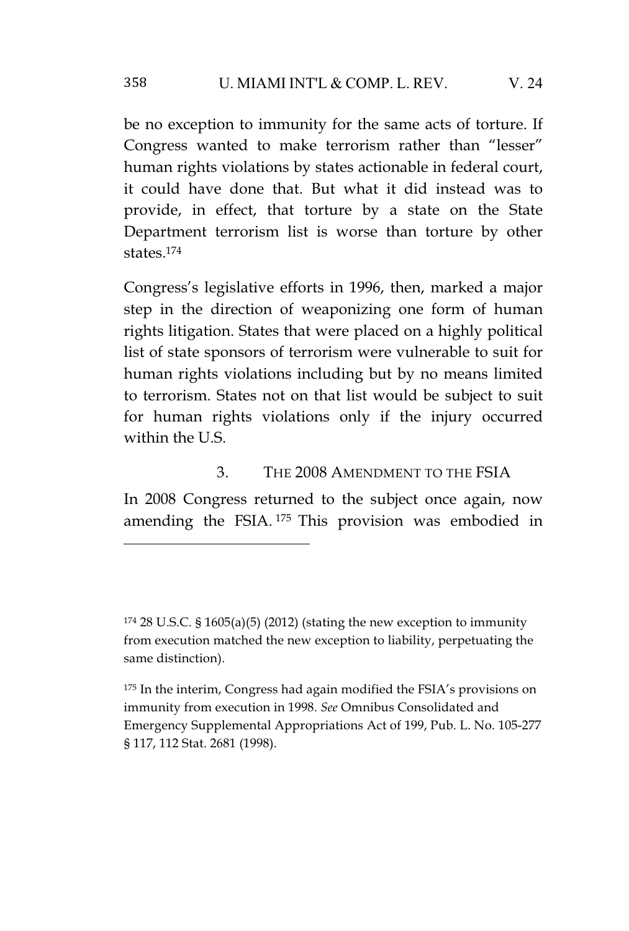be no exception to immunity for the same acts of torture. If Congress wanted to make terrorism rather than "lesser" human rights violations by states actionable in federal court, it could have done that. But what it did instead was to provide, in effect, that torture by a state on the State Department terrorism list is worse than torture by other states.<sup>174</sup>

Congress's legislative efforts in 1996, then, marked a major step in the direction of weaponizing one form of human rights litigation. States that were placed on a highly political list of state sponsors of terrorism were vulnerable to suit for human rights violations including but by no means limited to terrorism. States not on that list would be subject to suit for human rights violations only if the injury occurred within the U.S.

## 3. THE 2008 AMENDMENT TO THE FSIA

In 2008 Congress returned to the subject once again, now amending the FSIA. <sup>175</sup> This provision was embodied in

 $174$  28 U.S.C. § 1605(a)(5) (2012) (stating the new exception to immunity from execution matched the new exception to liability, perpetuating the same distinction).

<sup>175</sup> In the interim, Congress had again modified the FSIA's provisions on immunity from execution in 1998. *See* Omnibus Consolidated and Emergency Supplemental Appropriations Act of 199, Pub. L. No. 105-277 § 117, 112 Stat. 2681 (1998).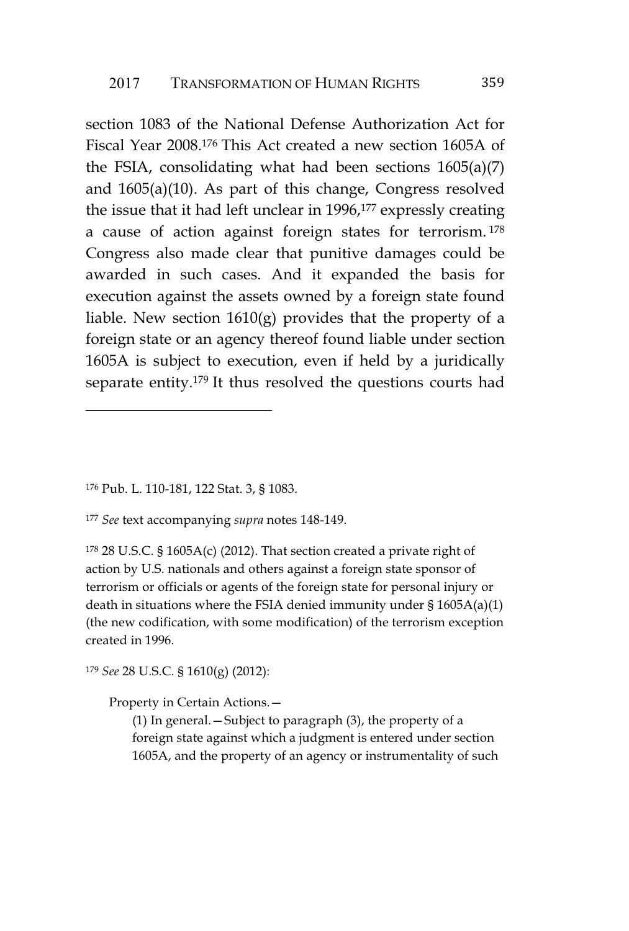section 1083 of the National Defense Authorization Act for Fiscal Year 2008.<sup>176</sup> This Act created a new section 1605A of the FSIA, consolidating what had been sections 1605(a)(7) and 1605(a)(10). As part of this change, Congress resolved the issue that it had left unclear in 1996,<sup>177</sup> expressly creating a cause of action against foreign states for terrorism. <sup>178</sup> Congress also made clear that punitive damages could be awarded in such cases. And it expanded the basis for execution against the assets owned by a foreign state found liable. New section 1610(g) provides that the property of a foreign state or an agency thereof found liable under section 1605A is subject to execution, even if held by a juridically separate entity.<sup>179</sup> It thus resolved the questions courts had

<sup>178</sup> 28 U.S.C. § 1605A(c) (2012). That section created a private right of action by U.S. nationals and others against a foreign state sponsor of terrorism or officials or agents of the foreign state for personal injury or death in situations where the FSIA denied immunity under  $\S 1605A(a)(1)$ (the new codification, with some modification) of the terrorism exception created in 1996.

<sup>179</sup> *See* 28 U.S.C. § 1610(g) (2012):

Property in Certain Actions.—

(1) In general.—Subject to paragraph (3), the property of a foreign state against which a judgment is entered under section 1605A, and the property of an agency or instrumentality of such

<sup>176</sup> Pub. L. 110-181, 122 Stat. 3, § 1083.

<sup>177</sup> *See* text accompanying *supra* notes 148-149.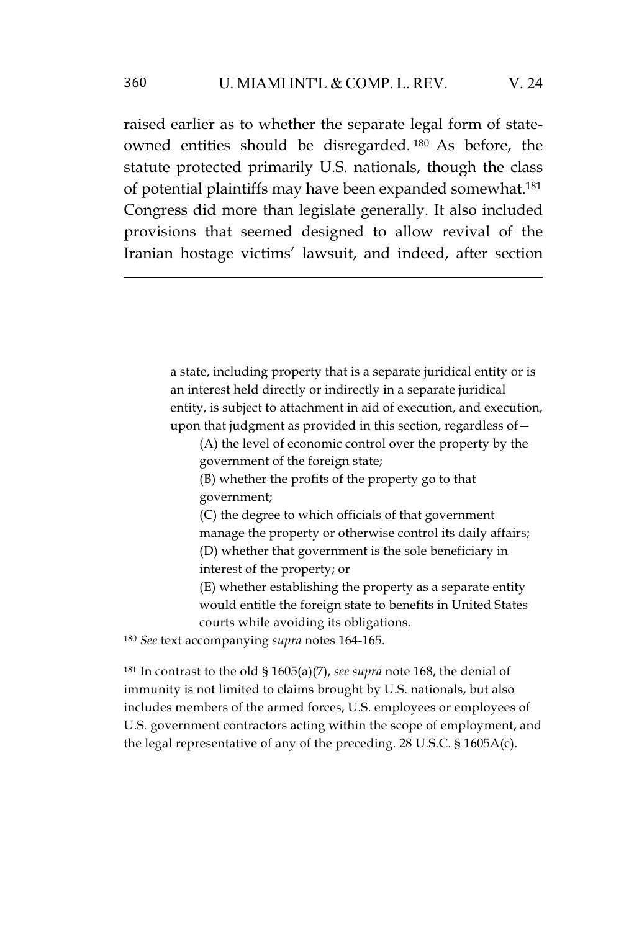raised earlier as to whether the separate legal form of stateowned entities should be disregarded. <sup>180</sup> As before, the statute protected primarily U.S. nationals, though the class of potential plaintiffs may have been expanded somewhat.<sup>181</sup> Congress did more than legislate generally. It also included provisions that seemed designed to allow revival of the Iranian hostage victims' lawsuit, and indeed, after section

> a state, including property that is a separate juridical entity or is an interest held directly or indirectly in a separate juridical entity, is subject to attachment in aid of execution, and execution, upon that judgment as provided in this section, regardless of—

(A) the level of economic control over the property by the government of the foreign state;

(B) whether the profits of the property go to that government;

(C) the degree to which officials of that government manage the property or otherwise control its daily affairs; (D) whether that government is the sole beneficiary in interest of the property; or

(E) whether establishing the property as a separate entity would entitle the foreign state to benefits in United States courts while avoiding its obligations.

<sup>180</sup> *See* text accompanying *supra* notes 164-165.

<sup>181</sup> In contrast to the old § 1605(a)(7), *see supra* note 168, the denial of immunity is not limited to claims brought by U.S. nationals, but also includes members of the armed forces, U.S. employees or employees of U.S. government contractors acting within the scope of employment, and the legal representative of any of the preceding. 28 U.S.C. § 1605A(c).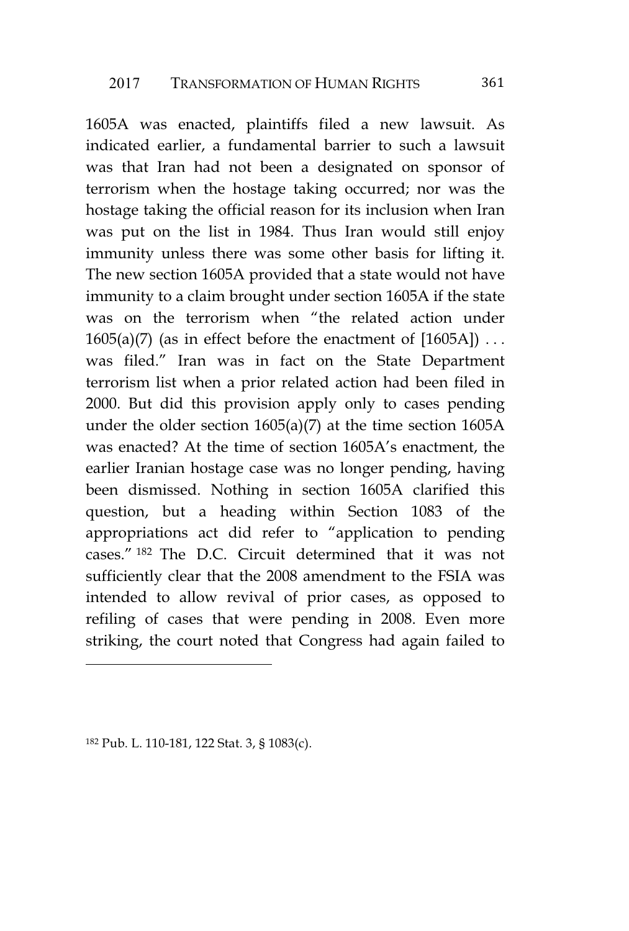1605A was enacted, plaintiffs filed a new lawsuit. As indicated earlier, a fundamental barrier to such a lawsuit was that Iran had not been a designated on sponsor of terrorism when the hostage taking occurred; nor was the hostage taking the official reason for its inclusion when Iran was put on the list in 1984. Thus Iran would still enjoy immunity unless there was some other basis for lifting it. The new section 1605A provided that a state would not have immunity to a claim brought under section 1605A if the state was on the terrorism when "the related action under  $1605(a)(7)$  (as in effect before the enactment of [1605A]) ... was filed." Iran was in fact on the State Department terrorism list when a prior related action had been filed in 2000. But did this provision apply only to cases pending under the older section 1605(a)(7) at the time section 1605A was enacted? At the time of section 1605A's enactment, the earlier Iranian hostage case was no longer pending, having been dismissed. Nothing in section 1605A clarified this question, but a heading within Section 1083 of the appropriations act did refer to "application to pending cases." <sup>182</sup> The D.C. Circuit determined that it was not sufficiently clear that the 2008 amendment to the FSIA was intended to allow revival of prior cases, as opposed to refiling of cases that were pending in 2008. Even more striking, the court noted that Congress had again failed to

<sup>182</sup> Pub. L. 110-181, 122 Stat. 3, § 1083(c).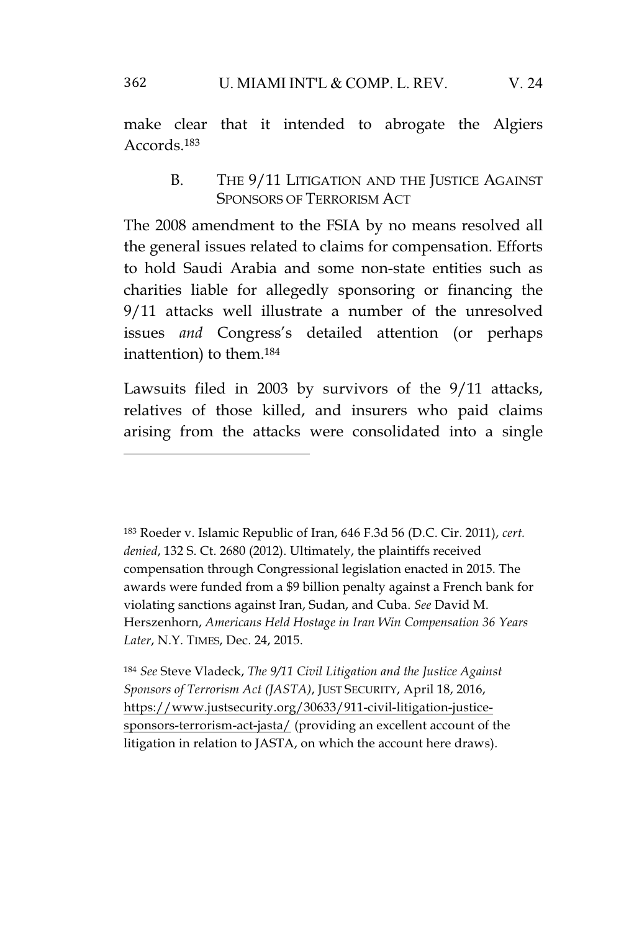## 362 U. MIAMI INT'L & COMP. L. REV. V. 24

make clear that it intended to abrogate the Algiers Accords.<sup>183</sup>

> B. THE 9/11 LITIGATION AND THE JUSTICE AGAINST SPONSORS OF TERRORISM ACT

The 2008 amendment to the FSIA by no means resolved all the general issues related to claims for compensation. Efforts to hold Saudi Arabia and some non-state entities such as charities liable for allegedly sponsoring or financing the 9/11 attacks well illustrate a number of the unresolved issues *and* Congress's detailed attention (or perhaps inattention) to them.<sup>184</sup>

Lawsuits filed in 2003 by survivors of the 9/11 attacks, relatives of those killed, and insurers who paid claims arising from the attacks were consolidated into a single

<sup>183</sup> Roeder v. Islamic Republic of Iran, 646 F.3d 56 (D.C. Cir. 2011), *cert. denied*, 132 S. Ct. 2680 (2012). Ultimately, the plaintiffs received compensation through Congressional legislation enacted in 2015. The awards were funded from a \$9 billion penalty against a French bank for violating sanctions against Iran, Sudan, and Cuba. *See* David M. Herszenhorn, *Americans Held Hostage in Iran Win Compensation 36 Years Later*, N.Y. TIMES, Dec. 24, 2015.

<sup>184</sup> *See* Steve Vladeck, *The 9/11 Civil Litigation and the Justice Against Sponsors of Terrorism Act (JASTA)*, JUST SECURITY, April 18, 2016, https://www.justsecurity.org/30633/911-civil-litigation-justicesponsors-terrorism-act-jasta/ (providing an excellent account of the litigation in relation to JASTA, on which the account here draws).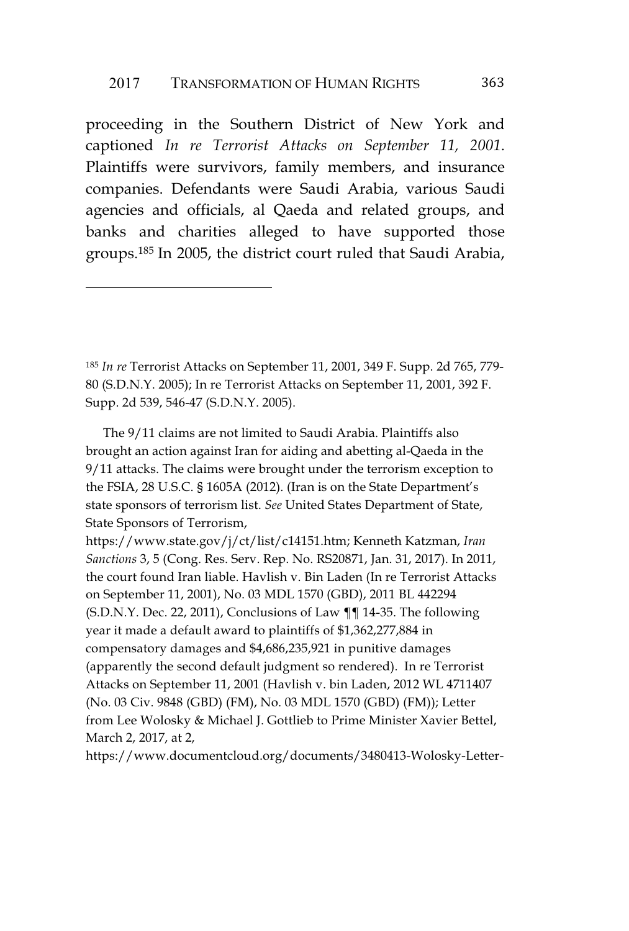proceeding in the Southern District of New York and captioned *In re Terrorist Attacks on September 11, 2001*. Plaintiffs were survivors, family members, and insurance companies. Defendants were Saudi Arabia, various Saudi agencies and officials, al Qaeda and related groups, and banks and charities alleged to have supported those groups.<sup>185</sup> In 2005, the district court ruled that Saudi Arabia,

<sup>185</sup> *In re* Terrorist Attacks on September 11, 2001, 349 F. Supp. 2d 765, 779- 80 (S.D.N.Y. 2005); In re Terrorist Attacks on September 11, 2001, 392 F. Supp. 2d 539, 546-47 (S.D.N.Y. 2005).

The 9/11 claims are not limited to Saudi Arabia. Plaintiffs also brought an action against Iran for aiding and abetting al-Qaeda in the 9/11 attacks. The claims were brought under the terrorism exception to the FSIA, 28 U.S.C. § 1605A (2012). (Iran is on the State Department's state sponsors of terrorism list. *See* United States Department of State, State Sponsors of Terrorism,

https://www.state.gov/j/ct/list/c14151.htm; Kenneth Katzman, *Iran Sanctions* 3, 5 (Cong. Res. Serv. Rep. No. RS20871, Jan. 31, 2017). In 2011, the court found Iran liable. Havlish v. Bin Laden (In re Terrorist Attacks on September 11, 2001), No. 03 MDL 1570 (GBD), 2011 BL 442294  $(S.D.N.Y.$  Dec. 22, 2011), Conclusions of Law  $\P\P$  14-35. The following year it made a default award to plaintiffs of \$1,362,277,884 in compensatory damages and \$4,686,235,921 in punitive damages (apparently the second default judgment so rendered). In re Terrorist Attacks on September 11, 2001 (Havlish v. bin Laden, 2012 WL 4711407 (No. 03 Civ. 9848 (GBD) (FM), No. 03 MDL 1570 (GBD) (FM)); Letter from Lee Wolosky & Michael J. Gottlieb to Prime Minister Xavier Bettel, March 2, 2017, at 2,

https://www.documentcloud.org/documents/3480413-Wolosky-Letter-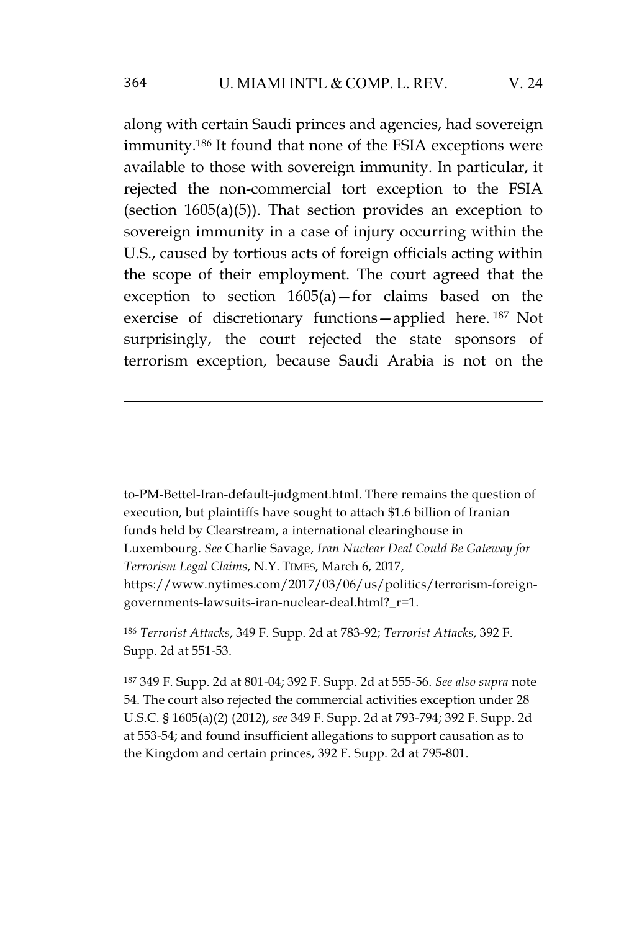along with certain Saudi princes and agencies, had sovereign immunity.<sup>186</sup> It found that none of the FSIA exceptions were available to those with sovereign immunity. In particular, it rejected the non-commercial tort exception to the FSIA (section 1605(a)(5)). That section provides an exception to sovereign immunity in a case of injury occurring within the U.S., caused by tortious acts of foreign officials acting within the scope of their employment. The court agreed that the exception to section  $1605(a) - for$  claims based on the exercise of discretionary functions—applied here. <sup>187</sup> Not surprisingly, the court rejected the state sponsors of terrorism exception, because Saudi Arabia is not on the

to-PM-Bettel-Iran-default-judgment.html. There remains the question of execution, but plaintiffs have sought to attach \$1.6 billion of Iranian funds held by Clearstream, a international clearinghouse in Luxembourg. *See* Charlie Savage, *Iran Nuclear Deal Could Be Gateway for Terrorism Legal Claims*, N.Y. TIMES, March 6, 2017, https://www.nytimes.com/2017/03/06/us/politics/terrorism-foreigngovernments-lawsuits-iran-nuclear-deal.html?\_r=1.

<sup>186</sup> *Terrorist Attacks*, 349 F. Supp. 2d at 783-92; *Terrorist Attacks*, 392 F. Supp. 2d at 551-53.

<sup>187</sup> 349 F. Supp. 2d at 801-04; 392 F. Supp. 2d at 555-56. *See also supra* note 54. The court also rejected the commercial activities exception under 28 U.S.C. § 1605(a)(2) (2012), *see* 349 F. Supp. 2d at 793-794; 392 F. Supp. 2d at 553-54; and found insufficient allegations to support causation as to the Kingdom and certain princes, 392 F. Supp. 2d at 795-801.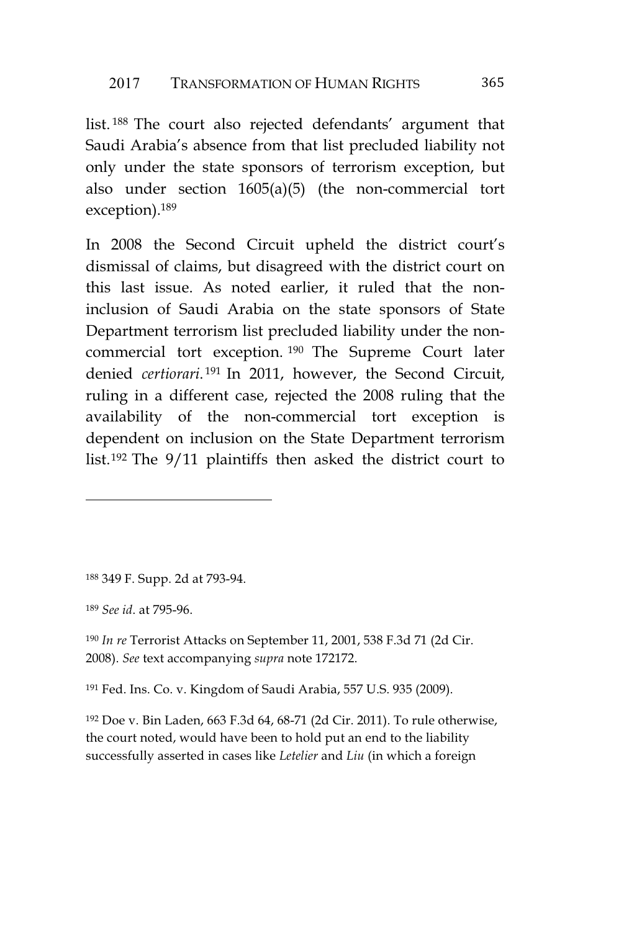list. <sup>188</sup> The court also rejected defendants' argument that Saudi Arabia's absence from that list precluded liability not only under the state sponsors of terrorism exception, but also under section 1605(a)(5) (the non-commercial tort exception).<sup>189</sup>

In 2008 the Second Circuit upheld the district court's dismissal of claims, but disagreed with the district court on this last issue. As noted earlier, it ruled that the noninclusion of Saudi Arabia on the state sponsors of State Department terrorism list precluded liability under the noncommercial tort exception. <sup>190</sup> The Supreme Court later denied *certiorari*. <sup>191</sup> In 2011, however, the Second Circuit, ruling in a different case, rejected the 2008 ruling that the availability of the non-commercial tort exception is dependent on inclusion on the State Department terrorism list.<sup>192</sup> The 9/11 plaintiffs then asked the district court to

<sup>188</sup> 349 F. Supp. 2d at 793-94.

<sup>189</sup> *See id*. at 795-96.

<sup>190</sup> *In re* Terrorist Attacks on September 11, 2001, 538 F.3d 71 (2d Cir. 2008). *See* text accompanying *supra* note 172172.

<sup>191</sup> Fed. Ins. Co. v. Kingdom of Saudi Arabia, 557 U.S. 935 (2009).

<sup>192</sup> Doe v. Bin Laden, 663 F.3d 64, 68-71 (2d Cir. 2011). To rule otherwise, the court noted, would have been to hold put an end to the liability successfully asserted in cases like *Letelier* and *Liu* (in which a foreign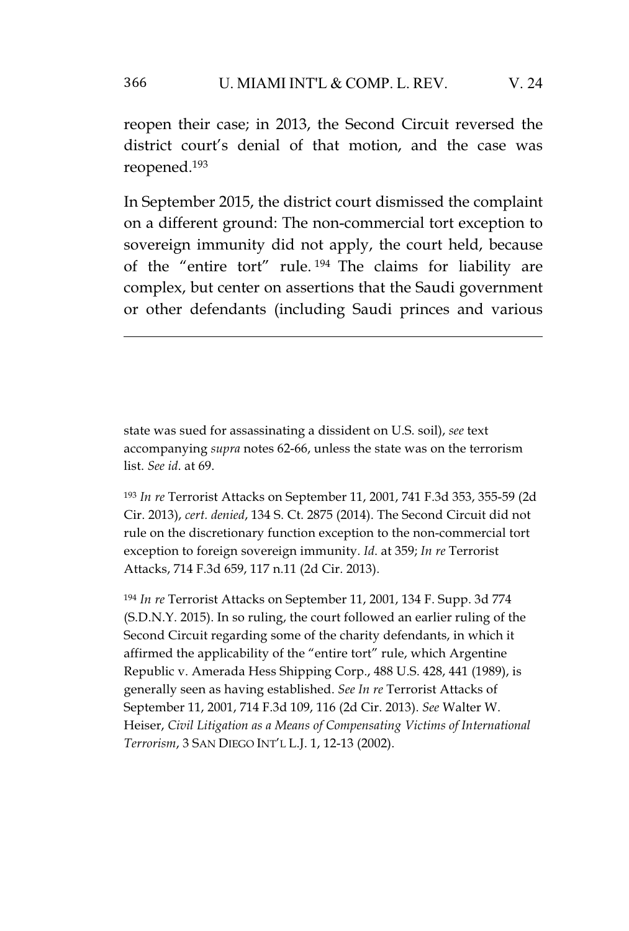reopen their case; in 2013, the Second Circuit reversed the district court's denial of that motion, and the case was reopened.<sup>193</sup>

In September 2015, the district court dismissed the complaint on a different ground: The non-commercial tort exception to sovereign immunity did not apply, the court held, because of the "entire tort" rule. <sup>194</sup> The claims for liability are complex, but center on assertions that the Saudi government or other defendants (including Saudi princes and various

state was sued for assassinating a dissident on U.S. soil), *see* text accompanying *supra* notes 62-66, unless the state was on the terrorism list. *See id*. at 69.

<sup>193</sup> *In re* Terrorist Attacks on September 11, 2001, 741 F.3d 353, 355-59 (2d Cir. 2013), *cert. denied*, 134 S. Ct. 2875 (2014). The Second Circuit did not rule on the discretionary function exception to the non-commercial tort exception to foreign sovereign immunity. *Id*. at 359; *In re* Terrorist Attacks, 714 F.3d 659, 117 n.11 (2d Cir. 2013).

<sup>194</sup> *In re* Terrorist Attacks on September 11, 2001, 134 F. Supp. 3d 774 (S.D.N.Y. 2015). In so ruling, the court followed an earlier ruling of the Second Circuit regarding some of the charity defendants, in which it affirmed the applicability of the "entire tort" rule, which Argentine Republic v. Amerada Hess Shipping Corp., 488 U.S. 428, 441 (1989), is generally seen as having established. *See In re* Terrorist Attacks of September 11, 2001, 714 F.3d 109, 116 (2d Cir. 2013). *See* Walter W. Heiser, *Civil Litigation as a Means of Compensating Victims of International Terrorism*, 3 SAN DIEGO INT'L L.J. 1, 12-13 (2002).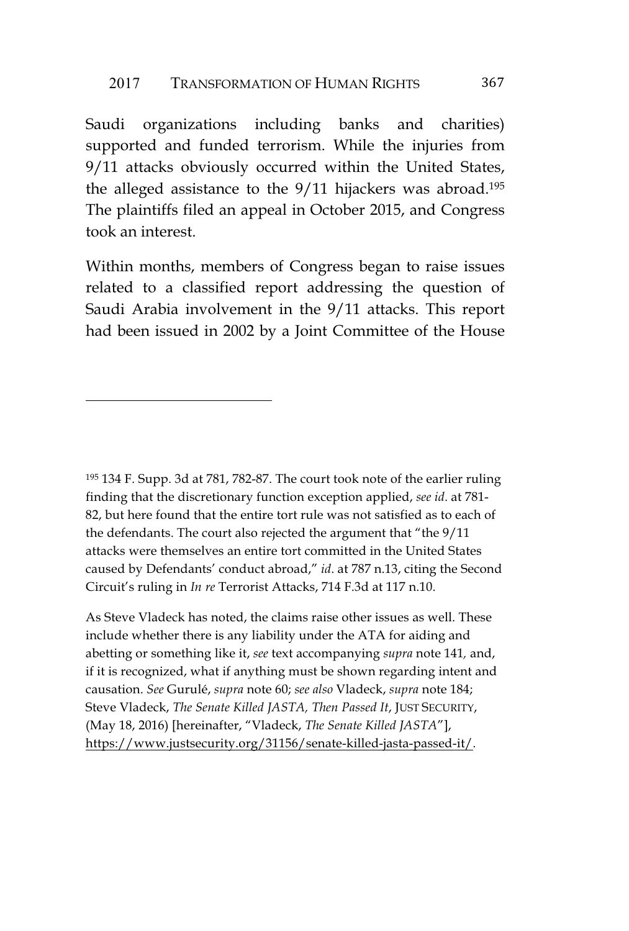Saudi organizations including banks and charities) supported and funded terrorism. While the injuries from 9/11 attacks obviously occurred within the United States, the alleged assistance to the 9/11 hijackers was abroad.<sup>195</sup> The plaintiffs filed an appeal in October 2015, and Congress took an interest.

Within months, members of Congress began to raise issues related to a classified report addressing the question of Saudi Arabia involvement in the 9/11 attacks. This report had been issued in 2002 by a Joint Committee of the House

<sup>195</sup> 134 F. Supp. 3d at 781, 782-87. The court took note of the earlier ruling finding that the discretionary function exception applied, *see id*. at 781- 82, but here found that the entire tort rule was not satisfied as to each of the defendants. The court also rejected the argument that "the 9/11 attacks were themselves an entire tort committed in the United States caused by Defendants' conduct abroad," *id*. at 787 n.13, citing the Second Circuit's ruling in *In re* Terrorist Attacks, 714 F.3d at 117 n.10.

As Steve Vladeck has noted, the claims raise other issues as well. These include whether there is any liability under the ATA for aiding and abetting or something like it, *see* text accompanying *supra* note 141*,* and, if it is recognized, what if anything must be shown regarding intent and causation. *See* Gurulé, *supra* note 60; *see also* Vladeck, *supra* note 184; Steve Vladeck, *The Senate Killed JASTA, Then Passed It*, JUST SECURITY, (May 18, 2016) [hereinafter, "Vladeck, *The Senate Killed JASTA*"], https://www.justsecurity.org/31156/senate-killed-jasta-passed-it/.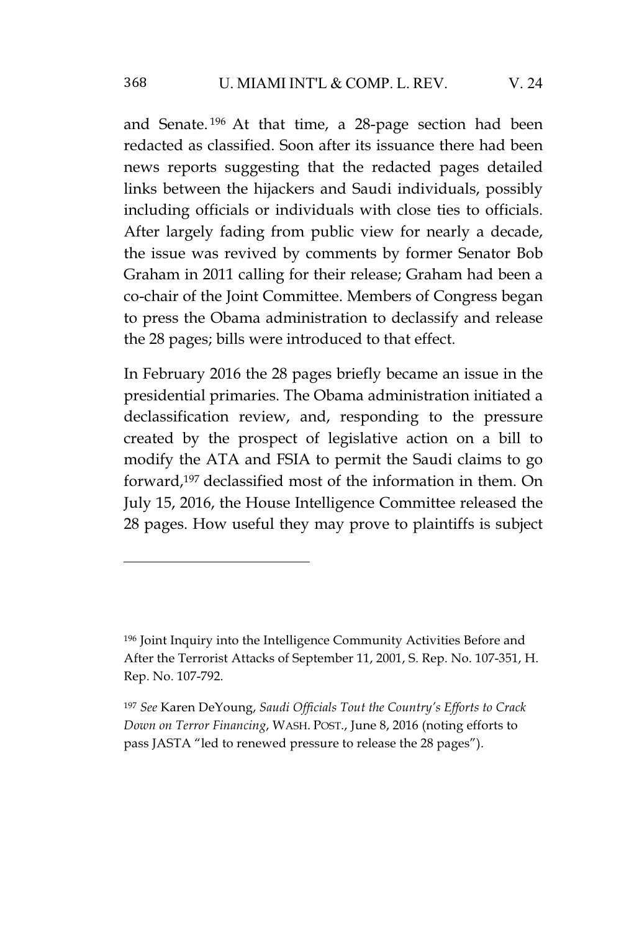## 368 U. MIAMI INT'L & COMP. L. REV. V. 24

and Senate. <sup>196</sup> At that time, a 28-page section had been redacted as classified. Soon after its issuance there had been news reports suggesting that the redacted pages detailed links between the hijackers and Saudi individuals, possibly including officials or individuals with close ties to officials. After largely fading from public view for nearly a decade, the issue was revived by comments by former Senator Bob Graham in 2011 calling for their release; Graham had been a co-chair of the Joint Committee. Members of Congress began to press the Obama administration to declassify and release the 28 pages; bills were introduced to that effect.

In February 2016 the 28 pages briefly became an issue in the presidential primaries. The Obama administration initiated a declassification review, and, responding to the pressure created by the prospect of legislative action on a bill to modify the ATA and FSIA to permit the Saudi claims to go forward,<sup>197</sup> declassified most of the information in them. On July 15, 2016, the House Intelligence Committee released the 28 pages. How useful they may prove to plaintiffs is subject

<sup>196</sup> Joint Inquiry into the Intelligence Community Activities Before and After the Terrorist Attacks of September 11, 2001, S. Rep. No. 107-351, H. Rep. No. 107-792.

<sup>197</sup> *See* Karen DeYoung, *Saudi Officials Tout the Country's Efforts to Crack Down on Terror Financing*, WASH. POST., June 8, 2016 (noting efforts to pass JASTA "led to renewed pressure to release the 28 pages").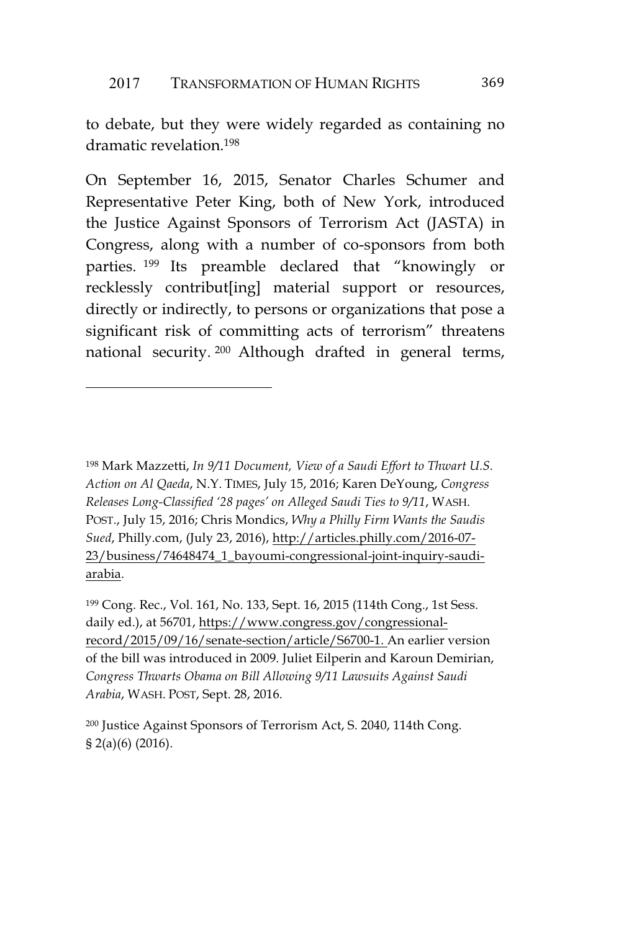to debate, but they were widely regarded as containing no dramatic revelation.<sup>198</sup>

On September 16, 2015, Senator Charles Schumer and Representative Peter King, both of New York, introduced the Justice Against Sponsors of Terrorism Act (JASTA) in Congress, along with a number of co-sponsors from both parties. <sup>199</sup> Its preamble declared that "knowingly or recklessly contribut[ing] material support or resources, directly or indirectly, to persons or organizations that pose a significant risk of committing acts of terrorism" threatens national security. <sup>200</sup> Although drafted in general terms,

<sup>198</sup> Mark Mazzetti, *In 9/11 Document, View of a Saudi Effort to Thwart U.S. Action on Al Qaeda*, N.Y. TIMES, July 15, 2016; Karen DeYoung, *Congress Releases Long-Classified '28 pages' on Alleged Saudi Ties to 9/11*, WASH. POST., July 15, 2016; Chris Mondics, *Why a Philly Firm Wants the Saudis Sued*, Philly.com, (July 23, 2016), http://articles.philly.com/2016-07- 23/business/74648474\_1\_bayoumi-congressional-joint-inquiry-saudiarabia.

<sup>199</sup> Cong. Rec., Vol. 161, No. 133, Sept. 16, 2015 (114th Cong., 1st Sess. daily ed.), at 56701, https://www.congress.gov/congressionalrecord/2015/09/16/senate-section/article/S6700-1. An earlier version of the bill was introduced in 2009. Juliet Eilperin and Karoun Demirian, *Congress Thwarts Obama on Bill Allowing 9/11 Lawsuits Against Saudi Arabia*, WASH. POST, Sept. 28, 2016.

<sup>200</sup> Justice Against Sponsors of Terrorism Act, S. 2040, 114th Cong. § 2(a)(6) (2016).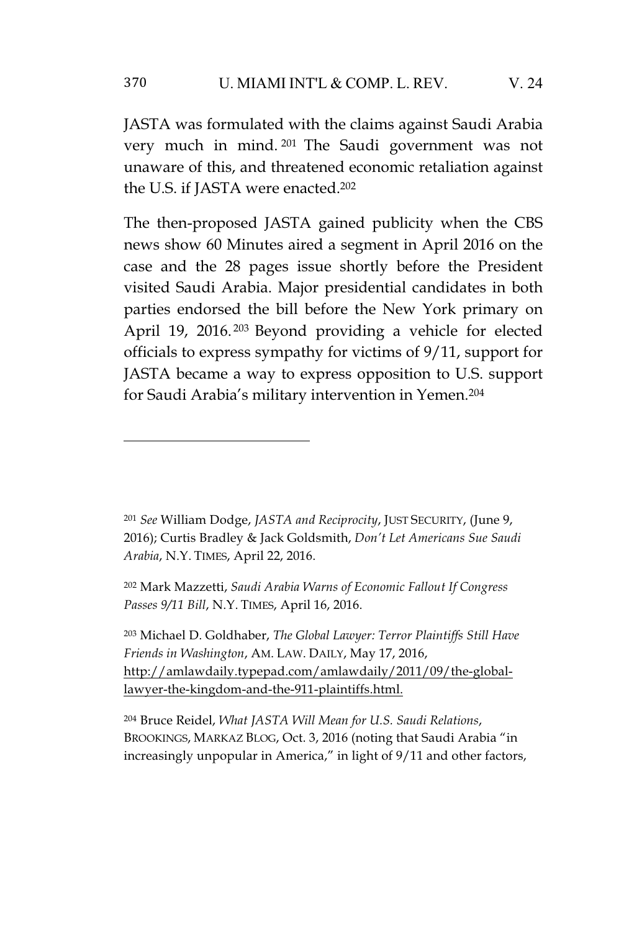JASTA was formulated with the claims against Saudi Arabia very much in mind. <sup>201</sup> The Saudi government was not unaware of this, and threatened economic retaliation against the U.S. if JASTA were enacted.<sup>202</sup>

The then-proposed JASTA gained publicity when the CBS news show 60 Minutes aired a segment in April 2016 on the case and the 28 pages issue shortly before the President visited Saudi Arabia. Major presidential candidates in both parties endorsed the bill before the New York primary on April 19, 2016. <sup>203</sup> Beyond providing a vehicle for elected officials to express sympathy for victims of 9/11, support for JASTA became a way to express opposition to U.S. support for Saudi Arabia's military intervention in Yemen.<sup>204</sup>

<sup>201</sup> *See* William Dodge, *JASTA and Reciprocity*, JUST SECURITY, (June 9, 2016); Curtis Bradley & Jack Goldsmith, *Don't Let Americans Sue Saudi Arabia*, N.Y. TIMES, April 22, 2016.

<sup>202</sup> Mark Mazzetti, *Saudi Arabia Warns of Economic Fallout If Congress Passes 9/11 Bill*, N.Y. TIMES, April 16, 2016.

<sup>203</sup> Michael D. Goldhaber, *The Global Lawyer: Terror Plaintiffs Still Have Friends in Washington*, AM. LAW. DAILY, May 17, 2016, http://amlawdaily.typepad.com/amlawdaily/2011/09/the-globallawyer-the-kingdom-and-the-911-plaintiffs.html.

<sup>204</sup> Bruce Reidel, *What JASTA Will Mean for U.S. Saudi Relations*, BROOKINGS, MARKAZ BLOG, Oct. 3, 2016 (noting that Saudi Arabia "in increasingly unpopular in America," in light of 9/11 and other factors,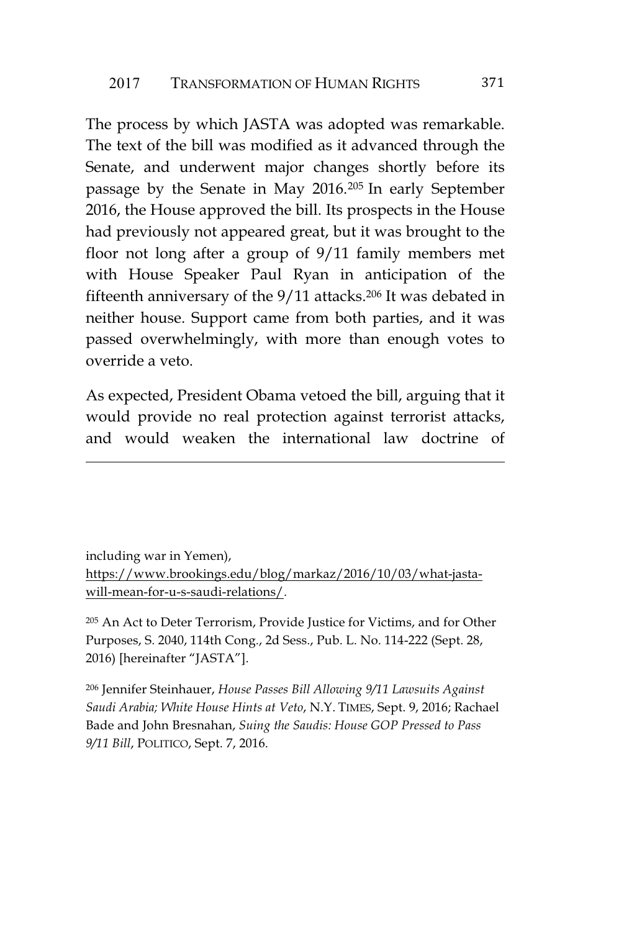The process by which JASTA was adopted was remarkable. The text of the bill was modified as it advanced through the Senate, and underwent major changes shortly before its passage by the Senate in May 2016.<sup>205</sup> In early September 2016, the House approved the bill. Its prospects in the House had previously not appeared great, but it was brought to the floor not long after a group of 9/11 family members met with House Speaker Paul Ryan in anticipation of the fifteenth anniversary of the 9/11 attacks.<sup>206</sup> It was debated in neither house. Support came from both parties, and it was passed overwhelmingly, with more than enough votes to override a veto.

As expected, President Obama vetoed the bill, arguing that it would provide no real protection against terrorist attacks, and would weaken the international law doctrine of

including war in Yemen), https://www.brookings.edu/blog/markaz/2016/10/03/what-jastawill-mean-for-u-s-saudi-relations/.

<sup>205</sup> An Act to Deter Terrorism, Provide Justice for Victims, and for Other Purposes, S. 2040, 114th Cong., 2d Sess., Pub. L. No. 114-222 (Sept. 28, 2016) [hereinafter "JASTA"].

<sup>206</sup> Jennifer Steinhauer, *House Passes Bill Allowing 9/11 Lawsuits Against Saudi Arabia; White House Hints at Veto*, N.Y. TIMES, Sept. 9, 2016; Rachael Bade and John Bresnahan, *Suing the Saudis: House GOP Pressed to Pass 9/11 Bill*, POLITICO, Sept. 7, 2016.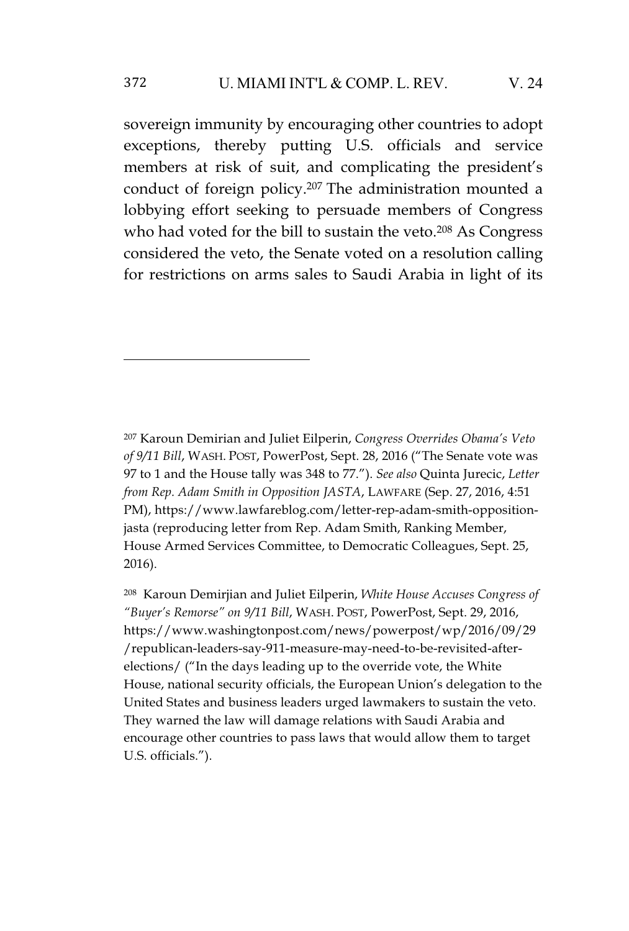sovereign immunity by encouraging other countries to adopt exceptions, thereby putting U.S. officials and service members at risk of suit, and complicating the president's conduct of foreign policy.<sup>207</sup> The administration mounted a lobbying effort seeking to persuade members of Congress who had voted for the bill to sustain the veto.<sup>208</sup> As Congress considered the veto, the Senate voted on a resolution calling for restrictions on arms sales to Saudi Arabia in light of its

<sup>207</sup> Karoun Demirian and Juliet Eilperin, *Congress Overrides Obama's Veto of 9/11 Bill*, WASH. POST, PowerPost, Sept. 28, 2016 ("The Senate vote was 97 to 1 and the House tally was 348 to 77."). *See also* Quinta Jurecic, *Letter from Rep. Adam Smith in Opposition JASTA*, LAWFARE (Sep. 27, 2016, 4:51 PM), https://www.lawfareblog.com/letter-rep-adam-smith-oppositionjasta (reproducing letter from Rep. Adam Smith, Ranking Member, House Armed Services Committee, to Democratic Colleagues, Sept. 25, 2016).

<sup>208</sup> Karoun Demirjian and Juliet Eilperin, *White House Accuses Congress of "Buyer's Remorse" on 9/11 Bill*, WASH. POST, PowerPost, Sept. 29, 2016, https://www.washingtonpost.com/news/powerpost/wp/2016/09/29 /republican-leaders-say-911-measure-may-need-to-be-revisited-afterelections/ ("In the days leading up to the override vote, the White House, national security officials, the European Union's delegation to the United States and business leaders urged lawmakers to sustain the veto. They warned the law will damage relations with Saudi Arabia and encourage other countries to pass laws that would allow them to target U.S. officials.").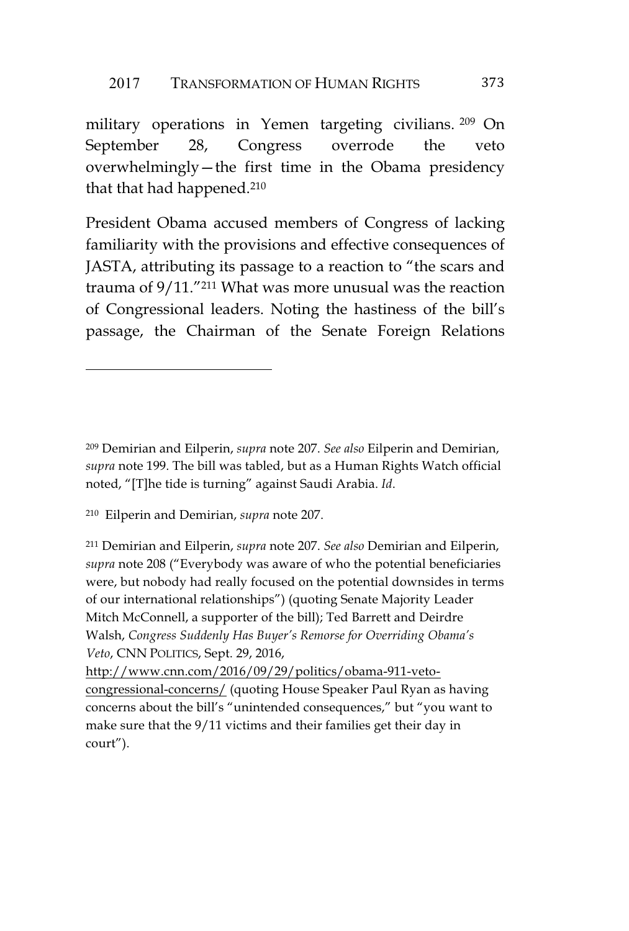military operations in Yemen targeting civilians. <sup>209</sup> On September 28, Congress overrode the veto overwhelmingly—the first time in the Obama presidency that that had happened.<sup>210</sup>

President Obama accused members of Congress of lacking familiarity with the provisions and effective consequences of JASTA, attributing its passage to a reaction to "the scars and trauma of 9/11."<sup>211</sup> What was more unusual was the reaction of Congressional leaders. Noting the hastiness of the bill's passage, the Chairman of the Senate Foreign Relations

<sup>209</sup> Demirian and Eilperin, *supra* note 207. *See also* Eilperin and Demirian, *supra* note 199. The bill was tabled, but as a Human Rights Watch official noted, "[T]he tide is turning" against Saudi Arabia. *Id*.

<sup>210</sup> Eilperin and Demirian, *supra* note 207.

<sup>211</sup> Demirian and Eilperin, *supra* note 207. *See also* Demirian and Eilperin, *supra* note 208 ("Everybody was aware of who the potential beneficiaries were, but nobody had really focused on the potential downsides in terms of our international relationships") (quoting Senate Majority Leader Mitch McConnell, a supporter of the bill); Ted Barrett and Deirdre Walsh, *Congress Suddenly Has Buyer's Remorse for Overriding Obama's Veto*, CNN POLITICS, Sept. 29, 2016,

http://www.cnn.com/2016/09/29/politics/obama-911-vetocongressional-concerns/ (quoting House Speaker Paul Ryan as having concerns about the bill's "unintended consequences," but "you want to make sure that the 9/11 victims and their families get their day in court").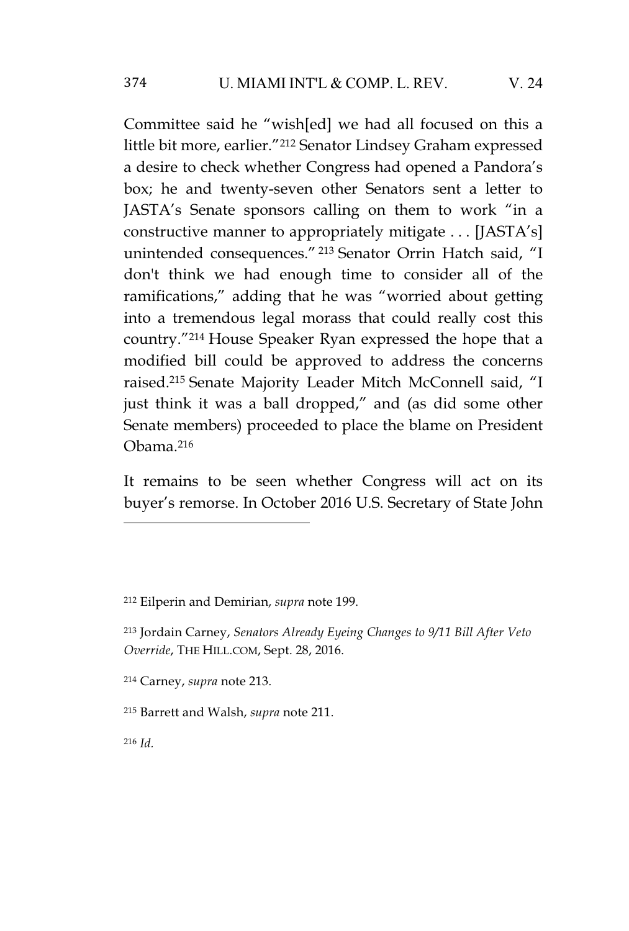## 374 U. MIAMI INT'L & COMP. L. REV. V. 24

Committee said he "wish[ed] we had all focused on this a little bit more, earlier."<sup>212</sup> Senator Lindsey Graham expressed a desire to check whether Congress had opened a Pandora's box; he and twenty-seven other Senators sent a letter to JASTA's Senate sponsors calling on them to work "in a constructive manner to appropriately mitigate ... [JASTA's] unintended consequences." <sup>213</sup> Senator Orrin Hatch said, "I don't think we had enough time to consider all of the ramifications," adding that he was "worried about getting into a tremendous legal morass that could really cost this country."<sup>214</sup> House Speaker Ryan expressed the hope that a modified bill could be approved to address the concerns raised.<sup>215</sup> Senate Majority Leader Mitch McConnell said, "I just think it was a ball dropped," and (as did some other Senate members) proceeded to place the blame on President Obama.<sup>216</sup>

It remains to be seen whether Congress will act on its buyer's remorse. In October 2016 U.S. Secretary of State John

<sup>212</sup> Eilperin and Demirian, *supra* note 199.

<sup>214</sup> Carney, *supra* note 213.

<sup>216</sup> *Id.*

<sup>213</sup> Jordain Carney, *Senators Already Eyeing Changes to 9/11 Bill After Veto Override*, THE HILL.COM, Sept. 28, 2016.

<sup>215</sup> Barrett and Walsh, *supra* note 211.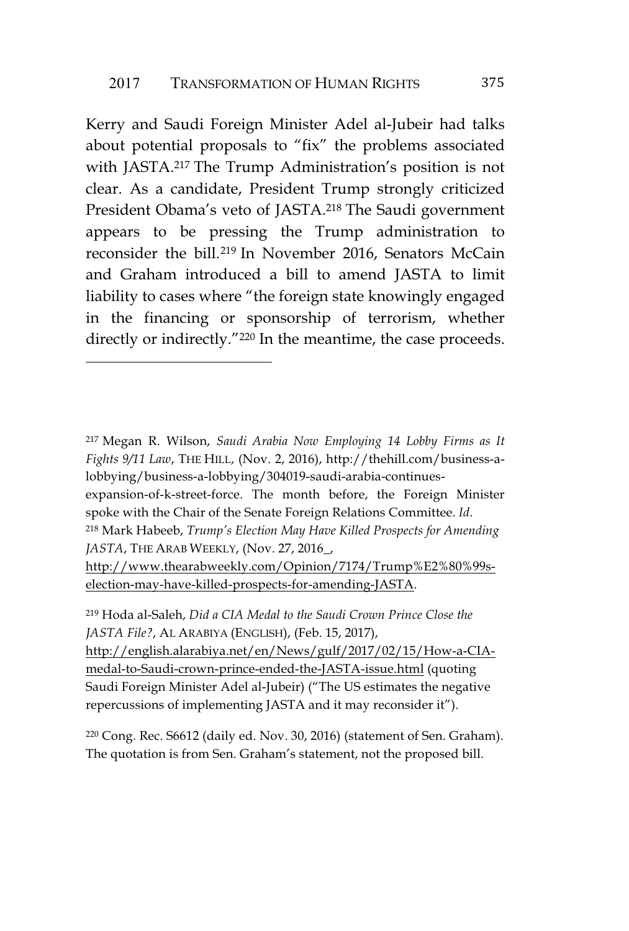Kerry and Saudi Foreign Minister Adel al-Jubeir had talks about potential proposals to "fix" the problems associated with JASTA.<sup>217</sup> The Trump Administration's position is not clear. As a candidate, President Trump strongly criticized President Obama's veto of JASTA.<sup>218</sup> The Saudi government appears to be pressing the Trump administration to reconsider the bill.<sup>219</sup> In November 2016, Senators McCain and Graham introduced a bill to amend JASTA to limit liability to cases where "the foreign state knowingly engaged in the financing or sponsorship of terrorism, whether directly or indirectly."<sup>220</sup> In the meantime, the case proceeds.

http://www.thearabweekly.com/Opinion/7174/Trump%E2%80%99selection-may-have-killed-prospects-for-amending-JASTA.

http://english.alarabiya.net/en/News/gulf/2017/02/15/How-a-CIAmedal-to-Saudi-crown-prince-ended-the-JASTA-issue.html (quoting Saudi Foreign Minister Adel al-Jubeir) ("The US estimates the negative repercussions of implementing JASTA and it may reconsider it").

<sup>220</sup> Cong. Rec. S6612 (daily ed. Nov. 30, 2016) (statement of Sen. Graham). The quotation is from Sen. Graham's statement, not the proposed bill.

<sup>217</sup> Megan R. Wilson, *Saudi Arabia Now Employing 14 Lobby Firms as It Fights 9/11 Law*, THE HILL, (Nov. 2, 2016), http://thehill.com/business-alobbying/business-a-lobbying/304019-saudi-arabia-continues-

expansion-of-k-street-force. The month before, the Foreign Minister spoke with the Chair of the Senate Foreign Relations Committee. *Id*.

<sup>218</sup> Mark Habeeb, *Trump's Election May Have Killed Prospects for Amending JASTA*, THE ARAB WEEKLY, (Nov. 27, 2016\_,

<sup>219</sup> Hoda al-Saleh, *Did a CIA Medal to the Saudi Crown Prince Close the JASTA File?*, AL ARABIYA (ENGLISH), (Feb. 15, 2017),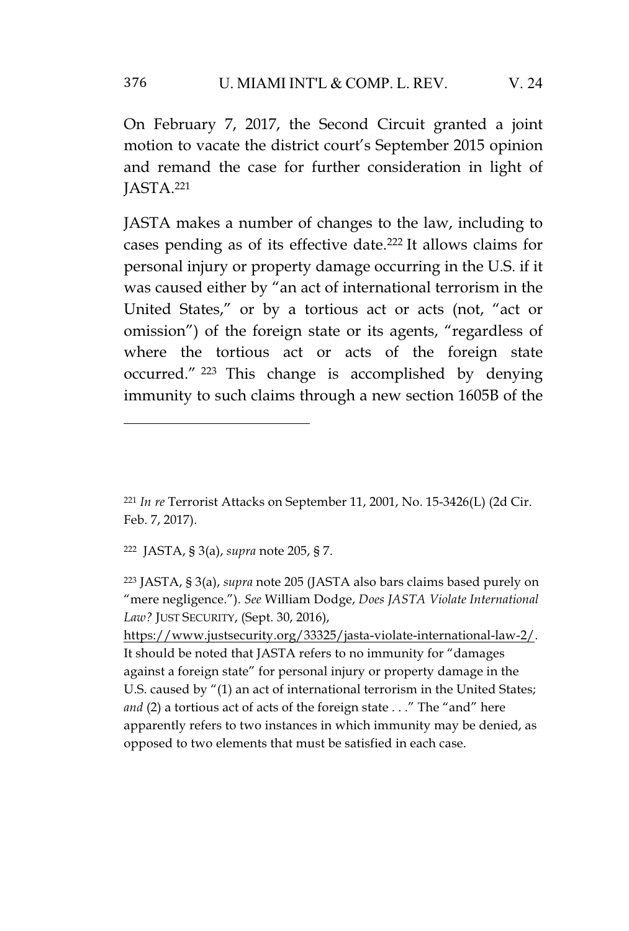## 376 U. MIAMI INT'L & COMP. L. REV. V. 24

On February 7, 2017, the Second Circuit granted a joint motion to vacate the district court's September 2015 opinion and remand the case for further consideration in light of JASTA.<sup>221</sup>

JASTA makes a number of changes to the law, including to cases pending as of its effective date.<sup>222</sup> It allows claims for personal injury or property damage occurring in the U.S. if it was caused either by "an act of international terrorism in the United States," or by a tortious act or acts (not, "act or omission") of the foreign state or its agents, "regardless of where the tortious act or acts of the foreign state occurred." <sup>223</sup> This change is accomplished by denying immunity to such claims through a new section 1605B of the

<sup>222</sup> JASTA, § 3(a), *supra* note 205, § 7.

https://www.justsecurity.org/33325/jasta-violate-international-law-2/. It should be noted that JASTA refers to no immunity for "damages against a foreign state" for personal injury or property damage in the U.S. caused by "(1) an act of international terrorism in the United States; *and* (2) a tortious act of acts of the foreign state ..." The "and" here apparently refers to two instances in which immunity may be denied, as opposed to two elements that must be satisfied in each case.

<sup>221</sup> *In re* Terrorist Attacks on September 11, 2001, No. 15-3426(L) (2d Cir. Feb. 7, 2017).

<sup>223</sup> JASTA, § 3(a), *supra* note 205 (JASTA also bars claims based purely on "mere negligence."). *See* William Dodge, *Does JASTA Violate International Law?* JUST SECURITY, (Sept. 30, 2016),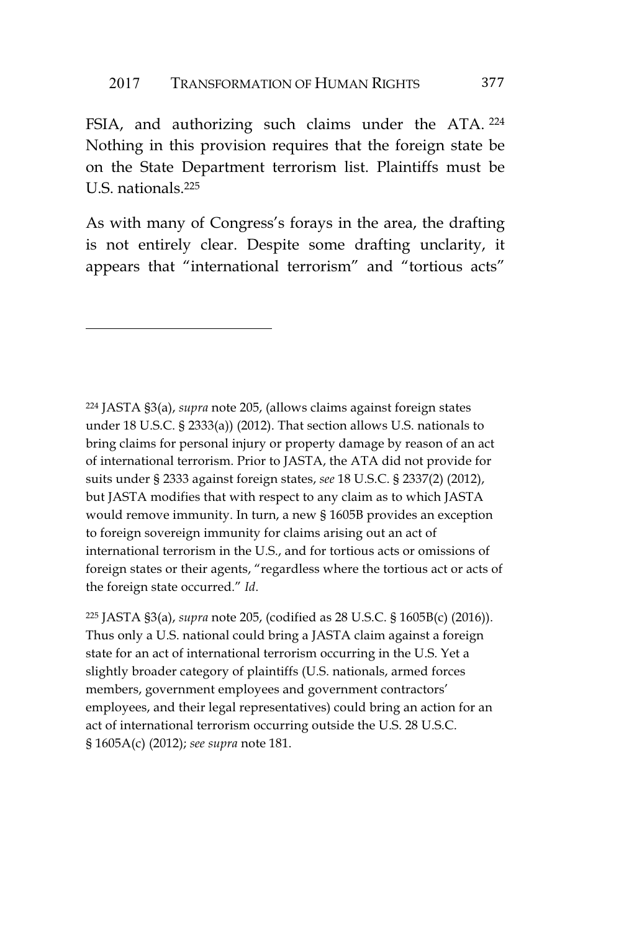FSIA, and authorizing such claims under the ATA. 224 Nothing in this provision requires that the foreign state be on the State Department terrorism list. Plaintiffs must be U.S. nationals.<sup>225</sup>

As with many of Congress's forays in the area, the drafting is not entirely clear. Despite some drafting unclarity, it appears that "international terrorism" and "tortious acts"

<sup>224</sup> JASTA §3(a), *supra* note 205, (allows claims against foreign states under 18 U.S.C. § 2333(a)) (2012). That section allows U.S. nationals to bring claims for personal injury or property damage by reason of an act of international terrorism. Prior to JASTA, the ATA did not provide for suits under § 2333 against foreign states, *see* 18 U.S.C. § 2337(2) (2012), but JASTA modifies that with respect to any claim as to which JASTA would remove immunity. In turn, a new § 1605B provides an exception to foreign sovereign immunity for claims arising out an act of international terrorism in the U.S., and for tortious acts or omissions of foreign states or their agents, "regardless where the tortious act or acts of the foreign state occurred." *Id*.

<sup>225</sup> JASTA §3(a), *supra* note 205, (codified as 28 U.S.C. § 1605B(c) (2016)). Thus only a U.S. national could bring a JASTA claim against a foreign state for an act of international terrorism occurring in the U.S. Yet a slightly broader category of plaintiffs (U.S. nationals, armed forces members, government employees and government contractors' employees, and their legal representatives) could bring an action for an act of international terrorism occurring outside the U.S. 28 U.S.C. § 1605A(c) (2012); *see supra* note 181.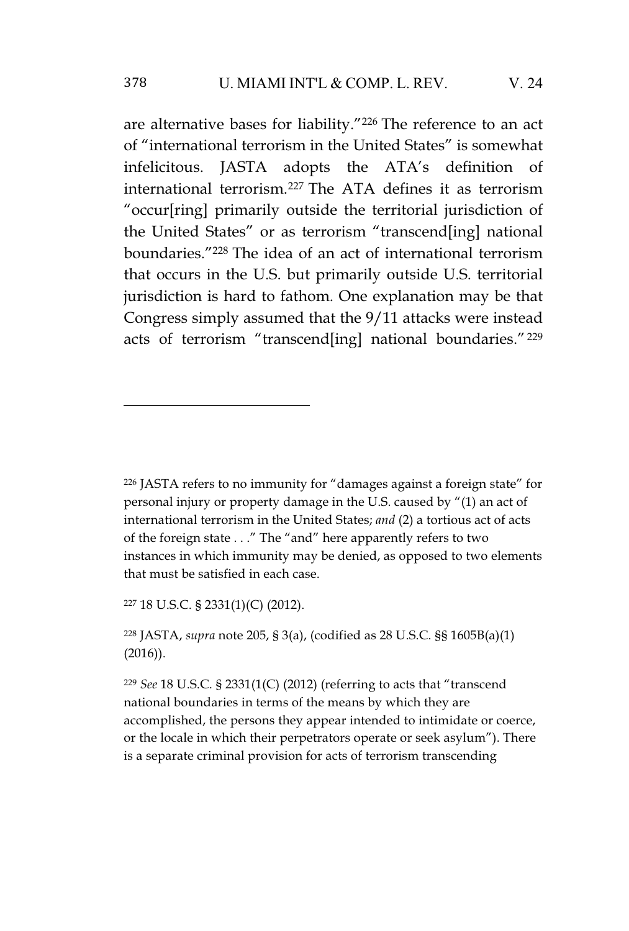are alternative bases for liability."<sup>226</sup> The reference to an act of "international terrorism in the United States" is somewhat infelicitous. JASTA adopts the ATA's definition of international terrorism.<sup>227</sup> The ATA defines it as terrorism "occur[ring] primarily outside the territorial jurisdiction of the United States" or as terrorism "transcend[ing] national boundaries."<sup>228</sup> The idea of an act of international terrorism that occurs in the U.S. but primarily outside U.S. territorial jurisdiction is hard to fathom. One explanation may be that Congress simply assumed that the 9/11 attacks were instead acts of terrorism "transcend[ing] national boundaries." <sup>229</sup>

<sup>227</sup> 18 U.S.C. § 2331(1)(C) (2012).

<sup>228</sup> JASTA, *supra* note 205, § 3(a), (codified as 28 U.S.C. §§ 1605B(a)(1) (2016)).

<sup>229</sup> *See* 18 U.S.C. § 2331(1(C) (2012) (referring to acts that "transcend national boundaries in terms of the means by which they are accomplished, the persons they appear intended to intimidate or coerce, or the locale in which their perpetrators operate or seek asylum"). There is a separate criminal provision for acts of terrorism transcending

<sup>226</sup> JASTA refers to no immunity for "damages against a foreign state" for personal injury or property damage in the U.S. caused by "(1) an act of international terrorism in the United States; *and* (2) a tortious act of acts of the foreign state ..." The "and" here apparently refers to two instances in which immunity may be denied, as opposed to two elements that must be satisfied in each case.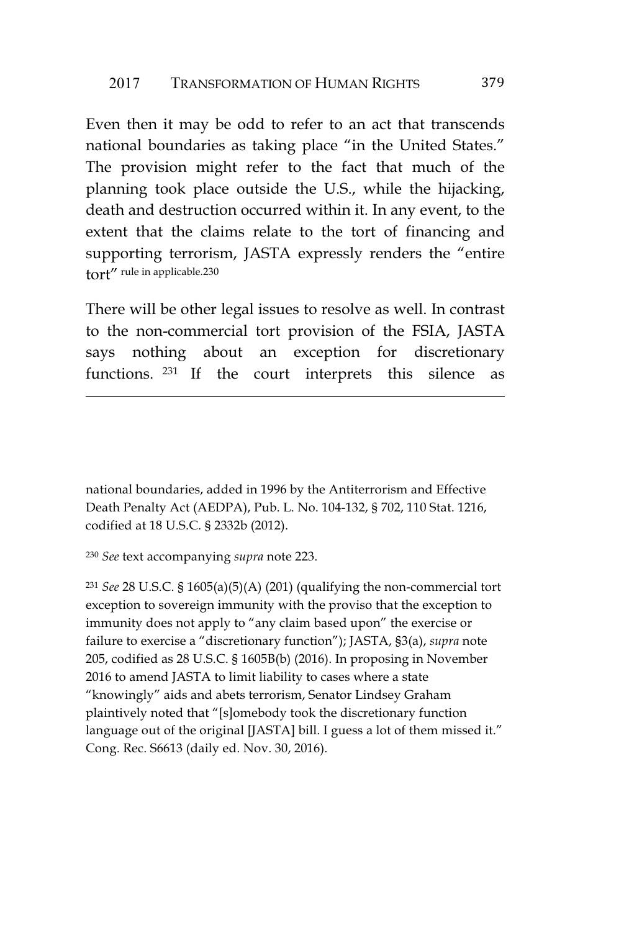#### 2017 TRANSFORMATION OF HUMAN RIGHTS 379

Even then it may be odd to refer to an act that transcends national boundaries as taking place "in the United States." The provision might refer to the fact that much of the planning took place outside the U.S., while the hijacking, death and destruction occurred within it. In any event, to the extent that the claims relate to the tort of financing and supporting terrorism, JASTA expressly renders the "entire tort" rule in applicable.230

There will be other legal issues to resolve as well. In contrast to the non-commercial tort provision of the FSIA, JASTA says nothing about an exception for discretionary functions. <sup>231</sup> If the court interprets this silence as

national boundaries, added in 1996 by the Antiterrorism and Effective Death Penalty Act (AEDPA), Pub. L. No. 104-132, § 702, 110 Stat. 1216, codified at 18 U.S.C. § 2332b (2012).

<sup>230</sup> *See* text accompanying *supra* note 223.

<sup>231</sup> *See* 28 U.S.C. § 1605(a)(5)(A) (201) (qualifying the non-commercial tort exception to sovereign immunity with the proviso that the exception to immunity does not apply to "any claim based upon" the exercise or failure to exercise a "discretionary function"); JASTA, §3(a), *supra* note 205, codified as 28 U.S.C. § 1605B(b) (2016). In proposing in November 2016 to amend JASTA to limit liability to cases where a state "knowingly" aids and abets terrorism, Senator Lindsey Graham plaintively noted that "[s]omebody took the discretionary function language out of the original [JASTA] bill. I guess a lot of them missed it." Cong. Rec. S6613 (daily ed. Nov. 30, 2016).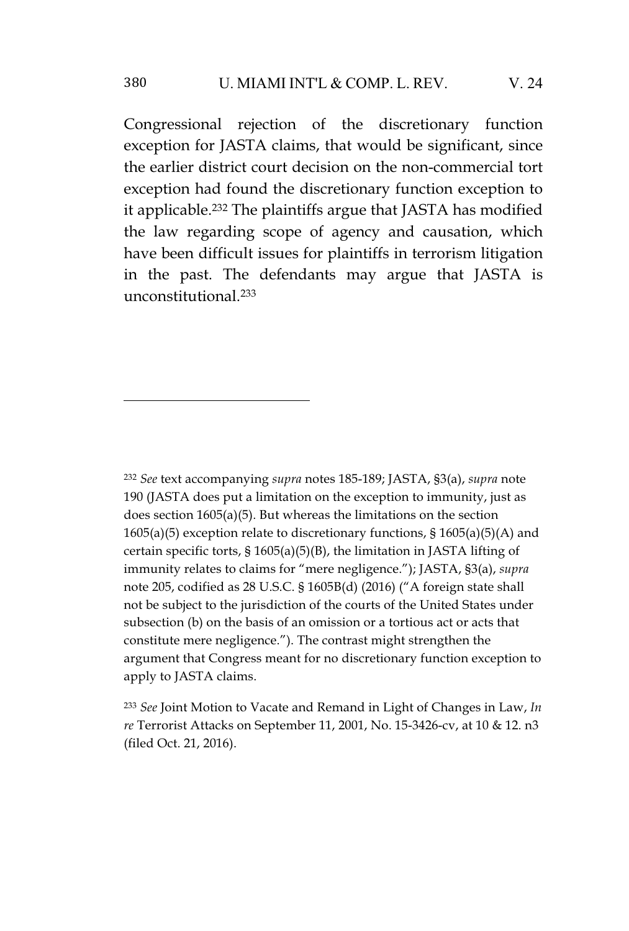Congressional rejection of the discretionary function exception for JASTA claims, that would be significant, since the earlier district court decision on the non-commercial tort exception had found the discretionary function exception to it applicable.<sup>232</sup> The plaintiffs argue that JASTA has modified the law regarding scope of agency and causation, which have been difficult issues for plaintiffs in terrorism litigation in the past. The defendants may argue that JASTA is unconstitutional.<sup>233</sup>

<sup>232</sup> *See* text accompanying *supra* notes 185-189; JASTA, §3(a), *supra* note 190 (JASTA does put a limitation on the exception to immunity, just as does section 1605(a)(5). But whereas the limitations on the section 1605(a)(5) exception relate to discretionary functions,  $\S$  1605(a)(5)(A) and certain specific torts, § 1605(a)(5)(B), the limitation in JASTA lifting of immunity relates to claims for "mere negligence."); JASTA, §3(a), *supra* note 205, codified as 28 U.S.C. § 1605B(d) (2016) ("A foreign state shall not be subject to the jurisdiction of the courts of the United States under subsection (b) on the basis of an omission or a tortious act or acts that constitute mere negligence."). The contrast might strengthen the argument that Congress meant for no discretionary function exception to apply to JASTA claims.

<sup>233</sup> *See* Joint Motion to Vacate and Remand in Light of Changes in Law, *In re* Terrorist Attacks on September 11, 2001, No. 15-3426-cv, at 10 & 12. n3 (filed Oct. 21, 2016).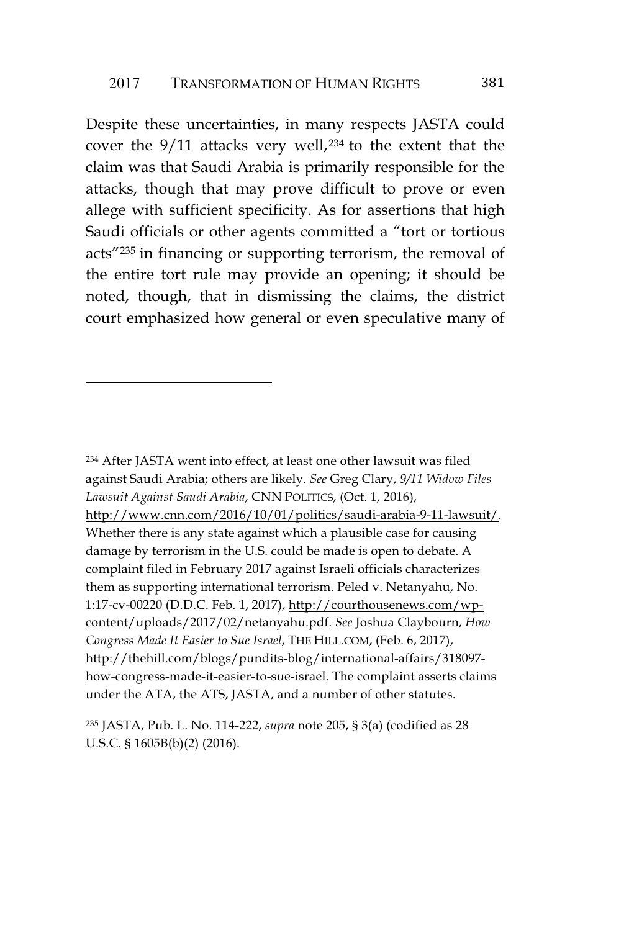Despite these uncertainties, in many respects JASTA could cover the 9/11 attacks very well,<sup>234</sup> to the extent that the claim was that Saudi Arabia is primarily responsible for the attacks, though that may prove difficult to prove or even allege with sufficient specificity. As for assertions that high Saudi officials or other agents committed a "tort or tortious acts"<sup>235</sup> in financing or supporting terrorism, the removal of the entire tort rule may provide an opening; it should be noted, though, that in dismissing the claims, the district court emphasized how general or even speculative many of

<sup>234</sup> After JASTA went into effect, at least one other lawsuit was filed against Saudi Arabia; others are likely. *See* Greg Clary, *9/11 Widow Files Lawsuit Against Saudi Arabia*, CNN POLITICS, (Oct. 1, 2016), http://www.cnn.com/2016/10/01/politics/saudi-arabia-9-11-lawsuit/. Whether there is any state against which a plausible case for causing damage by terrorism in the U.S. could be made is open to debate. A complaint filed in February 2017 against Israeli officials characterizes them as supporting international terrorism. Peled v. Netanyahu, No. 1:17-cv-00220 (D.D.C. Feb. 1, 2017), http://courthousenews.com/wpcontent/uploads/2017/02/netanyahu.pdf. *See* Joshua Claybourn, *How Congress Made It Easier to Sue Israel*, THE HILL.COM, (Feb. 6, 2017), http://thehill.com/blogs/pundits-blog/international-affairs/318097 how-congress-made-it-easier-to-sue-israel. The complaint asserts claims under the ATA, the ATS, JASTA, and a number of other statutes.

<sup>235</sup> JASTA, Pub. L. No. 114-222, *supra* note 205, § 3(a) (codified as 28 U.S.C. § 1605B(b)(2) (2016).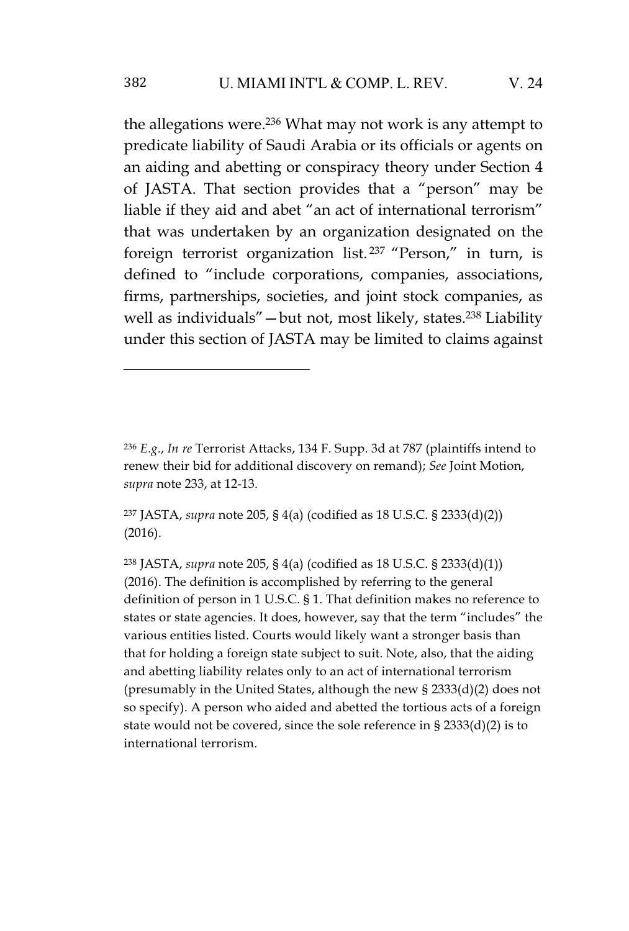the allegations were.<sup>236</sup> What may not work is any attempt to predicate liability of Saudi Arabia or its officials or agents on an aiding and abetting or conspiracy theory under Section 4 of JASTA. That section provides that a "person" may be liable if they aid and abet "an act of international terrorism" that was undertaken by an organization designated on the foreign terrorist organization list. <sup>237</sup> "Person," in turn, is defined to "include corporations, companies, associations, firms, partnerships, societies, and joint stock companies, as well as individuals"—but not, most likely, states.<sup>238</sup> Liability under this section of JASTA may be limited to claims against

<sup>237</sup> JASTA, *supra* note 205, § 4(a) (codified as 18 U.S.C. § 2333(d)(2)) (2016).

<sup>238</sup> JASTA, *supra* note 205, § 4(a) (codified as 18 U.S.C. § 2333(d)(1)) (2016). The definition is accomplished by referring to the general definition of person in 1 U.S.C. § 1. That definition makes no reference to states or state agencies. It does, however, say that the term "includes" the various entities listed. Courts would likely want a stronger basis than that for holding a foreign state subject to suit. Note, also, that the aiding and abetting liability relates only to an act of international terrorism (presumably in the United States, although the new § 2333(d)(2) does not so specify). A person who aided and abetted the tortious acts of a foreign state would not be covered, since the sole reference in § 2333(d)(2) is to international terrorism.

<sup>236</sup> *E.g*., *In re* Terrorist Attacks, 134 F. Supp. 3d at 787 (plaintiffs intend to renew their bid for additional discovery on remand); *See* Joint Motion, *supra* note 233, at 12-13.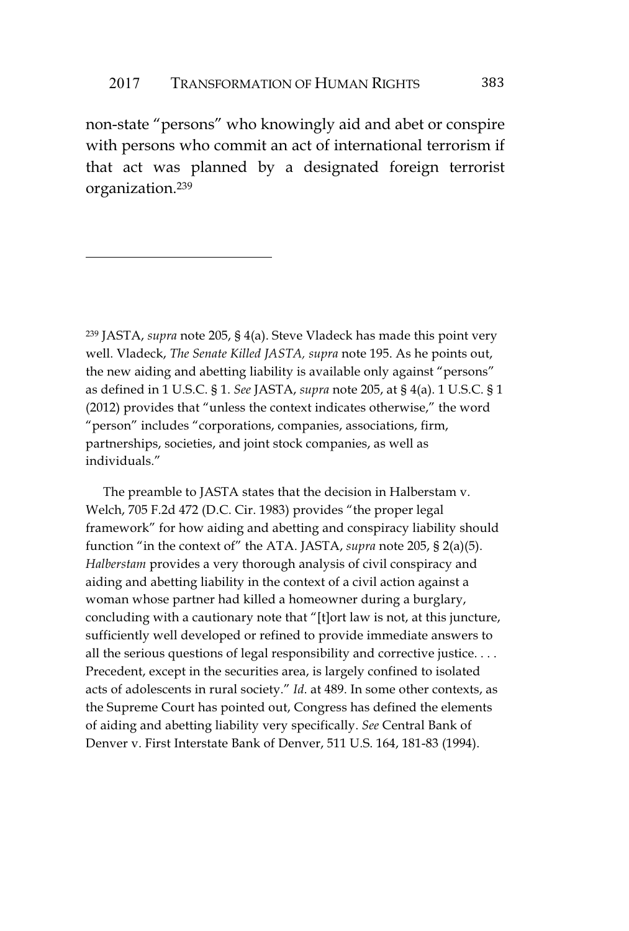non-state "persons" who knowingly aid and abet or conspire with persons who commit an act of international terrorism if that act was planned by a designated foreign terrorist organization.<sup>239</sup>

<sup>239</sup> JASTA, *supra* note 205, § 4(a). Steve Vladeck has made this point very well. Vladeck, *The Senate Killed JASTA, supra* note 195. As he points out, the new aiding and abetting liability is available only against "persons" as defined in 1 U.S.C. § 1. *See* JASTA, *supra* note 205, at § 4(a). 1 U.S.C. § 1 (2012) provides that "unless the context indicates otherwise," the word "person" includes "corporations, companies, associations, firm, partnerships, societies, and joint stock companies, as well as individuals."

The preamble to JASTA states that the decision in Halberstam v. Welch, 705 F.2d 472 (D.C. Cir. 1983) provides "the proper legal framework" for how aiding and abetting and conspiracy liability should function "in the context of" the ATA. JASTA, *supra* note 205, § 2(a)(5). *Halberstam* provides a very thorough analysis of civil conspiracy and aiding and abetting liability in the context of a civil action against a woman whose partner had killed a homeowner during a burglary, concluding with a cautionary note that "[t]ort law is not, at this juncture, sufficiently well developed or refined to provide immediate answers to all the serious questions of legal responsibility and corrective justice. ... Precedent, except in the securities area, is largely confined to isolated acts of adolescents in rural society." *Id*. at 489. In some other contexts, as the Supreme Court has pointed out, Congress has defined the elements of aiding and abetting liability very specifically. *See* Central Bank of Denver v. First Interstate Bank of Denver, 511 U.S. 164, 181-83 (1994).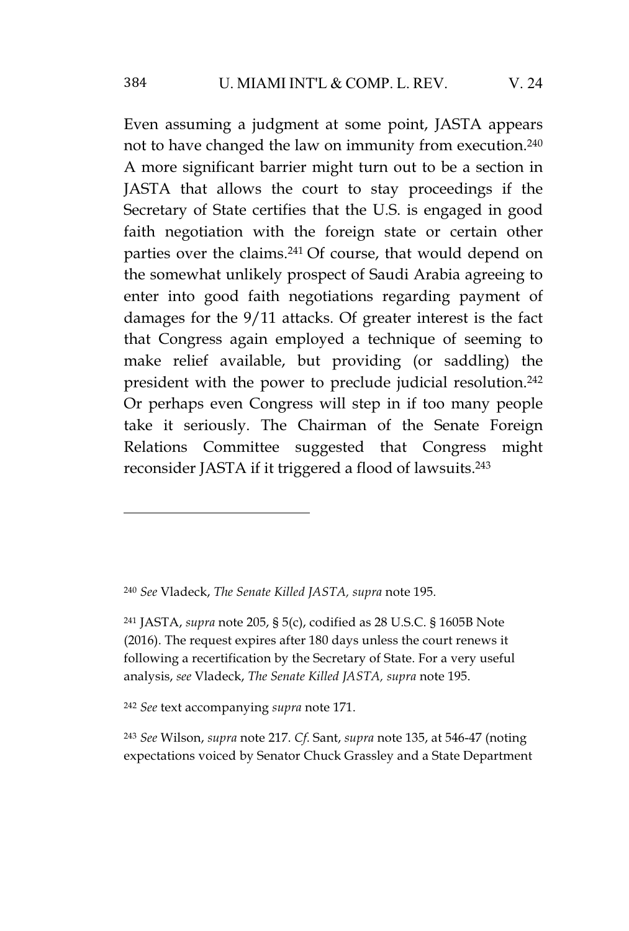Even assuming a judgment at some point, JASTA appears not to have changed the law on immunity from execution.<sup>240</sup> A more significant barrier might turn out to be a section in JASTA that allows the court to stay proceedings if the Secretary of State certifies that the U.S. is engaged in good faith negotiation with the foreign state or certain other parties over the claims.<sup>241</sup> Of course, that would depend on the somewhat unlikely prospect of Saudi Arabia agreeing to enter into good faith negotiations regarding payment of damages for the 9/11 attacks. Of greater interest is the fact that Congress again employed a technique of seeming to make relief available, but providing (or saddling) the president with the power to preclude judicial resolution.<sup>242</sup> Or perhaps even Congress will step in if too many people take it seriously. The Chairman of the Senate Foreign Relations Committee suggested that Congress might reconsider JASTA if it triggered a flood of lawsuits.<sup>243</sup>

<sup>242</sup> *See* text accompanying *supra* note 171.

<sup>243</sup> *See* Wilson, *supra* note 217. *Cf*. Sant, *supra* note 135, at 546-47 (noting expectations voiced by Senator Chuck Grassley and a State Department

<sup>240</sup> *See* Vladeck, *The Senate Killed JASTA, supra* note 195.

<sup>241</sup> JASTA, *supra* note 205, § 5(c), codified as 28 U.S.C. § 1605B Note (2016). The request expires after 180 days unless the court renews it following a recertification by the Secretary of State. For a very useful analysis, *see* Vladeck, *The Senate Killed JASTA, supra* note 195.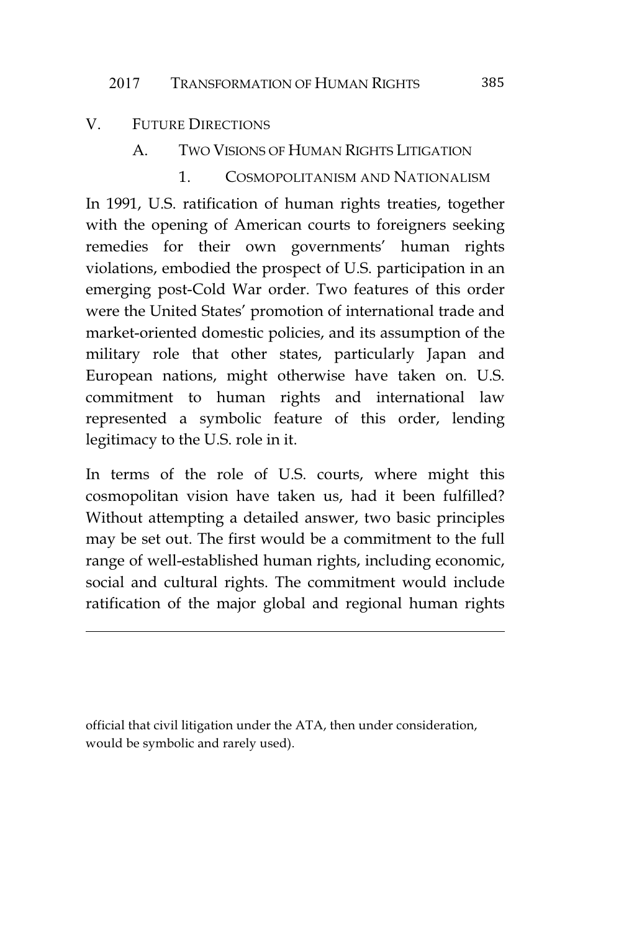### 2017 TRANSFORMATION OF HUMAN RIGHTS 385

## V. FUTURE DIRECTIONS

- A. TWO VISIONS OF HUMAN RIGHTS LITIGATION
	- 1. COSMOPOLITANISM AND NATIONALISM

In 1991, U.S. ratification of human rights treaties, together with the opening of American courts to foreigners seeking remedies for their own governments' human rights violations, embodied the prospect of U.S. participation in an emerging post-Cold War order. Two features of this order were the United States' promotion of international trade and market-oriented domestic policies, and its assumption of the military role that other states, particularly Japan and European nations, might otherwise have taken on. U.S. commitment to human rights and international law represented a symbolic feature of this order, lending legitimacy to the U.S. role in it.

In terms of the role of U.S. courts, where might this cosmopolitan vision have taken us, had it been fulfilled? Without attempting a detailed answer, two basic principles may be set out. The first would be a commitment to the full range of well-established human rights, including economic, social and cultural rights. The commitment would include ratification of the major global and regional human rights

official that civil litigation under the ATA, then under consideration, would be symbolic and rarely used).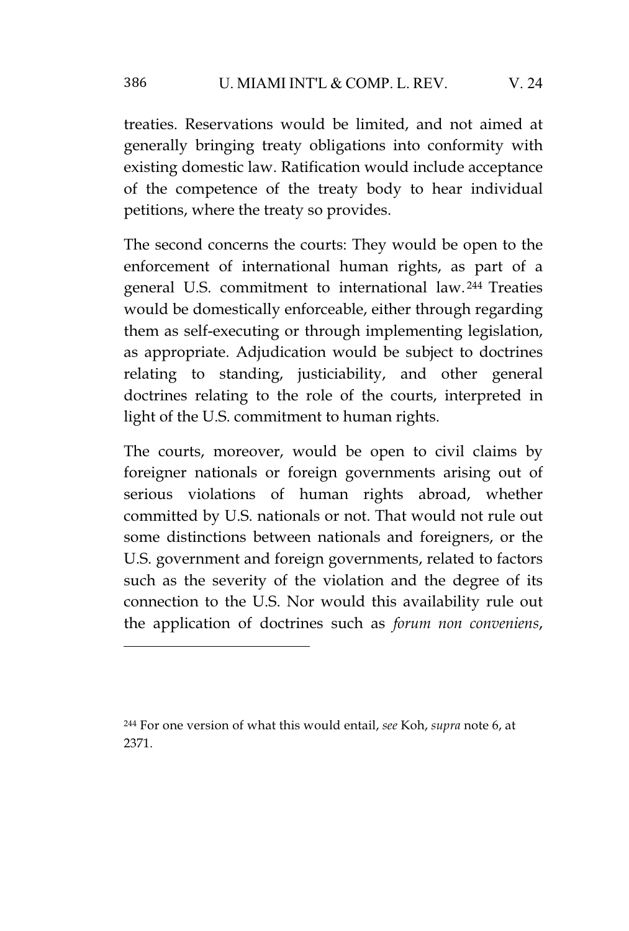treaties. Reservations would be limited, and not aimed at generally bringing treaty obligations into conformity with existing domestic law. Ratification would include acceptance of the competence of the treaty body to hear individual petitions, where the treaty so provides.

The second concerns the courts: They would be open to the enforcement of international human rights, as part of a general U.S. commitment to international law. <sup>244</sup> Treaties would be domestically enforceable, either through regarding them as self-executing or through implementing legislation, as appropriate. Adjudication would be subject to doctrines relating to standing, justiciability, and other general doctrines relating to the role of the courts, interpreted in light of the U.S. commitment to human rights.

The courts, moreover, would be open to civil claims by foreigner nationals or foreign governments arising out of serious violations of human rights abroad, whether committed by U.S. nationals or not. That would not rule out some distinctions between nationals and foreigners, or the U.S. government and foreign governments, related to factors such as the severity of the violation and the degree of its connection to the U.S. Nor would this availability rule out the application of doctrines such as *forum non conveniens*,

<sup>244</sup> For one version of what this would entail, *see* Koh, *supra* note 6, at 2371.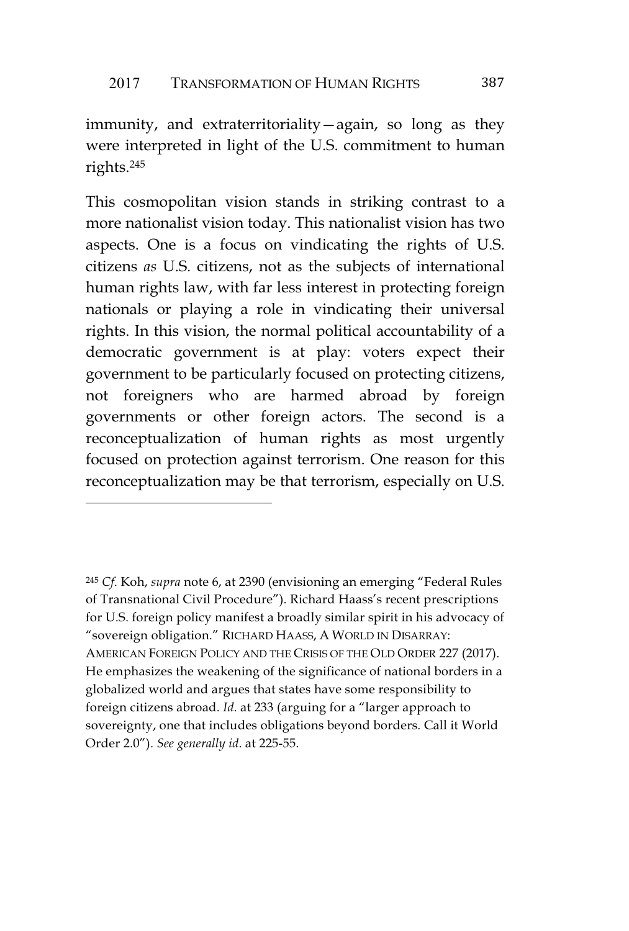immunity, and extraterritoriality—again, so long as they were interpreted in light of the U.S. commitment to human rights.<sup>245</sup>

This cosmopolitan vision stands in striking contrast to a more nationalist vision today. This nationalist vision has two aspects. One is a focus on vindicating the rights of U.S. citizens *as* U.S. citizens, not as the subjects of international human rights law, with far less interest in protecting foreign nationals or playing a role in vindicating their universal rights. In this vision, the normal political accountability of a democratic government is at play: voters expect their government to be particularly focused on protecting citizens, not foreigners who are harmed abroad by foreign governments or other foreign actors. The second is a reconceptualization of human rights as most urgently focused on protection against terrorism. One reason for this reconceptualization may be that terrorism, especially on U.S.

<sup>245</sup> *Cf*. Koh, *supra* note 6, at 2390 (envisioning an emerging "Federal Rules of Transnational Civil Procedure"). Richard Haass's recent prescriptions for U.S. foreign policy manifest a broadly similar spirit in his advocacy of "sovereign obligation." RICHARD HAASS, A WORLD IN DISARRAY: AMERICAN FOREIGN POLICY AND THE CRISIS OF THE OLD ORDER 227 (2017). He emphasizes the weakening of the significance of national borders in a globalized world and argues that states have some responsibility to foreign citizens abroad. *Id*. at 233 (arguing for a "larger approach to sovereignty, one that includes obligations beyond borders. Call it World Order 2.0"). *See generally id*. at 225-55.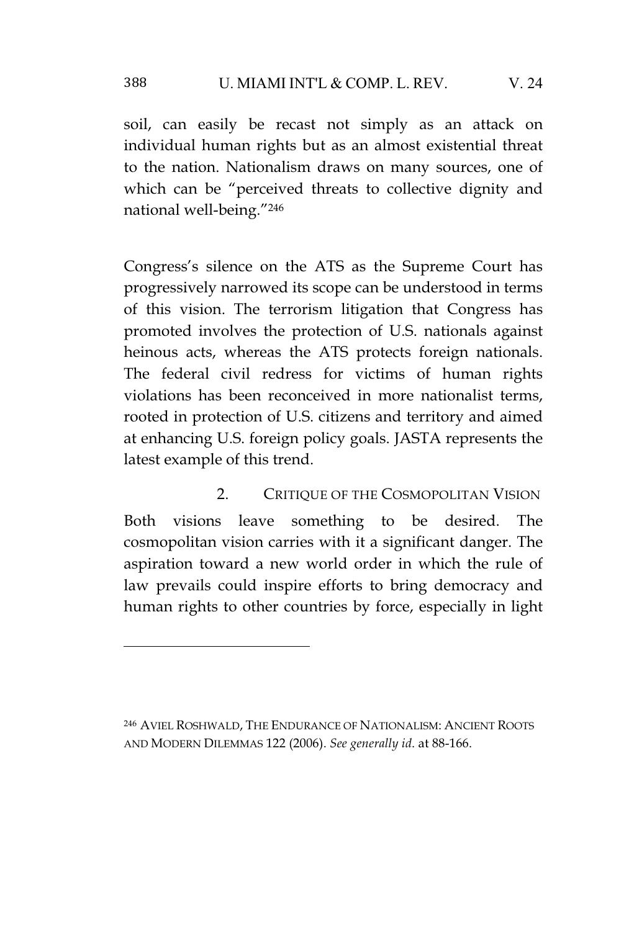soil, can easily be recast not simply as an attack on individual human rights but as an almost existential threat to the nation. Nationalism draws on many sources, one of which can be "perceived threats to collective dignity and national well-being."<sup>246</sup>

Congress's silence on the ATS as the Supreme Court has progressively narrowed its scope can be understood in terms of this vision. The terrorism litigation that Congress has promoted involves the protection of U.S. nationals against heinous acts, whereas the ATS protects foreign nationals. The federal civil redress for victims of human rights violations has been reconceived in more nationalist terms, rooted in protection of U.S. citizens and territory and aimed at enhancing U.S. foreign policy goals. JASTA represents the latest example of this trend.

# 2. CRITIQUE OF THE COSMOPOLITAN VISION

Both visions leave something to be desired. The cosmopolitan vision carries with it a significant danger. The aspiration toward a new world order in which the rule of law prevails could inspire efforts to bring democracy and human rights to other countries by force, especially in light

<sup>246</sup> AVIEL ROSHWALD, THE ENDURANCE OF NATIONALISM: ANCIENT ROOTS AND MODERN DILEMMAS 122 (2006). *See generally id*. at 88-166.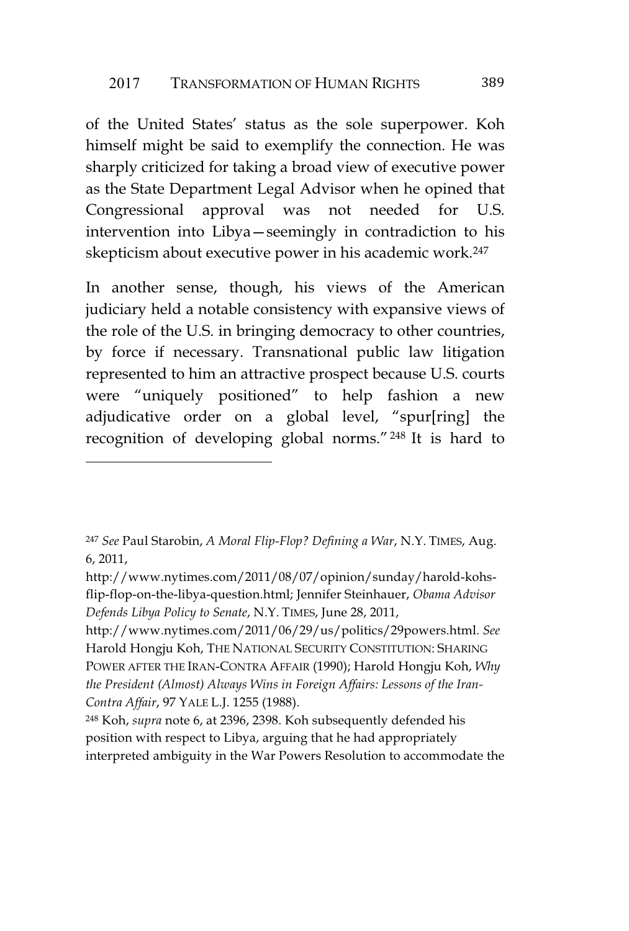of the United States' status as the sole superpower. Koh himself might be said to exemplify the connection. He was sharply criticized for taking a broad view of executive power as the State Department Legal Advisor when he opined that Congressional approval was not needed for U.S. intervention into Libya—seemingly in contradiction to his skepticism about executive power in his academic work.<sup>247</sup>

In another sense, though, his views of the American judiciary held a notable consistency with expansive views of the role of the U.S. in bringing democracy to other countries, by force if necessary. Transnational public law litigation represented to him an attractive prospect because U.S. courts were "uniquely positioned" to help fashion a new adjudicative order on a global level, "spur[ring] the recognition of developing global norms." <sup>248</sup> It is hard to

<sup>247</sup> *See* Paul Starobin, *A Moral Flip-Flop? Defining a War*, N.Y. TIMES, Aug. 6, 2011,

http://www.nytimes.com/2011/08/07/opinion/sunday/harold-kohsflip-flop-on-the-libya-question.html; Jennifer Steinhauer, *Obama Advisor Defends Libya Policy to Senate*, N.Y. TIMES, June 28, 2011,

http://www.nytimes.com/2011/06/29/us/politics/29powers.html. *See* Harold Hongju Koh, THE NATIONAL SECURITY CONSTITUTION: SHARING POWER AFTER THE IRAN-CONTRA AFFAIR (1990); Harold Hongju Koh, *Why the President (Almost) Always Wins in Foreign Affairs: Lessons of the Iran-Contra Affair*, 97 YALE L.J. 1255 (1988).

<sup>248</sup> Koh, *supra* note 6, at 2396, 2398. Koh subsequently defended his position with respect to Libya, arguing that he had appropriately interpreted ambiguity in the War Powers Resolution to accommodate the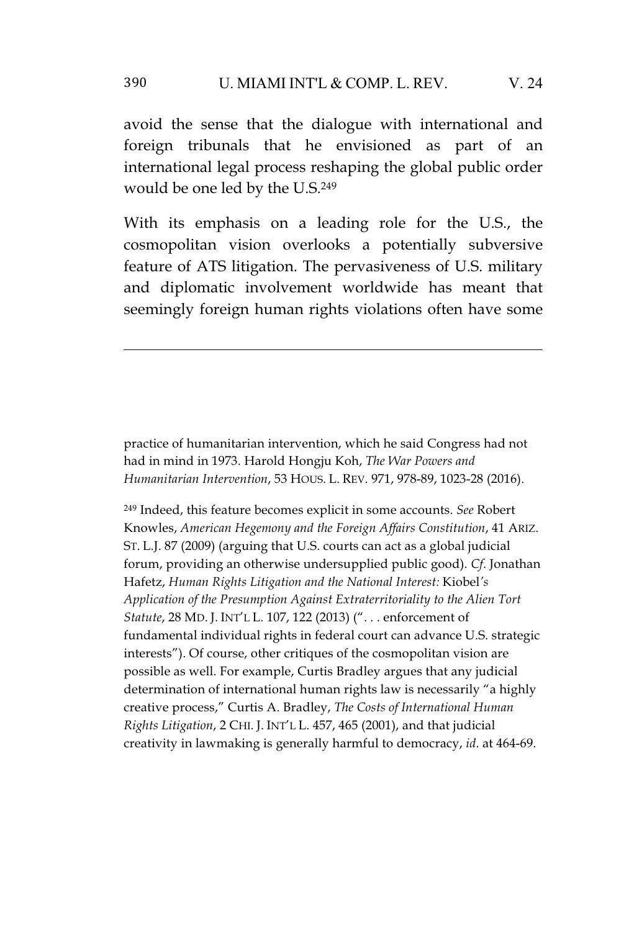#### 390 U. MIAMI INT'L & COMP. L. REV. V. 24

avoid the sense that the dialogue with international and foreign tribunals that he envisioned as part of an international legal process reshaping the global public order would be one led by the U.S.<sup>249</sup>

With its emphasis on a leading role for the U.S., the cosmopolitan vision overlooks a potentially subversive feature of ATS litigation. The pervasiveness of U.S. military and diplomatic involvement worldwide has meant that seemingly foreign human rights violations often have some

practice of humanitarian intervention, which he said Congress had not had in mind in 1973. Harold Hongju Koh, *The War Powers and Humanitarian Intervention*, 53 HOUS. L. REV. 971, 978-89, 1023-28 (2016).

<sup>249</sup> Indeed, this feature becomes explicit in some accounts. *See* Robert Knowles, *American Hegemony and the Foreign Affairs Constitution*, 41 ARIZ. ST. L.J. 87 (2009) (arguing that U.S. courts can act as a global judicial forum, providing an otherwise undersupplied public good). *Cf*. Jonathan Hafetz, *Human Rights Litigation and the National Interest:* Kiobel*'s Application of the Presumption Against Extraterritoriality to the Alien Tort Statute*, 28 MD. J. INT'L L. 107, 122 (2013) (". . . enforcement of fundamental individual rights in federal court can advance U.S. strategic interests"). Of course, other critiques of the cosmopolitan vision are possible as well. For example, Curtis Bradley argues that any judicial determination of international human rights law is necessarily "a highly creative process," Curtis A. Bradley, *The Costs of International Human Rights Litigation*, 2 CHI. J. INT'L L. 457, 465 (2001), and that judicial creativity in lawmaking is generally harmful to democracy, *id*. at 464-69.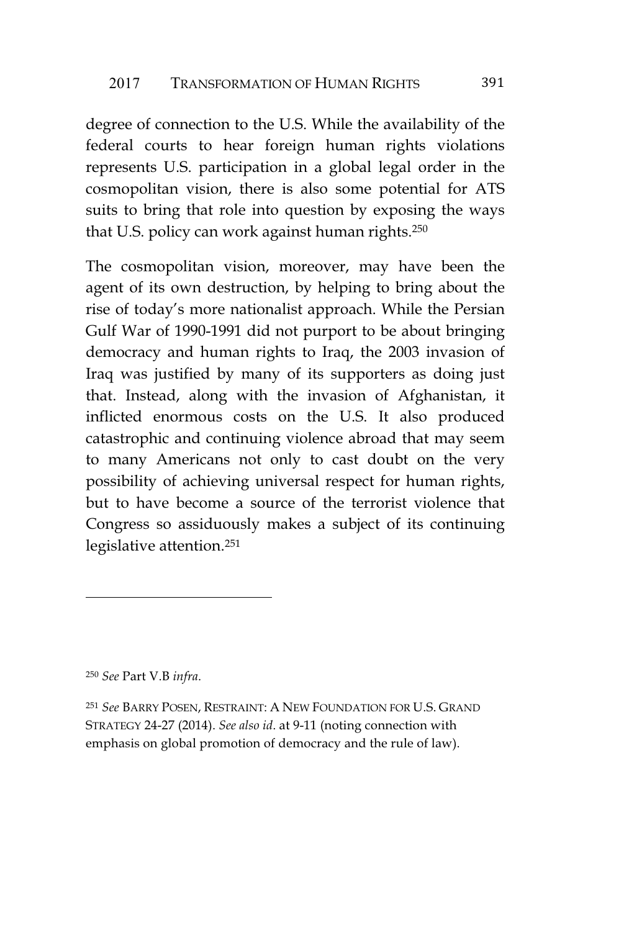degree of connection to the U.S. While the availability of the federal courts to hear foreign human rights violations represents U.S. participation in a global legal order in the cosmopolitan vision, there is also some potential for ATS suits to bring that role into question by exposing the ways that U.S. policy can work against human rights.<sup>250</sup>

The cosmopolitan vision, moreover, may have been the agent of its own destruction, by helping to bring about the rise of today's more nationalist approach. While the Persian Gulf War of 1990-1991 did not purport to be about bringing democracy and human rights to Iraq, the 2003 invasion of Iraq was justified by many of its supporters as doing just that. Instead, along with the invasion of Afghanistan, it inflicted enormous costs on the U.S. It also produced catastrophic and continuing violence abroad that may seem to many Americans not only to cast doubt on the very possibility of achieving universal respect for human rights, but to have become a source of the terrorist violence that Congress so assiduously makes a subject of its continuing legislative attention.<sup>251</sup>

<sup>250</sup> *See* Part V.B *infra*.

<sup>251</sup> *See* BARRY POSEN, RESTRAINT:ANEW FOUNDATION FOR U.S. GRAND STRATEGY 24-27 (2014). *See also id*. at 9-11 (noting connection with emphasis on global promotion of democracy and the rule of law).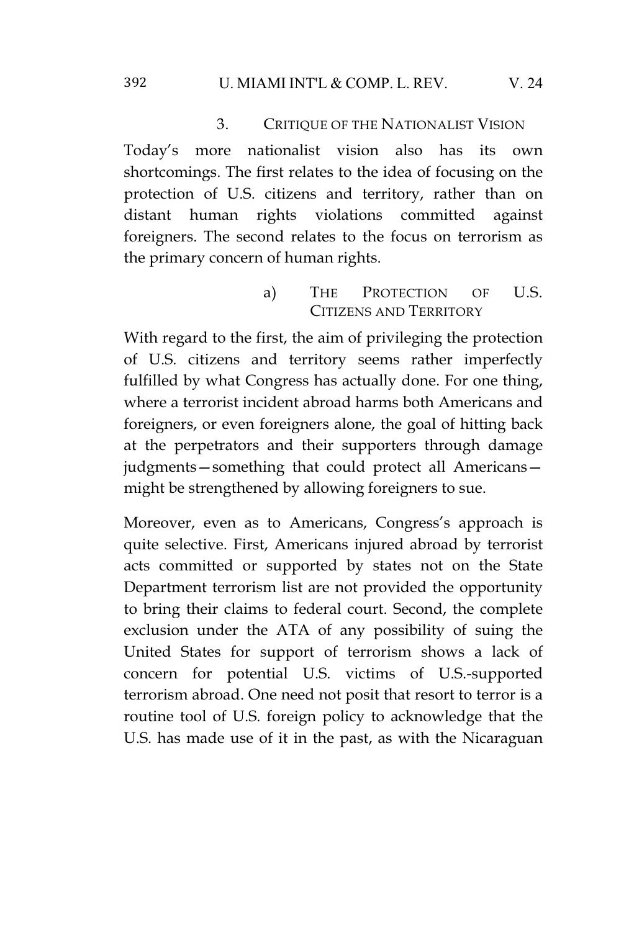## 392 U. MIAMI INT'L & COMP. L. REV. V. 24

## 3. CRITIQUE OF THE NATIONALIST VISION

Today's more nationalist vision also has its own shortcomings. The first relates to the idea of focusing on the protection of U.S. citizens and territory, rather than on distant human rights violations committed against foreigners. The second relates to the focus on terrorism as the primary concern of human rights.

# a) THE PROTECTION OF U.S. CITIZENS AND TERRITORY

With regard to the first, the aim of privileging the protection of U.S. citizens and territory seems rather imperfectly fulfilled by what Congress has actually done. For one thing, where a terrorist incident abroad harms both Americans and foreigners, or even foreigners alone, the goal of hitting back at the perpetrators and their supporters through damage judgments—something that could protect all Americans might be strengthened by allowing foreigners to sue.

Moreover, even as to Americans, Congress's approach is quite selective. First, Americans injured abroad by terrorist acts committed or supported by states not on the State Department terrorism list are not provided the opportunity to bring their claims to federal court. Second, the complete exclusion under the ATA of any possibility of suing the United States for support of terrorism shows a lack of concern for potential U.S. victims of U.S.-supported terrorism abroad. One need not posit that resort to terror is a routine tool of U.S. foreign policy to acknowledge that the U.S. has made use of it in the past, as with the Nicaraguan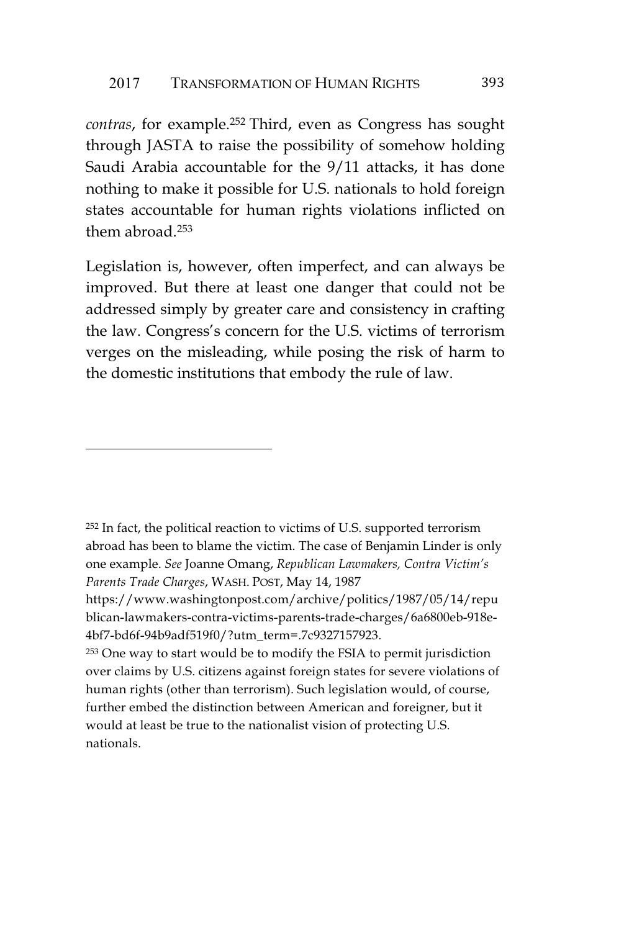*contras*, for example.<sup>252</sup> Third, even as Congress has sought through JASTA to raise the possibility of somehow holding Saudi Arabia accountable for the 9/11 attacks, it has done nothing to make it possible for U.S. nationals to hold foreign states accountable for human rights violations inflicted on them abroad.<sup>253</sup>

Legislation is, however, often imperfect, and can always be improved. But there at least one danger that could not be addressed simply by greater care and consistency in crafting the law. Congress's concern for the U.S. victims of terrorism verges on the misleading, while posing the risk of harm to the domestic institutions that embody the rule of law.

<sup>252</sup> In fact, the political reaction to victims of U.S. supported terrorism abroad has been to blame the victim. The case of Benjamin Linder is only one example. *See* Joanne Omang, *Republican Lawmakers, Contra Victim's Parents Trade Charges*, WASH. POST, May 14, 1987

https://www.washingtonpost.com/archive/politics/1987/05/14/repu blican-lawmakers-contra-victims-parents-trade-charges/6a6800eb-918e-4bf7-bd6f-94b9adf519f0/?utm\_term=.7c9327157923.

<sup>253</sup> One way to start would be to modify the FSIA to permit jurisdiction over claims by U.S. citizens against foreign states for severe violations of human rights (other than terrorism). Such legislation would, of course, further embed the distinction between American and foreigner, but it would at least be true to the nationalist vision of protecting U.S. nationals.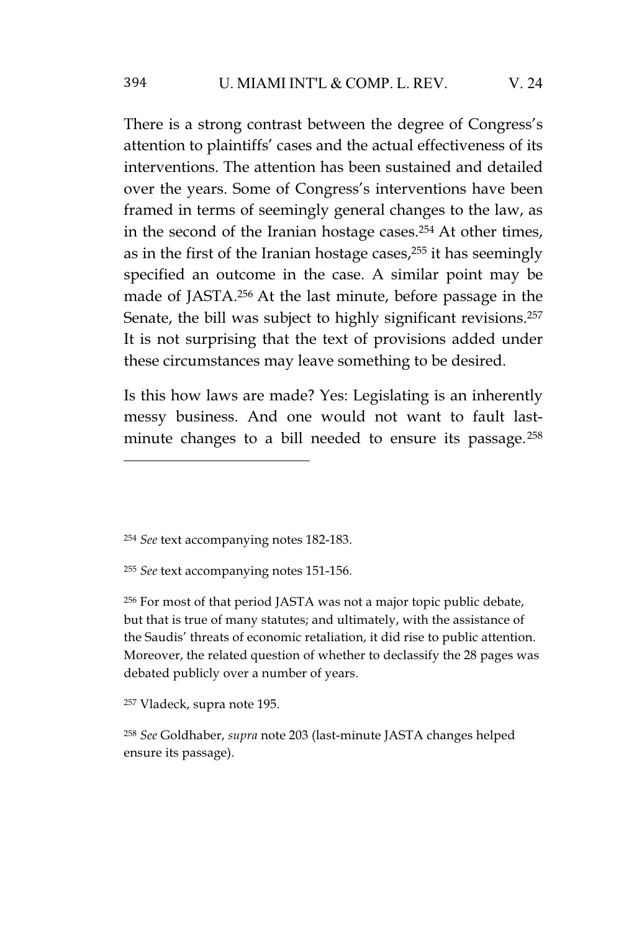There is a strong contrast between the degree of Congress's attention to plaintiffs' cases and the actual effectiveness of its interventions. The attention has been sustained and detailed over the years. Some of Congress's interventions have been framed in terms of seemingly general changes to the law, as in the second of the Iranian hostage cases.<sup>254</sup> At other times, as in the first of the Iranian hostage cases,<sup>255</sup> it has seemingly specified an outcome in the case. A similar point may be made of JASTA.<sup>256</sup> At the last minute, before passage in the Senate, the bill was subject to highly significant revisions.<sup>257</sup> It is not surprising that the text of provisions added under these circumstances may leave something to be desired.

Is this how laws are made? Yes: Legislating is an inherently messy business. And one would not want to fault lastminute changes to a bill needed to ensure its passage.<sup>258</sup>

<sup>256</sup> For most of that period JASTA was not a major topic public debate, but that is true of many statutes; and ultimately, with the assistance of the Saudis' threats of economic retaliation, it did rise to public attention. Moreover, the related question of whether to declassify the 28 pages was debated publicly over a number of years.

<sup>257</sup> Vladeck, supra note 195.

<sup>258</sup> *See* Goldhaber, *supra* note 203 (last-minute JASTA changes helped ensure its passage).

<sup>254</sup> *See* text accompanying notes 182-183.

<sup>255</sup> *See* text accompanying notes 151-156.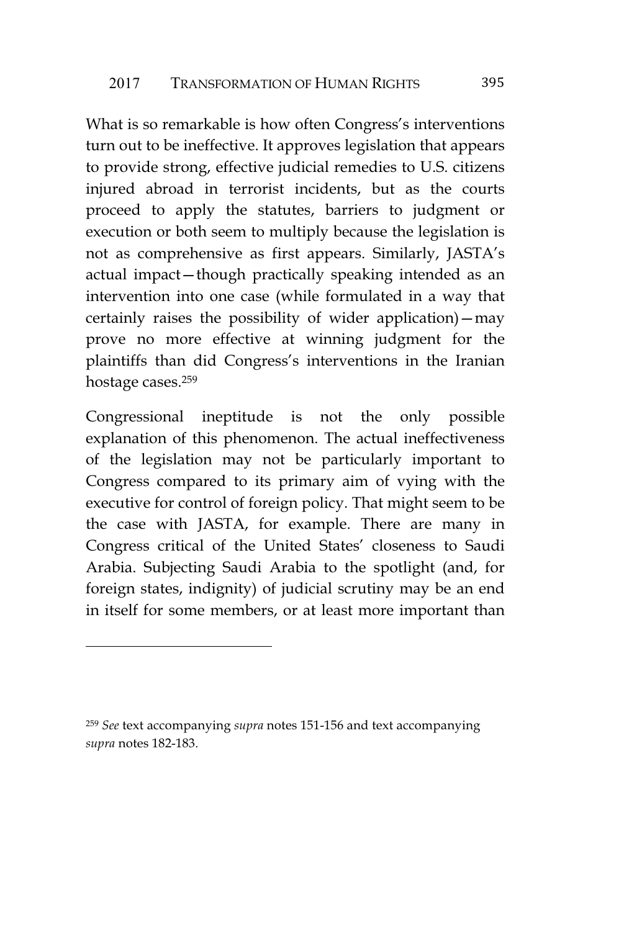What is so remarkable is how often Congress's interventions turn out to be ineffective. It approves legislation that appears to provide strong, effective judicial remedies to U.S. citizens injured abroad in terrorist incidents, but as the courts proceed to apply the statutes, barriers to judgment or execution or both seem to multiply because the legislation is not as comprehensive as first appears. Similarly, JASTA's actual impact—though practically speaking intended as an intervention into one case (while formulated in a way that certainly raises the possibility of wider application)—may prove no more effective at winning judgment for the plaintiffs than did Congress's interventions in the Iranian hostage cases.<sup>259</sup>

Congressional ineptitude is not the only possible explanation of this phenomenon. The actual ineffectiveness of the legislation may not be particularly important to Congress compared to its primary aim of vying with the executive for control of foreign policy. That might seem to be the case with JASTA, for example. There are many in Congress critical of the United States' closeness to Saudi Arabia. Subjecting Saudi Arabia to the spotlight (and, for foreign states, indignity) of judicial scrutiny may be an end in itself for some members, or at least more important than

<sup>259</sup> *See* text accompanying *supra* notes 151-156 and text accompanying *supra* notes 182-183.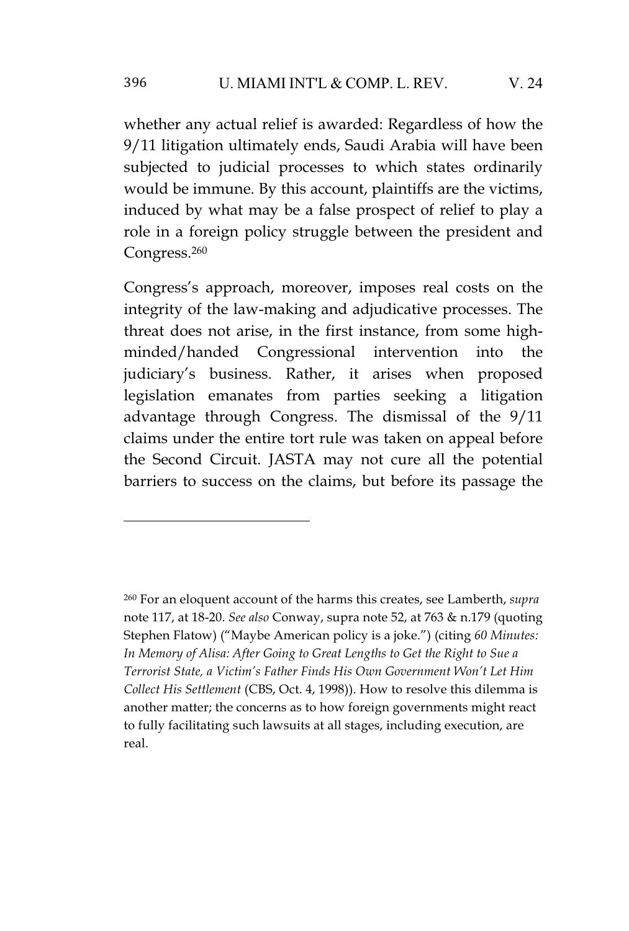whether any actual relief is awarded: Regardless of how the 9/11 litigation ultimately ends, Saudi Arabia will have been subjected to judicial processes to which states ordinarily would be immune. By this account, plaintiffs are the victims, induced by what may be a false prospect of relief to play a role in a foreign policy struggle between the president and Congress.<sup>260</sup>

Congress's approach, moreover, imposes real costs on the integrity of the law-making and adjudicative processes. The threat does not arise, in the first instance, from some highminded/handed Congressional intervention into the judiciary's business. Rather, it arises when proposed legislation emanates from parties seeking a litigation advantage through Congress. The dismissal of the 9/11 claims under the entire tort rule was taken on appeal before the Second Circuit. JASTA may not cure all the potential barriers to success on the claims, but before its passage the

<sup>260</sup> For an eloquent account of the harms this creates, see Lamberth, *supra* note 117, at 18-20. *See also* Conway, supra note 52, at 763 & n.179 (quoting Stephen Flatow) ("Maybe American policy is a joke.") (citing *60 Minutes: In Memory of Alisa: After Going to Great Lengths to Get the Right to Sue a Terrorist State, a Victim's Father Finds His Own Government Won't Let Him Collect His Settlement* (CBS, Oct. 4, 1998)). How to resolve this dilemma is another matter; the concerns as to how foreign governments might react to fully facilitating such lawsuits at all stages, including execution, are real.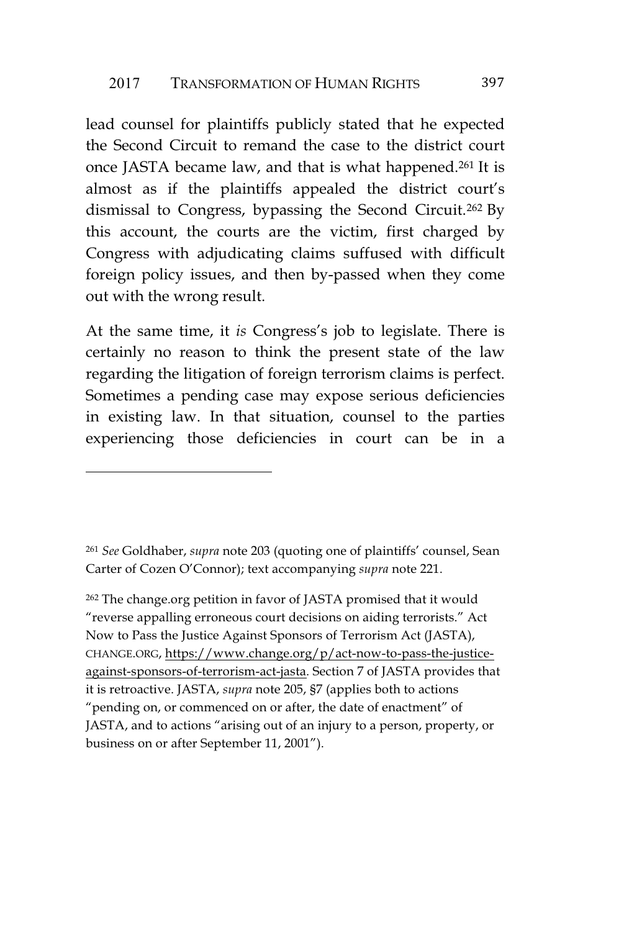lead counsel for plaintiffs publicly stated that he expected the Second Circuit to remand the case to the district court once JASTA became law, and that is what happened.<sup>261</sup> It is almost as if the plaintiffs appealed the district court's dismissal to Congress, bypassing the Second Circuit.<sup>262</sup> By this account, the courts are the victim, first charged by Congress with adjudicating claims suffused with difficult foreign policy issues, and then by-passed when they come out with the wrong result.

At the same time, it *is* Congress's job to legislate. There is certainly no reason to think the present state of the law regarding the litigation of foreign terrorism claims is perfect. Sometimes a pending case may expose serious deficiencies in existing law. In that situation, counsel to the parties experiencing those deficiencies in court can be in a

<sup>262</sup> The change.org petition in favor of JASTA promised that it would "reverse appalling erroneous court decisions on aiding terrorists." Act Now to Pass the Justice Against Sponsors of Terrorism Act (JASTA), CHANGE.ORG, https://www.change.org/p/act-now-to-pass-the-justiceagainst-sponsors-of-terrorism-act-jasta. Section 7 of JASTA provides that it is retroactive. JASTA, *supra* note 205, §7 (applies both to actions "pending on, or commenced on or after, the date of enactment" of JASTA, and to actions "arising out of an injury to a person, property, or business on or after September 11, 2001").

<sup>261</sup> *See* Goldhaber, *supra* note 203 (quoting one of plaintiffs' counsel, Sean Carter of Cozen O'Connor); text accompanying *supra* note 221.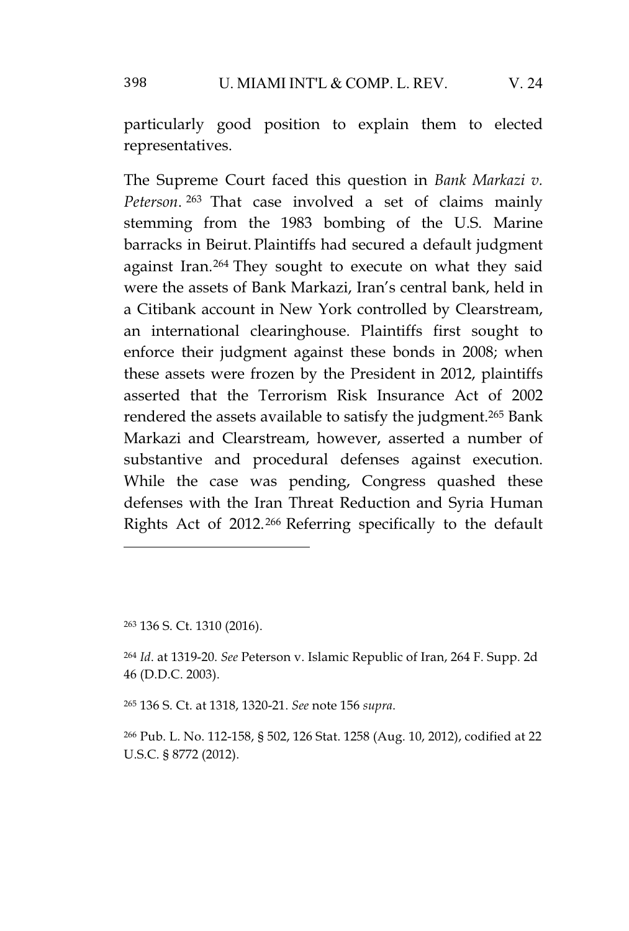particularly good position to explain them to elected representatives.

The Supreme Court faced this question in *Bank Markazi v. Peterson*. <sup>263</sup> That case involved a set of claims mainly stemming from the 1983 bombing of the U.S. Marine barracks in Beirut. Plaintiffs had secured a default judgment against Iran.<sup>264</sup> They sought to execute on what they said were the assets of Bank Markazi, Iran's central bank, held in a Citibank account in New York controlled by Clearstream, an international clearinghouse. Plaintiffs first sought to enforce their judgment against these bonds in 2008; when these assets were frozen by the President in 2012, plaintiffs asserted that the Terrorism Risk Insurance Act of 2002 rendered the assets available to satisfy the judgment.<sup>265</sup> Bank Markazi and Clearstream, however, asserted a number of substantive and procedural defenses against execution. While the case was pending, Congress quashed these defenses with the Iran Threat Reduction and Syria Human Rights Act of 2012.<sup>266</sup> Referring specifically to the default

<sup>263</sup> 136 S. Ct. 1310 (2016).

<sup>265</sup> 136 S. Ct. at 1318, 1320-21. *See* note 156 *supra*.

<sup>266</sup> Pub. L. No. 112-158, § 502, 126 Stat. 1258 (Aug. 10, 2012), codified at 22 U.S.C. § 8772 (2012).

<sup>264</sup> *Id*. at 1319-20. *See* Peterson v. Islamic Republic of Iran, 264 F. Supp. 2d 46 (D.D.C. 2003).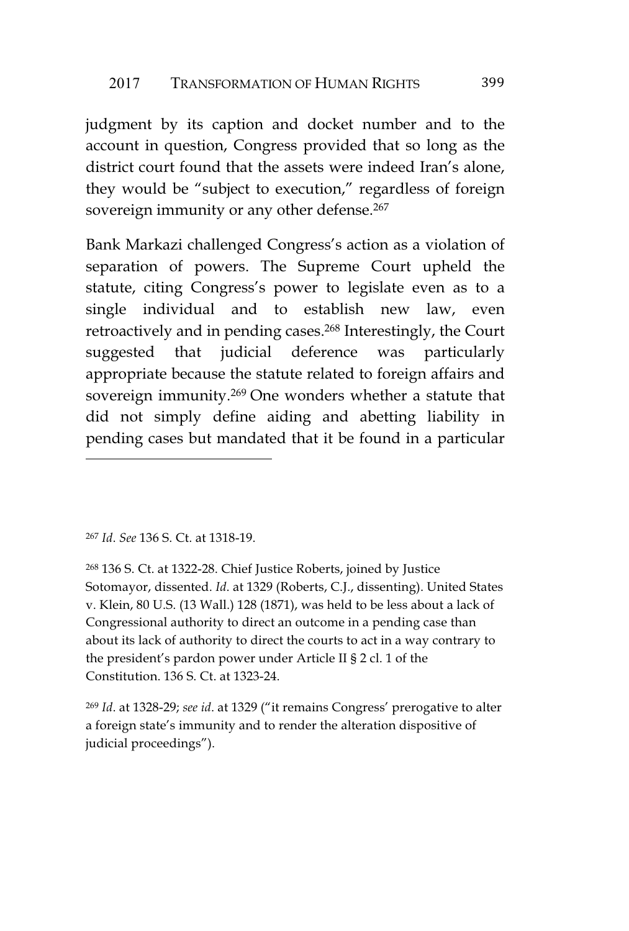judgment by its caption and docket number and to the account in question, Congress provided that so long as the district court found that the assets were indeed Iran's alone, they would be "subject to execution," regardless of foreign sovereign immunity or any other defense.<sup>267</sup>

Bank Markazi challenged Congress's action as a violation of separation of powers. The Supreme Court upheld the statute, citing Congress's power to legislate even as to a single individual and to establish new law, even retroactively and in pending cases.<sup>268</sup> Interestingly, the Court suggested that judicial deference was particularly appropriate because the statute related to foreign affairs and sovereign immunity.<sup>269</sup> One wonders whether a statute that did not simply define aiding and abetting liability in pending cases but mandated that it be found in a particular

<sup>267</sup> *Id*. *See* 136 S. Ct. at 1318-19.

<sup>268</sup> 136 S. Ct. at 1322-28. Chief Justice Roberts, joined by Justice Sotomayor, dissented. *Id*. at 1329 (Roberts, C.J., dissenting). United States v. Klein, 80 U.S. (13 Wall.) 128 (1871), was held to be less about a lack of Congressional authority to direct an outcome in a pending case than about its lack of authority to direct the courts to act in a way contrary to the president's pardon power under Article II §2cl. 1 of the Constitution. 136 S. Ct. at 1323-24.

<sup>269</sup> *Id*. at 1328-29; *see id*. at 1329 ("it remains Congress' prerogative to alter a foreign state's immunity and to render the alteration dispositive of judicial proceedings").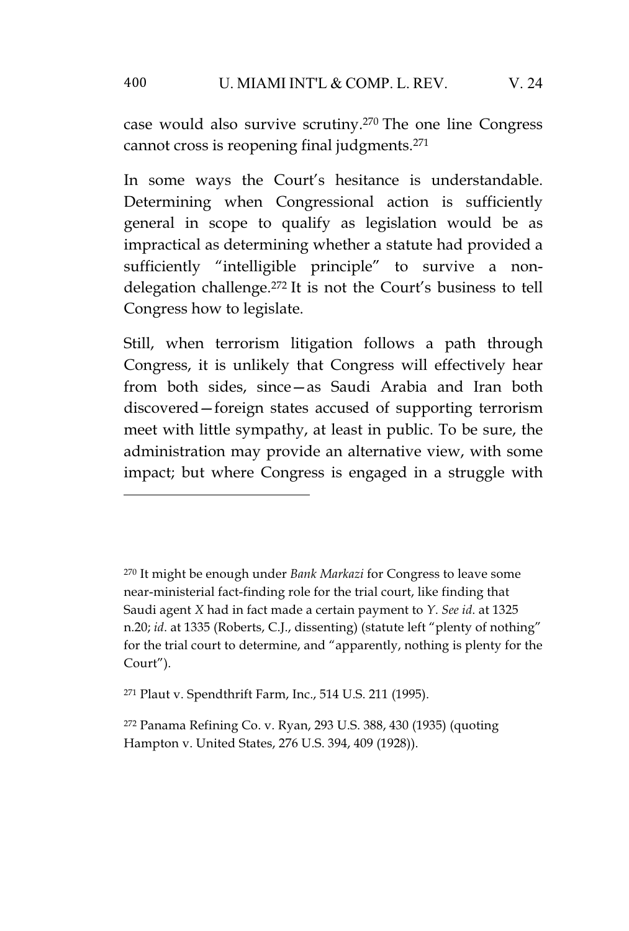## 400 U. MIAMI INT'L & COMP. L. REV. V. 24

case would also survive scrutiny.<sup>270</sup> The one line Congress cannot cross is reopening final judgments.<sup>271</sup>

In some ways the Court's hesitance is understandable. Determining when Congressional action is sufficiently general in scope to qualify as legislation would be as impractical as determining whether a statute had provided a sufficiently "intelligible principle" to survive a nondelegation challenge.<sup>272</sup> It is not the Court's business to tell Congress how to legislate.

Still, when terrorism litigation follows a path through Congress, it is unlikely that Congress will effectively hear from both sides, since—as Saudi Arabia and Iran both discovered—foreign states accused of supporting terrorism meet with little sympathy, at least in public. To be sure, the administration may provide an alternative view, with some impact; but where Congress is engaged in a struggle with

<sup>270</sup> It might be enough under *Bank Markazi* for Congress to leave some near-ministerial fact-finding role for the trial court, like finding that Saudi agent *X* had in fact made a certain payment to *Y*. *See id*. at 1325 n.20; *id*. at 1335 (Roberts, C.J., dissenting) (statute left "plenty of nothing" for the trial court to determine, and "apparently, nothing is plenty for the Court").

<sup>271</sup> Plaut v. Spendthrift Farm, Inc., 514 U.S. 211 (1995).

<sup>272</sup> Panama Refining Co. v. Ryan, 293 U.S. 388, 430 (1935) (quoting Hampton v. United States, 276 U.S. 394, 409 (1928)).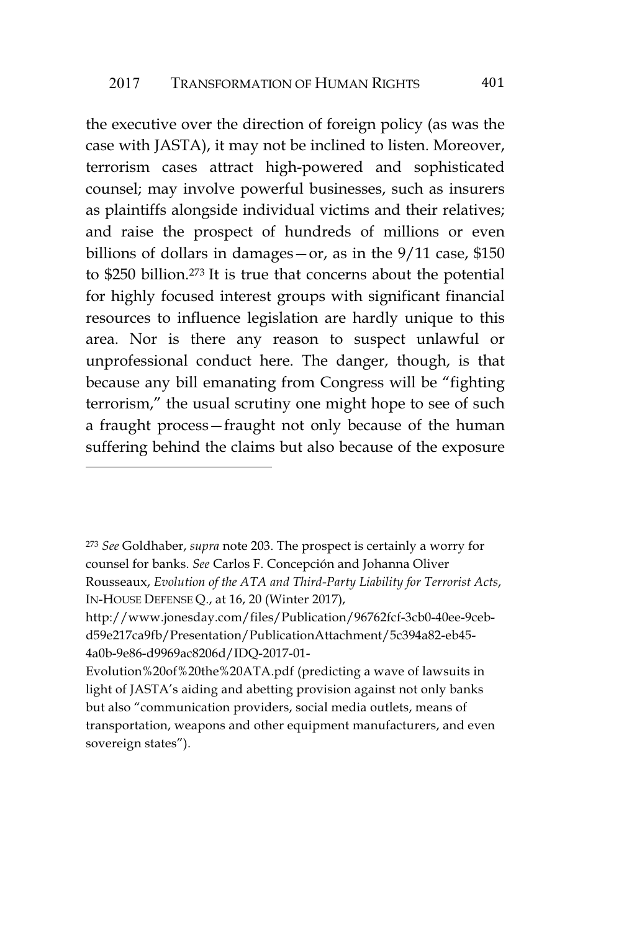the executive over the direction of foreign policy (as was the case with JASTA), it may not be inclined to listen. Moreover, terrorism cases attract high-powered and sophisticated counsel; may involve powerful businesses, such as insurers as plaintiffs alongside individual victims and their relatives; and raise the prospect of hundreds of millions or even billions of dollars in damages—or, as in the 9/11 case, \$150 to \$250 billion.<sup>273</sup> It is true that concerns about the potential for highly focused interest groups with significant financial resources to influence legislation are hardly unique to this area. Nor is there any reason to suspect unlawful or unprofessional conduct here. The danger, though, is that because any bill emanating from Congress will be "fighting terrorism," the usual scrutiny one might hope to see of such a fraught process—fraught not only because of the human suffering behind the claims but also because of the exposure

Evolution%20of%20the%20ATA.pdf (predicting a wave of lawsuits in light of JASTA's aiding and abetting provision against not only banks but also "communication providers, social media outlets, means of transportation, weapons and other equipment manufacturers, and even sovereign states").

<sup>273</sup> *See* Goldhaber, *supra* note 203. The prospect is certainly a worry for counsel for banks. *See* Carlos F. Concepción and Johanna Oliver Rousseaux, *Evolution of the ATA and Third-Party Liability for Terrorist Acts*, IN-HOUSE DEFENSE Q., at 16, 20 (Winter 2017),

http://www.jonesday.com/files/Publication/96762fcf-3cb0-40ee-9cebd59e217ca9fb/Presentation/PublicationAttachment/5c394a82-eb45- 4a0b-9e86-d9969ac8206d/IDQ-2017-01-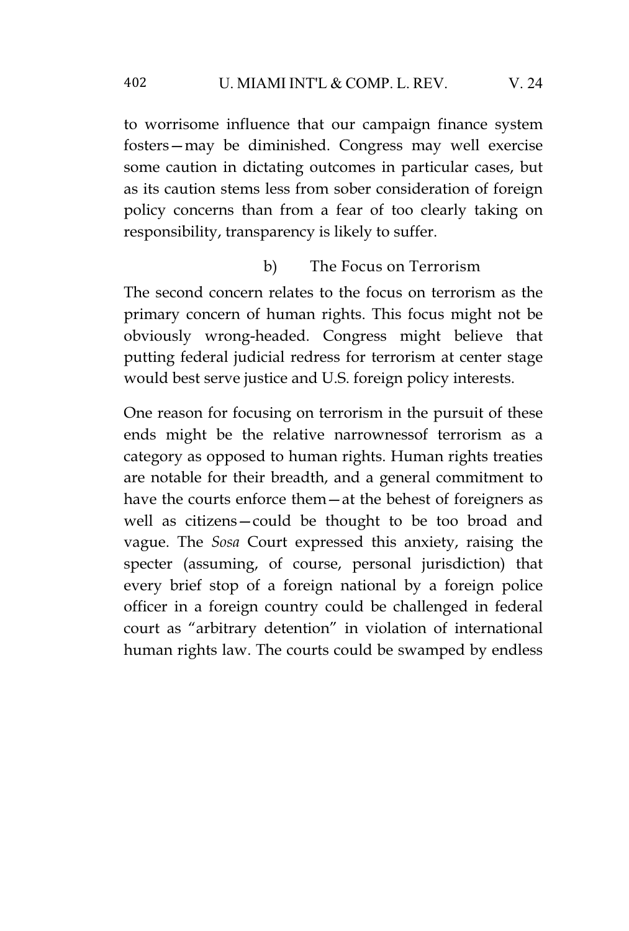to worrisome influence that our campaign finance system fosters—may be diminished. Congress may well exercise some caution in dictating outcomes in particular cases, but as its caution stems less from sober consideration of foreign policy concerns than from a fear of too clearly taking on responsibility, transparency is likely to suffer.

## b) The Focus on Terrorism

The second concern relates to the focus on terrorism as the primary concern of human rights. This focus might not be obviously wrong-headed. Congress might believe that putting federal judicial redress for terrorism at center stage would best serve justice and U.S. foreign policy interests.

One reason for focusing on terrorism in the pursuit of these ends might be the relative narrownessof terrorism as a category as opposed to human rights. Human rights treaties are notable for their breadth, and a general commitment to have the courts enforce them—at the behest of foreigners as well as citizens—could be thought to be too broad and vague. The *Sosa* Court expressed this anxiety, raising the specter (assuming, of course, personal jurisdiction) that every brief stop of a foreign national by a foreign police officer in a foreign country could be challenged in federal court as "arbitrary detention" in violation of international human rights law. The courts could be swamped by endless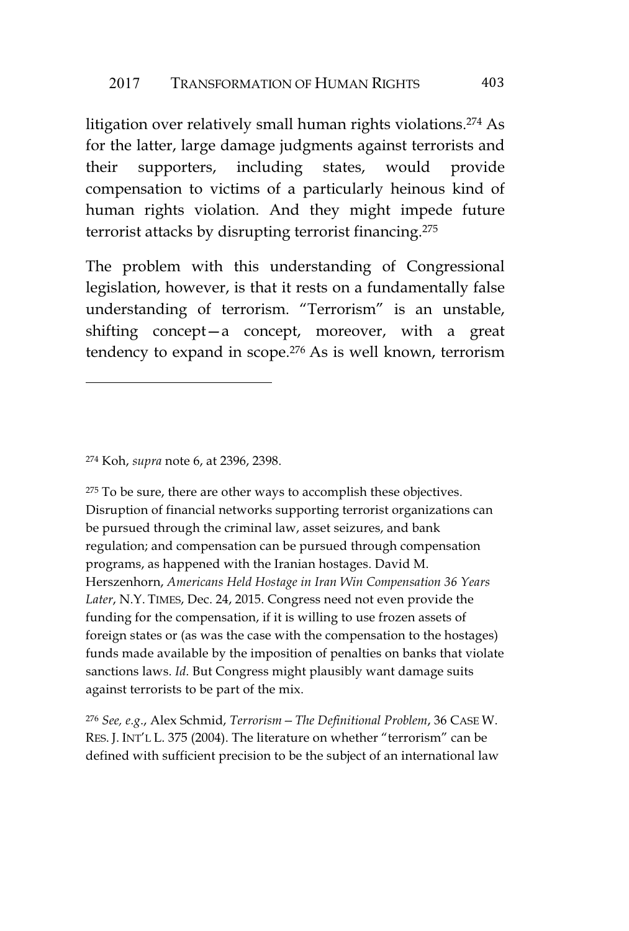litigation over relatively small human rights violations.<sup>274</sup> As for the latter, large damage judgments against terrorists and their supporters, including states, would provide compensation to victims of a particularly heinous kind of human rights violation. And they might impede future terrorist attacks by disrupting terrorist financing.<sup>275</sup>

The problem with this understanding of Congressional legislation, however, is that it rests on a fundamentally false understanding of terrorism. "Terrorism" is an unstable, shifting concept—a concept, moreover, with a great tendency to expand in scope.<sup>276</sup> As is well known, terrorism

<sup>274</sup> Koh, *supra* note 6, at 2396, 2398.

<sup>275</sup> To be sure, there are other ways to accomplish these objectives. Disruption of financial networks supporting terrorist organizations can be pursued through the criminal law, asset seizures, and bank regulation; and compensation can be pursued through compensation programs, as happened with the Iranian hostages. David M. Herszenhorn, *Americans Held Hostage in Iran Win Compensation 36 Years Later*, N.Y. TIMES, Dec. 24, 2015. Congress need not even provide the funding for the compensation, if it is willing to use frozen assets of foreign states or (as was the case with the compensation to the hostages) funds made available by the imposition of penalties on banks that violate sanctions laws. *Id*. But Congress might plausibly want damage suits against terrorists to be part of the mix.

<sup>276</sup> *See, e.g*., Alex Schmid, *Terrorism—The Definitional Problem*, 36 CASE W. RES. J. INT'L L. 375 (2004). The literature on whether "terrorism" can be defined with sufficient precision to be the subject of an international law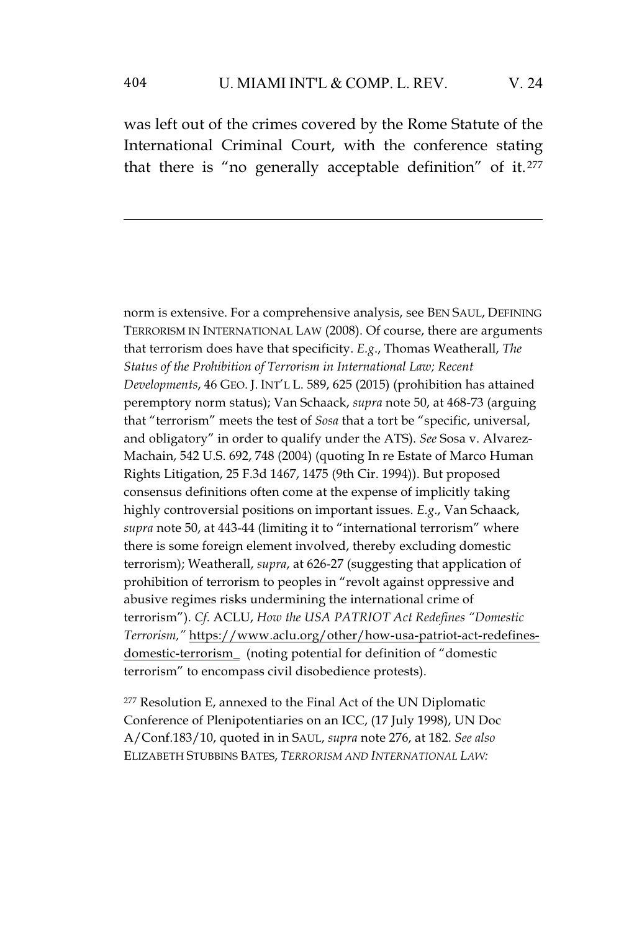was left out of the crimes covered by the Rome Statute of the International Criminal Court, with the conference stating that there is "no generally acceptable definition" of it. $277$ 

norm is extensive. For a comprehensive analysis, see BEN SAUL, DEFINING TERRORISM IN INTERNATIONAL LAW (2008). Of course, there are arguments that terrorism does have that specificity. *E.g*., Thomas Weatherall, *The Status of the Prohibition of Terrorism in International Law; Recent Developments*, 46 GEO. J. INT'L L. 589, 625 (2015) (prohibition has attained peremptory norm status); Van Schaack, *supra* note 50, at 468-73 (arguing that "terrorism" meets the test of *Sosa* that a tort be "specific, universal, and obligatory" in order to qualify under the ATS). *See* Sosa v. Alvarez-Machain, 542 U.S. 692, 748 (2004) (quoting In re Estate of Marco Human Rights Litigation, 25 F.3d 1467, 1475 (9th Cir. 1994)). But proposed consensus definitions often come at the expense of implicitly taking highly controversial positions on important issues. *E.g*., Van Schaack, *supra* note 50, at 443-44 (limiting it to "international terrorism" where there is some foreign element involved, thereby excluding domestic terrorism); Weatherall, *supra*, at 626-27 (suggesting that application of prohibition of terrorism to peoples in "revolt against oppressive and abusive regimes risks undermining the international crime of terrorism"). *Cf*. ACLU, *How the USA PATRIOT Act Redefines "Domestic Terrorism,"* https://www.aclu.org/other/how-usa-patriot-act-redefinesdomestic-terrorism\_ (noting potential for definition of "domestic terrorism" to encompass civil disobedience protests).

<sup>277</sup> Resolution E, annexed to the Final Act of the UN Diplomatic Conference of Plenipotentiaries on an ICC, (17 July 1998), UN Doc A/Conf.183/10, quoted in in SAUL, *supra* note 276, at 182. *See also* ELIZABETH STUBBINS BATES, *TERRORISM AND INTERNATIONAL LAW:*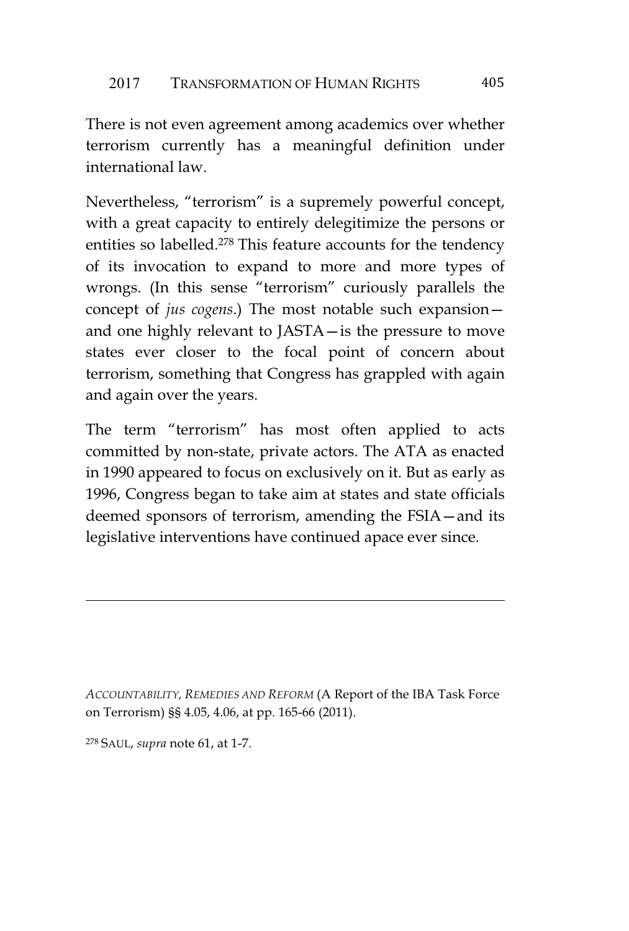There is not even agreement among academics over whether terrorism currently has a meaningful definition under international law.

Nevertheless, "terrorism" is a supremely powerful concept, with a great capacity to entirely delegitimize the persons or entities so labelled.<sup>278</sup> This feature accounts for the tendency of its invocation to expand to more and more types of wrongs. (In this sense "terrorism" curiously parallels the concept of *jus cogens*.) The most notable such expansion and one highly relevant to JASTA—is the pressure to move states ever closer to the focal point of concern about terrorism, something that Congress has grappled with again and again over the years.

The term "terrorism" has most often applied to acts committed by non-state, private actors. The ATA as enacted in 1990 appeared to focus on exclusively on it. But as early as 1996, Congress began to take aim at states and state officials deemed sponsors of terrorism, amending the FSIA—and its legislative interventions have continued apace ever since.

*ACCOUNTABILITY, REMEDIES AND REFORM* (A Report of the IBA Task Force on Terrorism) §§ 4.05, 4.06, at pp. 165-66 (2011).

<sup>278</sup> SAUL, *supra* note 61, at 1-7.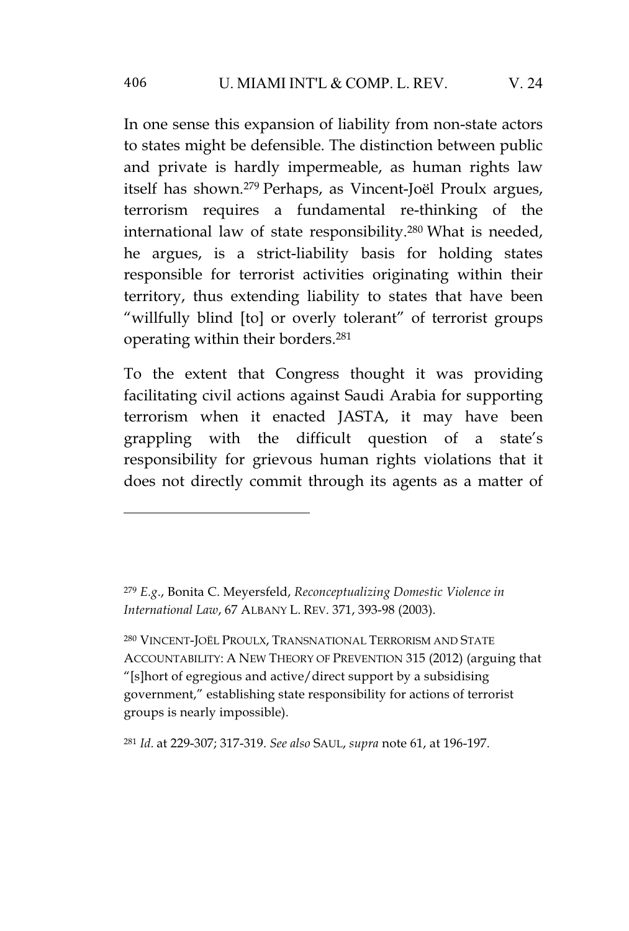In one sense this expansion of liability from non-state actors to states might be defensible. The distinction between public and private is hardly impermeable, as human rights law itself has shown.<sup>279</sup> Perhaps, as Vincent-Joël Proulx argues, terrorism requires a fundamental re-thinking of the international law of state responsibility.<sup>280</sup> What is needed, he argues, is a strict-liability basis for holding states responsible for terrorist activities originating within their territory, thus extending liability to states that have been "willfully blind [to] or overly tolerant" of terrorist groups operating within their borders.<sup>281</sup>

To the extent that Congress thought it was providing facilitating civil actions against Saudi Arabia for supporting terrorism when it enacted JASTA, it may have been grappling with the difficult question of a state's responsibility for grievous human rights violations that it does not directly commit through its agents as a matter of

<sup>280</sup> VINCENT-JOËL PROULX, TRANSNATIONAL TERRORISM AND STATE ACCOUNTABILITY:ANEW THEORY OF PREVENTION 315 (2012) (arguing that "[s]hort of egregious and active/direct support by a subsidising government," establishing state responsibility for actions of terrorist groups is nearly impossible).

<sup>281</sup> *Id.* at 229-307; 317-319. *See also* SAUL, *supra* note 61, at 196-197.

<sup>279</sup> *E.g*., Bonita C. Meyersfeld, *Reconceptualizing Domestic Violence in International Law*, 67 ALBANY L. REV. 371, 393-98 (2003).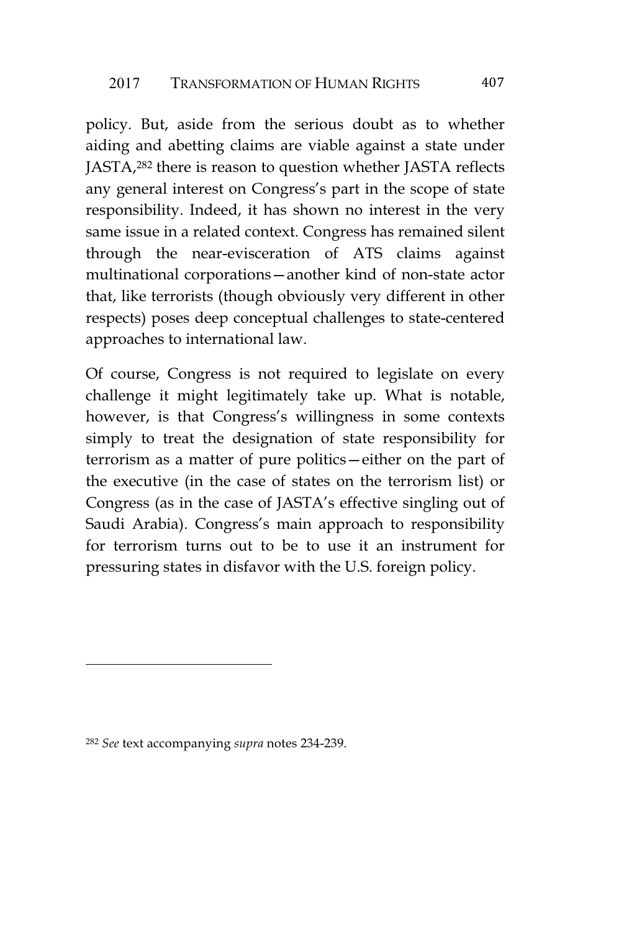policy. But, aside from the serious doubt as to whether aiding and abetting claims are viable against a state under JASTA,<sup>282</sup> there is reason to question whether JASTA reflects any general interest on Congress's part in the scope of state responsibility. Indeed, it has shown no interest in the very same issue in a related context. Congress has remained silent through the near-evisceration of ATS claims against multinational corporations—another kind of non-state actor that, like terrorists (though obviously very different in other respects) poses deep conceptual challenges to state-centered approaches to international law.

Of course, Congress is not required to legislate on every challenge it might legitimately take up. What is notable, however, is that Congress's willingness in some contexts simply to treat the designation of state responsibility for terrorism as a matter of pure politics—either on the part of the executive (in the case of states on the terrorism list) or Congress (as in the case of JASTA's effective singling out of Saudi Arabia). Congress's main approach to responsibility for terrorism turns out to be to use it an instrument for pressuring states in disfavor with the U.S. foreign policy.

<sup>282</sup> *See* text accompanying *supra* notes 234-239.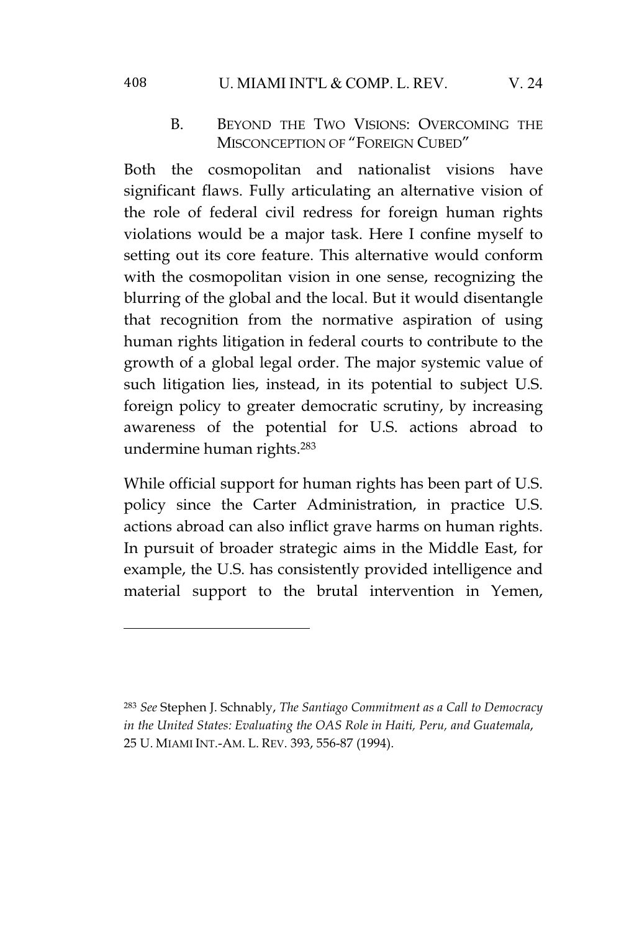## 408 U. MIAMI INT'L & COMP. L. REV. V. 24

B. BEYOND THE TWO VISIONS: OVERCOMING THE MISCONCEPTION OF "FOREIGN CUBED"

Both the cosmopolitan and nationalist visions have significant flaws. Fully articulating an alternative vision of the role of federal civil redress for foreign human rights violations would be a major task. Here I confine myself to setting out its core feature. This alternative would conform with the cosmopolitan vision in one sense, recognizing the blurring of the global and the local. But it would disentangle that recognition from the normative aspiration of using human rights litigation in federal courts to contribute to the growth of a global legal order. The major systemic value of such litigation lies, instead, in its potential to subject U.S. foreign policy to greater democratic scrutiny, by increasing awareness of the potential for U.S. actions abroad to undermine human rights.<sup>283</sup>

While official support for human rights has been part of U.S. policy since the Carter Administration, in practice U.S. actions abroad can also inflict grave harms on human rights. In pursuit of broader strategic aims in the Middle East, for example, the U.S. has consistently provided intelligence and material support to the brutal intervention in Yemen,

<sup>283</sup> *See* Stephen J. Schnably, *The Santiago Commitment as a Call to Democracy in the United States: Evaluating the OAS Role in Haiti, Peru, and Guatemala*, 25 U. MIAMI INT.-AM. L. REV. 393, 556-87 (1994).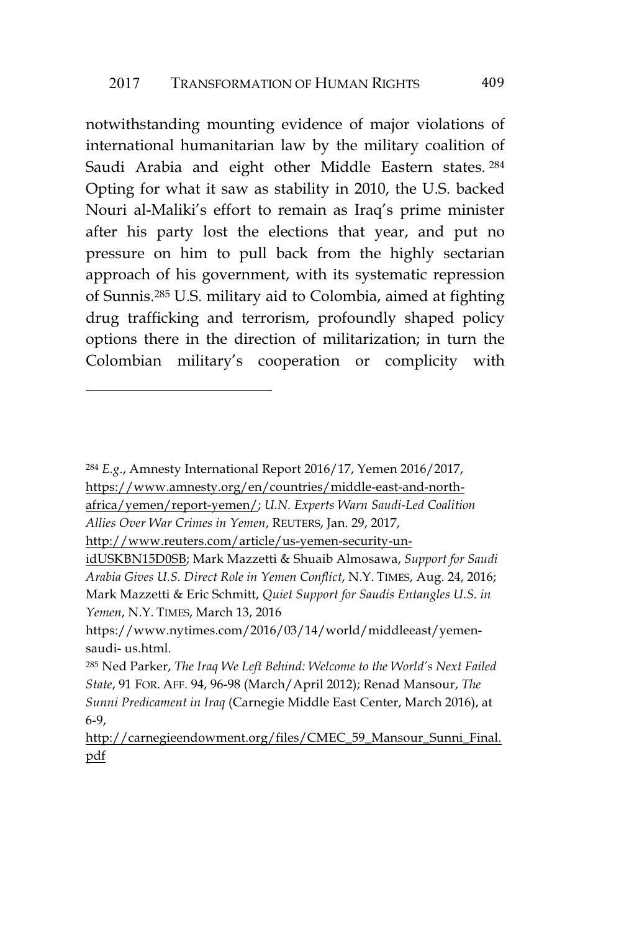notwithstanding mounting evidence of major violations of international humanitarian law by the military coalition of Saudi Arabia and eight other Middle Eastern states. <sup>284</sup> Opting for what it saw as stability in 2010, the U.S. backed Nouri al-Maliki's effort to remain as Iraq's prime minister after his party lost the elections that year, and put no pressure on him to pull back from the highly sectarian approach of his government, with its systematic repression of Sunnis.<sup>285</sup> U.S. military aid to Colombia, aimed at fighting drug trafficking and terrorism, profoundly shaped policy options there in the direction of militarization; in turn the Colombian military's cooperation or complicity with

<sup>284</sup> *E.g*., Amnesty International Report 2016/17, Yemen 2016/2017, https://www.amnesty.org/en/countries/middle-east-and-north-

africa/yemen/report-yemen/; *U.N. Experts Warn Saudi-Led Coalition Allies Over War Crimes in Yemen*, REUTERS, Jan. 29, 2017,

http://www.reuters.com/article/us-yemen-security-un-

idUSKBN15D0SB; Mark Mazzetti & Shuaib Almosawa, *Support for Saudi Arabia Gives U.S. Direct Role in Yemen Conflict*, N.Y. TIMES, Aug. 24, 2016; Mark Mazzetti & Eric Schmitt, *Quiet Support for Saudis Entangles U.S. in Yemen*, N.Y. TIMES, March 13, 2016

https://www.nytimes.com/2016/03/14/world/middleeast/yemensaudi- us.html.

<sup>285</sup> Ned Parker, *The Iraq We Left Behind: Welcome to the World's Next Failed State*, 91 FOR. AFF. 94, 96-98 (March/April 2012); Renad Mansour, *The Sunni Predicament in Iraq* (Carnegie Middle East Center, March 2016), at 6-9,

http://carnegieendowment.org/files/CMEC\_59\_Mansour\_Sunni\_Final. pdf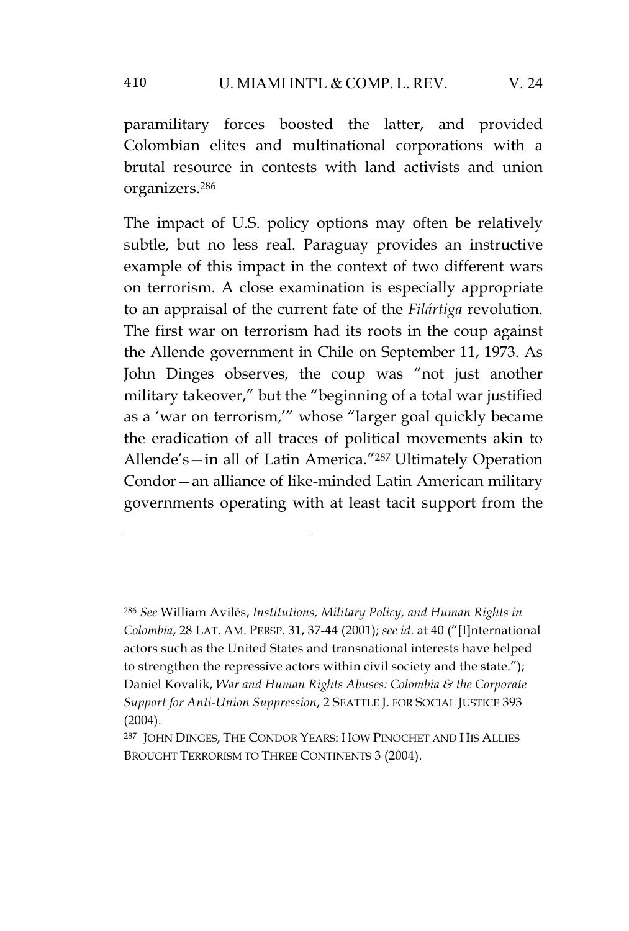## 410 U. MIAMI INT'L & COMP. L. REV. V. 24

paramilitary forces boosted the latter, and provided Colombian elites and multinational corporations with a brutal resource in contests with land activists and union organizers.<sup>286</sup>

The impact of U.S. policy options may often be relatively subtle, but no less real. Paraguay provides an instructive example of this impact in the context of two different wars on terrorism. A close examination is especially appropriate to an appraisal of the current fate of the *Filártiga* revolution. The first war on terrorism had its roots in the coup against the Allende government in Chile on September 11, 1973. As John Dinges observes, the coup was "not just another military takeover," but the "beginning of a total war justified as a 'war on terrorism,'" whose "larger goal quickly became the eradication of all traces of political movements akin to Allende's—in all of Latin America."<sup>287</sup> Ultimately Operation Condor—an alliance of like-minded Latin American military governments operating with at least tacit support from the

<sup>286</sup> *See* William Avilés, *Institutions, Military Policy, and Human Rights in Colombia*, 28 LAT. AM. PERSP. 31, 37-44 (2001); *see id*. at 40 ("[I]nternational actors such as the United States and transnational interests have helped to strengthen the repressive actors within civil society and the state."); Daniel Kovalik, *War and Human Rights Abuses: Colombia & the Corporate Support for Anti-Union Suppression*, 2 SEATTLE J. FOR SOCIAL JUSTICE 393 (2004).

<sup>287</sup> JOHN DINGES, THE CONDOR YEARS: HOW PINOCHET AND HIS ALLIES BROUGHT TERRORISM TO THREE CONTINENTS 3 (2004).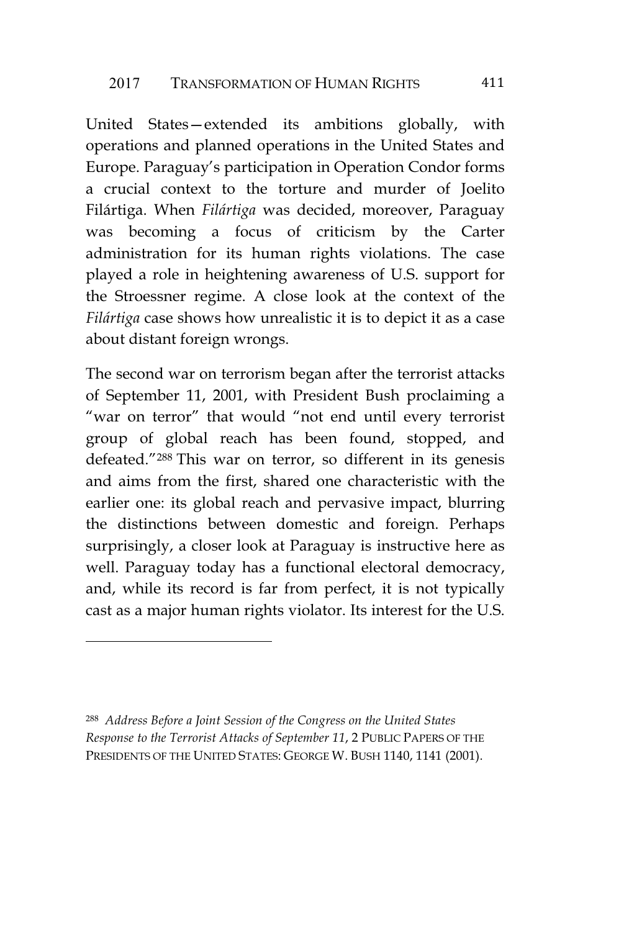United States—extended its ambitions globally, with operations and planned operations in the United States and Europe. Paraguay's participation in Operation Condor forms a crucial context to the torture and murder of Joelito Filártiga. When *Filártiga* was decided, moreover, Paraguay was becoming a focus of criticism by the Carter administration for its human rights violations. The case played a role in heightening awareness of U.S. support for the Stroessner regime. A close look at the context of the *Filártiga* case shows how unrealistic it is to depict it as a case about distant foreign wrongs.

The second war on terrorism began after the terrorist attacks of September 11, 2001, with President Bush proclaiming a "war on terror" that would "not end until every terrorist group of global reach has been found, stopped, and defeated."<sup>288</sup> This war on terror, so different in its genesis and aims from the first, shared one characteristic with the earlier one: its global reach and pervasive impact, blurring the distinctions between domestic and foreign. Perhaps surprisingly, a closer look at Paraguay is instructive here as well. Paraguay today has a functional electoral democracy, and, while its record is far from perfect, it is not typically cast as a major human rights violator. Its interest for the U.S.

<sup>288</sup> *Address Before a Joint Session of the Congress on the United States Response to the Terrorist Attacks of September 11*, 2 PUBLIC PAPERS OF THE PRESIDENTS OF THE UNITED STATES: GEORGE W. BUSH 1140, 1141 (2001).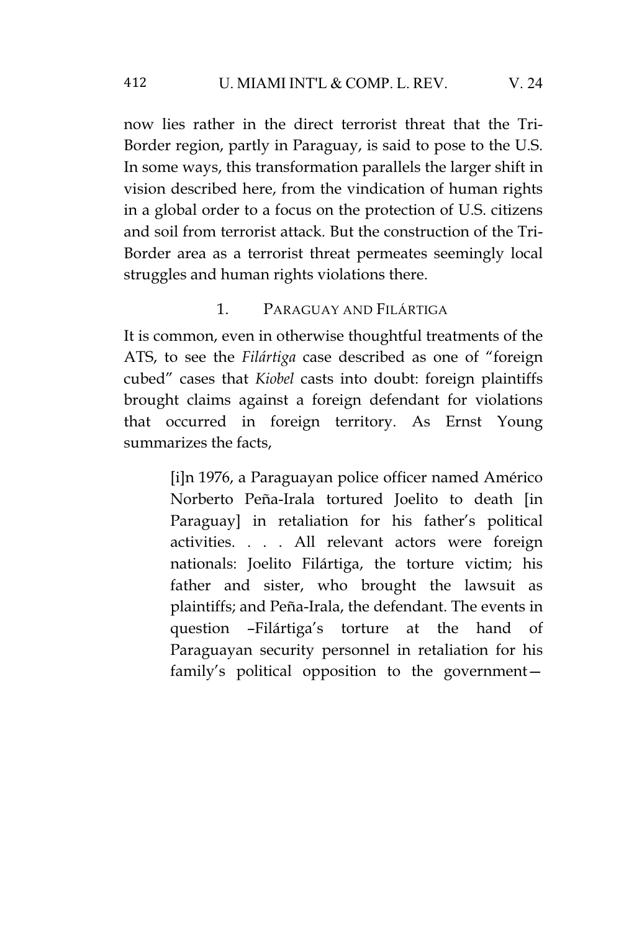now lies rather in the direct terrorist threat that the Tri-Border region, partly in Paraguay, is said to pose to the U.S. In some ways, this transformation parallels the larger shift in vision described here, from the vindication of human rights in a global order to a focus on the protection of U.S. citizens and soil from terrorist attack. But the construction of the Tri-Border area as a terrorist threat permeates seemingly local struggles and human rights violations there.

#### 1. PARAGUAY AND FILÁRTIGA

It is common, even in otherwise thoughtful treatments of the ATS, to see the *Filártiga* case described as one of "foreign cubed" cases that *Kiobel* casts into doubt: foreign plaintiffs brought claims against a foreign defendant for violations that occurred in foreign territory. As Ernst Young summarizes the facts,

> [i]n 1976, a Paraguayan police officer named Américo Norberto Peña-Irala tortured Joelito to death [in Paraguay] in retaliation for his father's political activities. . . . All relevant actors were foreign nationals: Joelito Filártiga, the torture victim; his father and sister, who brought the lawsuit as plaintiffs; and Peña-Irala, the defendant. The events in question –Filártiga's torture at the hand of Paraguayan security personnel in retaliation for his family's political opposition to the government—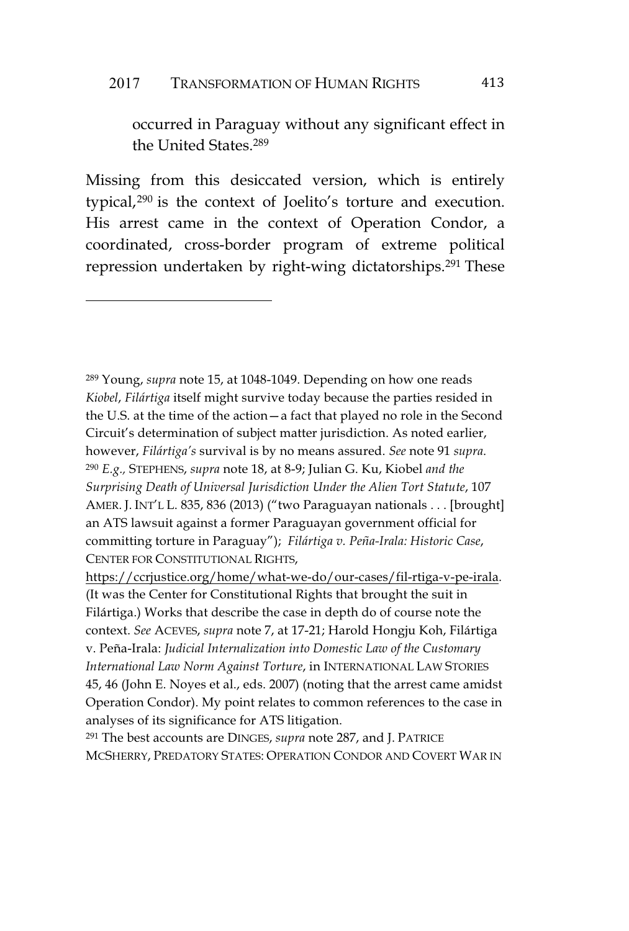#### 2017 TRANSFORMATION OF HUMAN RIGHTS 413

occurred in Paraguay without any significant effect in the United States.<sup>289</sup>

Missing from this desiccated version, which is entirely typical,<sup>290</sup> is the context of Joelito's torture and execution. His arrest came in the context of Operation Condor, a coordinated, cross-border program of extreme political repression undertaken by right-wing dictatorships.<sup>291</sup> These

<sup>289</sup> Young, *supra* note 15, at 1048-1049. Depending on how one reads *Kiobel*, *Filártiga* itself might survive today because the parties resided in the U.S. at the time of the action—a fact that played no role in the Second Circuit's determination of subject matter jurisdiction. As noted earlier, however, *Filártiga's* survival is by no means assured. *See* note 91 *supra*. <sup>290</sup> *E.g.,* STEPHENS, *supra* note 18, at 8-9; Julian G. Ku, Kiobel *and the Surprising Death of Universal Jurisdiction Under the Alien Tort Statute*, 107 AMER. J. INT'L L. 835, 836 (2013) ("two Paraguayan nationals . . . [brought] an ATS lawsuit against a former Paraguayan government official for committing torture in Paraguay"); *Filártiga v. Peña-Irala: Historic Case*, CENTER FOR CONSTITUTIONAL RIGHTS,

https://ccrjustice.org/home/what-we-do/our-cases/fil-rtiga-v-pe-irala. (It was the Center for Constitutional Rights that brought the suit in Filártiga.) Works that describe the case in depth do of course note the context. *See* ACEVES, *supra* note 7, at 17-21; Harold Hongju Koh, Filártiga v. Peña-Irala: *Judicial Internalization into Domestic Law of the Customary International Law Norm Against Torture*, in INTERNATIONAL LAW STORIES 45, 46 (John E. Noyes et al., eds. 2007) (noting that the arrest came amidst Operation Condor). My point relates to common references to the case in analyses of its significance for ATS litigation.

<sup>291</sup> The best accounts are DINGES, *supra* note 287, and J. PATRICE MCSHERRY, PREDATORY STATES: OPERATION CONDOR AND COVERT WAR IN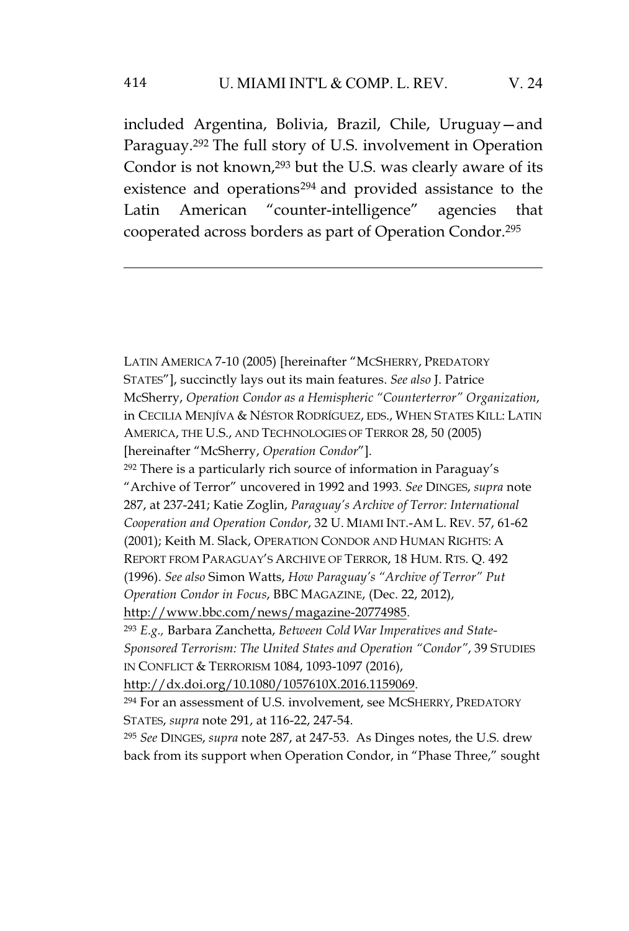included Argentina, Bolivia, Brazil, Chile, Uruguay—and Paraguay.<sup>292</sup> The full story of U.S. involvement in Operation Condor is not known,<sup>293</sup> but the U.S. was clearly aware of its existence and operations<sup>294</sup> and provided assistance to the Latin American "counter-intelligence" agencies that cooperated across borders as part of Operation Condor.<sup>295</sup>

LATIN AMERICA 7-10 (2005) [hereinafter "MCSHERRY, PREDATORY STATES"], succinctly lays out its main features. *See also* J. Patrice McSherry, *Operation Condor as a Hemispheric "Counterterror" Organization*, in CECILIA MENJÍVA & NÉSTOR RODRÍGUEZ, EDS., WHEN STATES KILL: LATIN AMERICA, THE U.S., AND TECHNOLOGIES OF TERROR 28, 50 (2005) [hereinafter "McSherry, *Operation Condor*"]. <sup>292</sup> There is a particularly rich source of information in Paraguay's "Archive of Terror" uncovered in 1992 and 1993. *See* DINGES, *supra* note 287, at 237-241; Katie Zoglin, *Paraguay's Archive of Terror: International Cooperation and Operation Condor*, 32 U. MIAMI INT.-AM L. REV. 57, 61-62 (2001); Keith M. Slack, OPERATION CONDOR AND HUMAN RIGHTS: A REPORT FROM PARAGUAY'S ARCHIVE OF TERROR, 18 HUM. RTS. Q. 492 (1996). *See also* Simon Watts, *How Paraguay's "Archive of Terror" Put Operation Condor in Focus*, BBC MAGAZINE, (Dec. 22, 2012), http://www.bbc.com/news/magazine-20774985. <sup>293</sup> *E.g.,* Barbara Zanchetta, *Between Cold War Imperatives and State-Sponsored Terrorism: The United States and Operation "Condor"*, 39 STUDIES IN CONFLICT & TERRORISM 1084, 1093-1097 (2016), http://dx.doi.org/10.1080/1057610X.2016.1159069. <sup>294</sup> For an assessment of U.S. involvement, see MCSHERRY, PREDATORY STATES, *supra* note 291, at 116-22, 247-54. <sup>295</sup> *See* DINGES, *supra* note 287, at 247-53. As Dinges notes, the U.S. drew back from its support when Operation Condor, in "Phase Three," sought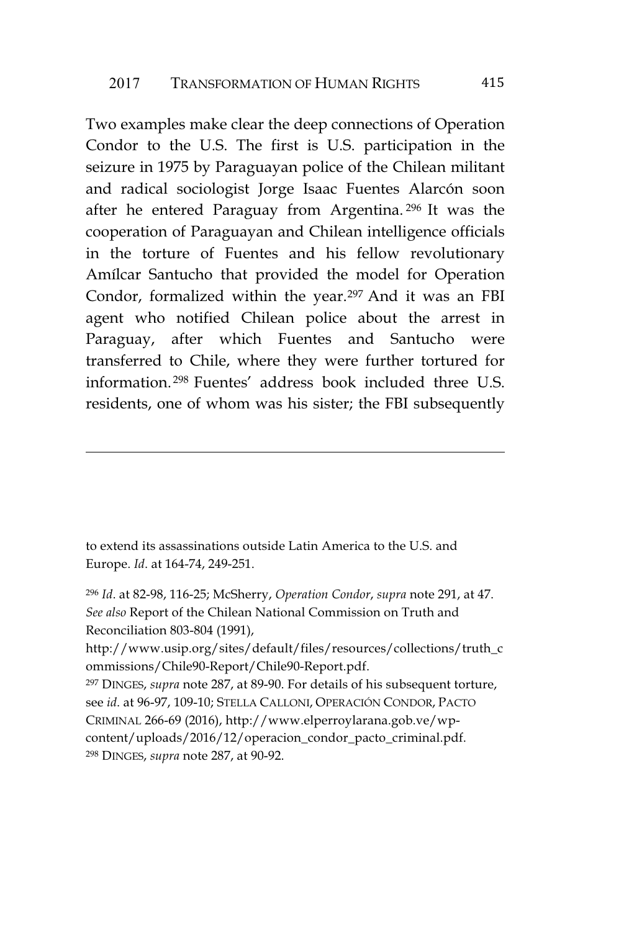Two examples make clear the deep connections of Operation Condor to the U.S. The first is U.S. participation in the seizure in 1975 by Paraguayan police of the Chilean militant and radical sociologist Jorge Isaac Fuentes Alarcón soon after he entered Paraguay from Argentina. <sup>296</sup> It was the cooperation of Paraguayan and Chilean intelligence officials in the torture of Fuentes and his fellow revolutionary Amílcar Santucho that provided the model for Operation Condor, formalized within the year.<sup>297</sup> And it was an FBI agent who notified Chilean police about the arrest in Paraguay, after which Fuentes and Santucho were transferred to Chile, where they were further tortured for information. <sup>298</sup> Fuentes' address book included three U.S. residents, one of whom was his sister; the FBI subsequently

to extend its assassinations outside Latin America to the U.S. and Europe. *Id*. at 164-74, 249-251.

<sup>296</sup> *Id*. at 82-98, 116-25; McSherry, *Operation Condor*, *supra* note 291, at 47. *See also* Report of the Chilean National Commission on Truth and Reconciliation 803-804 (1991),

http://www.usip.org/sites/default/files/resources/collections/truth\_c ommissions/Chile90-Report/Chile90-Report.pdf.

<sup>297</sup> DINGES, *supra* note 287, at 89-90. For details of his subsequent torture, see *id*. at 96-97, 109-10; STELLA CALLONI, OPERACIÓN CONDOR, PACTO CRIMINAL 266-69 (2016), http://www.elperroylarana.gob.ve/wpcontent/uploads/2016/12/operacion\_condor\_pacto\_criminal.pdf. <sup>298</sup> DINGES, *supra* note 287, at 90-92.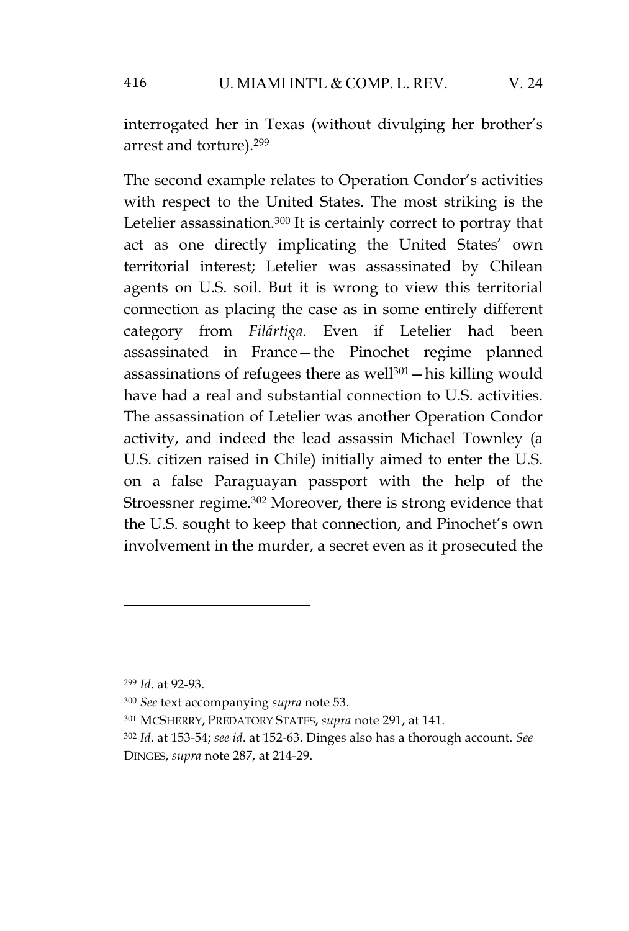interrogated her in Texas (without divulging her brother's arrest and torture).<sup>299</sup>

The second example relates to Operation Condor's activities with respect to the United States. The most striking is the Letelier assassination.<sup>300</sup> It is certainly correct to portray that act as one directly implicating the United States' own territorial interest; Letelier was assassinated by Chilean agents on U.S. soil. But it is wrong to view this territorial connection as placing the case as in some entirely different category from *Filártiga*. Even if Letelier had been assassinated in France—the Pinochet regime planned assassinations of refugees there as well $301 -$ his killing would have had a real and substantial connection to U.S. activities. The assassination of Letelier was another Operation Condor activity, and indeed the lead assassin Michael Townley (a U.S. citizen raised in Chile) initially aimed to enter the U.S. on a false Paraguayan passport with the help of the Stroessner regime.<sup>302</sup> Moreover, there is strong evidence that the U.S. sought to keep that connection, and Pinochet's own involvement in the murder, a secret even as it prosecuted the

<sup>299</sup> *Id*. at 92-93.

<sup>300</sup> *See* text accompanying *supra* note 53.

<sup>301</sup> MCSHERRY, PREDATORY STATES, *supra* note 291, at 141.

<sup>302</sup> *Id*. at 153-54; *see id*. at 152-63. Dinges also has a thorough account. *See* DINGES, *supra* note 287, at 214-29.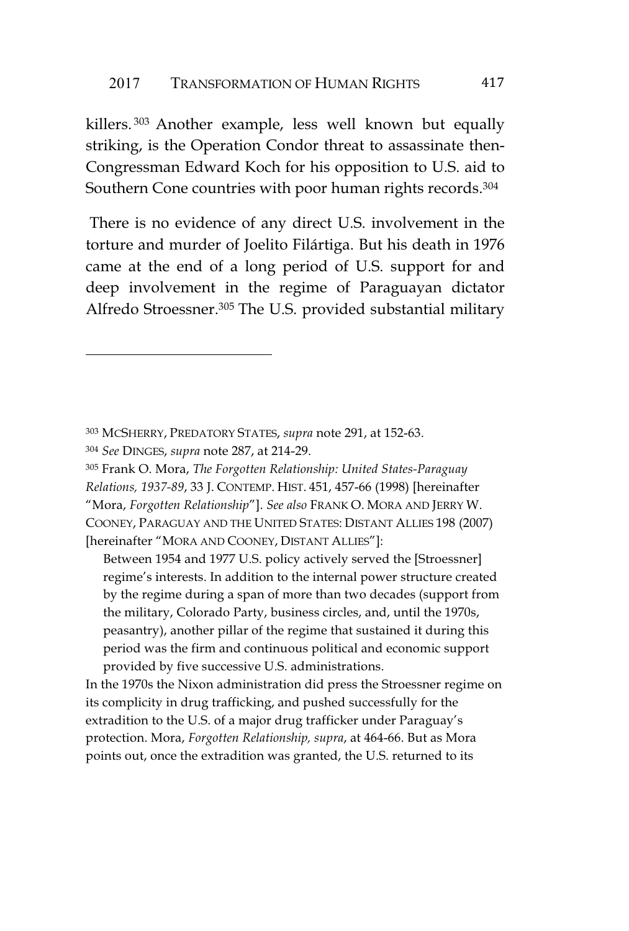killers. <sup>303</sup> Another example, less well known but equally striking, is the Operation Condor threat to assassinate then-Congressman Edward Koch for his opposition to U.S. aid to Southern Cone countries with poor human rights records.<sup>304</sup>

There is no evidence of any direct U.S. involvement in the torture and murder of Joelito Filártiga. But his death in 1976 came at the end of a long period of U.S. support for and deep involvement in the regime of Paraguayan dictator Alfredo Stroessner.<sup>305</sup> The U.S. provided substantial military

Between 1954 and 1977 U.S. policy actively served the [Stroessner] regime's interests. In addition to the internal power structure created by the regime during a span of more than two decades (support from the military, Colorado Party, business circles, and, until the 1970s, peasantry), another pillar of the regime that sustained it during this period was the firm and continuous political and economic support provided by five successive U.S. administrations.

In the 1970s the Nixon administration did press the Stroessner regime on its complicity in drug trafficking, and pushed successfully for the extradition to the U.S. of a major drug trafficker under Paraguay's protection. Mora, *Forgotten Relationship, supra*, at 464-66. But as Mora points out, once the extradition was granted, the U.S. returned to its

<sup>303</sup> MCSHERRY, PREDATORY STATES, *supra* note 291, at 152-63. <sup>304</sup> *See* DINGES, *supra* note 287, at 214-29.

<sup>305</sup> Frank O. Mora, *The Forgotten Relationship: United States-Paraguay Relations, 1937-89*, 33 J. CONTEMP. HIST. 451, 457-66 (1998) [hereinafter "Mora, *Forgotten Relationship*"]. *See also* FRANK O. MORA AND JERRY W. COONEY, PARAGUAY AND THE UNITED STATES: DISTANT ALLIES 198 (2007) [hereinafter "MORA AND COONEY, DISTANT ALLIES"]: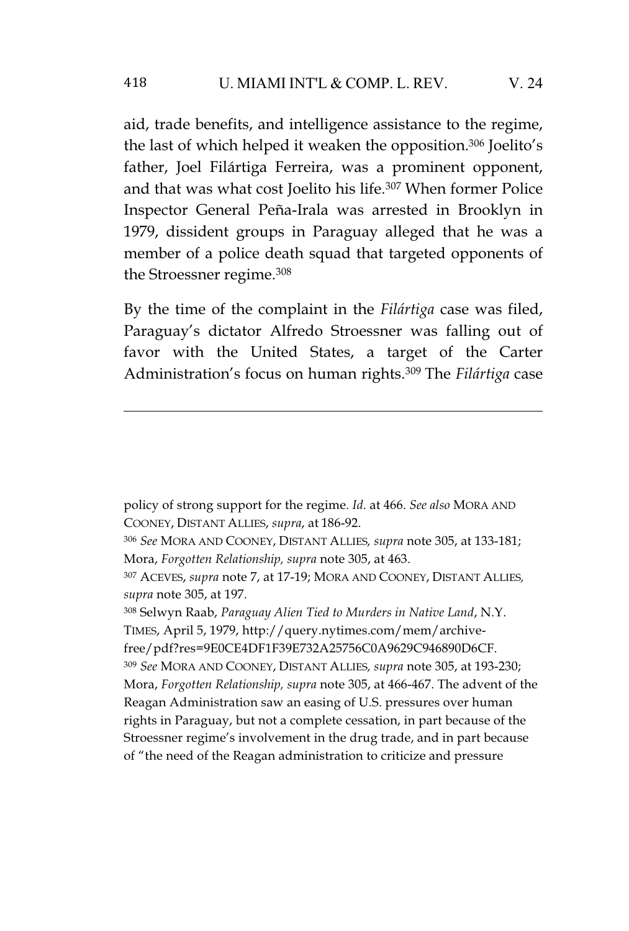aid, trade benefits, and intelligence assistance to the regime, the last of which helped it weaken the opposition.<sup>306</sup> Joelito's father, Joel Filártiga Ferreira, was a prominent opponent, and that was what cost Joelito his life.<sup>307</sup> When former Police Inspector General Peña-Irala was arrested in Brooklyn in 1979, dissident groups in Paraguay alleged that he was a member of a police death squad that targeted opponents of the Stroessner regime.<sup>308</sup>

By the time of the complaint in the *Filártiga* case was filed, Paraguay's dictator Alfredo Stroessner was falling out of favor with the United States, a target of the Carter Administration's focus on human rights.<sup>309</sup> The *Filártiga* case

policy of strong support for the regime. *Id*. at 466. *See also* MORA AND COONEY, DISTANT ALLIES, *supra*, at 186-92.

<sup>306</sup> *See* MORA AND COONEY, DISTANT ALLIES*, supra* note 305, at 133-181; Mora, *Forgotten Relationship, supra* note 305, at 463.

<sup>307</sup> ACEVES, *supra* note 7, at 17-19; MORA AND COONEY, DISTANT ALLIES*, supra* note 305, at 197.

<sup>308</sup> Selwyn Raab, *Paraguay Alien Tied to Murders in Native Land*, N.Y. TIMES, April 5, 1979, http://query.nytimes.com/mem/archivefree/pdf?res=9E0CE4DF1F39E732A25756C0A9629C946890D6CF. <sup>309</sup> *See* MORA AND COONEY, DISTANT ALLIES*, supra* note 305, at 193-230; Mora, *Forgotten Relationship, supra* note 305, at 466-467. The advent of the Reagan Administration saw an easing of U.S. pressures over human rights in Paraguay, but not a complete cessation, in part because of the Stroessner regime's involvement in the drug trade, and in part because of "the need of the Reagan administration to criticize and pressure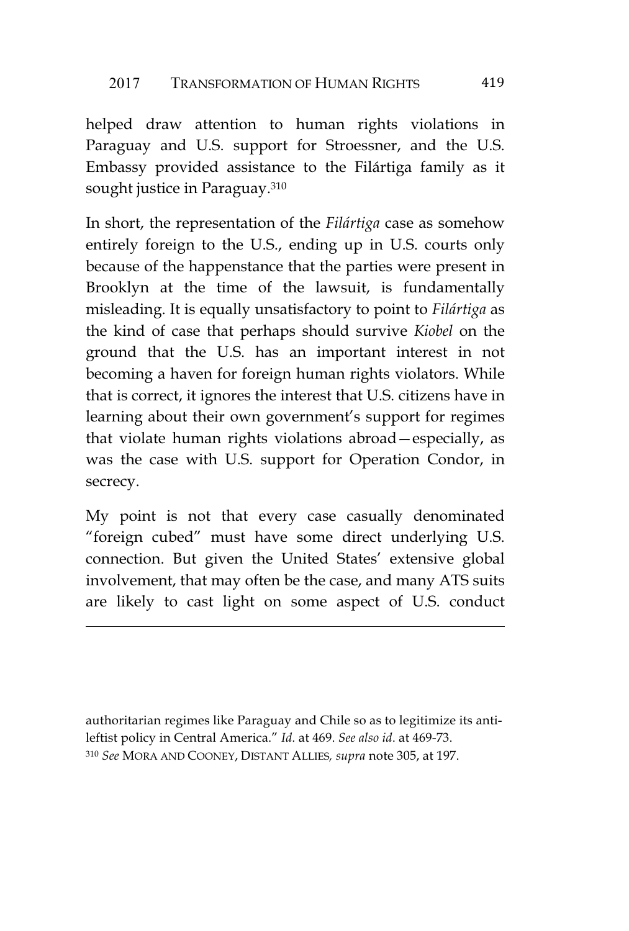helped draw attention to human rights violations in Paraguay and U.S. support for Stroessner, and the U.S. Embassy provided assistance to the Filártiga family as it sought justice in Paraguay.<sup>310</sup>

In short, the representation of the *Filártiga* case as somehow entirely foreign to the U.S., ending up in U.S. courts only because of the happenstance that the parties were present in Brooklyn at the time of the lawsuit, is fundamentally misleading. It is equally unsatisfactory to point to *Filártiga* as the kind of case that perhaps should survive *Kiobel* on the ground that the U.S. has an important interest in not becoming a haven for foreign human rights violators. While that is correct, it ignores the interest that U.S. citizens have in learning about their own government's support for regimes that violate human rights violations abroad—especially, as was the case with U.S. support for Operation Condor, in secrecy.

My point is not that every case casually denominated "foreign cubed" must have some direct underlying U.S. connection. But given the United States' extensive global involvement, that may often be the case, and many ATS suits are likely to cast light on some aspect of U.S. conduct

authoritarian regimes like Paraguay and Chile so as to legitimize its antileftist policy in Central America." *Id*. at 469. *See also id*. at 469-73. <sup>310</sup> *See* MORA AND COONEY, DISTANT ALLIES*, supra* note 305, at 197.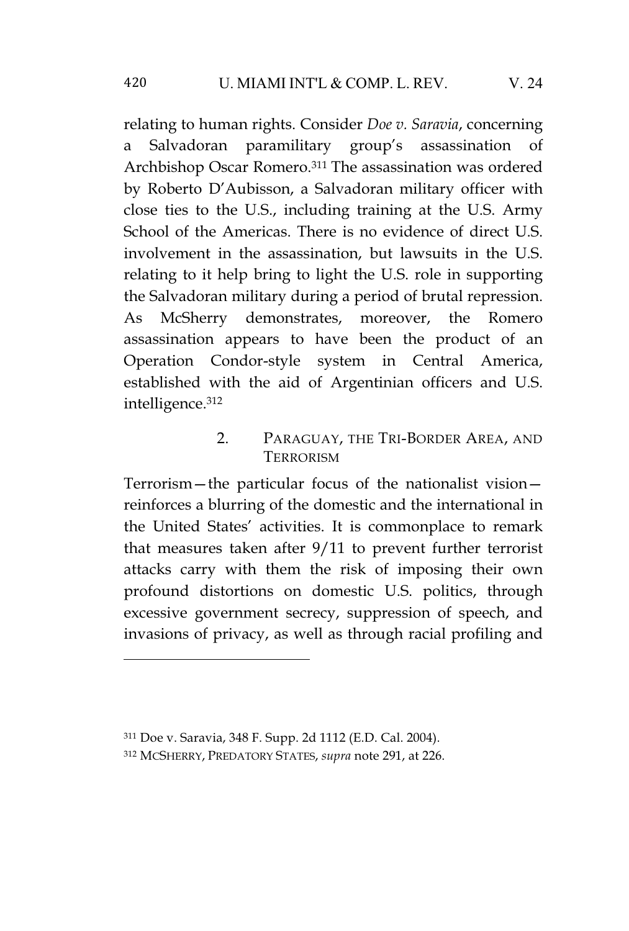relating to human rights. Consider *Doe v. Saravia*, concerning a Salvadoran paramilitary group's assassination Archbishop Oscar Romero.<sup>311</sup> The assassination was ordered by Roberto D'Aubisson, a Salvadoran military officer with close ties to the U.S., including training at the U.S. Army School of the Americas. There is no evidence of direct U.S. involvement in the assassination, but lawsuits in the U.S. relating to it help bring to light the U.S. role in supporting the Salvadoran military during a period of brutal repression. As McSherry demonstrates, moreover, the Romero assassination appears to have been the product of an Operation Condor-style system in Central America, established with the aid of Argentinian officers and U.S. intelligence.<sup>312</sup>

## 2. PARAGUAY, THE TRI-BORDER AREA, AND **TERRORISM**

Terrorism—the particular focus of the nationalist vision reinforces a blurring of the domestic and the international in the United States' activities. It is commonplace to remark that measures taken after 9/11 to prevent further terrorist attacks carry with them the risk of imposing their own profound distortions on domestic U.S. politics, through excessive government secrecy, suppression of speech, and invasions of privacy, as well as through racial profiling and

<sup>311</sup> Doe v. Saravia, 348 F. Supp. 2d 1112 (E.D. Cal. 2004).

<sup>312</sup> MCSHERRY, PREDATORY STATES, *supra* note 291, at 226.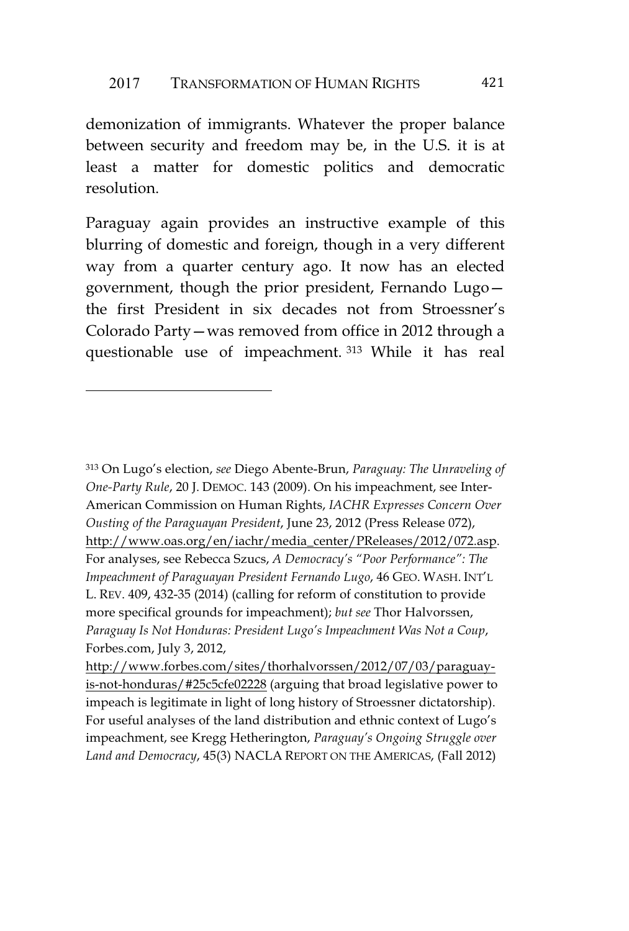#### 2017 TRANSFORMATION OF HUMAN RIGHTS 421

demonization of immigrants. Whatever the proper balance between security and freedom may be, in the U.S. it is at least a matter for domestic politics and democratic resolution.

Paraguay again provides an instructive example of this blurring of domestic and foreign, though in a very different way from a quarter century ago. It now has an elected government, though the prior president, Fernando Lugo the first President in six decades not from Stroessner's Colorado Party—was removed from office in 2012 through a questionable use of impeachment. <sup>313</sup> While it has real

<sup>313</sup> On Lugo's election, *see* Diego Abente-Brun, *Paraguay: The Unraveling of One-Party Rule*, 20 J. DEMOC. 143 (2009). On his impeachment, see Inter-American Commission on Human Rights, *IACHR Expresses Concern Over Ousting of the Paraguayan President*, June 23, 2012 (Press Release 072), http://www.oas.org/en/iachr/media\_center/PReleases/2012/072.asp. For analyses, see Rebecca Szucs, *A Democracy's "Poor Performance": The Impeachment of Paraguayan President Fernando Lugo*, 46 GEO. WASH. INT'L L. REV. 409, 432-35 (2014) (calling for reform of constitution to provide more specifical grounds for impeachment); *but see* Thor Halvorssen, *Paraguay Is Not Honduras: President Lugo's Impeachment Was Not a Coup*, Forbes.com, July 3, 2012,

http://www.forbes.com/sites/thorhalvorssen/2012/07/03/paraguayis-not-honduras/#25c5cfe02228 (arguing that broad legislative power to impeach is legitimate in light of long history of Stroessner dictatorship). For useful analyses of the land distribution and ethnic context of Lugo's impeachment, see Kregg Hetherington, *Paraguay's Ongoing Struggle over Land and Democracy*, 45(3) NACLA REPORT ON THE AMERICAS, (Fall 2012)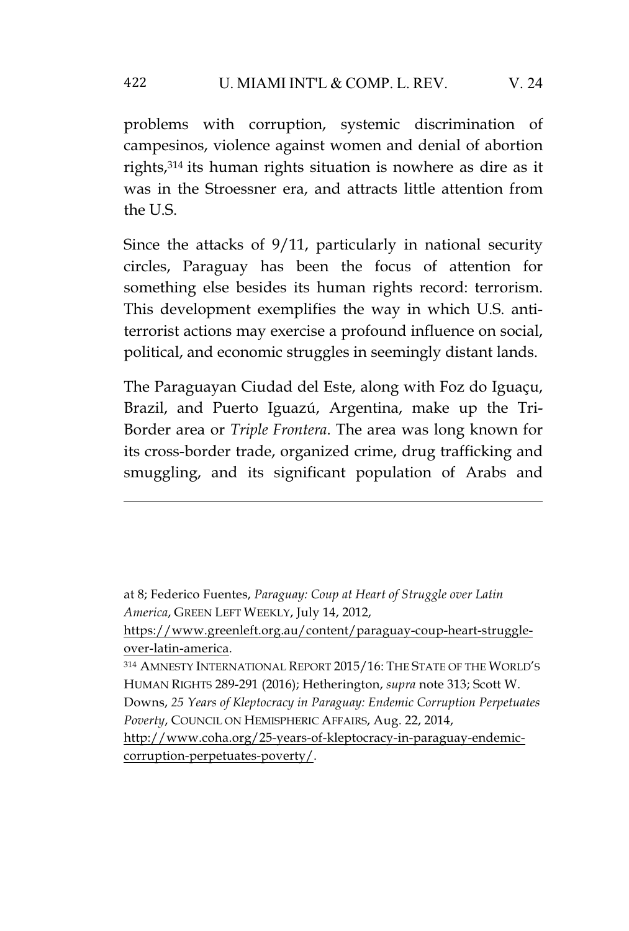## 422 U. MIAMI INT'L & COMP. L. REV. V. 24

problems with corruption, systemic discrimination of campesinos, violence against women and denial of abortion rights,<sup>314</sup> its human rights situation is nowhere as dire as it was in the Stroessner era, and attracts little attention from the U.S.

Since the attacks of 9/11, particularly in national security circles, Paraguay has been the focus of attention for something else besides its human rights record: terrorism. This development exemplifies the way in which U.S. antiterrorist actions may exercise a profound influence on social, political, and economic struggles in seemingly distant lands.

The Paraguayan Ciudad del Este, along with Foz do Iguaçu, Brazil, and Puerto Iguazú, Argentina, make up the Tri-Border area or *Triple Frontera*. The area was long known for its cross-border trade, organized crime, drug trafficking and smuggling, and its significant population of Arabs and

at 8; Federico Fuentes, *Paraguay: Coup at Heart of Struggle over Latin America*, GREEN LEFT WEEKLY, July 14, 2012,

https://www.greenleft.org.au/content/paraguay-coup-heart-struggleover-latin-america.

<sup>314</sup> AMNESTY INTERNATIONAL REPORT 2015/16: THE STATE OF THE WORLD'S HUMAN RIGHTS 289-291 (2016); Hetherington, *supra* note 313; Scott W. Downs, *25 Years of Kleptocracy in Paraguay: Endemic Corruption Perpetuates Poverty*, COUNCIL ON HEMISPHERIC AFFAIRS, Aug. 22, 2014, http://www.coha.org/25-years-of-kleptocracy-in-paraguay-endemiccorruption-perpetuates-poverty/.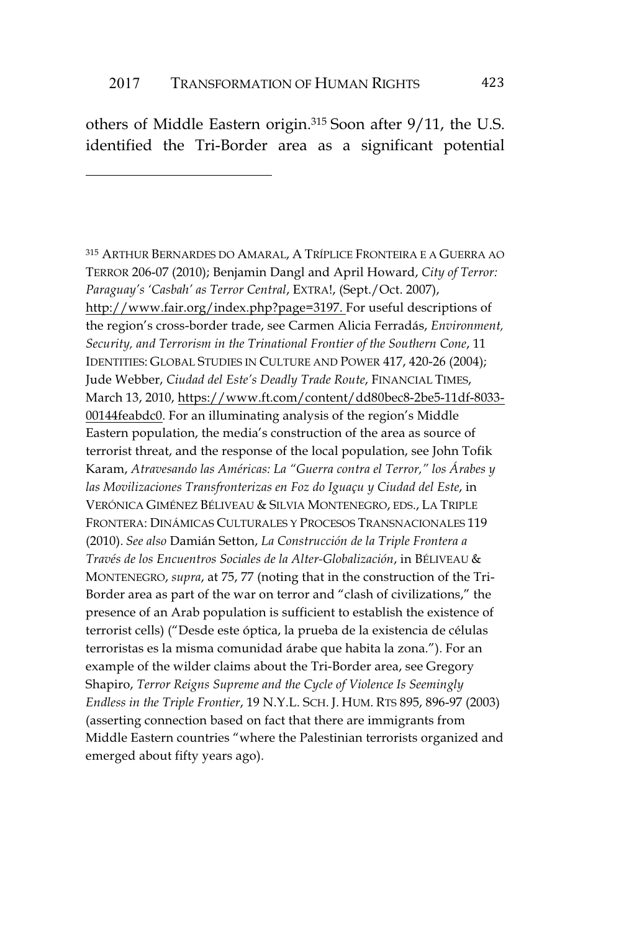others of Middle Eastern origin.<sup>315</sup> Soon after 9/11, the U.S. identified the Tri-Border area as a significant potential

<sup>315</sup> ARTHUR BERNARDES DO AMARAL,ATRÍPLICE FRONTEIRA E A GUERRA AO TERROR 206-07 (2010); Benjamin Dangl and April Howard, *City of Terror: Paraguay's 'Casbah' as Terror Central*, EXTRA!, (Sept./Oct. 2007), http://www.fair.org/index.php?page=3197. For useful descriptions of the region's cross-border trade, see Carmen Alicia Ferradás, *Environment, Security, and Terrorism in the Trinational Frontier of the Southern Cone*, 11 IDENTITIES: GLOBAL STUDIES IN CULTURE AND POWER 417, 420-26 (2004); Jude Webber, *Ciudad del Este's Deadly Trade Route*, FINANCIAL TIMES, March 13, 2010, https://www.ft.com/content/dd80bec8-2be5-11df-8033- 00144feabdc0. For an illuminating analysis of the region's Middle Eastern population, the media's construction of the area as source of terrorist threat, and the response of the local population, see John Tofik Karam, *Atravesando las Américas: La "Guerra contra el Terror," los Árabes y las Movilizaciones Transfronterizas en Foz do Iguaçu y Ciudad del Este*, in VERÓNICA GIMÉNEZ BÉLIVEAU & SILVIA MONTENEGRO, EDS., LA TRIPLE FRONTERA: DINÁMICAS CULTURALES Y PROCESOS TRANSNACIONALES 119 (2010). *See also* Damián Setton, *La Construcción de la Triple Frontera a Través de los Encuentros Sociales de la Alter-Globalización*, in BÉLIVEAU & MONTENEGRO, *supra*, at 75, 77 (noting that in the construction of the Tri-Border area as part of the war on terror and "clash of civilizations," the presence of an Arab population is sufficient to establish the existence of terrorist cells) ("Desde este óptica, la prueba de la existencia de células terroristas es la misma comunidad árabe que habita la zona."). For an example of the wilder claims about the Tri-Border area, see Gregory Shapiro, *Terror Reigns Supreme and the Cycle of Violence Is Seemingly Endless in the Triple Frontier*, 19 N.Y.L. SCH. J. HUM. RTS 895, 896-97 (2003) (asserting connection based on fact that there are immigrants from Middle Eastern countries "where the Palestinian terrorists organized and emerged about fifty years ago).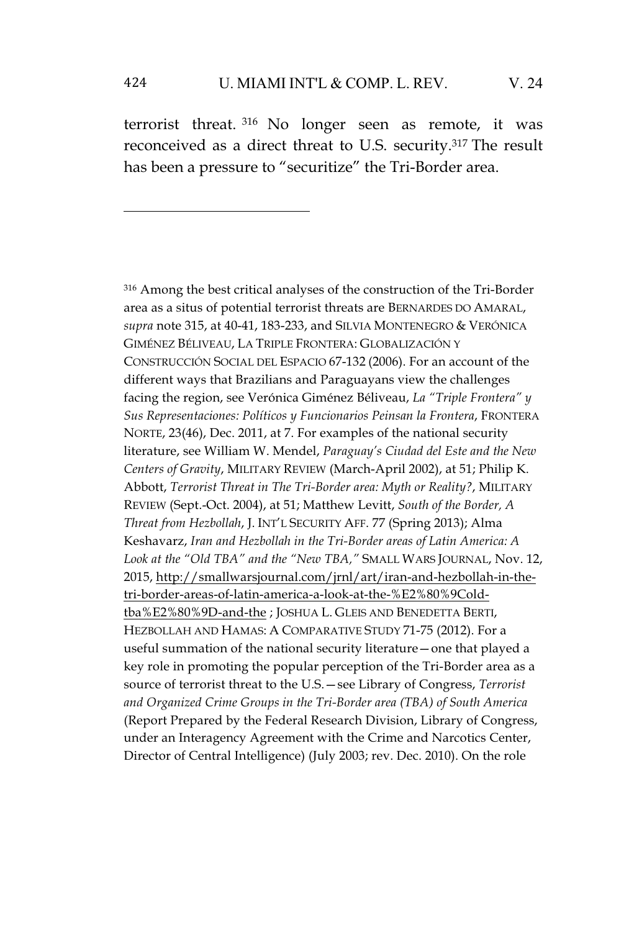terrorist threat. <sup>316</sup> No longer seen as remote, it was reconceived as a direct threat to U.S. security.<sup>317</sup> The result has been a pressure to "securitize" the Tri-Border area.

<sup>316</sup> Among the best critical analyses of the construction of the Tri-Border area as a situs of potential terrorist threats are BERNARDES DO AMARAL, *supra* note 315, at 40-41, 183-233, and SILVIA MONTENEGRO & VERÓNICA GIMÉNEZ BÉLIVEAU, LA TRIPLE FRONTERA: GLOBALIZACIÓN Y CONSTRUCCIÓN SOCIAL DEL ESPACIO 67-132 (2006). For an account of the different ways that Brazilians and Paraguayans view the challenges facing the region, see Verónica Giménez Béliveau, *La "Triple Frontera" y Sus Representaciones: Políticos y Funcionarios Peinsan la Frontera*, FRONTERA NORTE, 23(46), Dec. 2011, at 7. For examples of the national security literature, see William W. Mendel, *Paraguay's Ciudad del Este and the New Centers of Gravity*, MILITARY REVIEW (March-April 2002), at 51; Philip K. Abbott, *Terrorist Threat in The Tri-Border area: Myth or Reality?*, MILITARY REVIEW (Sept.-Oct. 2004), at 51; Matthew Levitt, *South of the Border, A Threat from Hezbollah*, J. INT'L SECURITY AFF. 77 (Spring 2013); Alma Keshavarz, *Iran and Hezbollah in the Tri-Border areas of Latin America: A Look at the "Old TBA" and the "New TBA,"* SMALL WARS JOURNAL, Nov. 12, 2015, http://smallwarsjournal.com/jrnl/art/iran-and-hezbollah-in-thetri-border-areas-of-latin-america-a-look-at-the-%E2%80%9Coldtba%E2%80%9D-and-the;JOSHUA L. GLEIS AND BENEDETTA BERTI, HEZBOLLAH AND HAMAS: A COMPARATIVE STUDY 71-75 (2012). For a useful summation of the national security literature—one that played a key role in promoting the popular perception of the Tri-Border area as a source of terrorist threat to the U.S.—see Library of Congress, *Terrorist and Organized Crime Groups in the Tri-Border area (TBA) of South America* (Report Prepared by the Federal Research Division, Library of Congress, under an Interagency Agreement with the Crime and Narcotics Center, Director of Central Intelligence) (July 2003; rev. Dec. 2010). On the role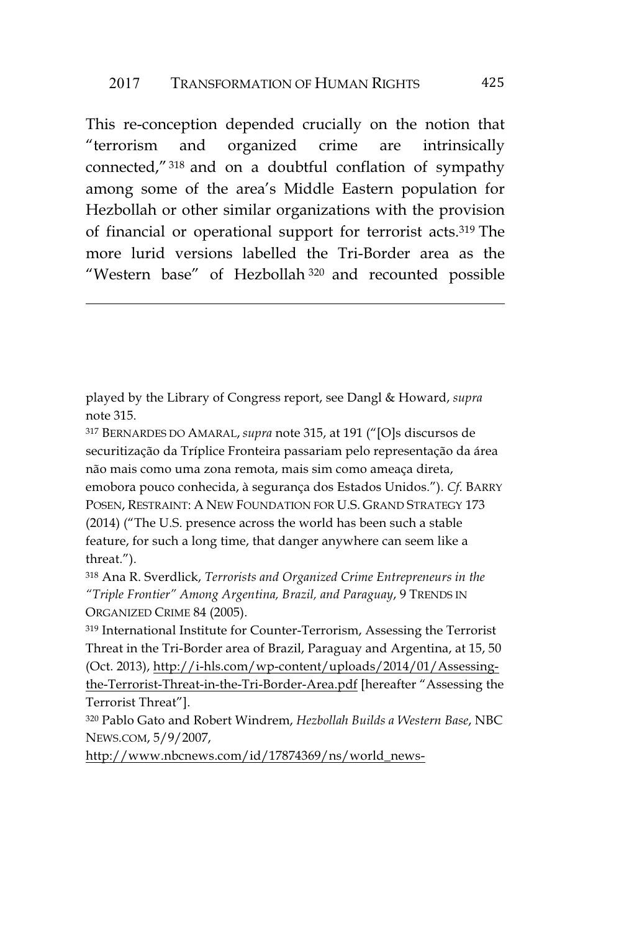This re-conception depended crucially on the notion that "terrorism and organized crime are intrinsically connected,"<sup>318</sup> and on a doubtful conflation of sympathy among some of the area's Middle Eastern population for Hezbollah or other similar organizations with the provision of financial or operational support for terrorist acts.<sup>319</sup> The more lurid versions labelled the Tri-Border area as the "Western base" of Hezbollah <sup>320</sup> and recounted possible

played by the Library of Congress report, see Dangl & Howard, *supra* note 315.

<sup>317</sup> BERNARDES DO AMARAL, *supra* note 315, at 191 ("[O]s discursos de securitização da Tríplice Fronteira passariam pelo representação da área não mais como uma zona remota, mais sim como ameaça direta, emobora pouco conhecida, à segurança dos Estados Unidos."). *Cf*. BARRY POSEN, RESTRAINT: A NEW FOUNDATION FOR U.S. GRAND STRATEGY 173 (2014) ("The U.S. presence across the world has been such a stable feature, for such a long time, that danger anywhere can seem like a threat.").

<sup>318</sup> Ana R. Sverdlick, *Terrorists and Organized Crime Entrepreneurs in the "Triple Frontier" Among Argentina, Brazil, and Paraguay*, 9 TRENDS IN ORGANIZED CRIME 84 (2005).

<sup>319</sup> International Institute for Counter-Terrorism, Assessing the Terrorist Threat in the Tri-Border area of Brazil, Paraguay and Argentina, at 15, 50 (Oct. 2013), http://i-hls.com/wp-content/uploads/2014/01/Assessingthe-Terrorist-Threat-in-the-Tri-Border-Area.pdf [hereafter "Assessing the Terrorist Threat"].

320 Pablo Gato and Robert Windrem, *Hezbollah Builds a Western Base*, NBC NEWS.COM, 5/9/2007,

http://www.nbcnews.com/id/17874369/ns/world\_news-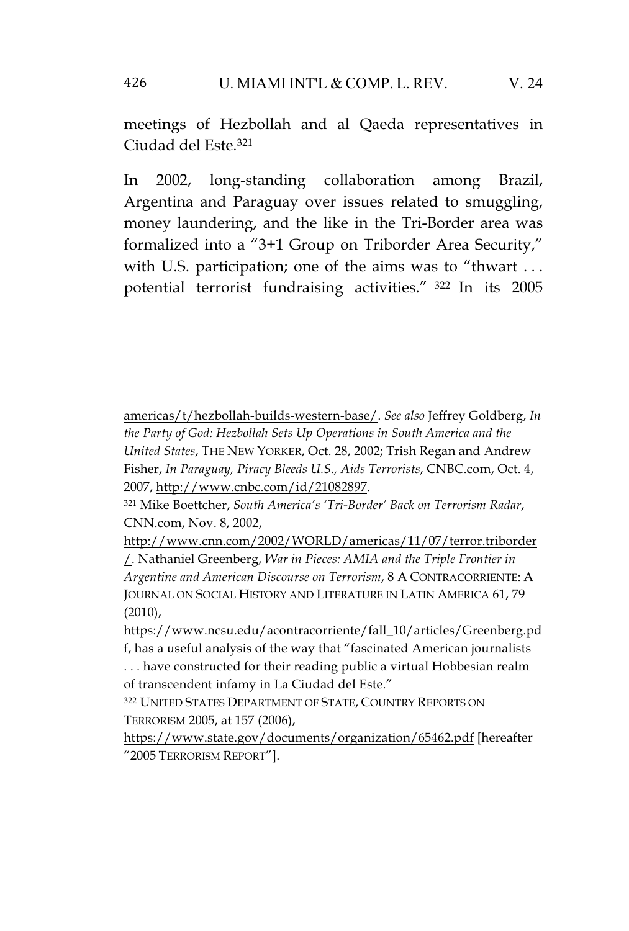## 426 U. MIAMI INT'L & COMP. L. REV. V. 24

meetings of Hezbollah and al Qaeda representatives in Ciudad del Este.<sup>321</sup>

In 2002, long-standing collaboration among Brazil, Argentina and Paraguay over issues related to smuggling, money laundering, and the like in the Tri-Border area was formalized into a "3+1 Group on Triborder Area Security," with U.S. participation; one of the aims was to "thwart ... potential terrorist fundraising activities." <sup>322</sup> In its 2005

americas/t/hezbollah-builds-western-base/. *See also* Jeffrey Goldberg, *In the Party of God: Hezbollah Sets Up Operations in South America and the United States*, THE NEW YORKER, Oct. 28, 2002; Trish Regan and Andrew Fisher, *In Paraguay, Piracy Bleeds U.S., Aids Terrorists*, CNBC.com, Oct. 4, 2007, http://www.cnbc.com/id/21082897.

<sup>321</sup> Mike Boettcher, *South America's 'Tri-Border' Back on Terrorism Radar*, CNN.com, Nov. 8, 2002,

http://www.cnn.com/2002/WORLD/americas/11/07/terror.triborder /. Nathaniel Greenberg, *War in Pieces: AMIA and the Triple Frontier in Argentine and American Discourse on Terrorism*, 8ACONTRACORRIENTE: A JOURNAL ON SOCIAL HISTORY AND LITERATURE IN LATIN AMERICA 61, 79 (2010),

https://www.ncsu.edu/acontracorriente/fall\_10/articles/Greenberg.pd  $f<sub>1</sub>$  has a useful analysis of the way that "fascinated American journalists ... have constructed for their reading public a virtual Hobbesian realm

https://www.state.gov/documents/organization/65462.pdf [hereafter "2005 TERRORISM REPORT"].

of transcendent infamy in La Ciudad del Este."

<sup>322</sup> UNITED STATES DEPARTMENT OF STATE, COUNTRY REPORTS ON TERRORISM 2005, at 157 (2006),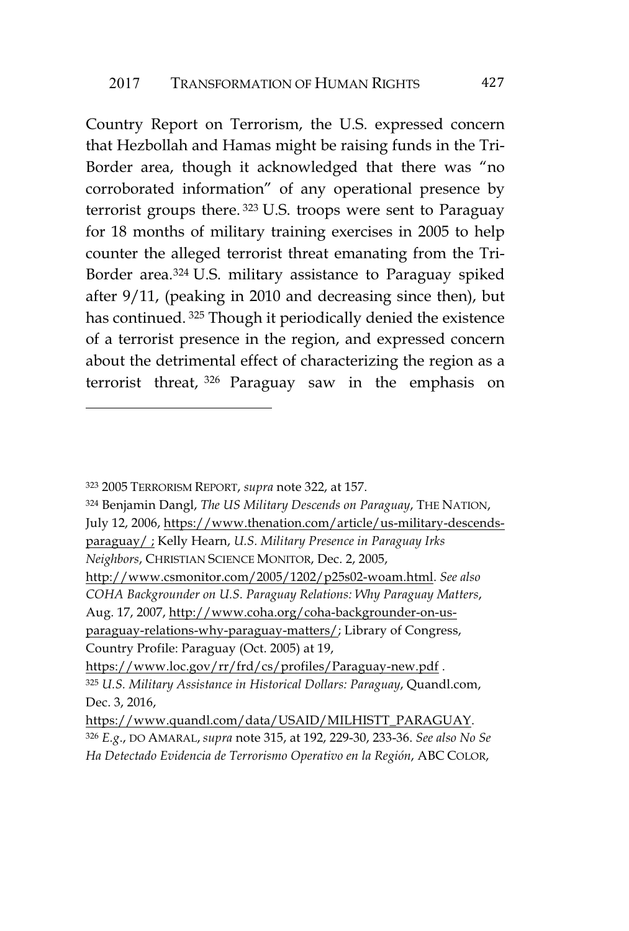Country Report on Terrorism, the U.S. expressed concern that Hezbollah and Hamas might be raising funds in the Tri-Border area, though it acknowledged that there was "no corroborated information" of any operational presence by terrorist groups there. <sup>323</sup> U.S. troops were sent to Paraguay for 18 months of military training exercises in 2005 to help counter the alleged terrorist threat emanating from the Tri-Border area.<sup>324</sup> U.S. military assistance to Paraguay spiked after 9/11, (peaking in 2010 and decreasing since then), but has continued. <sup>325</sup> Though it periodically denied the existence of a terrorist presence in the region, and expressed concern about the detrimental effect of characterizing the region as a terrorist threat, <sup>326</sup> Paraguay saw in the emphasis on

https://www.loc.gov/rr/frd/cs/profiles/Paraguay-new.pdf .

https://www.quandl.com/data/USAID/MILHISTT\_PARAGUAY. <sup>326</sup> *E.g*., DO AMARAL, *supra* note 315, at 192, 229-30, 233-36. *See also No Se Ha Detectado Evidencia de Terrorismo Operativo en la Región*, ABC COLOR,

<sup>323</sup> 2005 TERRORISM REPORT, *supra* note 322, at 157.

<sup>324</sup> Benjamin Dangl, *The US Military Descends on Paraguay*, THE NATION, July 12, 2006, https://www.thenation.com/article/us-military-descendsparaguay/ ; Kelly Hearn, *U.S. Military Presence in Paraguay Irks Neighbors*, CHRISTIAN SCIENCE MONITOR, Dec. 2, 2005, http://www.csmonitor.com/2005/1202/p25s02-woam.html. *See also*

*COHA Backgrounder on U.S. Paraguay Relations: Why Paraguay Matters*, Aug. 17, 2007, http://www.coha.org/coha-backgrounder-on-us-

paraguay-relations-why-paraguay-matters/; Library of Congress, Country Profile: Paraguay (Oct. 2005) at 19,

<sup>325</sup> *U.S. Military Assistance in Historical Dollars: Paraguay*, Quandl.com, Dec. 3, 2016,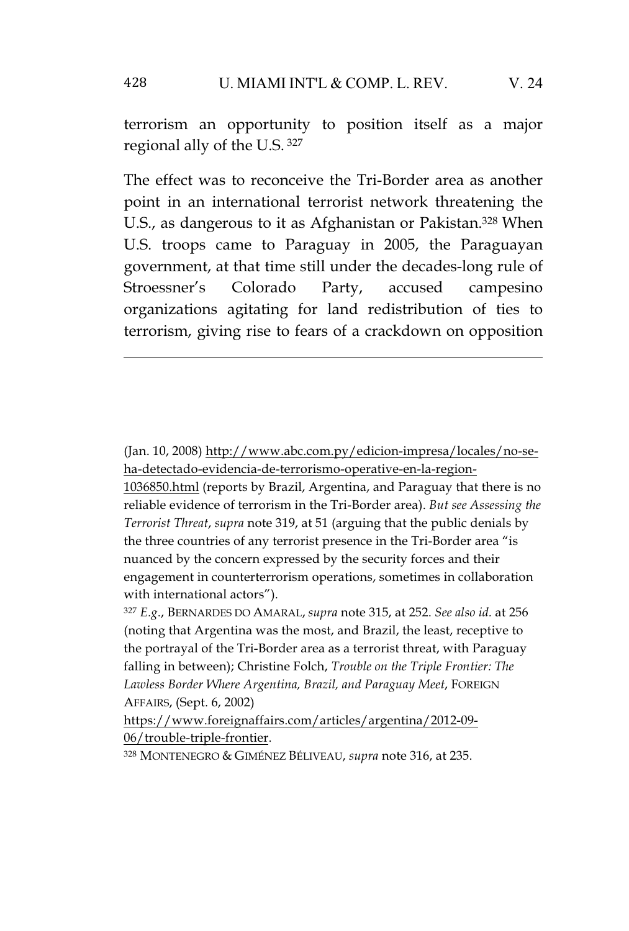terrorism an opportunity to position itself as a major regional ally of the U.S. <sup>327</sup>

The effect was to reconceive the Tri-Border area as another point in an international terrorist network threatening the U.S., as dangerous to it as Afghanistan or Pakistan.<sup>328</sup> When U.S. troops came to Paraguay in 2005, the Paraguayan government, at that time still under the decades-long rule of Stroessner's Colorado Party, accused campesino organizations agitating for land redistribution of ties to terrorism, giving rise to fears of a crackdown on opposition

1036850.html (reports by Brazil, Argentina, and Paraguay that there is no reliable evidence of terrorism in the Tri-Border area). *But see Assessing the Terrorist Threat*, *supra* note 319, at 51 (arguing that the public denials by the three countries of any terrorist presence in the Tri-Border area "is nuanced by the concern expressed by the security forces and their engagement in counterterrorism operations, sometimes in collaboration with international actors").

<sup>327</sup> *E.g*., BERNARDES DO AMARAL, *supra* note 315, at 252. *See also id.* at 256 (noting that Argentina was the most, and Brazil, the least, receptive to the portrayal of the Tri-Border area as a terrorist threat, with Paraguay falling in between); Christine Folch, *Trouble on the Triple Frontier: The Lawless Border Where Argentina, Brazil, and Paraguay Meet*, FOREIGN AFFAIRS, (Sept. 6, 2002)

<sup>(</sup>Jan. 10, 2008) http://www.abc.com.py/edicion-impresa/locales/no-seha-detectado-evidencia-de-terrorismo-operative-en-la-region-

https://www.foreignaffairs.com/articles/argentina/2012-09- 06/trouble-triple-frontier.

<sup>328</sup> MONTENEGRO & GIMÉNEZ BÉLIVEAU, *supra* note 316, at 235.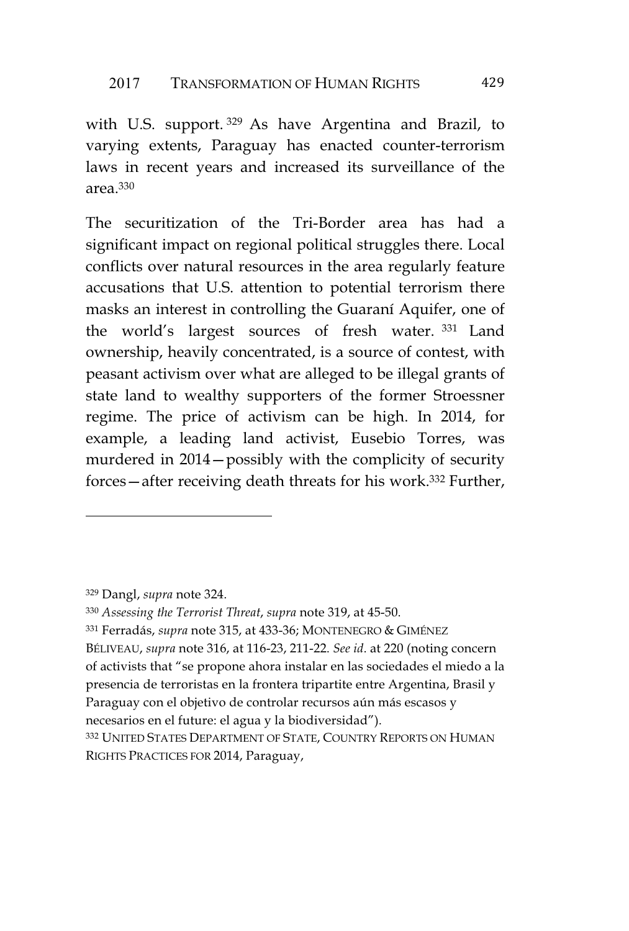with U.S. support. <sup>329</sup> As have Argentina and Brazil, to varying extents, Paraguay has enacted counter-terrorism laws in recent years and increased its surveillance of the area.<sup>330</sup>

The securitization of the Tri-Border area has had a significant impact on regional political struggles there. Local conflicts over natural resources in the area regularly feature accusations that U.S. attention to potential terrorism there masks an interest in controlling the Guaraní Aquifer, one of the world's largest sources of fresh water. <sup>331</sup> Land ownership, heavily concentrated, is a source of contest, with peasant activism over what are alleged to be illegal grants of state land to wealthy supporters of the former Stroessner regime. The price of activism can be high. In 2014, for example, a leading land activist, Eusebio Torres, was murdered in 2014—possibly with the complicity of security forces—after receiving death threats for his work.<sup>332</sup> Further,

<sup>329</sup> Dangl, *supra* note 324.

<sup>330</sup> *Assessing the Terrorist Threat*, *supra* note 319, at 45-50.

<sup>331</sup> Ferradás, *supra* note 315, at 433-36; MONTENEGRO & GIMÉNEZ BÉLIVEAU, *supra* note 316, at 116-23, 211-22. *See id*. at 220 (noting concern of activists that "se propone ahora instalar en las sociedades el miedo a la presencia de terroristas en la frontera tripartite entre Argentina, Brasil y Paraguay con el objetivo de controlar recursos aún más escasos y necesarios en el future: el agua y la biodiversidad").

<sup>332</sup> UNITED STATES DEPARTMENT OF STATE, COUNTRY REPORTS ON HUMAN RIGHTS PRACTICES FOR 2014, Paraguay,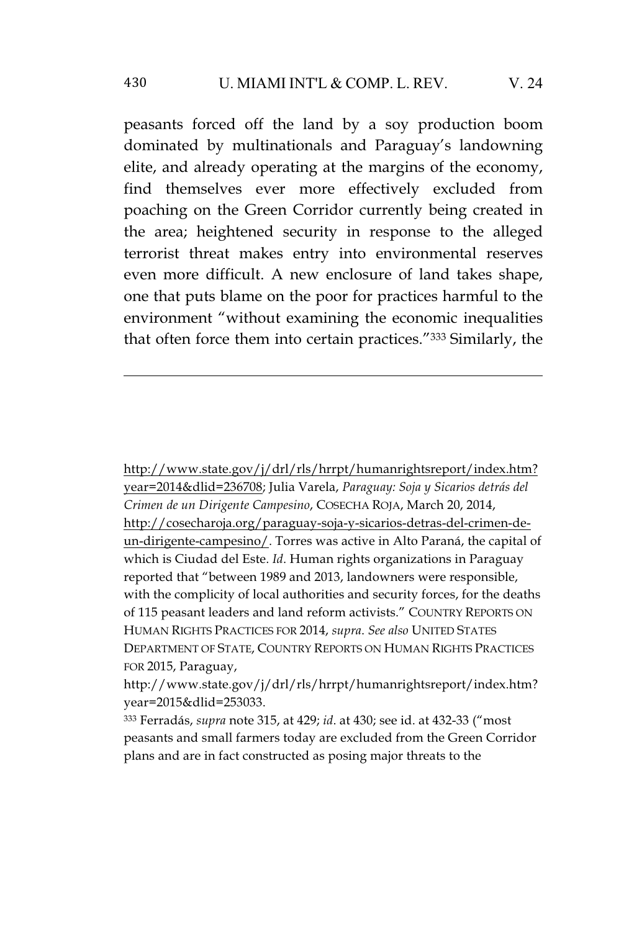## 430 U. MIAMI INT'L & COMP. L. REV. V. 24

peasants forced off the land by a soy production boom dominated by multinationals and Paraguay's landowning elite, and already operating at the margins of the economy, find themselves ever more effectively excluded from poaching on the Green Corridor currently being created in the area; heightened security in response to the alleged terrorist threat makes entry into environmental reserves even more difficult. A new enclosure of land takes shape, one that puts blame on the poor for practices harmful to the environment "without examining the economic inequalities that often force them into certain practices."<sup>333</sup> Similarly, the

http://www.state.gov/j/drl/rls/hrrpt/humanrightsreport/index.htm? year=2014&dlid=236708; Julia Varela, *Paraguay: Soja y Sicarios detrás del Crimen de un Dirigente Campesino*, COSECHA ROJA, March 20, 2014, http://cosecharoja.org/paraguay-soja-y-sicarios-detras-del-crimen-deun-dirigente-campesino/. Torres was active in Alto Paraná, the capital of which is Ciudad del Este. *Id*. Human rights organizations in Paraguay reported that "between 1989 and 2013, landowners were responsible, with the complicity of local authorities and security forces, for the deaths of 115 peasant leaders and land reform activists." COUNTRY REPORTS ON HUMAN RIGHTS PRACTICES FOR 2014, *supra*. *See also* UNITED STATES DEPARTMENT OF STATE, COUNTRY REPORTS ON HUMAN RIGHTS PRACTICES FOR 2015, Paraguay,

<sup>333</sup> Ferradás, *supra* note 315, at 429; *id*. at 430; see id. at 432-33 ("most peasants and small farmers today are excluded from the Green Corridor plans and are in fact constructed as posing major threats to the

http://www.state.gov/j/drl/rls/hrrpt/humanrightsreport/index.htm? year=2015&dlid=253033.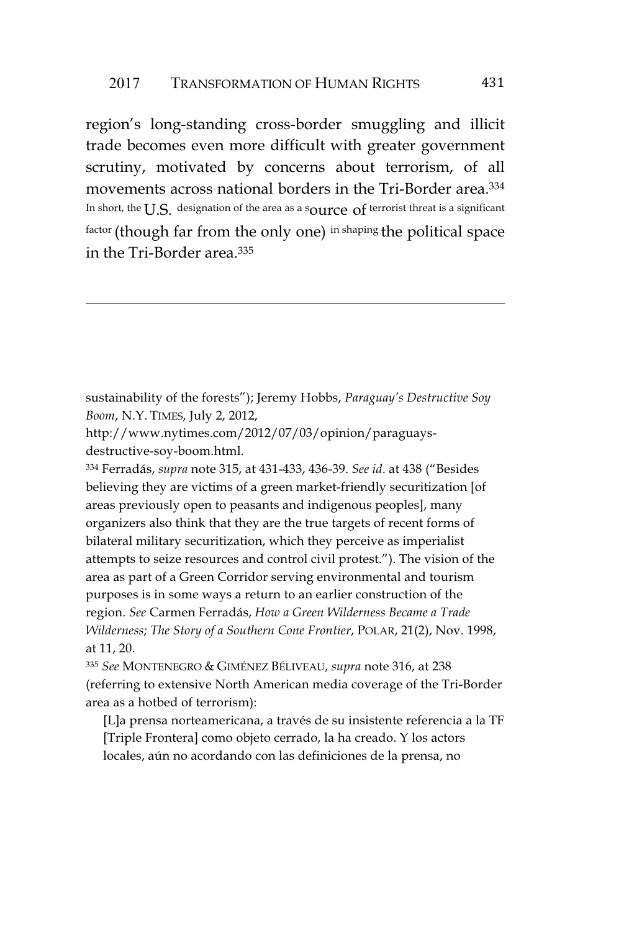region's long-standing cross-border smuggling and illicit trade becomes even more difficult with greater government scrutiny, motivated by concerns about terrorism, of all movements across national borders in the Tri-Border area.<sup>334</sup> In short, the  $\prod S$  designation of the area as a  $s_{\text{O11TC}}$  of terrorist threat is a significant factor (though far from the only one) in shaping the political space in the Tri-Border area.<sup>335</sup>

sustainability of the forests"); Jeremy Hobbs, *Paraguay's Destructive Soy Boom*, N.Y. TIMES, July 2, 2012,

http://www.nytimes.com/2012/07/03/opinion/paraguaysdestructive-soy-boom.html.

<sup>334</sup> Ferradás, *supra* note 315, at 431-433, 436-39. *See id*. at 438 ("Besides believing they are victims of a green market-friendly securitization [of areas previously open to peasants and indigenous peoples], many organizers also think that they are the true targets of recent forms of bilateral military securitization, which they perceive as imperialist attempts to seize resources and control civil protest."). The vision of the area as part of a Green Corridor serving environmental and tourism purposes is in some ways a return to an earlier construction of the region. *See* Carmen Ferradás, *How a Green Wilderness Became a Trade Wilderness; The Story of a Southern Cone Frontier*, POLAR, 21(2), Nov. 1998, at 11, 20.

<sup>335</sup> *See* MONTENEGRO & GIMÉNEZ BÉLIVEAU, *supra* note 316, at 238 (referring to extensive North American media coverage of the Tri-Border area as a hotbed of terrorism):

[L]a prensa norteamericana, a través de su insistente referencia a la TF [Triple Frontera] como objeto cerrado, la ha creado. Y los actors locales, aún no acordando con las definiciones de la prensa, no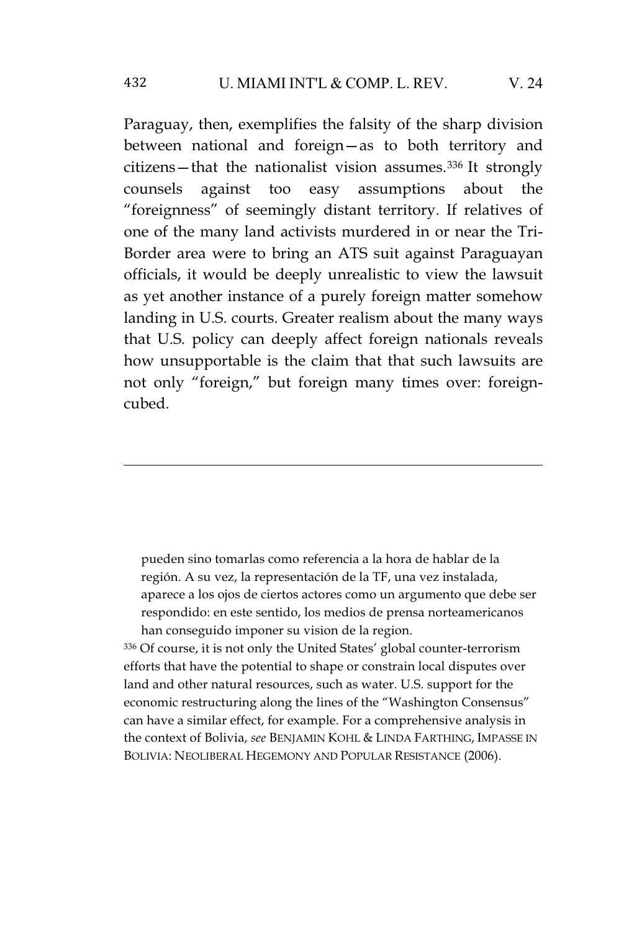Paraguay, then, exemplifies the falsity of the sharp division between national and foreign—as to both territory and citizens—that the nationalist vision assumes. $336$  It strongly counsels against too easy assumptions about the "foreignness" of seemingly distant territory. If relatives of one of the many land activists murdered in or near the Tri-Border area were to bring an ATS suit against Paraguayan officials, it would be deeply unrealistic to view the lawsuit as yet another instance of a purely foreign matter somehow landing in U.S. courts. Greater realism about the many ways that U.S. policy can deeply affect foreign nationals reveals how unsupportable is the claim that that such lawsuits are not only "foreign," but foreign many times over: foreigncubed.

pueden sino tomarlas como referencia a la hora de hablar de la región. A su vez, la representación de la TF, una vez instalada, aparece a los ojos de ciertos actores como un argumento que debe ser respondido: en este sentido, los medios de prensa norteamericanos han conseguido imponer su vision de la region.

<sup>336</sup> Of course, it is not only the United States' global counter-terrorism efforts that have the potential to shape or constrain local disputes over land and other natural resources, such as water. U.S. support for the economic restructuring along the lines of the "Washington Consensus" can have a similar effect, for example. For a comprehensive analysis in the context of Bolivia, *see* BENJAMIN KOHL & LINDA FARTHING, IMPASSE IN BOLIVIA: NEOLIBERAL HEGEMONY AND POPULAR RESISTANCE (2006).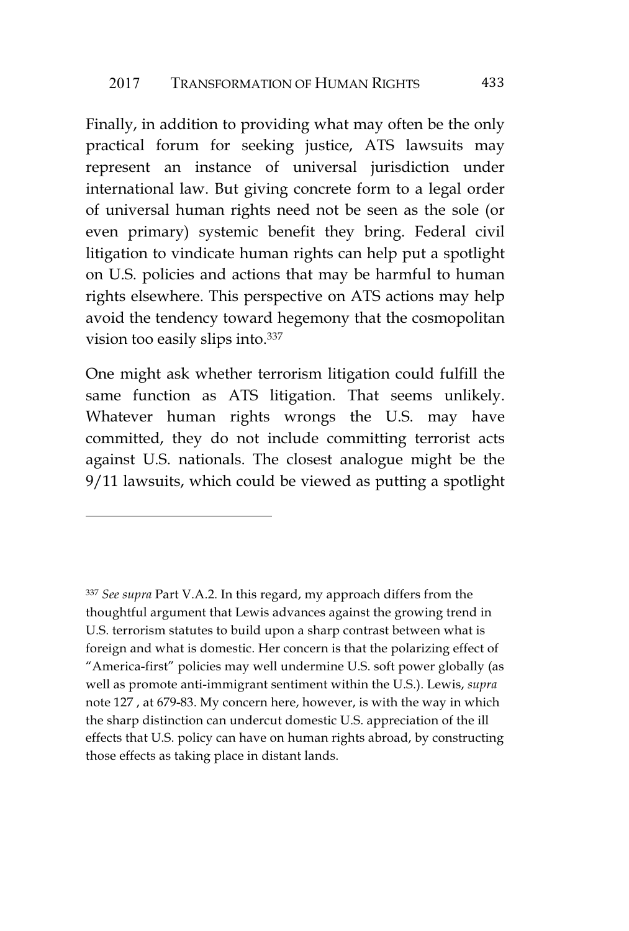Finally, in addition to providing what may often be the only practical forum for seeking justice, ATS lawsuits may represent an instance of universal jurisdiction under international law. But giving concrete form to a legal order of universal human rights need not be seen as the sole (or even primary) systemic benefit they bring. Federal civil litigation to vindicate human rights can help put a spotlight on U.S. policies and actions that may be harmful to human rights elsewhere. This perspective on ATS actions may help avoid the tendency toward hegemony that the cosmopolitan vision too easily slips into.<sup>337</sup>

One might ask whether terrorism litigation could fulfill the same function as ATS litigation. That seems unlikely. Whatever human rights wrongs the U.S. may have committed, they do not include committing terrorist acts against U.S. nationals. The closest analogue might be the 9/11 lawsuits, which could be viewed as putting a spotlight

<sup>337</sup> *See supra* Part V.A.2. In this regard, my approach differs from the thoughtful argument that Lewis advances against the growing trend in U.S. terrorism statutes to build upon a sharp contrast between what is foreign and what is domestic. Her concern is that the polarizing effect of "America-first" policies may well undermine U.S. soft power globally (as well as promote anti-immigrant sentiment within the U.S.). Lewis, *supra* note 127 , at 679-83. My concern here, however, is with the way in which the sharp distinction can undercut domestic U.S. appreciation of the ill effects that U.S. policy can have on human rights abroad, by constructing those effects as taking place in distant lands.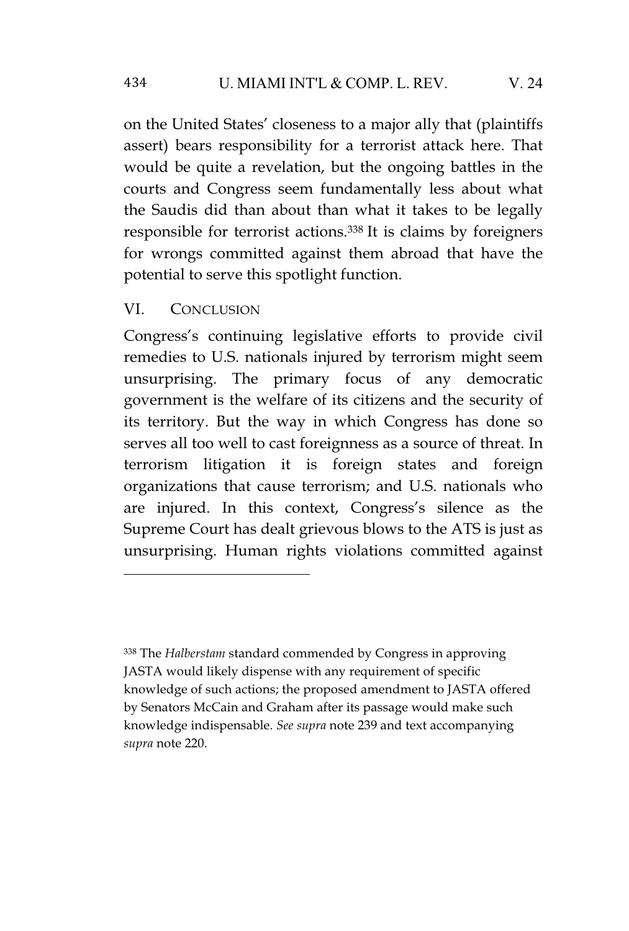## 434 U. MIAMI INT'L & COMP. L. REV. V. 24

on the United States' closeness to a major ally that (plaintiffs assert) bears responsibility for a terrorist attack here. That would be quite a revelation, but the ongoing battles in the courts and Congress seem fundamentally less about what the Saudis did than about than what it takes to be legally responsible for terrorist actions.<sup>338</sup> It is claims by foreigners for wrongs committed against them abroad that have the potential to serve this spotlight function.

## VI. CONCLUSION

Congress's continuing legislative efforts to provide civil remedies to U.S. nationals injured by terrorism might seem unsurprising. The primary focus of any democratic government is the welfare of its citizens and the security of its territory. But the way in which Congress has done so serves all too well to cast foreignness as a source of threat. In terrorism litigation it is foreign states and foreign organizations that cause terrorism; and U.S. nationals who are injured. In this context, Congress's silence as the Supreme Court has dealt grievous blows to the ATS is just as unsurprising. Human rights violations committed against

<sup>338</sup> The *Halberstam* standard commended by Congress in approving JASTA would likely dispense with any requirement of specific knowledge of such actions; the proposed amendment to JASTA offered by Senators McCain and Graham after its passage would make such knowledge indispensable. *See supra* note 239 and text accompanying *supra* note 220.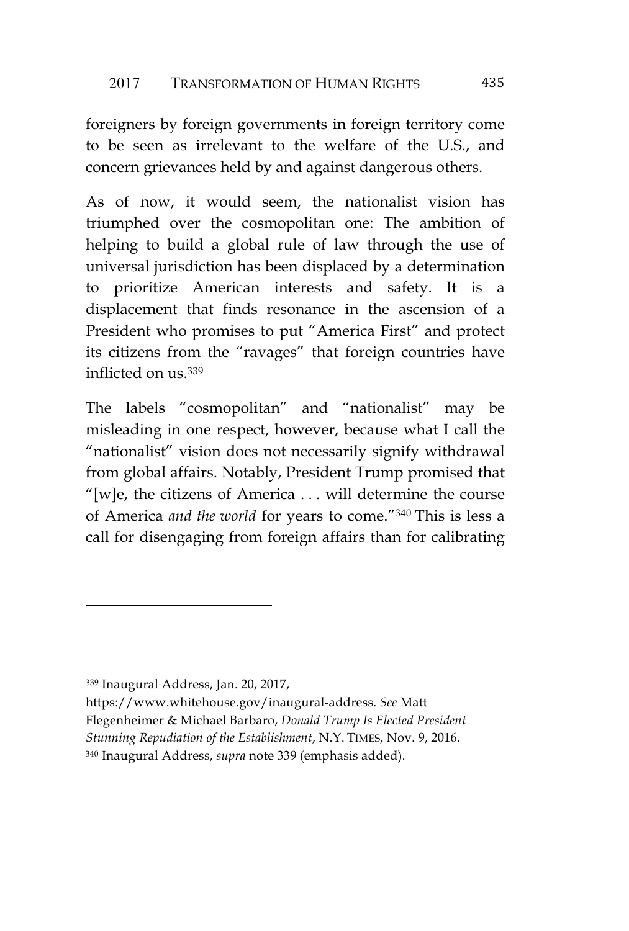foreigners by foreign governments in foreign territory come to be seen as irrelevant to the welfare of the U.S., and concern grievances held by and against dangerous others.

As of now, it would seem, the nationalist vision has triumphed over the cosmopolitan one: The ambition of helping to build a global rule of law through the use of universal jurisdiction has been displaced by a determination to prioritize American interests and safety. It is a displacement that finds resonance in the ascension of a President who promises to put "America First" and protect its citizens from the "ravages" that foreign countries have inflicted on us.<sup>339</sup>

The labels "cosmopolitan" and "nationalist" may be misleading in one respect, however, because what I call the "nationalist" vision does not necessarily signify withdrawal from global affairs. Notably, President Trump promised that "[w]e, the citizens of America  $\dots$  will determine the course of America *and the world* for years to come."<sup>340</sup> This is less a call for disengaging from foreign affairs than for calibrating

<sup>339</sup> Inaugural Address, Jan. 20, 2017,

https://www.whitehouse.gov/inaugural-address. *See* Matt Flegenheimer & Michael Barbaro, *Donald Trump Is Elected President Stunning Repudiation of the Establishment*, N.Y. TIMES, Nov. 9, 2016. <sup>340</sup> Inaugural Address, *supra* note 339 (emphasis added).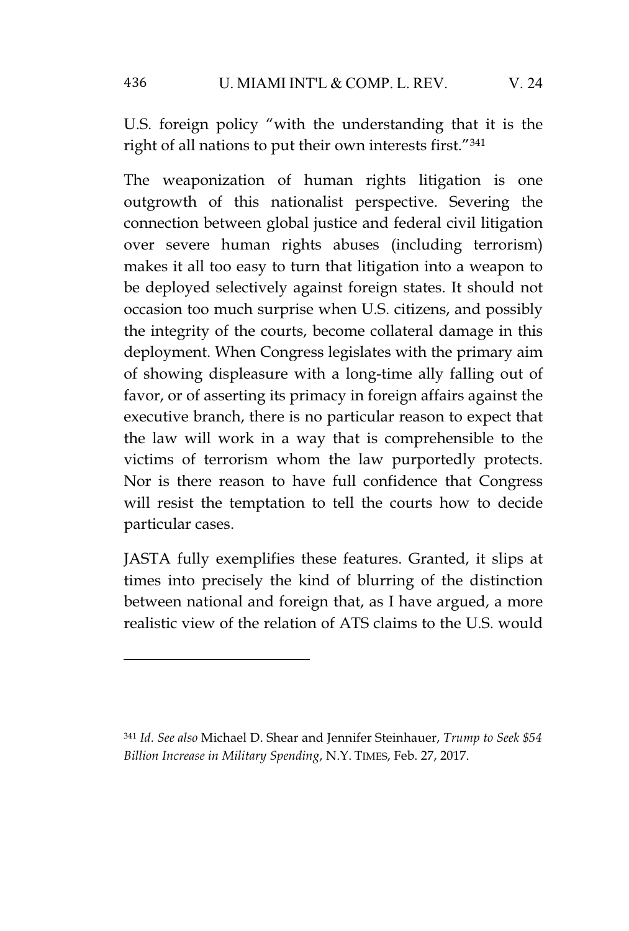U.S. foreign policy "with the understanding that it is the right of all nations to put their own interests first."<sup>341</sup>

The weaponization of human rights litigation is one outgrowth of this nationalist perspective. Severing the connection between global justice and federal civil litigation over severe human rights abuses (including terrorism) makes it all too easy to turn that litigation into a weapon to be deployed selectively against foreign states. It should not occasion too much surprise when U.S. citizens, and possibly the integrity of the courts, become collateral damage in this deployment. When Congress legislates with the primary aim of showing displeasure with a long-time ally falling out of favor, or of asserting its primacy in foreign affairs against the executive branch, there is no particular reason to expect that the law will work in a way that is comprehensible to the victims of terrorism whom the law purportedly protects. Nor is there reason to have full confidence that Congress will resist the temptation to tell the courts how to decide particular cases.

JASTA fully exemplifies these features. Granted, it slips at times into precisely the kind of blurring of the distinction between national and foreign that, as I have argued, a more realistic view of the relation of ATS claims to the U.S. would

<sup>341</sup> *Id*. *See also* Michael D. Shear and Jennifer Steinhauer, *Trump to Seek \$54 Billion Increase in Military Spending*, N.Y. TIMES, Feb. 27, 2017.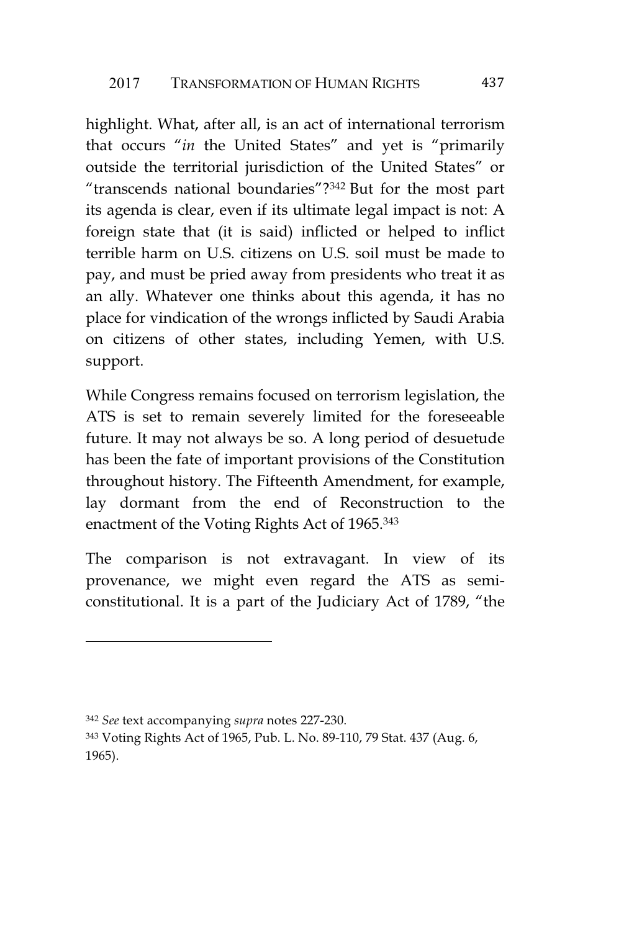highlight. What, after all, is an act of international terrorism that occurs "*in* the United States" and yet is "primarily outside the territorial jurisdiction of the United States" or "transcends national boundaries"?<sup>342</sup> But for the most part its agenda is clear, even if its ultimate legal impact is not: A foreign state that (it is said) inflicted or helped to inflict terrible harm on U.S. citizens on U.S. soil must be made to pay, and must be pried away from presidents who treat it as an ally. Whatever one thinks about this agenda, it has no place for vindication of the wrongs inflicted by Saudi Arabia on citizens of other states, including Yemen, with U.S. support.

While Congress remains focused on terrorism legislation, the ATS is set to remain severely limited for the foreseeable future. It may not always be so. A long period of desuetude has been the fate of important provisions of the Constitution throughout history. The Fifteenth Amendment, for example, lay dormant from the end of Reconstruction to the enactment of the Voting Rights Act of 1965.<sup>343</sup>

The comparison is not extravagant. In view of its provenance, we might even regard the ATS as semiconstitutional. It is a part of the Judiciary Act of 1789, "the

<sup>342</sup> *See* text accompanying *supra* notes 227-230.

<sup>343</sup> Voting Rights Act of 1965, Pub. L. No. 89-110, 79 Stat. 437 (Aug. 6, 1965).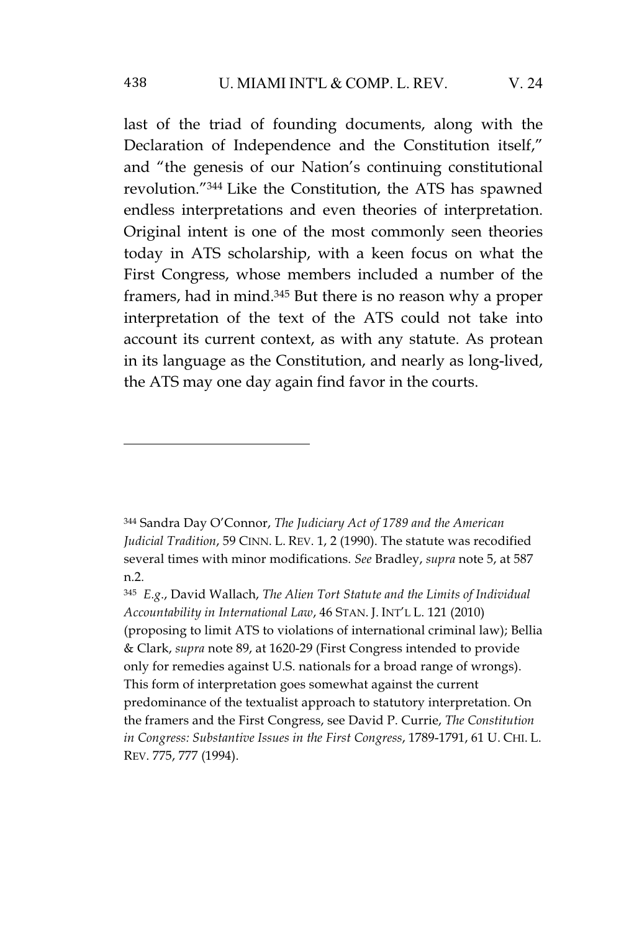## 438 U. MIAMI INT'L & COMP. L. REV. V. 24

last of the triad of founding documents, along with the Declaration of Independence and the Constitution itself," and "the genesis of our Nation's continuing constitutional revolution."<sup>344</sup> Like the Constitution, the ATS has spawned endless interpretations and even theories of interpretation. Original intent is one of the most commonly seen theories today in ATS scholarship, with a keen focus on what the First Congress, whose members included a number of the framers, had in mind.<sup>345</sup> But there is no reason why a proper interpretation of the text of the ATS could not take into account its current context, as with any statute. As protean in its language as the Constitution, and nearly as long-lived, the ATS may one day again find favor in the courts.

<sup>344</sup> Sandra Day O'Connor, *The Judiciary Act of 1789 and the American Judicial Tradition*, 59 CINN. L. REV. 1, 2 (1990). The statute was recodified several times with minor modifications. *See* Bradley, *supra* note 5, at 587 n.2.

<sup>345</sup> *E.g*., David Wallach, *The Alien Tort Statute and the Limits of Individual Accountability in International Law*, 46 STAN. J. INT'L L. 121 (2010) (proposing to limit ATS to violations of international criminal law); Bellia & Clark, *supra* note 89, at 1620-29 (First Congress intended to provide only for remedies against U.S. nationals for a broad range of wrongs). This form of interpretation goes somewhat against the current predominance of the textualist approach to statutory interpretation. On the framers and the First Congress, see David P. Currie, *The Constitution in Congress: Substantive Issues in the First Congress*, 1789-1791, 61 U. CHI. L. REV. 775, 777 (1994).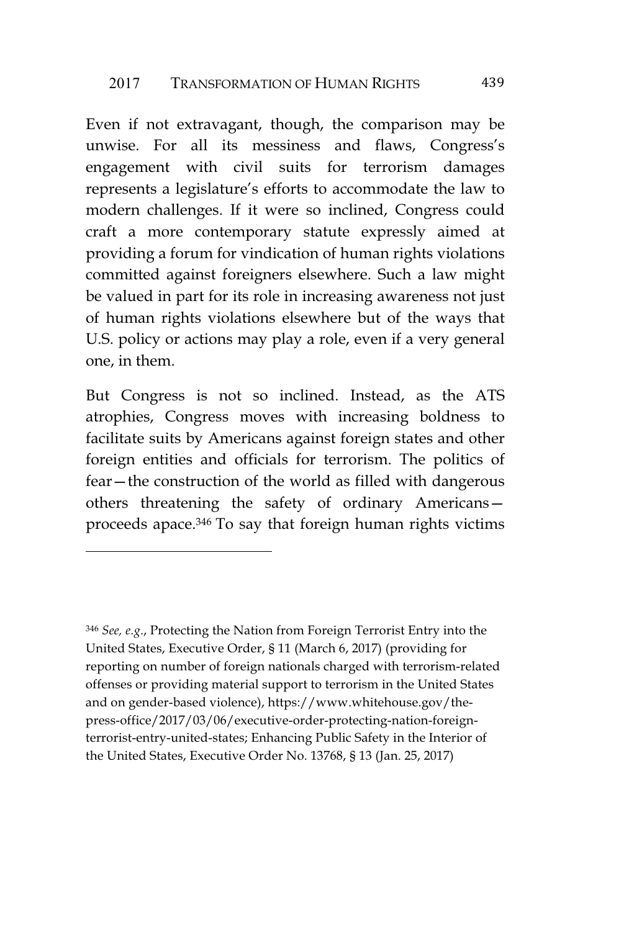Even if not extravagant, though, the comparison may be unwise. For all its messiness and flaws, Congress's engagement with civil suits for terrorism damages represents a legislature's efforts to accommodate the law to modern challenges. If it were so inclined, Congress could craft a more contemporary statute expressly aimed at providing a forum for vindication of human rights violations committed against foreigners elsewhere. Such a law might be valued in part for its role in increasing awareness not just of human rights violations elsewhere but of the ways that U.S. policy or actions may play a role, even if a very general one, in them.

But Congress is not so inclined. Instead, as the ATS atrophies, Congress moves with increasing boldness to facilitate suits by Americans against foreign states and other foreign entities and officials for terrorism. The politics of fear—the construction of the world as filled with dangerous others threatening the safety of ordinary Americans proceeds apace.<sup>346</sup> To say that foreign human rights victims

<sup>346</sup> *See, e.g*., Protecting the Nation from Foreign Terrorist Entry into the United States, Executive Order, § 11 (March 6, 2017) (providing for reporting on number of foreign nationals charged with terrorism-related offenses or providing material support to terrorism in the United States and on gender-based violence), https://www.whitehouse.gov/thepress-office/2017/03/06/executive-order-protecting-nation-foreignterrorist-entry-united-states; Enhancing Public Safety in the Interior of the United States, Executive Order No. 13768, § 13 (Jan. 25, 2017)